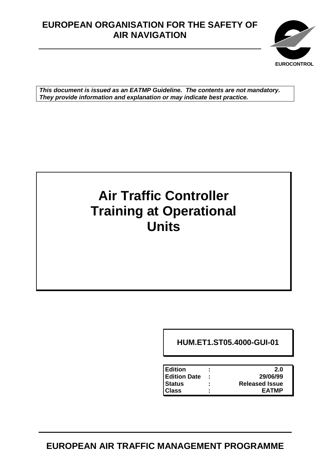# **EUROPEAN ORGANISATION FOR THE SAFETY OF AIR NAVIGATION**



*This document is issued as an EATMP Guideline. The contents are not mandatory. They provide information and explanation or may indicate best practice.*

# **Air Traffic Controller Training at Operational Units**

**HUM.ET1.ST05.4000-GUI-01**

| Edition             | $\blacksquare$ | 2.0                   |
|---------------------|----------------|-----------------------|
| <b>Edition Date</b> | ÷              | 29/06/99              |
| <b>Status</b>       |                | <b>Released Issue</b> |
| <b>Class</b>        |                | <b>EATMP</b>          |

**EUROPEAN AIR TRAFFIC MANAGEMENT PROGRAMME**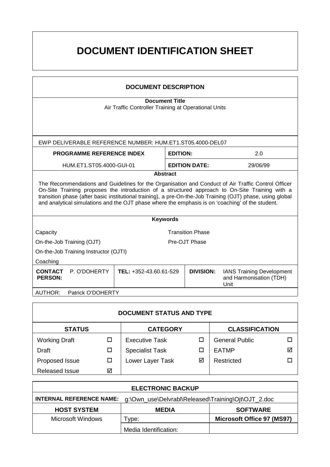# **DOCUMENT IDENTIFICATION SHEET**

| <b>DOCUMENT DESCRIPTION</b>                                                                                                                                                                                                                                                                                                                                                                                            |                                                                               |                 |                         |          |
|------------------------------------------------------------------------------------------------------------------------------------------------------------------------------------------------------------------------------------------------------------------------------------------------------------------------------------------------------------------------------------------------------------------------|-------------------------------------------------------------------------------|-----------------|-------------------------|----------|
|                                                                                                                                                                                                                                                                                                                                                                                                                        | <b>Document Title</b><br>Air Traffic Controller Training at Operational Units |                 |                         |          |
|                                                                                                                                                                                                                                                                                                                                                                                                                        |                                                                               |                 |                         |          |
|                                                                                                                                                                                                                                                                                                                                                                                                                        |                                                                               |                 |                         |          |
| EWP DELIVERABLE REFERENCE NUMBER: HUM.ET1.ST05.4000-DEL07                                                                                                                                                                                                                                                                                                                                                              |                                                                               |                 |                         |          |
| <b>PROGRAMME REFERENCE INDEX</b>                                                                                                                                                                                                                                                                                                                                                                                       |                                                                               | <b>EDITION:</b> |                         | 2.0      |
| HUM.ET1.ST05.4000-GUI-01                                                                                                                                                                                                                                                                                                                                                                                               |                                                                               |                 | <b>EDITION DATE:</b>    | 29/06/99 |
|                                                                                                                                                                                                                                                                                                                                                                                                                        |                                                                               | <b>Abstract</b> |                         |          |
| The Recommendations and Guidelines for the Organisation and Conduct of Air Traffic Control Officer<br>On-Site Training proposes the introduction of a structured approach to On-Site Training with a<br>transition phase (after basic institutional training), a pre-On-the-Job Training (OJT) phase, using global<br>and analytical simulations and the OJT phase where the emphasis is on 'coaching' of the student. |                                                                               |                 |                         |          |
|                                                                                                                                                                                                                                                                                                                                                                                                                        |                                                                               | <b>Keywords</b> |                         |          |
| Capacity                                                                                                                                                                                                                                                                                                                                                                                                               |                                                                               |                 | <b>Transition Phase</b> |          |
| On-the-Job Training (OJT)                                                                                                                                                                                                                                                                                                                                                                                              |                                                                               |                 | Pre-OJT Phase           |          |
| On-the-Job Training Instructor (OJTI)                                                                                                                                                                                                                                                                                                                                                                                  |                                                                               |                 |                         |          |
| Coaching                                                                                                                                                                                                                                                                                                                                                                                                               |                                                                               |                 |                         |          |
| TEL: +352-43.60.61-529<br><b>DIVISION:</b><br><b>CONTACT</b><br>P. O'DOHERTY<br><b>IANS Training Development</b><br><b>PERSON:</b><br>and Harmonisation (TDH)<br>Unit                                                                                                                                                                                                                                                  |                                                                               |                 |                         |          |
| <b>AUTHOR:</b><br>Patrick O'DOHERTY                                                                                                                                                                                                                                                                                                                                                                                    |                                                                               |                 |                         |          |
|                                                                                                                                                                                                                                                                                                                                                                                                                        |                                                                               |                 |                         |          |
| <b>DOCUMENT STATUS AND TYPE</b>                                                                                                                                                                                                                                                                                                                                                                                        |                                                                               |                 |                         |          |

| <b>STATUS</b>         |   | <b>CATEGORY</b>        |   | <b>CLASSIFICATION</b> |   |
|-----------------------|---|------------------------|---|-----------------------|---|
| <b>Working Draft</b>  |   | <b>Executive Task</b>  |   | <b>General Public</b> |   |
| Draft                 |   | <b>Specialist Task</b> |   | <b>EATMP</b>          | ☑ |
| Proposed Issue        |   | Lower Layer Task       | ☑ | Restricted            |   |
| <b>Released Issue</b> | ☑ |                        |   |                       |   |

| <b>ELECTRONIC BACKUP</b>                                                               |                       |                            |  |
|----------------------------------------------------------------------------------------|-----------------------|----------------------------|--|
| <b>INTERNAL REFERENCE NAME:</b><br>g:\Own_use\Delvrabl\Released\Training\Ojt\OJT_2.doc |                       |                            |  |
| <b>HOST SYSTEM</b><br><b>SOFTWARE</b><br><b>MEDIA</b>                                  |                       |                            |  |
| <b>Microsoft Windows</b>                                                               | Гуре:                 | Microsoft Office 97 (MS97) |  |
|                                                                                        | Media Identification: |                            |  |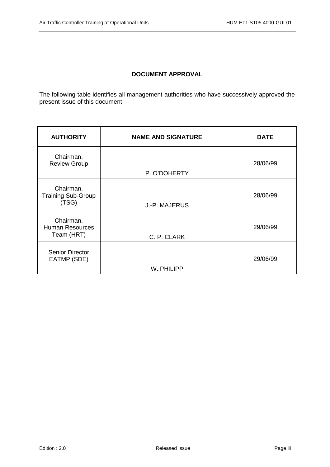# **DOCUMENT APPROVAL**

The following table identifies all management authorities who have successively approved the present issue of this document.

| <b>AUTHORITY</b>                                  | <b>NAME AND SIGNATURE</b> | <b>DATE</b> |
|---------------------------------------------------|---------------------------|-------------|
| Chairman,<br><b>Review Group</b>                  | P. O'DOHERTY              | 28/06/99    |
| Chairman,<br><b>Training Sub-Group</b><br>(TSG)   | J.-P. MAJERUS             | 28/06/99    |
| Chairman,<br><b>Human Resources</b><br>Team (HRT) | C. P. CLARK               | 29/06/99    |
| <b>Senior Director</b><br>EATMP (SDE)             | W. PHILIPP                | 29/06/99    |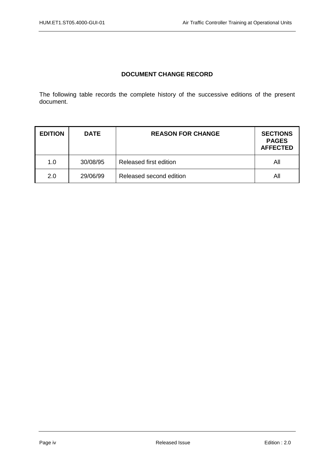# **DOCUMENT CHANGE RECORD**

The following table records the complete history of the successive editions of the present document.

| <b>EDITION</b> | <b>DATE</b> | <b>REASON FOR CHANGE</b> | <b>SECTIONS</b><br><b>PAGES</b><br><b>AFFECTED</b> |
|----------------|-------------|--------------------------|----------------------------------------------------|
| 1.0            | 30/08/95    | Released first edition   | All                                                |
| 2.0            | 29/06/99    | Released second edition  | All                                                |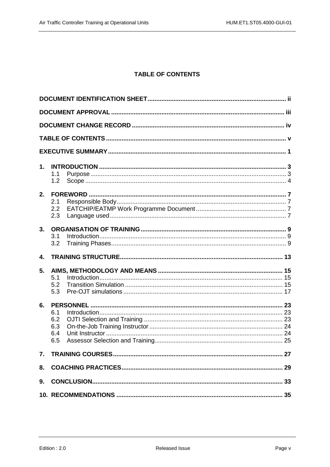# **TABLE OF CONTENTS**

| $\mathbf 1$ . | 1.1<br>1.2                      |  |
|---------------|---------------------------------|--|
| 2.            | 2.1<br>2.2<br>2.3               |  |
| 3.            | 3.1<br>3.2                      |  |
|               |                                 |  |
| 4.            |                                 |  |
| 5.            | 5.1<br>5.2<br>5.3               |  |
| 6.            | 6.1<br>6.2<br>6.3<br>6.4<br>6.5 |  |
|               |                                 |  |
| 8.            |                                 |  |
| 9.            |                                 |  |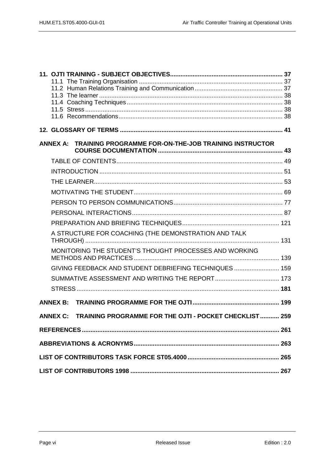| ANNEX A: TRAINING PROGRAMME FOR-ON-THE-JOB TRAINING INSTRUCTOR  |  |  |  |  |
|-----------------------------------------------------------------|--|--|--|--|
|                                                                 |  |  |  |  |
|                                                                 |  |  |  |  |
|                                                                 |  |  |  |  |
|                                                                 |  |  |  |  |
|                                                                 |  |  |  |  |
|                                                                 |  |  |  |  |
|                                                                 |  |  |  |  |
| A STRUCTURE FOR COACHING (THE DEMONSTRATION AND TALK            |  |  |  |  |
| MONITORING THE STUDENT'S THOUGHT PROCESSES AND WORKING          |  |  |  |  |
| GIVING FEEDBACK AND STUDENT DEBRIEFING TECHNIQUES  159          |  |  |  |  |
|                                                                 |  |  |  |  |
|                                                                 |  |  |  |  |
|                                                                 |  |  |  |  |
| ANNEX C: TRAINING PROGRAMME FOR THE OJTI - POCKET CHECKLIST 259 |  |  |  |  |
|                                                                 |  |  |  |  |
|                                                                 |  |  |  |  |
|                                                                 |  |  |  |  |
|                                                                 |  |  |  |  |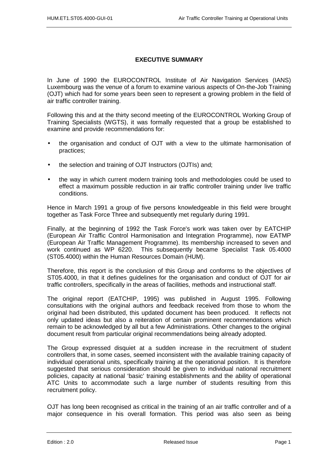# **EXECUTIVE SUMMARY**

In June of 1990 the EUROCONTROL Institute of Air Navigation Services (IANS) Luxembourg was the venue of a forum to examine various aspects of On-the-Job Training (OJT) which had for some years been seen to represent a growing problem in the field of air traffic controller training.

Following this and at the thirty second meeting of the EUROCONTROL Working Group of Training Specialists (WGTS), it was formally requested that a group be established to examine and provide recommendations for:

- the organisation and conduct of OJT with a view to the ultimate harmonisation of practices;
- the selection and training of OJT Instructors (OJTIs) and;
- the way in which current modern training tools and methodologies could be used to effect a maximum possible reduction in air traffic controller training under live traffic conditions.

Hence in March 1991 a group of five persons knowledgeable in this field were brought together as Task Force Three and subsequently met regularly during 1991.

Finally, at the beginning of 1992 the Task Force's work was taken over by EATCHIP (European Air Traffic Control Harmonisation and Integration Programme), now EATMP (European Air Traffic Management Programme). Its membership increased to seven and work continued as WP 6220. This subsequently became Specialist Task 05.4000 (ST05.4000) within the Human Resources Domain (HUM).

Therefore, this report is the conclusion of this Group and conforms to the objectives of ST05.4000, in that it defines guidelines for the organisation and conduct of OJT for air traffic controllers, specifically in the areas of facilities, methods and instructional staff.

The original report (EATCHIP, 1995) was published in August 1995. Following consultations with the original authors and feedback received from those to whom the original had been distributed, this updated document has been produced. It reflects not only updated ideas but also a reiteration of certain prominent recommendations which remain to be acknowledged by all but a few Administrations. Other changes to the original document result from particular original recommendations being already adopted.

The Group expressed disquiet at a sudden increase in the recruitment of student controllers that, in some cases, seemed inconsistent with the available training capacity of individual operational units, specifically training at the operational position. It is therefore suggested that serious consideration should be given to individual national recruitment policies, capacity at national 'basic' training establishments and the ability of operational ATC Units to accommodate such a large number of students resulting from this recruitment policy.

OJT has long been recognised as critical in the training of an air traffic controller and of a major consequence in his overall formation. This period was also seen as being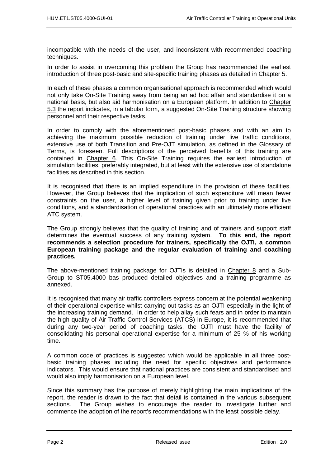incompatible with the needs of the user, and inconsistent with recommended coaching techniques.

In order to assist in overcoming this problem the Group has recommended the earliest introduction of three post-basic and site-specific training phases as detailed in Chapter 5.

In each of these phases a common organisational approach is recommended which would not only take On-Site Training away from being an ad hoc affair and standardise it on a national basis, but also aid harmonisation on a European platform. In addition to Chapter 5.3 the report indicates, in a tabular form, a suggested On-Site Training structure showing personnel and their respective tasks.

In order to comply with the aforementioned post-basic phases and with an aim to achieving the maximum possible reduction of training under live traffic conditions, extensive use of both Transition and Pre-OJT simulation, as defined in the Glossary of Terms, is foreseen. Full descriptions of the perceived benefits of this training are contained in Chapter 6. This On-Site Training requires the earliest introduction of simulation facilities, preferably integrated, but at least with the extensive use of standalone facilities as described in this section.

It is recognised that there is an implied expenditure in the provision of these facilities. However, the Group believes that the implication of such expenditure will mean fewer constraints on the user, a higher level of training given prior to training under live conditions, and a standardisation of operational practices with an ultimately more efficient ATC system.

The Group strongly believes that the quality of training and of trainers and support staff determines the eventual success of any training system. **To this end, the report recommends a selection procedure for trainers, specifically the OJTI, a common European training package and the regular evaluation of training and coaching practices.**

The above-mentioned training package for OJTIs is detailed in Chapter 8 and a Sub-Group to ST05.4000 bas produced detailed objectives and a training programme as annexed.

It is recognised that many air traffic controllers express concern at the potential weakening of their operational expertise whilst carrying out tasks as an OJTI especially in the light of the increasing training demand. In order to help allay such fears and in order to maintain the high quality of Air Traffic Control Services (ATCS) in Europe, it is recommended that during any two-year period of coaching tasks, the OJTI must have the facility of consolidating his personal operational expertise for a minimum of 25 % of his working time.

A common code of practices is suggested which would be applicable in all three postbasic training phases including the need for specific objectives and performance indicators. This would ensure that national practices are consistent and standardised and would also imply harmonisation on a European level.

Since this summary has the purpose of merely highlighting the main implications of the report, the reader is drawn to the fact that detail is contained in the various subsequent sections. The Group wishes to encourage the reader to investigate further and commence the adoption of the report's recommendations with the least possible delay.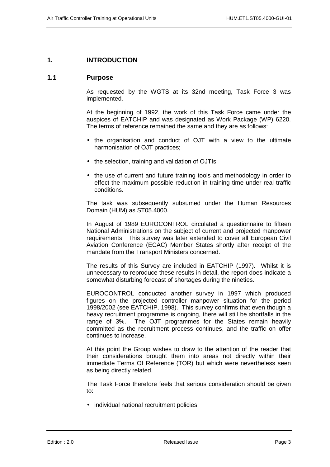# **1. INTRODUCTION**

# **1.1 Purpose**

As requested by the WGTS at its 32nd meeting, Task Force 3 was implemented.

At the beginning of 1992, the work of this Task Force came under the auspices of EATCHIP and was designated as Work Package (WP) 6220. The terms of reference remained the same and they are as follows:

- the organisation and conduct of OJT with a view to the ultimate harmonisation of OJT practices;
- the selection, training and validation of OJTIs;
- the use of current and future training tools and methodology in order to effect the maximum possible reduction in training time under real traffic conditions.

The task was subsequently subsumed under the Human Resources Domain (HUM) as ST05.4000.

In August of 1989 EUROCONTROL circulated a questionnaire to fifteen National Administrations on the subject of current and projected manpower requirements. This survey was later extended to cover all European Civil Aviation Conference (ECAC) Member States shortly after receipt of the mandate from the Transport Ministers concerned.

The results of this Survey are included in EATCHIP (1997). Whilst it is unnecessary to reproduce these results in detail, the report does indicate a somewhat disturbing forecast of shortages during the nineties.

EUROCONTROL conducted another survey in 1997 which produced figures on the projected controller manpower situation for the period 1998/2002 (see EATCHIP, 1998). This survey confirms that even though a heavy recruitment programme is ongoing, there will still be shortfalls in the range of 3%. The OJT programmes for the States remain heavily committed as the recruitment process continues, and the traffic on offer continues to increase.

At this point the Group wishes to draw to the attention of the reader that their considerations brought them into areas not directly within their immediate Terms Of Reference (TOR) but which were nevertheless seen as being directly related.

The Task Force therefore feels that serious consideration should be given to:

• individual national recruitment policies;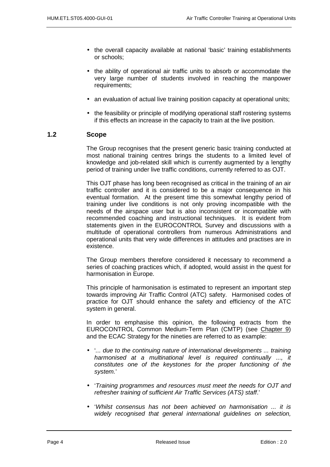- the overall capacity available at national 'basic' training establishments or schools;
- the ability of operational air traffic units to absorb or accommodate the very large number of students involved in reaching the manpower requirements;
- an evaluation of actual live training position capacity at operational units;
- the feasibility or principle of modifying operational staff rostering systems if this effects an increase in the capacity to train at the live position.

# **1.2 Scope**

The Group recognises that the present generic basic training conducted at most national training centres brings the students to a limited level of knowledge and job-related skill which is currently augmented by a lengthy period of training under live traffic conditions, currently referred to as OJT.

This OJT phase has long been recognised as critical in the training of an air traffic controller and it is considered to be a major consequence in his eventual formation. At the present time this somewhat lengthy period of training under live conditions is not only proving incompatible with the needs of the airspace user but is also inconsistent or incompatible with recommended coaching and instructional techniques. It is evident from statements given in the EUROCONTROL Survey and discussions with a multitude of operational controllers from numerous Administrations and operational units that very wide differences in attitudes and practises are in existence.

The Group members therefore considered it necessary to recommend a series of coaching practices which, if adopted, would assist in the quest for harmonisation in Europe.

This principle of harmonisation is estimated to represent an important step towards improving Air Traffic Control (ATC) safety. Harmonised codes of practice for OJT should enhance the safety and efficiency of the ATC system in general.

In order to emphasise this opinion, the following extracts from the EUROCONTROL Common Medium-Term Plan (CMTP) (see Chapter 9) and the ECAC Strategy for the nineties are referred to as example:

- '*... due to the continuing nature of international developments ... training harmonised at a multinational level is required continually ..., it constitutes one of the keystones for the proper functioning of the system.*'
- '*Training programmes and resources must meet the needs for OJT and refresher training of sufficient Air Traffic Services (ATS) staff*.'
- '*Whilst consensus has not been achieved on harmonisation ... it is widely recognised that general international guidelines on selection,*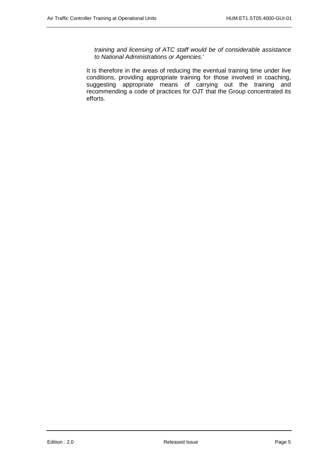*training and licensing of ATC staff would be of considerable assistance to National Administrations or Agencies*.'

It is therefore in the areas of reducing the eventual training time under live conditions, providing appropriate training for those involved in coaching, suggesting appropriate means of carrying out the training and recommending a code of practices for OJT that the Group concentrated its efforts.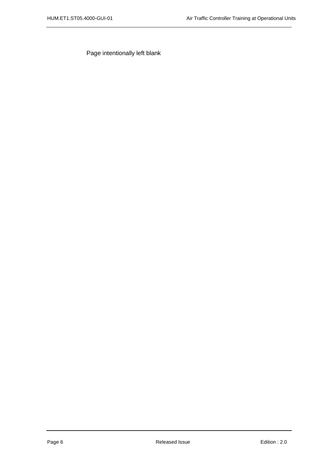Page intentionally left blank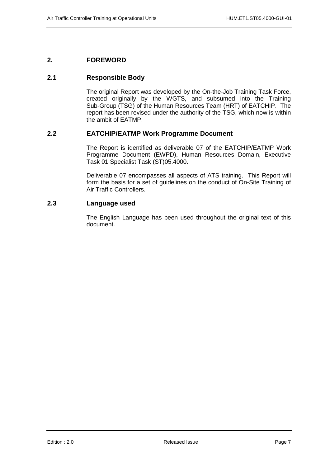# **2. FOREWORD**

# **2.1 Responsible Body**

The original Report was developed by the On-the-Job Training Task Force, created originally by the WGTS, and subsumed into the Training Sub-Group (TSG) of the Human Resources Team (HRT) of EATCHIP. The report has been revised under the authority of the TSG, which now is within the ambit of EATMP.

# **2.2 EATCHIP/EATMP Work Programme Document**

The Report is identified as deliverable 07 of the EATCHIP/EATMP Work Programme Document (EWPD), Human Resources Domain, Executive Task 01 Specialist Task (ST)05.4000.

Deliverable 07 encompasses all aspects of ATS training. This Report will form the basis for a set of guidelines on the conduct of On-Site Training of Air Traffic Controllers.

# **2.3 Language used**

The English Language has been used throughout the original text of this document.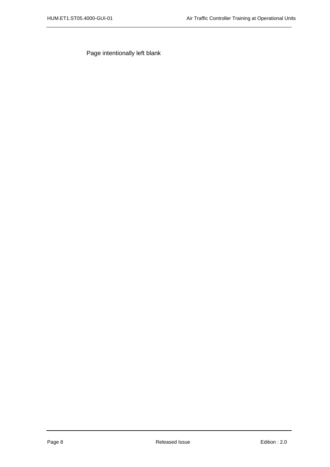Page intentionally left blank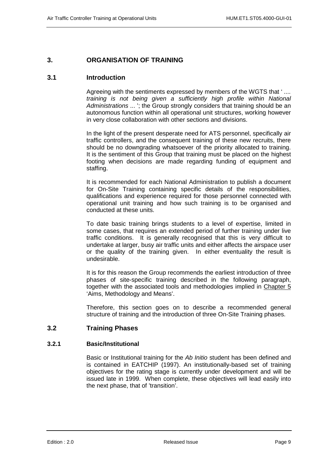# **3. ORGANISATION OF TRAINING**

# **3.1 Introduction**

Agreeing with the sentiments expressed by members of the WGTS that ' *.... training is not being given a sufficiently high profile within National Administrations* ... '; the Group strongly considers that training should be an autonomous function within all operational unit structures, working however in very close collaboration with other sections and divisions.

In the light of the present desperate need for ATS personnel, specifically air traffic controllers, and the consequent training of these new recruits, there should be no downgrading whatsoever of the priority allocated to training. It is the sentiment of this Group that training must be placed on the highest footing when decisions are made regarding funding of equipment and staffing.

It is recommended for each National Administration to publish a document for On-Site Training containing specific details of the responsibilities, qualifications and experience required for those personnel connected with operational unit training and how such training is to be organised and conducted at these units.

To date basic training brings students to a level of expertise, limited in some cases, that requires an extended period of further training under live traffic conditions. It is generally recognised that this is very difficult to undertake at larger, busy air traffic units and either affects the airspace user or the quality of the training given. In either eventuality the result is undesirable.

It is for this reason the Group recommends the earliest introduction of three phases of site-specific training described in the following paragraph, together with the associated tools and methodologies implied in Chapter 5 'Aims, Methodology and Means'.

Therefore, this section goes on to describe a recommended general structure of training and the introduction of three On-Site Training phases.

# **3.2 Training Phases**

#### **3.2.1 Basic/Institutional**

Basic or Institutional training for the *Ab Initio* student has been defined and is contained in EATCHIP (1997). An institutionally-based set of training objectives for the rating stage is currently under development and will be issued late in 1999. When complete, these objectives will lead easily into the next phase, that of 'transition'.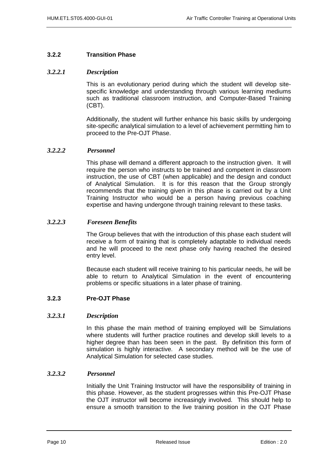# **3.2.2 Transition Phase**

#### *3.2.2.1 Description*

This is an evolutionary period during which the student will develop sitespecific knowledge and understanding through various learning mediums such as traditional classroom instruction, and Computer-Based Training (CBT).

Additionally, the student will further enhance his basic skills by undergoing site-specific analytical simulation to a level of achievement permitting him to proceed to the Pre-OJT Phase.

### *3.2.2.2 Personnel*

This phase will demand a different approach to the instruction given. It will require the person who instructs to be trained and competent in classroom instruction, the use of CBT (when applicable) and the design and conduct of Analytical Simulation. It is for this reason that the Group strongly recommends that the training given in this phase is carried out by a Unit Training Instructor who would be a person having previous coaching expertise and having undergone through training relevant to these tasks.

#### *3.2.2.3 Foreseen Benefits*

The Group believes that with the introduction of this phase each student will receive a form of training that is completely adaptable to individual needs and he will proceed to the next phase only having reached the desired entry level.

Because each student will receive training to his particular needs, he will be able to return to Analytical Simulation in the event of encountering problems or specific situations in a later phase of training.

# **3.2.3 Pre-OJT Phase**

#### *3.2.3.1 Description*

In this phase the main method of training employed will be Simulations where students will further practice routines and develop skill levels to a higher degree than has been seen in the past. By definition this form of simulation is highly interactive. A secondary method will be the use of Analytical Simulation for selected case studies.

#### *3.2.3.2 Personnel*

Initially the Unit Training Instructor will have the responsibility of training in this phase. However, as the student progresses within this Pre-OJT Phase the OJT instructor will become increasingly involved. This should help to ensure a smooth transition to the live training position in the OJT Phase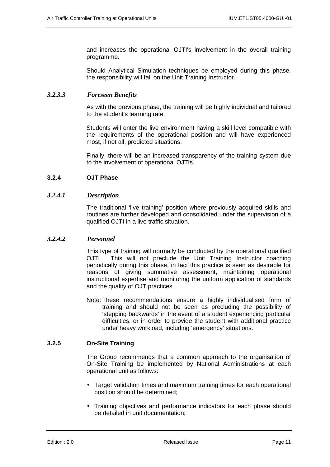and increases the operational OJTI's involvement in the overall training programme.

Should Analytical Simulation techniques be employed during this phase, the responsibility will fall on the Unit Training Instructor.

# *3.2.3.3 Foreseen Benefits*

As with the previous phase, the training will be highly individual and tailored to the student's learning rate.

Students will enter the live environment having a skill level compatible with the requirements of the operational position and will have experienced most, if not all, predicted situations.

Finally, there will be an increased transparency of the training system due to the involvement of operational OJTIs.

#### **3.2.4 OJT Phase**

#### *3.2.4.1 Description*

The traditional 'live training' position where previously acquired skills and routines are further developed and consolidated under the supervision of a qualified OJTI in a live traffic situation.

#### *3.2.4.2 Personnel*

This type of training will normally be conducted by the operational qualified OJTI. This will not preclude the Unit Training Instructor coaching periodically during this phase, in fact this practice is seen as desirable for reasons of giving summative assessment, maintaining operational instructional expertise and monitoring the uniform application of standards and the quality of OJT practices.

Note: These recommendations ensure a highly individualised form of training and should not be seen as precluding the possibility of 'stepping backwards' in the event of a student experiencing particular difficulties, or in order to provide the student with additional practice under heavy workload, including 'emergency' situations.

# **3.2.5 On-Site Training**

The Group recommends that a common approach to the organisation of On-Site Training be implemented by National Administrations at each operational unit as follows:

- Target validation times and maximum training times for each operational position should be determined;
- Training objectives and performance indicators for each phase should be detailed in unit documentation;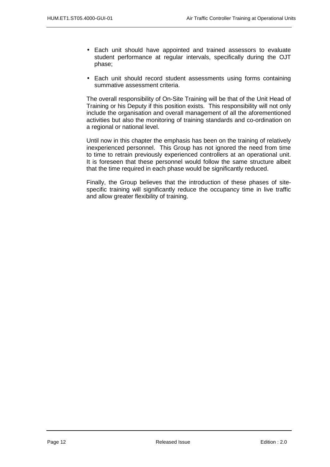- Each unit should have appointed and trained assessors to evaluate student performance at regular intervals, specifically during the OJT phase;
- Each unit should record student assessments using forms containing summative assessment criteria.

The overall responsibility of On-Site Training will be that of the Unit Head of Training or his Deputy if this position exists. This responsibility will not only include the organisation and overall management of all the aforementioned activities but also the monitoring of training standards and co-ordination on a regional or national level.

Until now in this chapter the emphasis has been on the training of relatively inexperienced personnel. This Group has not ignored the need from time to time to retrain previously experienced controllers at an operational unit. It is foreseen that these personnel would follow the same structure albeit that the time required in each phase would be significantly reduced.

Finally, the Group believes that the introduction of these phases of sitespecific training will significantly reduce the occupancy time in live traffic and allow greater flexibility of training.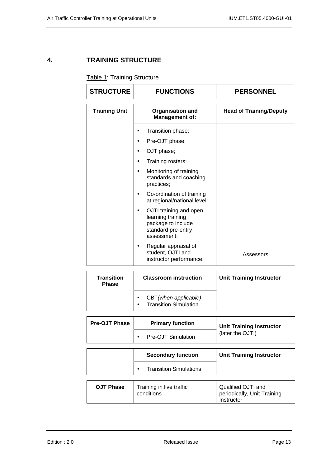# **4. TRAINING STRUCTURE**

# Table 1: Training Structure

| <b>STRUCTURE</b>                  | <b>FUNCTIONS</b>                                                                                       | <b>PERSONNEL</b>                |
|-----------------------------------|--------------------------------------------------------------------------------------------------------|---------------------------------|
| <b>Training Unit</b>              | <b>Organisation and</b><br><b>Management of:</b>                                                       | <b>Head of Training/Deputy</b>  |
|                                   | Transition phase;                                                                                      |                                 |
|                                   | Pre-OJT phase;                                                                                         |                                 |
|                                   | OJT phase;                                                                                             |                                 |
|                                   | Training rosters;                                                                                      |                                 |
|                                   | Monitoring of training<br>standards and coaching<br>practices;                                         |                                 |
|                                   | Co-ordination of training<br>at regional/national level;                                               |                                 |
|                                   | OJTI training and open<br>learning training<br>package to include<br>standard pre-entry<br>assessment; |                                 |
|                                   | Regular appraisal of<br>student, OJTI and<br>instructor performance.                                   | Assessors                       |
| <b>Transition</b><br><b>Phase</b> | <b>Classroom instruction</b>                                                                           | <b>Unit Training Instructor</b> |

| Transition<br><b>Phase</b> | Giassroom mstruction                                  | <b>UNIT Framing Instructor</b> |
|----------------------------|-------------------------------------------------------|--------------------------------|
|                            | CBT (when applicable)<br><b>Transition Simulation</b> |                                |

| <b>Pre-OJT Phase</b> | <b>Primary function</b>   | <b>Unit Training Instructor</b> |  |
|----------------------|---------------------------|---------------------------------|--|
|                      | Pre-OJT Simulation        | (later the OJTI)                |  |
|                      |                           |                                 |  |
|                      | <b>Secondary function</b> | <b>Unit Training Instructor</b> |  |

|                  | <b>Transition Simulations</b>          |                                                                 |
|------------------|----------------------------------------|-----------------------------------------------------------------|
|                  |                                        |                                                                 |
| <b>OJT Phase</b> | Training in live traffic<br>conditions | Qualified OJTI and<br>periodically, Unit Training<br>Instructor |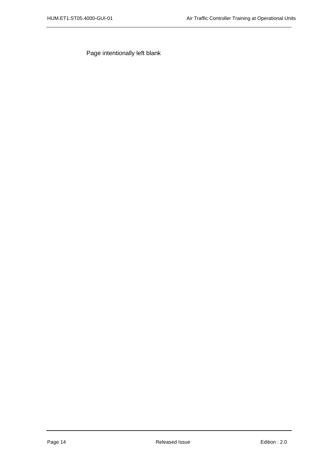Page intentionally left blank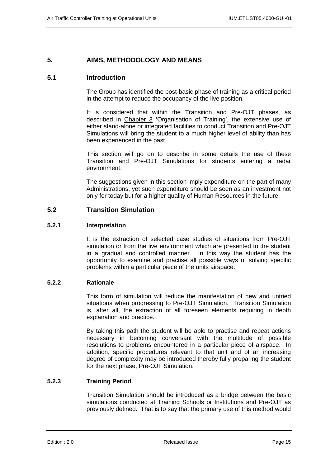# **5. AIMS, METHODOLOGY AND MEANS**

# **5.1 Introduction**

The Group has identified the post-basic phase of training as a critical period in the attempt to reduce the occupancy of the live position.

It is considered that within the Transition and Pre-OJT phases, as described in Chapter 3 'Organisation of Training', the extensive use of either stand-alone or integrated facilities to conduct Transition and Pre-OJT Simulations will bring the student to a much higher level of ability than has been experienced in the past.

This section will go on to describe in some details the use of these Transition and Pre-OJT Simulations for students entering a radar environment.

The suggestions given in this section imply expenditure on the part of many Administrations, yet such expenditure should be seen as an investment not only for today but for a higher quality of Human Resources in the future.

## **5.2 Transition Simulation**

#### **5.2.1 Interpretation**

It is the extraction of selected case studies of situations from Pre-OJT simulation or from the live environment which are presented to the student in a gradual and controlled manner. In this way the student has the opportunity to examine and practise all possible ways of solving specific problems within a particular piece of the units airspace.

#### **5.2.2 Rationale**

This form of simulation will reduce the manifestation of new and untried situations when progressing to Pre-OJT Simulation. Transition Simulation is, after all, the extraction of all foreseen elements requiring in depth explanation and practice.

By taking this path the student will be able to practise and repeat actions necessary in becoming conversant with the multitude of possible resolutions to problems encountered in a particular piece of airspace. In addition, specific procedures relevant to that unit and of an increasing degree of complexity may be introduced thereby fully preparing the student for the next phase, Pre-OJT Simulation.

### **5.2.3 Training Period**

Transition Simulation should be introduced as a bridge between the basic simulations conducted at Training Schools or Institutions and Pre-OJT as previously defined. That is to say that the primary use of this method would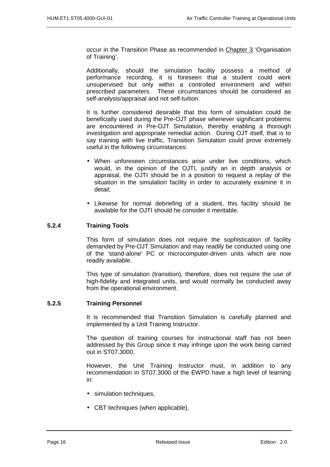occur in the Transition Phase as recommended in Chapter 3 'Organisation of Training'.

Additionally, should the simulation facility possess a method of performance recording, it is foreseen that a student could work unsupervised but only within a controlled environment and within prescribed parameters. These circumstances should be considered as self-analysis/appraisal and not self-tuition.

It is further considered desirable that this form of simulation could be beneficially used during the Pre-OJT phase whenever significant problems are encountered in Pre-OJT Simulation, thereby enabling a thorough investigation and appropriate remedial action. During OJT itself, that is to say training with live traffic. Transition Simulation could prove extremely useful in the following circumstances:

- When unforeseen circumstances arise under live conditions, which would, in the opinion of the OJTI, justify an in depth analysis or appraisal, the OJTI should be in a position to request a replay of the situation in the simulation facility in order to accurately examine it in detail;
- Likewise for normal debriefing of a student, this facility should be available for the OJTI should he consider it meritable.

#### **5.2.4 Training Tools**

This form of simulation does not require the sophistication of facility demanded by Pre-OJT Simulation and may readily be conducted using one of the 'stand-alone' PC or microcomputer-driven units which are now readily available.

This type of simulation (transition), therefore, does not require the use of high-fidelity and integrated units, and would normally be conducted away from the operational environment.

#### **5.2.5 Training Personnel**

It is recommended that Transition Simulation is carefully planned and implemented by a Unit Training Instructor.

The question of training courses for instructional staff has not been addressed by this Group since it may infringe upon the work being carried out in ST07.3000.

However, the Unit Training Instructor must, in addition to any recommendation in ST07.3000 of the EWPD have a high level of learning in:

- simulation techniques,
- CBT techniques (when applicable),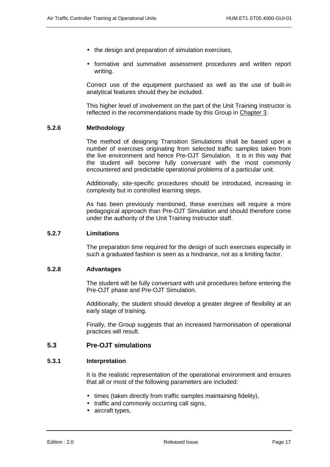- the design and preparation of simulation exercises.
- formative and summative assessment procedures and written report writing.

Correct use of the equipment purchased as well as the use of built-in analytical features should they be included.

This higher level of involvement on the part of the Unit Training Instructor is reflected in the recommendations made by this Group in Chapter 3.

#### **5.2.6 Methodology**

The method of designing Transition Simulations shall be based upon a number of exercises originating from selected traffic samples taken from the live environment and hence Pre-OJT Simulation. It is in this way that the student will become fully conversant with the most commonly encountered and predictable operational problems of a particular unit.

Additionally, site-specific procedures should be introduced, increasing in complexity but in controlled learning steps.

As has been previously mentioned, these exercises will require a more pedagogical approach than Pre-OJT Simulation and should therefore come under the authority of the Unit Training Instructor staff.

#### **5.2.7 Limitations**

The preparation time required for the design of such exercises especially in such a graduated fashion is seen as a hindrance, not as a limiting factor.

#### **5.2.8 Advantages**

The student will be fully conversant with unit procedures before entering the Pre-OJT phase and Pre-OJT Simulation.

Additionally, the student should develop a greater degree of flexibility at an early stage of training.

Finally, the Group suggests that an increased harmonisation of operational practices will result.

#### **5.3 Pre-OJT simulations**

#### **5.3.1 Interpretation**

It is the realistic representation of the operational environment and ensures that all or most of the following parameters are included:

- times (taken directly from traffic samples maintaining fidelity),
- traffic and commonly occurring call signs,
- aircraft types.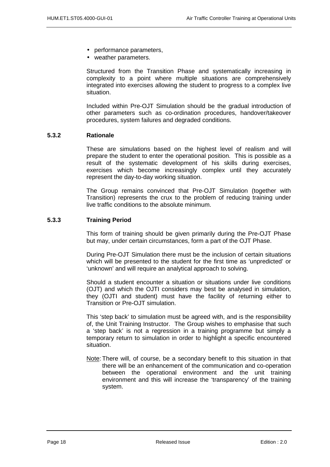- performance parameters,
- weather parameters.

Structured from the Transition Phase and systematically increasing in complexity to a point where multiple situations are comprehensively integrated into exercises allowing the student to progress to a complex live situation.

Included within Pre-OJT Simulation should be the gradual introduction of other parameters such as co-ordination procedures, handover/takeover procedures, system failures and degraded conditions.

#### **5.3.2 Rationale**

These are simulations based on the highest level of realism and will prepare the student to enter the operational position. This is possible as a result of the systematic development of his skills during exercises, exercises which become increasingly complex until they accurately represent the day-to-day working situation.

The Group remains convinced that Pre-OJT Simulation (together with Transition) represents the crux to the problem of reducing training under live traffic conditions to the absolute minimum.

#### **5.3.3 Training Period**

This form of training should be given primarily during the Pre-OJT Phase but may, under certain circumstances, form a part of the OJT Phase.

During Pre-OJT Simulation there must be the inclusion of certain situations which will be presented to the student for the first time as 'unpredicted' or 'unknown' and will require an analytical approach to solving.

Should a student encounter a situation or situations under live conditions (OJT) and which the OJTI considers may best be analysed in simulation, they (OJTI and student) must have the facility of returning either to Transition or Pre-OJT simulation.

This 'step back' to simulation must be agreed with, and is the responsibility of, the Unit Training Instructor. The Group wishes to emphasise that such a 'step back' is not a regression in a training programme but simply a temporary return to simulation in order to highlight a specific encountered situation.

Note: There will, of course, be a secondary benefit to this situation in that there will be an enhancement of the communication and co-operation between the operational environment and the unit training environment and this will increase the 'transparency' of the training system.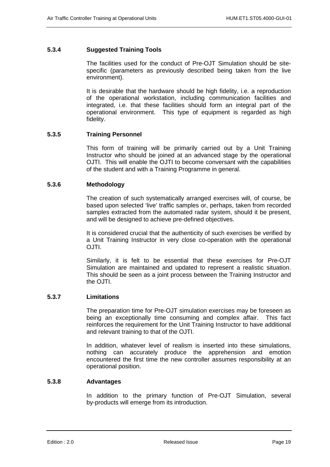# **5.3.4 Suggested Training Tools**

The facilities used for the conduct of Pre-OJT Simulation should be sitespecific (parameters as previously described being taken from the live environment).

It is desirable that the hardware should be high fidelity, i.e. a reproduction of the operational workstation, including communication facilities and integrated, i.e. that these facilities should form an integral part of the operational environment. This type of equipment is regarded as high fidelity.

#### **5.3.5 Training Personnel**

This form of training will be primarily carried out by a Unit Training Instructor who should be joined at an advanced stage by the operational OJTI. This will enable the OJTI to become conversant with the capabilities of the student and with a Training Programme in general.

#### **5.3.6 Methodology**

The creation of such systematically arranged exercises will, of course, be based upon selected 'live' traffic samples or, perhaps, taken from recorded samples extracted from the automated radar system, should it be present, and will be designed to achieve pre-defined objectives.

It is considered crucial that the authenticity of such exercises be verified by a Unit Training Instructor in very close co-operation with the operational  $O<sub>1</sub>$ 

Similarly, it is felt to be essential that these exercises for Pre-OJT Simulation are maintained and updated to represent a realistic situation. This should be seen as a joint process between the Training Instructor and the OJTI.

#### **5.3.7 Limitations**

The preparation time for Pre-OJT simulation exercises may be foreseen as being an exceptionally time consuming and complex affair. This fact reinforces the requirement for the Unit Training Instructor to have additional and relevant training to that of the OJTI.

In addition, whatever level of realism is inserted into these simulations, nothing can accurately produce the apprehension and emotion encountered the first time the new controller assumes responsibility at an operational position.

## **5.3.8 Advantages**

In addition to the primary function of Pre-OJT Simulation, several by-products will emerge from its introduction.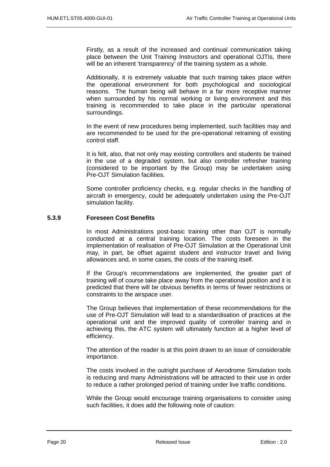Firstly, as a result of the increased and continual communication taking place between the Unit Training Instructors and operational OJTIs, there will be an inherent 'transparency' of the training system as a whole.

Additionally, it is extremely valuable that such training takes place within the operational environment for both psychological and sociological reasons. The human being will behave in a far more receptive manner when surrounded by his normal working or living environment and this training is recommended to take place in the particular operational surroundings.

In the event of new procedures being implemented, such facilities may and are recommended to be used for the pre-operational retraining of existing control staff.

It is felt, also, that not only may existing controllers and students be trained in the use of a degraded system, but also controller refresher training (considered to be important by the Group) may be undertaken using Pre-OJT Simulation facilities.

Some controller proficiency checks, e.g. regular checks in the handling of aircraft in emergency, could be adequately undertaken using the Pre-OJT simulation facility.

#### **5.3.9 Foreseen Cost Benefits**

In most Administrations post-basic training other than OJT is normally conducted at a central training location. The costs foreseen in the implementation of realisation of Pre-OJT Simulation at the Operational Unit may, in part, be offset against student and instructor travel and living allowances and, in some cases, the costs of the training itself.

If the Group's recommendations are implemented, the greater part of training will of course take place away from the operational position and it is predicted that there will be obvious benefits in terms of fewer restrictions or constraints to the airspace user.

The Group believes that implementation of these recommendations for the use of Pre-OJT Simulation will lead to a standardisation of practices at the operational unit and the improved quality of controller training and in achieving this, the ATC system will ultimately function at a higher level of efficiency.

The attention of the reader is at this point drawn to an issue of considerable importance.

The costs involved in the outright purchase of Aerodrome Simulation tools is reducing and many Administrations will be attracted to their use in order to reduce a rather prolonged period of training under live traffic conditions.

While the Group would encourage training organisations to consider using such facilities, it does add the following note of caution: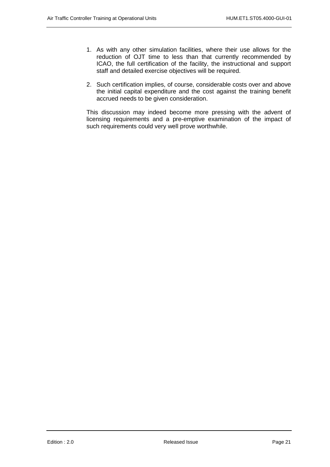- 1. As with any other simulation facilities, where their use allows for the reduction of OJT time to less than that currently recommended by ICAO, the full certification of the facility, the instructional and support staff and detailed exercise objectives will be required.
- 2. Such certification implies, of course, considerable costs over and above the initial capital expenditure and the cost against the training benefit accrued needs to be given consideration.

This discussion may indeed become more pressing with the advent of licensing requirements and a pre-emptive examination of the impact of such requirements could very well prove worthwhile.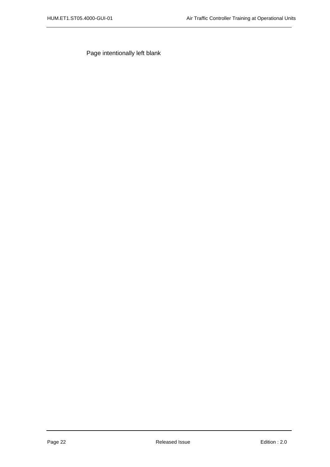Page intentionally left blank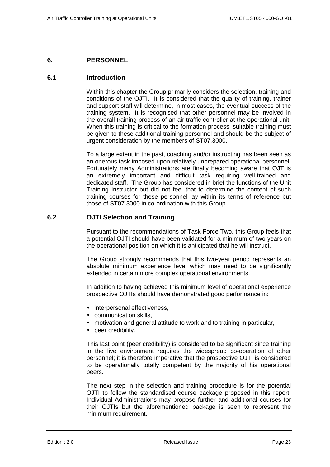# **6. PERSONNEL**

# **6.1 Introduction**

Within this chapter the Group primarily considers the selection, training and conditions of the OJTI. It is considered that the quality of training, trainer and support staff will determine, in most cases, the eventual success of the training system. It is recognised that other personnel may be involved in the overall training process of an air traffic controller at the operational unit. When this training is critical to the formation process, suitable training must be given to these additional training personnel and should be the subject of urgent consideration by the members of ST07.3000.

To a large extent in the past, coaching and/or instructing has been seen as an onerous task imposed upon relatively unprepared operational personnel. Fortunately many Administrations are finally becoming aware that OJT is an extremely important and difficult task requiring well-trained and dedicated staff. The Group has considered in brief the functions of the Unit Training Instructor but did not feel that to determine the content of such training courses for these personnel lay within its terms of reference but those of ST07.3000 in co-ordination with this Group.

# **6.2 OJTI Selection and Training**

Pursuant to the recommendations of Task Force Two, this Group feels that a potential OJTI should have been validated for a minimum of two years on the operational position on which it is anticipated that he will instruct.

The Group strongly recommends that this two-year period represents an absolute minimum experience level which may need to be significantly extended in certain more complex operational environments.

In addition to having achieved this minimum level of operational experience prospective OJTIs should have demonstrated good performance in:

- interpersonal effectiveness.
- communication skills.
- motivation and general attitude to work and to training in particular,
- peer credibility.

This last point (peer credibility) is considered to be significant since training in the live environment requires the widespread co-operation of other personnel; it is therefore imperative that the prospective OJTI is considered to be operationally totally competent by the majority of his operational peers.

The next step in the selection and training procedure is for the potential OJTI to follow the standardised course package proposed in this report. Individual Administrations may propose further and additional courses for their OJTIs but the aforementioned package is seen to represent the minimum requirement.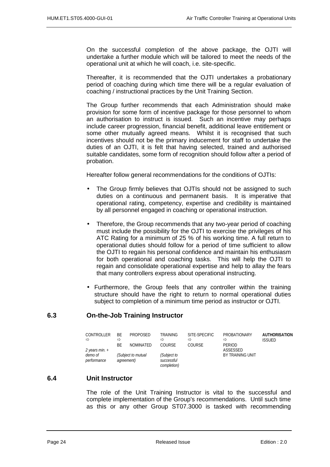On the successful completion of the above package, the OJTI will undertake a further module which will be tailored to meet the needs of the operational unit at which he will coach, i.e. site-specific.

Thereafter, it is recommended that the OJTI undertakes a probationary period of coaching during which time there will be a regular evaluation of coaching / instructional practices by the Unit Training Section.

The Group further recommends that each Administration should make provision for some form of incentive package for those personnel to whom an authorisation to instruct is issued. Such an incentive may perhaps include career progression, financial benefit, additional leave entitlement or some other mutually agreed means. Whilst it is recognised that such incentives should not be the primary inducement for staff to undertake the duties of an OJTI, it is felt that having selected, trained and authorised suitable candidates, some form of recognition should follow after a period of probation.

Hereafter follow general recommendations for the conditions of OJTIs:

- The Group firmly believes that OJTIs should not be assigned to such duties on a continuous and permanent basis. It is imperative that operational rating, competency, expertise and credibility is maintained by all personnel engaged in coaching or operational instruction.
- Therefore, the Group recommends that any two-year period of coaching must include the possibility for the OJTI to exercise the privileges of his ATC Rating for a minimum of 25 % of his working time. A full return to operational duties should follow for a period of time sufficient to allow the OJTI to regain his personal confidence and maintain his enthusiasm for both operational and coaching tasks. This will help the OJTI to regain and consolidate operational expertise and help to allay the fears that many controllers express about operational instructing.
- Furthermore, the Group feels that any controller within the training structure should have the right to return to normal operational duties subject to completion of a minimum time period as instructor or OJTI.

# **6.3 On-the-Job Training Instructor**

| CONTROLLER<br>⇨        | ВE<br>⇨                          | <b>PROPOSED</b> | TRAINING<br>⇨                            | SITE-SPECIFIC<br>⇨ | PROBATIONARY<br>⇨         | <b>AUTHORISATION</b><br><b>ISSUED</b> |
|------------------------|----------------------------------|-----------------|------------------------------------------|--------------------|---------------------------|---------------------------------------|
| 2 years min. $+$       | ВE                               | NOMINATED       | COURSE                                   | <b>COURSE</b>      | <b>PERIOD</b><br>ASSESSED |                                       |
| demo of<br>performance | (Subject to mutual<br>agreement) |                 | (Subject to<br>successful<br>completion) |                    | BY TRAINING UNIT          |                                       |

# **6.4 Unit Instructor**

The role of the Unit Training Instructor is vital to the successful and complete implementation of the Group's recommendations. Until such time as this or any other Group ST07.3000 is tasked with recommending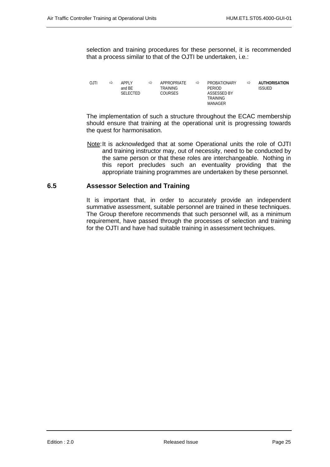selection and training procedures for these personnel, it is recommended that a process similar to that of the OJTI be undertaken, i.e.:

OJTI  $\Rightarrow$  APPLY and BE SELECTED  $\Rightarrow$  APPROPRIATE TRAINING COURSES  $\Rightarrow$  PROBATIONARY PERIOD ASSESSED BY TRAINING MANAGER **AUTHORISATION** ISSUED

The implementation of such a structure throughout the ECAC membership should ensure that training at the operational unit is progressing towards the quest for harmonisation.

Note:It is acknowledged that at some Operational units the role of OJTI and training instructor may, out of necessity, need to be conducted by the same person or that these roles are interchangeable. Nothing in this report precludes such an eventuality providing that the appropriate training programmes are undertaken by these personnel.

# **6.5 Assessor Selection and Training**

It is important that, in order to accurately provide an independent summative assessment, suitable personnel are trained in these techniques. The Group therefore recommends that such personnel will, as a minimum requirement, have passed through the processes of selection and training for the OJTI and have had suitable training in assessment techniques.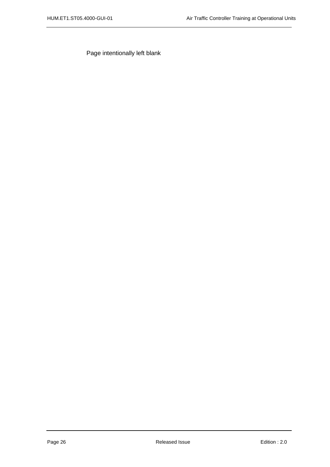Page intentionally left blank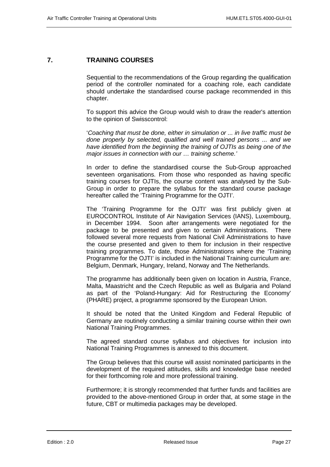# **7. TRAINING COURSES**

Sequential to the recommendations of the Group regarding the qualification period of the controller nominated for a coaching role, each candidate should undertake the standardised course package recommended in this chapter.

To support this advice the Group would wish to draw the reader's attention to the opinion of Swisscontrol:

'*Coaching that must be done, either in simulation or ... in live traffic must be done properly by selected, qualified and well trained persons ... and we have identified from the beginning the training of OJTIs as being one of the major issues in connection with our … training scheme.'*

In order to define the standardised course the Sub-Group approached seventeen organisations. From those who responded as having specific training courses for OJTIs, the course content was analysed by the Sub-Group in order to prepare the syllabus for the standard course package hereafter called the 'Training Programme for the OJTI'.

The 'Training Programme for the OJTI' was first publicly given at EUROCONTROL Institute of Air Navigation Services (IANS), Luxembourg, in December 1994. Soon after arrangements were negotiated for the package to be presented and given to certain Administrations. There followed several more requests from National Civil Administrations to have the course presented and given to them for inclusion in their respective training programmes. To date, those Administrations where the 'Training Programme for the OJTI' is included in the National Training curriculum are: Belgium, Denmark, Hungary, Ireland, Norway and The Netherlands.

The programme has additionally been given on location in Austria, France, Malta, Maastricht and the Czech Republic as well as Bulgaria and Poland as part of the 'Poland-Hungary: Aid for Restructuring the Economy' (PHARE) project, a programme sponsored by the European Union.

It should be noted that the United Kingdom and Federal Republic of Germany are routinely conducting a similar training course within their own National Training Programmes.

The agreed standard course syllabus and objectives for inclusion into National Training Programmes is annexed to this document.

The Group believes that this course will assist nominated participants in the development of the required attitudes, skills and knowledge base needed for their forthcoming role and more professional training.

Furthermore; it is strongly recommended that further funds and facilities are provided to the above-mentioned Group in order that, at some stage in the future, CBT or multimedia packages may be developed.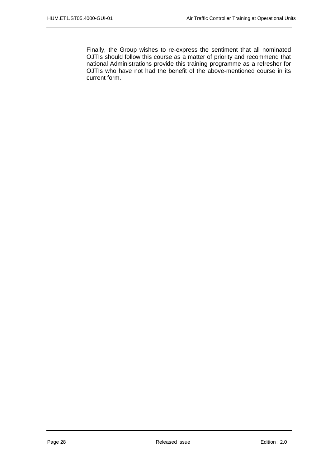Finally, the Group wishes to re-express the sentiment that all nominated OJTIs should follow this course as a matter of priority and recommend that national Administrations provide this training programme as a refresher for OJTIs who have not had the benefit of the above-mentioned course in its current form.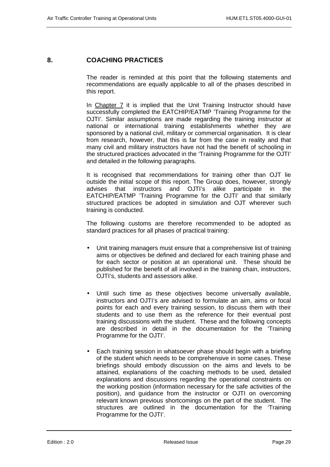# **8. COACHING PRACTICES**

The reader is reminded at this point that the following statements and recommendations are equally applicable to all of the phases described in this report.

In Chapter 7 it is implied that the Unit Training Instructor should have successfully completed the EATCHIP/EATMP 'Training Programme for the OJTI'. Similar assumptions are made regarding the training instructor at national or international training establishments whether they are sponsored by a national civil, military or commercial organisation. It is clear from research, however, that this is far from the case in reality and that many civil and military instructors have not had the benefit of schooling in the structured practices advocated in the 'Training Programme for the OJTI' and detailed in the following paragraphs.

It is recognised that recommendations for training other than OJT lie outside the initial scope of this report. The Group does, however, strongly advises that instructors and OJTI's alike participate in the EATCHIP/EATMP 'Training Programme for the OJTI' and that similarly structured practices be adopted in simulation and OJT wherever such training is conducted.

The following customs are therefore recommended to be adopted as standard practices for all phases of practical training:

- Unit training managers must ensure that a comprehensive list of training aims or objectives be defined and declared for each training phase and for each sector or position at an operational unit. These should be published for the benefit of all involved in the training chain, instructors, OJTI's, students and assessors alike.
- Until such time as these objectives become universally available, instructors and OJTI's are advised to formulate an aim, aims or focal points for each and every training session, to discuss them with their students and to use them as the reference for their eventual post training discussions with the student. These and the following concepts are described in detail in the documentation for the 'Training Programme for the OJTI'.
- Each training session in whatsoever phase should begin with a briefing of the student which needs to be comprehensive in some cases. These briefings should embody discussion on the aims and levels to be attained, explanations of the coaching methods to be used, detailed explanations and discussions regarding the operational constraints on the working position (information necessary for the safe activities of the position), and guidance from the instructor or OJTI on overcoming relevant known previous shortcomings on the part of the student. The structures are outlined in the documentation for the 'Training Programme for the OJTI'.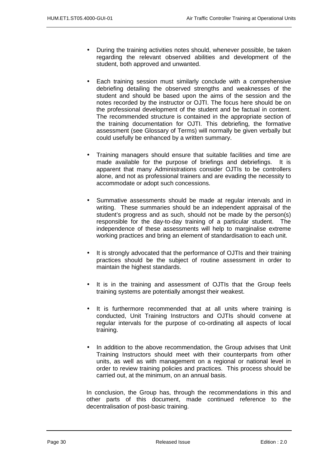- During the training activities notes should, whenever possible, be taken regarding the relevant observed abilities and development of the student, both approved and unwanted.
- Each training session must similarly conclude with a comprehensive debriefing detailing the observed strengths and weaknesses of the student and should be based upon the aims of the session and the notes recorded by the instructor or OJTI. The focus here should be on the professional development of the student and be factual in content. The recommended structure is contained in the appropriate section of the training documentation for OJTI. This debriefing, the formative assessment (see Glossary of Terms) will normally be given verbally but could usefully be enhanced by a written summary.
- Training managers should ensure that suitable facilities and time are made available for the purpose of briefings and debriefings. It is apparent that many Administrations consider OJTIs to be controllers alone, and not as professional trainers and are evading the necessity to accommodate or adopt such concessions.
- Summative assessments should be made at regular intervals and in writing. These summaries should be an independent appraisal of the student's progress and as such, should not be made by the person(s) responsible for the day-to-day training of a particular student. The independence of these assessments will help to marginalise extreme working practices and bring an element of standardisation to each unit.
- It is strongly advocated that the performance of OJTIs and their training practices should be the subject of routine assessment in order to maintain the highest standards.
- It is in the training and assessment of OJTIs that the Group feels training systems are potentially amongst their weakest.
- It is furthermore recommended that at all units where training is conducted, Unit Training Instructors and OJTIs should convene at regular intervals for the purpose of co-ordinating all aspects of local training.
- In addition to the above recommendation, the Group advises that Unit Training Instructors should meet with their counterparts from other units, as well as with management on a regional or national level in order to review training policies and practices. This process should be carried out, at the minimum, on an annual basis.

In conclusion, the Group has, through the recommendations in this and other parts of this document, made continued reference to the decentralisation of post-basic training.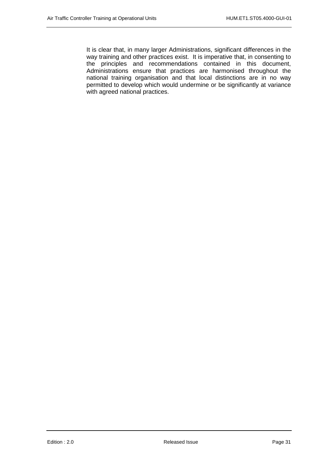It is clear that, in many larger Administrations, significant differences in the way training and other practices exist. It is imperative that, in consenting to the principles and recommendations contained in this document, Administrations ensure that practices are harmonised throughout the national training organisation and that local distinctions are in no way permitted to develop which would undermine or be significantly at variance with agreed national practices.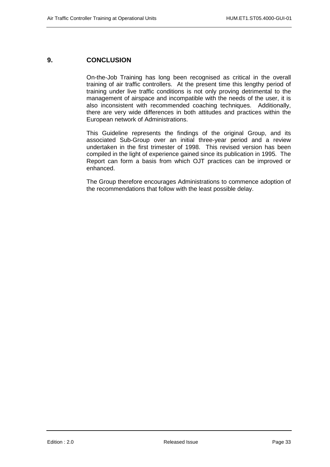### **9. CONCLUSION**

On-the-Job Training has long been recognised as critical in the overall training of air traffic controllers. At the present time this lengthy period of training under live traffic conditions is not only proving detrimental to the management of airspace and incompatible with the needs of the user, it is also inconsistent with recommended coaching techniques. Additionally, there are very wide differences in both attitudes and practices within the European network of Administrations.

This Guideline represents the findings of the original Group, and its associated Sub-Group over an initial three-year period and a review undertaken in the first trimester of 1998. This revised version has been compiled in the light of experience gained since its publication in 1995. The Report can form a basis from which OJT practices can be improved or enhanced.

The Group therefore encourages Administrations to commence adoption of the recommendations that follow with the least possible delay.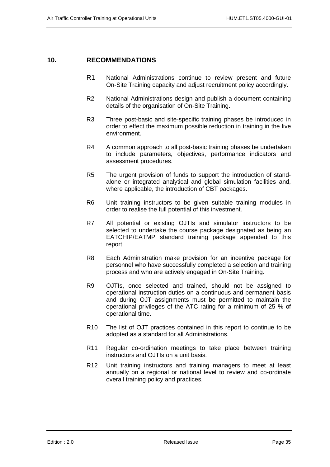### **10. RECOMMENDATIONS**

- R1 National Administrations continue to review present and future On-Site Training capacity and adjust recruitment policy accordingly.
- R2 National Administrations design and publish a document containing details of the organisation of On-Site Training.
- R3 Three post-basic and site-specific training phases be introduced in order to effect the maximum possible reduction in training in the live environment.
- R4 A common approach to all post-basic training phases be undertaken to include parameters, objectives, performance indicators and assessment procedures.
- R5 The urgent provision of funds to support the introduction of standalone or integrated analytical and global simulation facilities and, where applicable, the introduction of CBT packages.
- R6 Unit training instructors to be given suitable training modules in order to realise the full potential of this investment.
- R7 All potential or existing OJTIs and simulator instructors to be selected to undertake the course package designated as being an EATCHIP/EATMP standard training package appended to this report.
- R8 Each Administration make provision for an incentive package for personnel who have successfully completed a selection and training process and who are actively engaged in On-Site Training.
- R9 OJTIs, once selected and trained, should not be assigned to operational instruction duties on a continuous and permanent basis and during OJT assignments must be permitted to maintain the operational privileges of the ATC rating for a minimum of 25 % of operational time.
- R10 The list of OJT practices contained in this report to continue to be adopted as a standard for all Administrations.
- R11 Regular co-ordination meetings to take place between training instructors and OJTIs on a unit basis.
- R12 Unit training instructors and training managers to meet at least annually on a regional or national level to review and co-ordinate overall training policy and practices.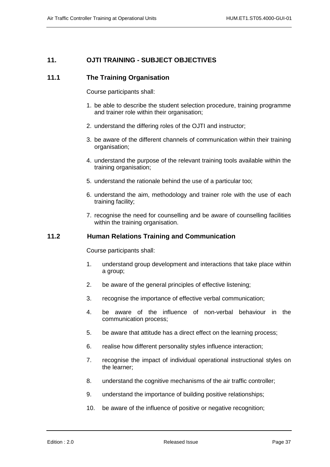## **11. OJTI TRAINING - SUBJECT OBJECTIVES**

### **11.1 The Training Organisation**

Course participants shall:

- 1. be able to describe the student selection procedure, training programme and trainer role within their organisation;
- 2. understand the differing roles of the OJTI and instructor;
- 3. be aware of the different channels of communication within their training organisation;
- 4. understand the purpose of the relevant training tools available within the training organisation;
- 5. understand the rationale behind the use of a particular too;
- 6. understand the aim, methodology and trainer role with the use of each training facility;
- 7. recognise the need for counselling and be aware of counselling facilities within the training organisation.

# **11.2 Human Relations Training and Communication**

Course participants shall:

- 1. understand group development and interactions that take place within a group;
- 2. be aware of the general principles of effective listening;
- 3. recognise the importance of effective verbal communication;
- 4. be aware of the influence of non-verbal behaviour in the communication process;
- 5. be aware that attitude has a direct effect on the learning process;
- 6. realise how different personality styles influence interaction;
- 7. recognise the impact of individual operational instructional styles on the learner;
- 8. understand the cognitive mechanisms of the air traffic controller;
- 9. understand the importance of building positive relationships;
- 10. be aware of the influence of positive or negative recognition;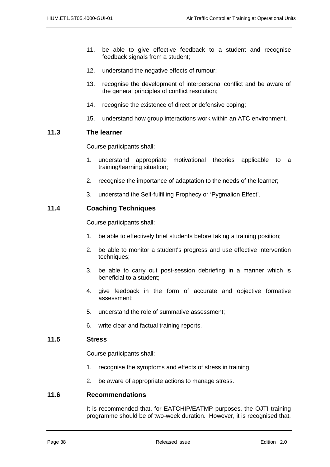- 11. be able to give effective feedback to a student and recognise feedback signals from a student;
- 12. understand the negative effects of rumour;
- 13. recognise the development of interpersonal conflict and be aware of the general principles of conflict resolution;
- 14. recognise the existence of direct or defensive coping;
- 15. understand how group interactions work within an ATC environment.

### **11.3 The learner**

Course participants shall:

- 1. understand appropriate motivational theories applicable to a training/learning situation;
- 2. recognise the importance of adaptation to the needs of the learner;
- 3. understand the Self-fulfilling Prophecy or 'Pygmalion Effect'.

### **11.4 Coaching Techniques**

Course participants shall:

- 1. be able to effectively brief students before taking a training position;
- 2. be able to monitor a student's progress and use effective intervention techniques;
- 3. be able to carry out post-session debriefing in a manner which is beneficial to a student;
- 4. give feedback in the form of accurate and objective formative assessment;
- 5. understand the role of summative assessment;
- 6. write clear and factual training reports.

### **11.5 Stress**

Course participants shall:

- 1. recognise the symptoms and effects of stress in training;
- 2. be aware of appropriate actions to manage stress.

### **11.6 Recommendations**

It is recommended that, for EATCHIP/EATMP purposes, the OJTI training programme should be of two-week duration. However, it is recognised that,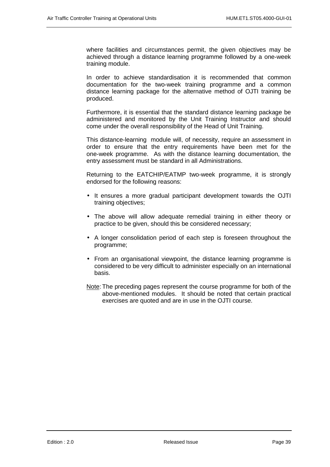where facilities and circumstances permit, the given objectives may be achieved through a distance learning programme followed by a one-week training module.

In order to achieve standardisation it is recommended that common documentation for the two-week training programme and a common distance learning package for the alternative method of OJTI training be produced.

Furthermore, it is essential that the standard distance learning package be administered and monitored by the Unit Training Instructor and should come under the overall responsibility of the Head of Unit Training.

This distance-learning module will, of necessity, require an assessment in order to ensure that the entry requirements have been met for the one-week programme. As with the distance learning documentation, the entry assessment must be standard in all Administrations.

Returning to the EATCHIP/EATMP two-week programme, it is strongly endorsed for the following reasons:

- It ensures a more gradual participant development towards the OJTI training objectives;
- The above will allow adequate remedial training in either theory or practice to be given, should this be considered necessary;
- A longer consolidation period of each step is foreseen throughout the programme;
- From an organisational viewpoint, the distance learning programme is considered to be very difficult to administer especially on an international basis.
- Note: The preceding pages represent the course programme for both of the above-mentioned modules. It should be noted that certain practical exercises are quoted and are in use in the OJTI course.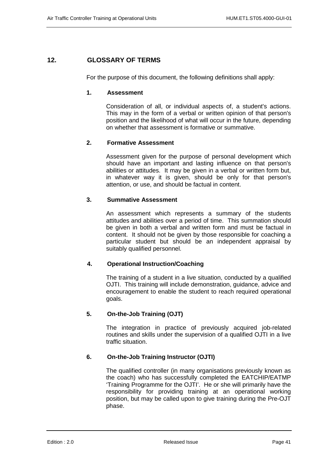### **12. GLOSSARY OF TERMS**

For the purpose of this document, the following definitions shall apply:

### **1. Assessment**

Consideration of all, or individual aspects of, a student's actions. This may in the form of a verbal or written opinion of that person's position and the likelihood of what will occur in the future, depending on whether that assessment is formative or summative.

### **2. Formative Assessment**

Assessment given for the purpose of personal development which should have an important and lasting influence on that person's abilities or attitudes. It may be given in a verbal or written form but, in whatever way it is given, should be only for that person's attention, or use, and should be factual in content.

### **3. Summative Assessment**

An assessment which represents a summary of the students attitudes and abilities over a period of time. This summation should be given in both a verbal and written form and must be factual in content. It should not be given by those responsible for coaching a particular student but should be an independent appraisal by suitably qualified personnel.

### **4. Operational Instruction/Coaching**

The training of a student in a live situation, conducted by a qualified OJTI. This training will include demonstration, guidance, advice and encouragement to enable the student to reach required operational goals.

### **5. On-the-Job Training (OJT)**

The integration in practice of previously acquired job-related routines and skills under the supervision of a qualified OJTI in a live traffic situation.

### **6. On-the-Job Training Instructor (OJTI)**

The qualified controller (in many organisations previously known as the coach) who has successfully completed the EATCHIP/EATMP 'Training Programme for the OJTI'. He or she will primarily have the responsibility for providing training at an operational working position, but may be called upon to give training during the Pre-OJT phase.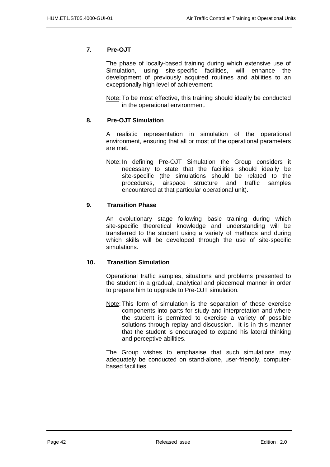# **7. Pre-OJT**

The phase of locally-based training during which extensive use of Simulation, using site-specific facilities, will enhance the development of previously acquired routines and abilities to an exceptionally high level of achievement.

Note: To be most effective, this training should ideally be conducted in the operational environment.

### **8. Pre-OJT Simulation**

A realistic representation in simulation of the operational environment, ensuring that all or most of the operational parameters are met.

Note: In defining Pre-OJT Simulation the Group considers it necessary to state that the facilities should ideally be site-specific (the simulations should be related to the procedures, airspace structure and traffic samples encountered at that particular operational unit).

### **9. Transition Phase**

An evolutionary stage following basic training during which site-specific theoretical knowledge and understanding will be transferred to the student using a variety of methods and during which skills will be developed through the use of site-specific simulations.

### **10. Transition Simulation**

Operational traffic samples, situations and problems presented to the student in a gradual, analytical and piecemeal manner in order to prepare him to upgrade to Pre-OJT simulation.

Note: This form of simulation is the separation of these exercise components into parts for study and interpretation and where the student is permitted to exercise a variety of possible solutions through replay and discussion. It is in this manner that the student is encouraged to expand his lateral thinking and perceptive abilities.

The Group wishes to emphasise that such simulations may adequately be conducted on stand-alone, user-friendly, computerbased facilities.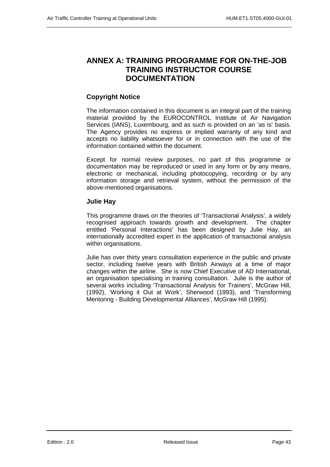# **ANNEX A: TRAINING PROGRAMME FOR ON-THE-JOB TRAINING INSTRUCTOR COURSE DOCUMENTATION**

# **Copyright Notice**

The information contained in this document is an integral part of the training material provided by the EUROCONTROL Institute of Air Navigation Services (IANS), Luxembourg, and as such is provided on an 'as is' basis. The Agency provides no express or implied warranty of any kind and accepts no liability whatsoever for or in connection with the use of the information contained within the document.

Except for normal review purposes, no part of this programme or documentation may be reproduced or used in any form or by any means, electronic or mechanical, including photocopying, recording or by any information storage and retrieval system, without the permission of the above-mentioned organisations.

### **Julie Hay**

This programme draws on the theories of 'Transactional Analysis', a widely recognised approach towards growth and development. The chapter entitled 'Personal Interactions' has been designed by Julie Hay, an internationally accredited expert in the application of transactional analysis within organisations.

Julie has over thirty years consultation experience in the public and private sector, including twelve years with British Airways at a time of major changes within the airline. She is now Chief Executive of AD International, an organisation specialising in training consultation. Julie is the author of several works including 'Transactional Analysis for Trainers', McGraw Hill, (1992), 'Working it Out at Work', Sherwood (1993), and 'Transforming Mentoring - Building Developmental Alliances', McGraw Hill (1995).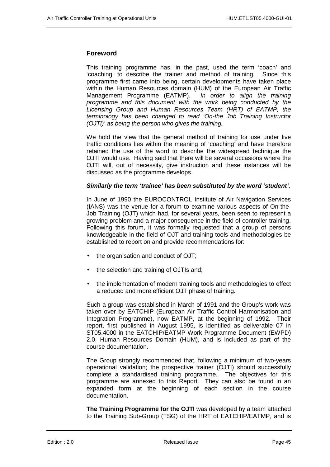## **Foreword**

This training programme has, in the past, used the term 'coach' and 'coaching' to describe the trainer and method of training. Since this programme first came into being, certain developments have taken place within the Human Resources domain (HUM) of the European Air Traffic Management Programme (EATMP). *In order to align the training programme and this document with the work being conducted by the Licensing Group and Human Resources Team (HRT) of EATMP, the terminology has been changed to read 'On-the Job Training Instructor (OJTI)' as being the person who gives the training.*

We hold the view that the general method of training for use under live traffic conditions lies within the meaning of 'coaching' and have therefore retained the use of the word to describe the widespread technique the OJTI would use. Having said that there will be several occasions where the OJTI will, out of necessity, give instruction and these instances will be discussed as the programme develops.

### *Similarly the term 'trainee' has been substituted by the word 'student'.*

In June of 1990 the EUROCONTROL Institute of Air Navigation Services (IANS) was the venue for a forum to examine various aspects of On-the-Job Training (OJT) which had, for several years, been seen to represent a growing problem and a major consequence in the field of controller training. Following this forum, it was formally requested that a group of persons knowledgeable in the field of OJT and training tools and methodologies be established to report on and provide recommendations for:

- the organisation and conduct of OJT;
- the selection and training of OJTIs and;
- the implementation of modern training tools and methodologies to effect a reduced and more efficient OJT phase of training.

Such a group was established in March of 1991 and the Group's work was taken over by EATCHIP (European Air Traffic Control Harmonisation and Integration Programme), now EATMP, at the beginning of 1992. Their report, first published in August 1995, is identified as deliverable 07 in ST05.4000 in the EATCHIP/EATMP Work Programme Document (EWPD) 2.0, Human Resources Domain (HUM), and is included as part of the course documentation.

The Group strongly recommended that, following a minimum of two-years operational validation; the prospective trainer (OJTI) should successfully complete a standardised training programme. The objectives for this programme are annexed to this Report. They can also be found in an expanded form at the beginning of each section in the course documentation.

**The Training Programme for the OJTI** was developed by a team attached to the Training Sub-Group (TSG) of the HRT of EATCHIP/EATMP, and is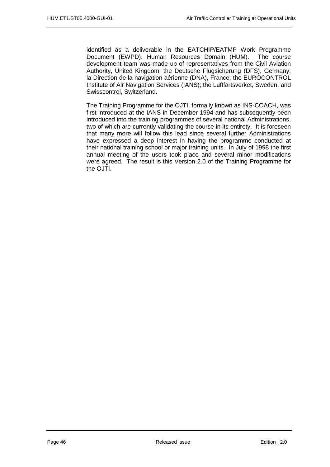identified as a deliverable in the EATCHIP/EATMP Work Programme Document (EWPD), Human Resources Domain (HUM). The course development team was made up of representatives from the Civil Aviation Authority, United Kingdom; the Deutsche Flugsicherung (DFS), Germany; la Direction de la navigation aérienne (DNA), France; the EUROCONTROL Institute of Air Navigation Services (IANS); the Luftfartsverket, Sweden, and Swisscontrol, Switzerland.

The Training Programme for the OJTI, formally known as INS-COACH, was first introduced at the IANS in December 1994 and has subsequently been introduced into the training programmes of several national Administrations, two of which are currently validating the course in its entirety. It is foreseen that many more will follow this lead since several further Administrations have expressed a deep interest in having the programme conducted at their national training school or major training units. In July of 1998 the first annual meeting of the users took place and several minor modifications were agreed. The result is this Version 2.0 of the Training Programme for the OJTI.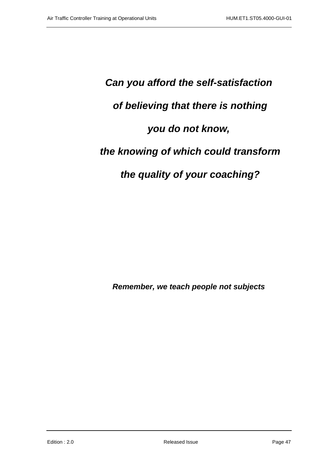# *Can you afford the self-satisfaction of believing that there is nothing you do not know, the knowing of which could transform the quality of your coaching?*

*Remember, we teach people not subjects*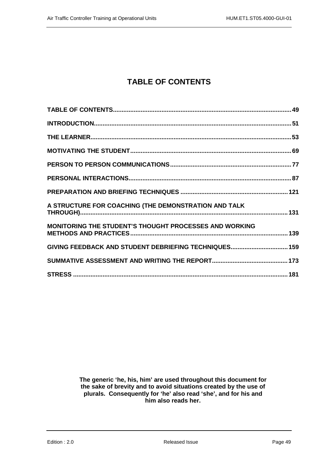# **TABLE OF CONTENTS**

| A STRUCTURE FOR COACHING (THE DEMONSTRATION AND TALK   |  |
|--------------------------------------------------------|--|
| MONITORING THE STUDENT'S THOUGHT PROCESSES AND WORKING |  |
| GIVING FEEDBACK AND STUDENT DEBRIEFING TECHNIQUES 159  |  |
|                                                        |  |
|                                                        |  |

**The generic 'he, his, him' are used throughout this document for the sake of brevity and to avoid situations created by the use of plurals. Consequently for 'he' also read 'she', and for his and him also reads her.**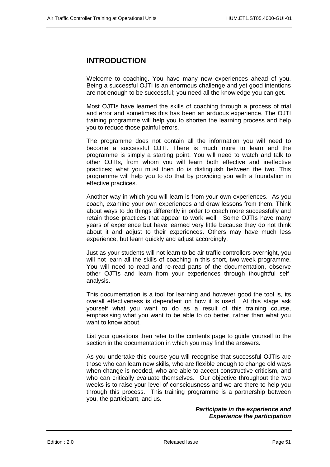# **INTRODUCTION**

Welcome to coaching. You have many new experiences ahead of you. Being a successful OJTI is an enormous challenge and yet good intentions are not enough to be successful; you need all the knowledge you can get.

Most OJTIs have learned the skills of coaching through a process of trial and error and sometimes this has been an arduous experience. The OJTI training programme will help you to shorten the learning process and help you to reduce those painful errors.

The programme does not contain all the information you will need to become a successful OJTI. There is much more to learn and the programme is simply a starting point. You will need to watch and talk to other OJTIs, from whom you will learn both effective and ineffective practices; what you must then do is distinguish between the two. This programme will help you to do that by providing you with a foundation in effective practices.

Another way in which you will learn is from your own experiences. As you coach, examine your own experiences and draw lessons from them. Think about ways to do things differently in order to coach more successfully and retain those practices that appear to work well. Some OJTIs have many years of experience but have learned very little because they do not think about it and adjust to their experiences. Others may have much less experience, but learn quickly and adjust accordingly.

Just as your students will not learn to be air traffic controllers overnight, you will not learn all the skills of coaching in this short, two-week programme. You will need to read and re-read parts of the documentation, observe other OJTIs and learn from your experiences through thoughtful selfanalysis.

This documentation is a tool for learning and however good the tool is, its overall effectiveness is dependent on how it is used. At this stage ask yourself what you want to do as a result of this training course, emphasising what you want to be able to do better, rather than what you want to know about.

List your questions then refer to the contents page to guide yourself to the section in the documentation in which you may find the answers.

As you undertake this course you will recognise that successful OJTIs are those who can learn new skills, who are flexible enough to change old ways when change is needed, who are able to accept constructive criticism, and who can critically evaluate themselves. Our objective throughout the two weeks is to raise your level of consciousness and we are there to help you through this process. This training programme is a partnership between you, the participant, and us.

### *Participate in the experience and Experience the participation*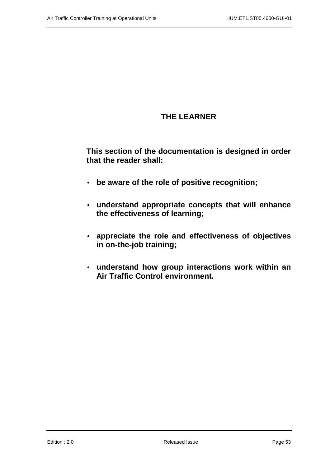# **THE LEARNER**

**This section of the documentation is designed in order that the reader shall:**

- **be aware of the role of positive recognition;**
- **understand appropriate concepts that will enhance the effectiveness of learning;**
- **appreciate the role and effectiveness of objectives in on-the-job training;**
- **understand how group interactions work within an Air Traffic Control environment.**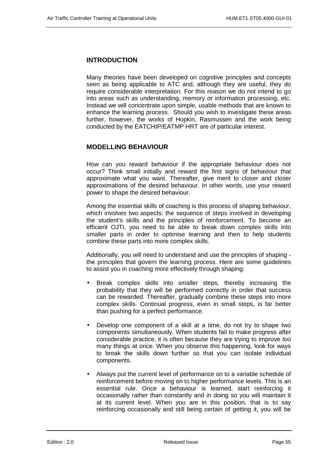### **INTRODUCTION**

Many theories have been developed on cognitive principles and concepts seen as being applicable to ATC and, although they are useful, they do require considerable interpretation. For this reason we do not intend to go into areas such as understanding, memory or information processing, etc. Instead we will concentrate upon simple, usable methods that are known to enhance the learning process. Should you wish to investigate these areas further, however, the works of Hopkin, Rasmussen and the work being conducted by the EATCHIP/EATMP HRT are of particular interest.

### **MODELLING BEHAVIOUR**

How can you reward behaviour if the appropriate behaviour does not occur? Think small initially and reward the first signs of behaviour that approximate what you want. Thereafter, give merit to closer and closer approximations of the desired behaviour. In other words, use your reward power to shape the desired behaviour.

Among the essential skills of coaching is this process of shaping behaviour, which involves two aspects: the sequence of steps involved in developing the student's skills and the principles of reinforcement. To become an efficient OJTI, you need to be able to break down complex skills into smaller parts in order to optimise learning and then to help students combine these parts into more complex skills.

Additionally, you will need to understand and use the principles of shaping the principles that govern the learning process. Here are some guidelines to assist you in coaching more effectively through shaping:

- Break complex skills into smaller steps, thereby increasing the probability that they will be performed correctly in order that success can be rewarded. Thereafter, gradually combine these steps into more complex skills. Continual progress, even in small steps, is far better than pushing for a perfect performance.
- Develop one component of a skill at a time, do not try to shape two components simultaneously. When students fail to make progress after considerable practice, it is often because they are trying to improve *too* many things at once. When you observe this happening, look for ways to break the skills down further so that you can isolate individual components.
- Always put the current level of performance on to a variable schedule of reinforcement before moving on to higher performance levels. This is an essential rule. Once a behaviour is learned, start reinforcing it occasionally rather than constantly and in doing so you will maintain it at its current level. When you are in this position, that is to say reinforcing occasionally and still being certain of getting it, you will be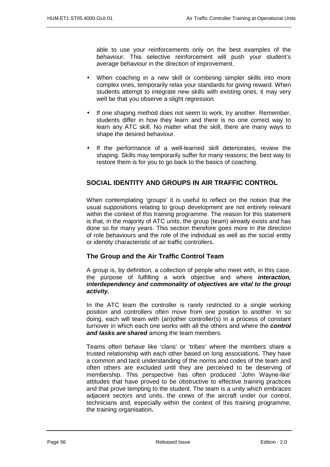able to use your reinforcements only on the best examples of the behaviour. This selective reinforcement will push your student's average behaviour in the direction of improvement.

- When coaching in a new skill or combining simpler skills into more complex ones, temporarily relax your standards for giving reward. When students attempt to integrate new skills with existing ones, it may very well be that you observe a slight regression.
- If one shaping method does not seem to work, try another. Remember, students differ in how they learn and there is no one correct way to learn any ATC skill. No matter what the skill, there are many ways to shape the desired behaviour.
- If the performance of a well-learned skill deteriorates, review the shaping. Skills may temporarily suffer for many reasons; the best way to restore them is for you to go back to the basics of coaching.

### **SOCIAL IDENTITY AND GROUPS IN AIR TRAFFIC CONTROL**

When contemplating 'groups' it is useful to reflect on the notion that the usual suppositions relating to group development are not entirely relevant within the context of this training programme. The reason for this statement is that, in the majority of ATC units, the group (team) already exists and has done so for many years. This section therefore goes more in the direction of role behaviours and the role of the individual as well as the social entity or identity characteristic of air traffic controllers.

### **The Group and the Air Traffic Control Team**

A group is, by definition, a collection of people who meet with, in this case, the purpose of fulfilling a work objective and where *interaction, interdependency and commonality of objectives are vital to the group activity.*

In the ATC team the controller is rarely restricted to a single working position and controllers often move from one position to another. In so doing, each will team with (an)other controller(s) in a process of constant turnover in which each one works with all the others and where the *control and tasks are shared* among the team members.

Teams often behave like 'clans' or 'tribes' where the members share a trusted relationship with each other based on long associations. They have a common and tacit understanding of the norms and codes of the team and often others are excluded until they are perceived to be deserving of membership. This perspective has often produced 'John Wayne-like' attitudes that have proved to be obstructive to effective training practices and that prove tempting to the student. The team is a unity which embraces adjacent sectors and units, the crews of the aircraft under our control, technicians and, especially within the context of this training programme, the training organisation**.**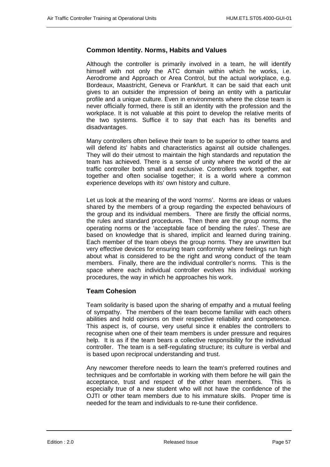### **Common Identity. Norms, Habits and Values**

Although the controller is primarily involved in a team, he will identify himself with not only the ATC domain within which he works, i.e. Aerodrome and Approach or Area Control, but the actual workplace, e.g. Bordeaux, Maastricht, Geneva or Frankfurt. It can be said that each unit gives to an outsider the impression of being an entity with a particular profile and a unique culture. Even in environments where the close team is never officially formed, there is still an identity with the profession and the workplace. It is not valuable at this point to develop the relative merits of the two systems. Suffice it to say that each has its benefits and disadvantages.

Many controllers often believe their team to be superior to other teams and will defend its' habits and characteristics against all outside challenges. They will do their utmost to maintain the high standards and reputation the team has achieved. There is a sense of unity where the world of the air traffic controller both small and exclusive. Controllers work together, eat together and often socialise together; it is a world where a common experience develops with its' own history and culture.

Let us look at the meaning of the word 'norms'. Norms are ideas or values shared by the members of a group regarding the expected behaviours of the group and its individual members. There are firstly the official norms, the rules and standard procedures. Then there are the group norms, the operating norms or the 'acceptable face of bending the rules'. These are based on knowledge that is shared, implicit and learned during training. Each member of the team obeys the group norms. They are unwritten but very effective devices for ensuring team conformity where feelings run high about what is considered to be the right and wrong conduct of the team members. Finally, there are the individual controller's norms. This is the space where each individual controller evolves his individual working procedures, the way in which he approaches his work.

### **Team Cohesion**

Team solidarity is based upon the sharing of empathy and a mutual feeling of sympathy. The members of the team become familiar with each others abilities and hold opinions on their respective reliability and competence. This aspect is, of course, very useful since it enables the controllers to recognise when one of their team members is under pressure and requires help. It is as if the team bears a collective responsibility for the individual controller. The team is a self-regulating structure; its culture is verbal and is based upon reciprocal understanding and trust.

Any newcomer therefore needs to learn the team's preferred routines and techniques and be comfortable in working with them before he will gain the acceptance, trust and respect of the other team members. This is especially true of a new student who will not have the confidence of the OJTI or other team members due to his immature skills. Proper time is needed for the team and individuals to re-tune their confidence.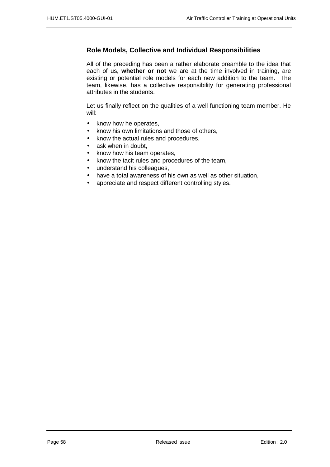# **Role Models, Collective and Individual Responsibilities**

All of the preceding has been a rather elaborate preamble to the idea that each of us, **whether or not** we are at the time involved in training, are existing or potential role models for each new addition to the team. The team, likewise, has a collective responsibility for generating professional attributes in the students.

Let us finally reflect on the qualities of a well functioning team member. He will:

- know how he operates,
- know his own limitations and those of others,
- know the actual rules and procedures,
- ask when in doubt,
- know how his team operates,
- know the tacit rules and procedures of the team,
- understand his colleagues,
- have a total awareness of his own as well as other situation,
- appreciate and respect different controlling styles.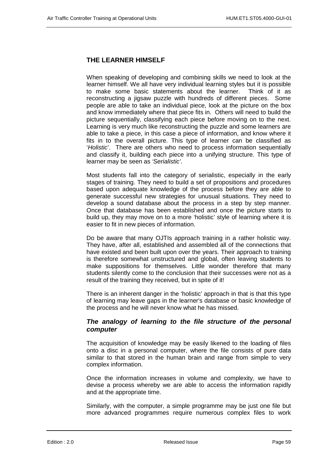## **THE LEARNER HIMSELF**

When speaking of developing and combining skills we need to look at the learner himself. We all have very individual learning styles but it is possible to make some basic statements about the learner. Think of it as reconstructing a jigsaw puzzle with hundreds of different pieces. Some people are able to take an individual piece, look at the picture on the box and know immediately where that piece fits in. Others will need to build the picture sequentially, classifying each piece before moving on to the next. Learning is very much like reconstructing the puzzle and some learners are able to take a piece, in this case a piece of information, and know where it fits in to the overall picture. This type of learner can be classified as '*Holistic*'. There are others who need to process information sequentially and classify it, building each piece into a unifying structure. This type of learner may be seen as *'Serialistic'*.

Most students fall into the category of serialistic, especially in the early stages of training. They need to build a set of propositions and procedures based upon adequate knowledge of the process before they are able to generate successful new strategies for unusual situations. They need to develop a sound database about the process in a step by step manner. Once that database has been established and once the picture starts to build up, they may move on to a more 'holistic' style of learning where it is easier to fit in new pieces of information.

Do be aware that many OJTIs approach training in a rather holistic way. They have, after all, established and assembled all of the connections that have existed and been built upon over the years. Their approach to training is therefore somewhat unstructured and global, often leaving students to make suppositions for themselves. Little wonder therefore that many students silently come to the conclusion that their successes were not as a result of the training they received, but in spite of it!

There is an inherent danger in the 'holistic' approach in that is that this type of learning may leave gaps in the learner's database or basic knowledge of the process and he will never know what he has missed.

### *The analogy of learning to the file structure of the personal computer*

The acquisition of knowledge may be easily likened to the loading of files onto a disc in a personal computer, where the file consists of pure data similar to that stored in the human brain and range from simple to very complex information.

Once the information increases in volume and complexity, we have to devise a process whereby we are able to access the information rapidly and at the appropriate time.

Similarly, with the computer, a simple programme may be just one file but more advanced programmes require numerous complex files to work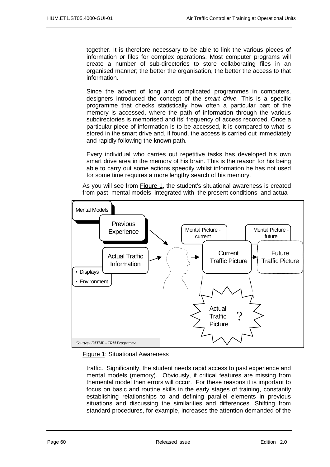together. It is therefore necessary to be able to link the various pieces of information or files for complex operations. Most computer programs will create a number of sub-directories to store collaborating files in an organised manner; the better the organisation, the better the access to that information.

Since the advent of long and complicated programmes in computers, designers introduced the concept of the *smart drive.* This is a specific programme that checks statistically how often a particular part of the memory is accessed, where the path of information through the various subdirectories is memorised and its' frequency of access recorded. Once a particular piece of information is to be accessed, it is compared to what is stored in the smart drive and, if found, the access is carried out immediately and rapidly following the known path.

Every individual who carries out repetitive tasks has developed his own smart drive area in the memory of his brain. This is the reason for his being able to carry out some actions speedily whilst information he has not used for some time requires a more lengthy search of his memory.

As you will see from Figure 1, the student's situational awareness is created from past mental models integrated with the present conditions and actual



Figure 1: Situational Awareness

traffic. Significantly, the student needs rapid access to past experience and mental models (memory). Obviously, if critical features are missing from themental model then errors will occur. For these reasons it is important to focus on basic and routine skills in the early stages of training, constantly establishing relationships to and defining parallel elements in previous situations and discussing the similarities and differences. Shifting from standard procedures, for example, increases the attention demanded of the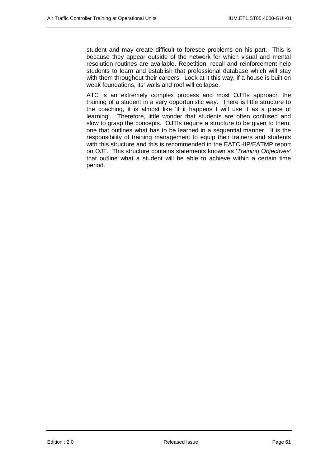student and may create difficult to foresee problems on his part. This is because they appear outside of the network for which visual and mental resolution routines are available. Repetition, recall and reinforcement help students to learn and establish that professional database which will stay with them throughout their careers. Look at it this way, if a house is built on weak foundations, its' walls and roof will collapse.

ATC is an extremely complex process and most OJTIs approach the training of a student in a very opportunistic way. There is little structure to the coaching, it is almost like 'if it happens I will use it as a piece of learning'. Therefore, little wonder that students are often confused and slow to grasp the concepts. OJTIs require a structure to be given to them, one that outlines what has to be learned in a sequential manner. It is the responsibility of training management to equip their trainers and students with this structure and this is recommended in the EATCHIP/EATMP report on OJT. This structure contains statements known as '*Training Objectives'* that outline what a student will be able to achieve within a certain time period.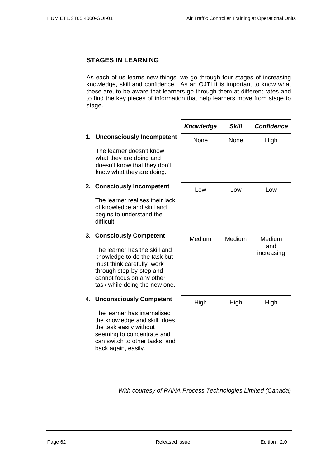# **STAGES IN LEARNING**

As each of us learns new things, we go through four stages of increasing knowledge, skill and confidence. As an OJTI it is important to know what these are, to be aware that learners go through them at different rates and to find the key pieces of information that help learners move from stage to stage.

# **1. Unconsciously Incompetent**

The learner doesn't know what they are doing and doesn't know that they don't know what they are doing.

### **2. Consciously Incompetent**

The learner realises their lack of knowledge and skill and begins to understand the difficult.

### **3. Consciously Competent**

The learner has the skill and knowledge to do the task but must think carefully, work through step-by-step and cannot focus on any other task while doing the new one.

# **4. Unconsciously Competent**

The learner has internalised the knowledge and skill, does the task easily without seeming to concentrate and can switch to other tasks, and back again, easily.

| Knowledge | <b>Skill</b> | <b>Confidence</b>           |
|-----------|--------------|-----------------------------|
| None      | None         | High                        |
| Low       | Low          | Low                         |
| Medium    | Medium       | Medium<br>and<br>increasing |
| High      | High         | High                        |

*With courtesy of RANA Process Technologies Limited (Canada)*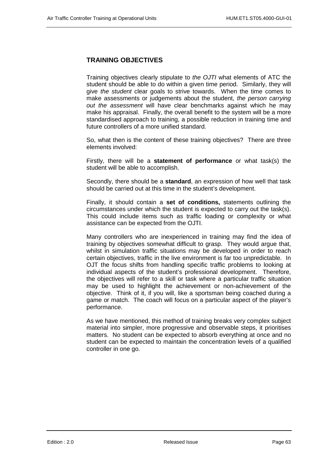# **TRAINING OBJECTIVES**

Training objectives clearly stipulate to *the OJTI* what elements of ATC the student should be able to do within a given time period. Similarly, they will give *the student* clear goals to strive towards. When the time comes to make assessments or judgements about the student, *the person carrying out the assessment* will have clear benchmarks against which he may make his appraisal. Finally, the overall benefit to the system will be a more standardised approach to training, a possible reduction in training time and future controllers of a more unified standard.

So, what then is the content of these training objectives? There are three elements involved:

Firstly, there will be a **statement of performance** or what task(s) the student will be able to accomplish.

Secondly, there should be a **standard**, an expression of how well that task should be carried out at this time in the student's development.

Finally, it should contain a **set of conditions,** statements outlining the circumstances under which the student is expected to carry out the task(s). This could include items such as traffic loading or complexity or what assistance can be expected from the OJTI.

Many controllers who are inexperienced in training may find the idea of training by objectives somewhat difficult to grasp. They would argue that, whilst in simulation traffic situations may be developed in order to reach certain objectives, traffic in the live environment is far too unpredictable. In OJT the focus shifts from handling specific traffic problems to looking at individual aspects of the student's professional development. Therefore, the objectives will refer to a skill or task where a particular traffic situation may be used to highlight the achievement or non-achievement of the objective. Think of it, if you will, like a sportsman being coached during a game or match. The coach will focus on a particular aspect of the player's performance.

As we have mentioned, this method of training breaks very complex subject material into simpler, more progressive and observable steps, it prioritises matters. No student can be expected to absorb everything at once and no student can be expected to maintain the concentration levels of a qualified controller in one go.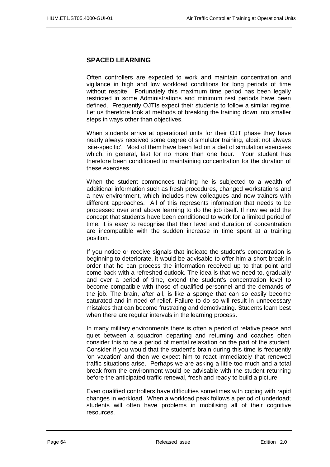### **SPACED LEARNING**

Often controllers are expected to work and maintain concentration and vigilance in high and low workload conditions for long periods of time without respite. Fortunately this maximum time period has been legally restricted in some Administrations and minimum rest periods have been defined. Frequently OJTIs expect their students to follow a similar regime. Let us therefore look at methods of breaking the training down into smaller steps in ways other than objectives.

When students arrive at operational units for their OJT phase they have nearly always received some degree of simulator training, albeit not always 'site-specific'. Most of them have been fed on a diet of simulation exercises which, in general, last for no more than one hour. Your student has therefore been conditioned to maintaining concentration for the duration of these exercises.

When the student commences training he is subjected to a wealth of additional information such as fresh procedures, changed workstations and a new environment, which includes new colleagues and new trainers with different approaches. All of this represents information that needs to be processed over and above learning to do the job itself. If now we add the concept that students have been conditioned to work for a limited period of time, it is easy to recognise that their level and duration of concentration are incompatible with the sudden increase in time spent at a training position.

If you notice or receive signals that indicate the student's concentration is beginning to deteriorate, it would be advisable to offer him a short break in order that he can process the information received up to that point and come back with a refreshed outlook. The idea is that we need to, gradually and over a period of time, extend the student's concentration level to become compatible with those of qualified personnel and the demands of the job. The brain, after all, is like a sponge that can so easily become saturated and in need of relief. Failure to do so will result in unnecessary mistakes that can become frustrating and demotivating. Students learn best when there are regular intervals in the learning process.

In many military environments there is often a period of relative peace and quiet between a squadron departing and returning and coaches often consider this to be a period of mental relaxation on the part of the student. Consider if you would that the student's brain during this time is frequently 'on vacation' and then we expect him to react immediately that renewed traffic situations arise. Perhaps we are asking a little too much and a total break from the environment would be advisable with the student returning before the anticipated traffic renewal, fresh and ready to build a picture.

Even qualified controllers have difficulties sometimes with coping with rapid changes in workload. When a workload peak follows a period of underload; students will often have problems in mobilising all of their cognitive resources.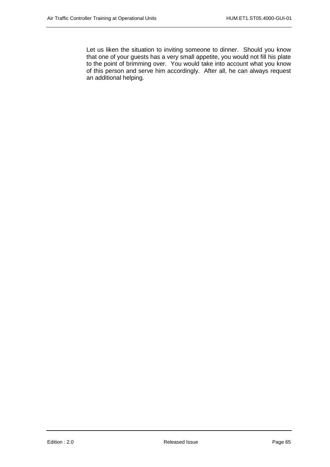Let us liken the situation to inviting someone to dinner. Should you know that one of your guests has a very small appetite, you would not fill his plate to the point of brimming over. You would take into account what you know of this person and serve him accordingly. After all, he can always request an additional helping.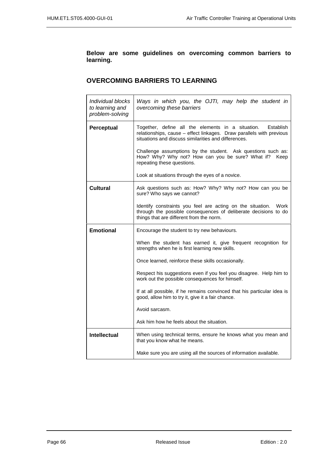**Below are some guidelines on overcoming common barriers to learning.**

# **OVERCOMING BARRIERS TO LEARNING**

| Individual blocks<br>to learning and<br>problem-solving | Ways in which you, the OJTI, may help the student in<br>overcoming these barriers                                                                                                              |  |
|---------------------------------------------------------|------------------------------------------------------------------------------------------------------------------------------------------------------------------------------------------------|--|
| Perceptual                                              | Together, define all the elements in a situation.<br>Establish<br>relationships, cause - effect linkages. Draw parallels with previous<br>situations and discuss similarities and differences. |  |
|                                                         | Challenge assumptions by the student. Ask questions such as:<br>How? Why? Why not? How can you be sure? What if?<br>Keep<br>repeating these questions.                                         |  |
|                                                         | Look at situations through the eyes of a novice.                                                                                                                                               |  |
| <b>Cultural</b>                                         | Ask questions such as: How? Why? Why not? How can you be<br>sure? Who says we cannot?                                                                                                          |  |
|                                                         | Identify constraints you feel are acting on the situation. Work<br>through the possible consequences of deliberate decisions to do<br>things that are different from the norm.                 |  |
| <b>Emotional</b>                                        | Encourage the student to try new behaviours.                                                                                                                                                   |  |
|                                                         | When the student has earned it, give frequent recognition for<br>strengths when he is first learning new skills.                                                                               |  |
|                                                         | Once learned, reinforce these skills occasionally.                                                                                                                                             |  |
|                                                         | Respect his suggestions even if you feel you disagree. Help him to<br>work out the possible consequences for himself.                                                                          |  |
|                                                         | If at all possible, if he remains convinced that his particular idea is<br>good, allow him to try it, give it a fair chance.                                                                   |  |
|                                                         | Avoid sarcasm.                                                                                                                                                                                 |  |
|                                                         | Ask him how he feels about the situation.                                                                                                                                                      |  |
| <b>Intellectual</b>                                     | When using technical terms, ensure he knows what you mean and<br>that you know what he means.                                                                                                  |  |
|                                                         | Make sure you are using all the sources of information available.                                                                                                                              |  |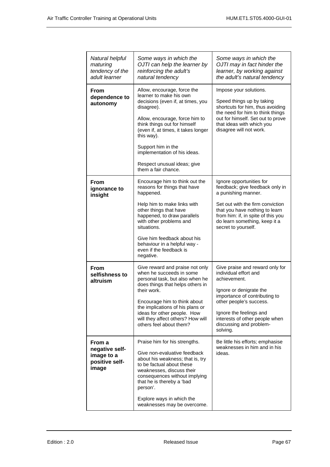| Natural helpful<br>maturing<br>tendency of the<br>adult learner   | Some ways in which the<br>OJTI can help the learner by<br>reinforcing the adult's<br>natural tendency                                                                                                                                                                                                                                        | Some ways in which the<br>OJTI may in fact hinder the<br>learner, by working against<br>the adult's natural tendency                                                                                                                                                |
|-------------------------------------------------------------------|----------------------------------------------------------------------------------------------------------------------------------------------------------------------------------------------------------------------------------------------------------------------------------------------------------------------------------------------|---------------------------------------------------------------------------------------------------------------------------------------------------------------------------------------------------------------------------------------------------------------------|
| From<br>dependence to<br>autonomy                                 | Allow, encourage, force the<br>learner to make his own<br>decisions (even if, at times, you<br>disagree).<br>Allow, encourage, force him to<br>think things out for himself<br>(even if, at times, it takes longer<br>this way).<br>Support him in the<br>implementation of his ideas.<br>Respect unusual ideas; give<br>them a fair chance. | Impose your solutions.<br>Speed things up by taking<br>shortcuts for him, thus avoiding<br>the need for him to think things<br>out for himself. Set out to prove<br>that ideas with which you<br>disagree will not work.                                            |
| From<br>ignorance to<br>insight                                   | Encourage him to think out the<br>reasons for things that have<br>happened.<br>Help him to make links with<br>other things that have<br>happened, to draw parallels<br>with other problems and<br>situations.<br>Give him feedback about his<br>behaviour in a helpful way -<br>even if the feedback is<br>negative.                         | Ignore opportunities for<br>feedback; give feedback only in<br>a punishing manner.<br>Set out with the firm conviction<br>that you have nothing to learn<br>from him: if, in spite of this you<br>do learn something, keep it a<br>secret to yourself.              |
| <b>From</b><br>selfishness to<br>altruism                         | Give reward and praise not only<br>when he succeeds in some<br>personal task, but also when he<br>does things that helps others in<br>their work.<br>Encourage him to think about<br>the implications of his plans or<br>ideas for other people. How<br>will they affect others? How will<br>others feel about them?                         | Give praise and reward only for<br>individual effort and<br>achievement.<br>Ignore or denigrate the<br>importance of contributing to<br>other people's success.<br>Ignore the feelings and<br>interests of other people when<br>discussing and problem-<br>solving. |
| From a<br>negative self-<br>image to a<br>positive self-<br>image | Praise him for his strengths.<br>Give non-evaluative feedback<br>about his weakness; that is, try<br>to be factual about these<br>weaknesses, discuss their<br>consequences without implying<br>that he is thereby a 'bad<br>person'.<br>Explore ways in which the<br>weaknesses may be overcome.                                            | Be little his efforts; emphasise<br>weaknesses in him and in his<br>ideas.                                                                                                                                                                                          |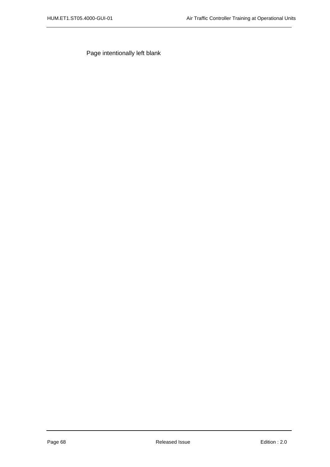Page intentionally left blank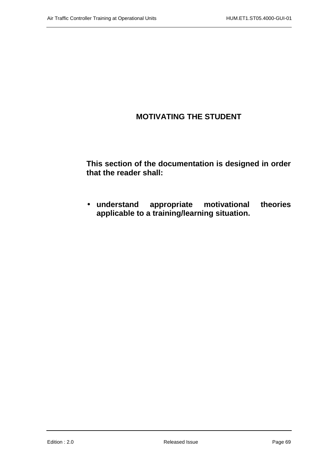# **MOTIVATING THE STUDENT**

**This section of the documentation is designed in order that the reader shall:**

• **understand appropriate motivational theories applicable to a training/learning situation.**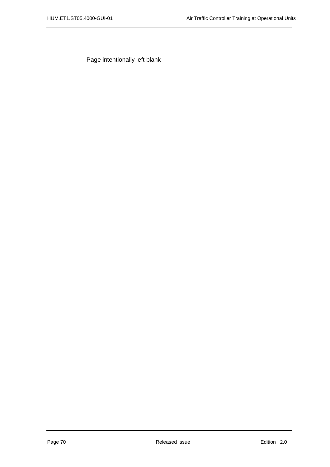Page intentionally left blank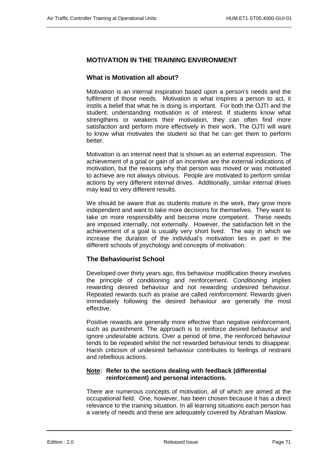# **MOTIVATION IN THE TRAINING ENVIRONMENT**

# **What is Motivation all about?**

Motivation is an internal inspiration based upon a person's needs and the fulfilment of those needs. Motivation is what inspires a person to act, it instils a belief that what he is doing is important. For both the OJTI and the student, understanding motivation is of interest. If students know what strengthens or weakens their motivation, they can often find more satisfaction and perform more effectively in their work. The OJTI will want to know what motivates the student so that he can get them to perform better.

Motivation is an internal need that is shown as an external expression. The achievement of a goal or gain of an incentive are the external indications of motivation, but the reasons why that person was moved or was motivated to achieve are not always obvious. People are motivated to perform similar actions by very different internal drives. Additionally, similar internal drives may lead to very different results.

We should be aware that as students mature in the work, they grow more independent and want to take more decisions for themselves. They want to take on more responsibility and become more competent. These needs are imposed internally, not externally. However, the satisfaction felt in the achievement of a goal is usually very short lived. The way in which we increase the duration of the individual's motivation lies in part in the different schools of psychology and concepts of motivation.

## **The Behaviourist School**

Developed over thirty years ago, this behaviour modification theory involves the principle of conditioning and reinforcement. *Conditioning* implies rewarding desired behaviour and not rewarding undesired behaviour. Repeated rewards such as praise are called *reinforcement*. Rewards given immediately following the desired behaviour are generally the most effective.

Positive rewards are generally more effective than negative reinforcement, such as punishment. The approach is to reinforce desired behaviour and ignore undesirable actions. Over a period of time, the reinforced behaviour tends to be repeated whilst the not rewarded behaviour tends to disappear. Harsh criticism of undesired behaviour contributes to feelings of restraint and rebellious actions.

#### **Note: Refer to the sections dealing with feedback (differential reinforcement) and personal interactions.**

There are numerous concepts of motivation, all of which are aimed at the occupational field. One, however, has been chosen because it has a direct relevance to the training situation. In all learning situations each person has a variety of needs and these are adequately covered by Abraham Maslow.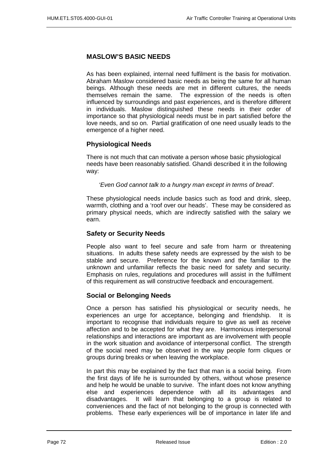# **MASLOW'S BASIC NEEDS**

As has been explained, internal need fulfilment is the basis for motivation. Abraham Maslow considered basic needs as being the same for all human beings. Although these needs are met in different cultures, the needs themselves remain the same. The expression of the needs is often influenced by surroundings and past experiences, and is therefore different in individuals. Maslow distinguished these needs in their order of importance so that physiological needs must be in part satisfied before the love needs, and so on. Partial gratification of one need usually leads to the emergence of a higher need.

# **Physiological Needs**

There is not much that can motivate a person whose basic physiological needs have been reasonably satisfied. Ghandi described it in the following way:

*'Even God cannot talk to a hungry man except in terms of bread'.*

These physiological needs include basics such as food and drink, sleep, warmth, clothing and a 'roof over our heads'. These may be considered as primary physical needs, which are indirectly satisfied with the salary we earn.

## **Safety or Security Needs**

People also want to feel secure and safe from harm or threatening situations. In adults these safety needs are expressed by the wish to be stable and secure. Preference for the known and the familiar to the unknown and unfamiliar reflects the basic need for safety and security. Emphasis on rules, regulations and procedures will assist in the fulfilment of this requirement as will constructive feedback and encouragement.

## **Social or Belonging Needs**

Once a person has satisfied his physiological or security needs, he experiences an urge for acceptance, belonging and friendship. It is important to recognise that individuals require to give as well as receive affection and to be accepted for what they are. Harmonious interpersonal relationships and interactions are important as are involvement with people in the work situation and avoidance of interpersonal conflict. The strength of the social need may be observed in the way people form cliques or groups during breaks or when leaving the workplace.

In part this may be explained by the fact that man is a social being. From the first days of life he is surrounded by others, without whose presence and help he would be unable to survive. The infant does not know anything else and experiences dependence with all its advantages and disadvantages. It will learn that belonging to a group is related to conveniences and the fact of not belonging to the group is connected with problems. These early experiences will be of importance in later life and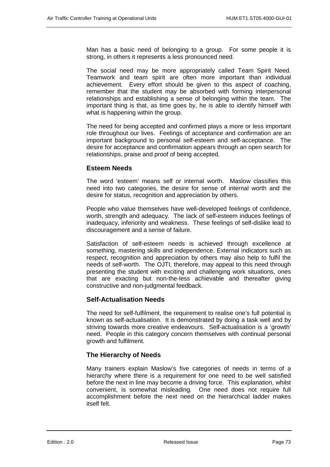Man has a basic need of belonging to a group. For some people it is strong, in others it represents a less pronounced need.

The social need may be more appropriately called Team Spirit Need. Teamwork and team spirit are often more important than individual achievement. Every effort should be given to this aspect of coaching, remember that the student may be absorbed with forming interpersonal relationships and establishing a sense of belonging within the team. The important thing is that, as time goes by, he is able to identify himself with what is happening within the group.

The need for being accepted and confirmed plays a more or less important role throughout our lives. Feelings of acceptance and confirmation are an important background to personal self-esteem and self-acceptance. The desire for acceptance and confirmation appears through an open search for relationships, praise and proof of being accepted.

#### **Esteem Needs**

The word 'esteem' means self or internal worth. Maslow classifies this need into two categories, the desire for sense of internal worth and the desire for status, recognition and appreciation by others.

People who value themselves have well-developed feelings of confidence, worth, strength and adequacy. The lack of self-esteem induces feelings of inadequacy, inferiority and weakness. These feelings of self-dislike lead to discouragement and a sense of failure.

Satisfaction of self-esteem needs is achieved through excellence at something, mastering skills and independence. External indicators such as respect, recognition and appreciation by others may also help to fulfil the needs of self-worth. The OJTI, therefore, may appeal to this need through presenting the student with exciting and challenging work situations, ones that are exacting but non-the-less achievable and thereafter giving constructive and non-judgmental feedback.

## **Self-Actualisation Needs**

The need for self-fulfilment, the requirement to realise one's full potential is known as self-actualisation. It is demonstrated by doing a task well and by striving towards more creative endeavours. Self-actualisation is a 'growth' need. People in this category concern themselves with continual personal growth and fulfilment.

## **The Hierarchy of Needs**

Many trainers explain Maslow's five categories of needs in terms of a hierarchy where there is a requirement for one need to be well satisfied before the next in line may become a driving force. This explanation, whilst convenient, is somewhat misleading. One need does not require full accomplishment before the next need on the hierarchical ladder makes itself felt.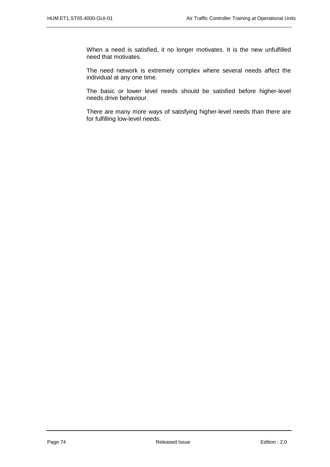When a need is satisfied, it no longer motivates. It is the new unfulfilled need that motivates.

The need network is extremely complex where several needs affect the individual at any one time.

The basic or lower level needs should be satisfied before higher-level needs drive behaviour.

There are many more ways of satisfying higher-level needs than there are for fulfilling low-level needs.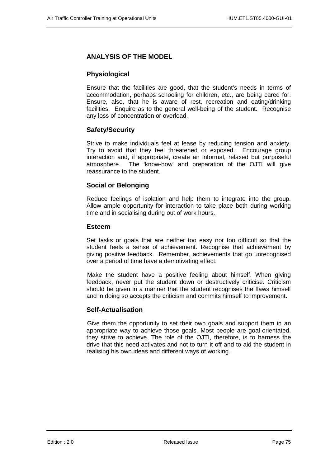# **ANALYSIS OF THE MODEL**

# **Physiological**

Ensure that the facilities are good, that the student's needs in terms of accommodation, perhaps schooling for children, etc., are being cared for. Ensure, also, that he is aware of rest, recreation and eating/drinking facilities. Enquire as to the general well-being of the student. Recognise any loss of concentration or overload.

# **Safety/Security**

Strive to make individuals feel at lease by reducing tension and anxiety. Try to avoid that they feel threatened or exposed. Encourage group interaction and, if appropriate, create an informal, relaxed but purposeful atmosphere. The 'know-how' and preparation of the OJTI will give reassurance to the student.

## **Social or Belonging**

Reduce feelings of isolation and help them to integrate into the group. Allow ample opportunity for interaction to take place both during working time and in socialising during out of work hours.

#### **Esteem**

Set tasks or goals that are neither too easy nor too difficult so that the student feels a sense of achievement. Recognise that achievement by giving positive feedback. Remember, achievements that go unrecognised over a period of time have a demotivating effect.

Make the student have a positive feeling about himself. When giving feedback, never put the student down or destructively criticise. Criticism should be given in a manner that the student recognises the flaws himself and in doing so accepts the criticism and commits himself to improvement.

## **Self-Actualisation**

Give them the opportunity to set their own goals and support them in an appropriate way to achieve those goals. Most people are goal-orientated, they strive to achieve. The role of the OJTI, therefore, is to harness the drive that this need activates and not to turn it off and to aid the student in realising his own ideas and different ways of working.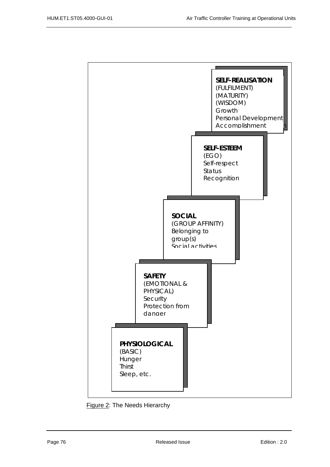

Figure 2: The Needs Hierarchy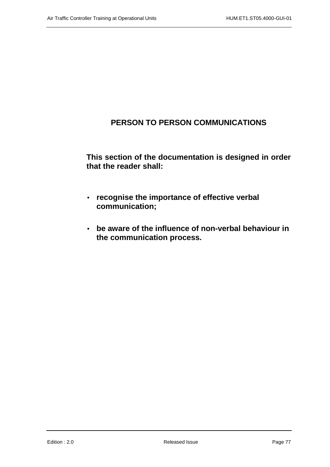# **PERSON TO PERSON COMMUNICATIONS**

**This section of the documentation is designed in order that the reader shall:**

- **recognise the importance of effective verbal communication;**
- **be aware of the influence of non-verbal behaviour in the communication process.**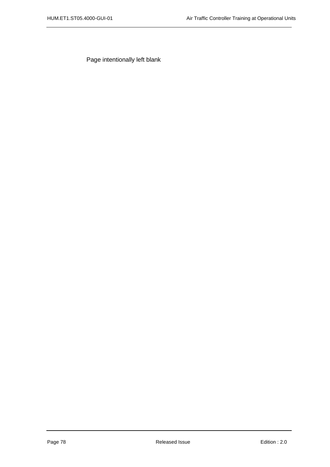Page intentionally left blank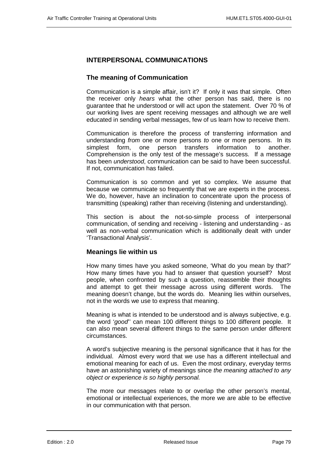# **INTERPERSONAL COMMUNICATIONS**

# **The meaning of Communication**

Communication is a simple affair, isn't it? If only it was that simple. Often the receiver only *hears* what the other person has said, there is no guarantee that he understood or will act upon the statement. Over 70 % of our working lives are spent receiving messages and although we are well educated in sending verbal messages, few of us learn how to receive them.

Communication is therefore the process of transferring information and understanding *from* one or more persons *to* one or more persons. In its simplest form, one person transfers information to another. Comprehension is the only test of the message's success. If a message has been *understood*, communication can be said to have been successful. If not, communication has failed.

Communication is so common and yet so complex. We assume that because we communicate so frequently that we are experts in the process. We do, however, have an inclination to concentrate upon the process of transmitting (speaking) rather than receiving (listening and understanding).

This section is about the not-so-simple process of interpersonal communication, of sending and receiving - listening and understanding - as well as non-verbal communication which is additionally dealt with under 'Transactional Analysis'.

## **Meanings lie within us**

How many times have you asked someone, 'What do you mean by that?' How many times have you had to answer that question yourself? Most people, when confronted by such a question, reassemble their thoughts and attempt to get their message across using different words. The meaning doesn't change, but the words do. Meaning lies within ourselves, not in the words we use to express that meaning.

Meaning is what is intended to be understood and is always subjective, e.g. the word '*good*'' can mean 100 different things to 100 different people. It can also mean several different things to the same person under different circumstances.

A word's subjective meaning is the personal significance that it has for the individual. Almost every word that we use has a different intellectual and emotional meaning for each of us. Even the most ordinary, everyday terms have an astonishing variety of meanings since *the meaning attached to any object or experience is so highly personal.*

The more our messages relate to or overlap the other person's mental, emotional or intellectual experiences, the more we are able to be effective in our communication with that person.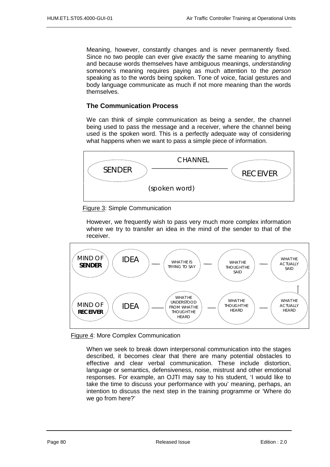Meaning, however, constantly changes and is never permanently fixed. Since no two people can ever give *exactly* the same meaning to anything and because words themselves have ambiguous meanings, *understanding* someone's meaning requires paying as much attention to the *person* speaking as to the words being spoken. Tone of voice, facial gestures and body language communicate as much if not more meaning than the words themselves.

# **The Communication Process**

We can think of simple communication as being a sender, the channel being used to pass the message and a receiver, where the channel being used is the spoken word. This is a perfectly adequate way of considering what happens when we want to pass a simple piece of information.



Figure 3: Simple Communication

However, we frequently wish to pass very much more complex information where we try to transfer an idea in the mind of the sender to that of the receiver.



Figure 4: More Complex Communication

When we seek to break down interpersonal communication into the stages described, it becomes clear that there are many potential obstacles to effective and clear verbal communication. These include distortion, language or semantics, defensiveness, noise, mistrust and other emotional responses. For example, an OJTI may say to his student, 'I would like to take the time to discuss your performance with you' meaning, perhaps, an intention to discuss the next step in the training programme or 'Where do we go from here?'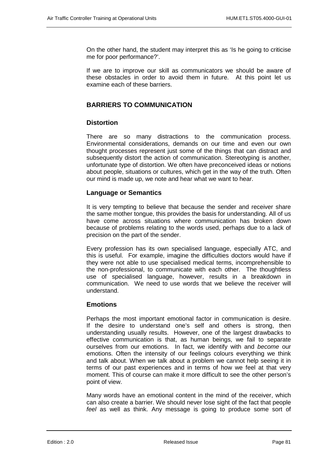On the other hand, the student may interpret this as 'Is he going to criticise me for poor performance?'.

If we are to improve our skill as communicators we should be aware of these obstacles in order to avoid them in future. At this point let us examine each of these barriers.

# **BARRIERS TO COMMUNICATION**

## **Distortion**

There are so many distractions to the communication process. Environmental considerations, demands on our time and even our own thought processes represent just some of the things that can distract and subsequently distort the action of communication. Stereotyping is another, unfortunate type of distortion. We often have preconceived ideas or notions about people, situations or cultures, which get in the way of the truth. Often our mind is made up, we note and hear what we want to hear.

## **Language or Semantics**

It is very tempting to believe that because the sender and receiver share the same mother tongue, this provides the basis for understanding. All of us have come across situations where communication has broken down because of problems relating to the words used, perhaps due to a lack of precision on the part of the sender.

Every profession has its own specialised language, especially ATC, and this is useful. For example, imagine the difficulties doctors would have if they were not able to use specialised medical terms, incomprehensible to the non-professional, to communicate with each other. The thoughtless use of specialised language, however, results in a breakdown in communication. We need to use words that we believe the receiver will understand.

## **Emotions**

Perhaps the most important emotional factor in communication is desire. If the desire to understand one's self and others is strong, then understanding usually results. However, one of the largest drawbacks to effective communication is that, as human beings, we fail to separate ourselves from our emotions. In fact, we identify with and *become* our emotions. Often the intensity of our feelings colours everything we think and talk about. When we talk about a problem we cannot help seeing it in terms of our past experiences and in terms of how we feel at that very moment. This of course can make it more difficult to see the other person's point of view.

Many words have an emotional content in the mind of the receiver, which can also create a barrier. We should never lose sight of the fact that people *feel* as well as think. Any message is going to produce some sort of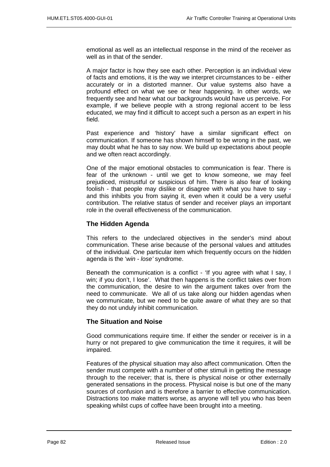emotional as well as an intellectual response in the mind of the receiver as well as in that of the sender.

A major factor is how they see each other. Perception is an individual view of facts and emotions, it is the way we interpret circumstances to be - either accurately or in a distorted manner. Our value systems also have a profound effect on what we see or hear happening. In other words, we frequently see and hear what our backgrounds would have us perceive. For example, if we believe people with a strong regional accent to be less educated, we may find it difficult to accept such a person as an expert in his field.

Past experience and 'history' have a similar significant effect on communication. If someone has shown himself to be wrong in the past, we may doubt what he has to say now. We build up expectations about people and we often react accordingly.

One of the major emotional obstacles to communication is fear. There is fear of the unknown - until we get to know someone, we may feel prejudiced, mistrustful or suspicious of him. There is also fear of looking foolish - that people may dislike or disagree with what you have to say and this inhibits you from saying it, even when it could be a very useful contribution. The relative status of sender and receiver plays an important role in the overall effectiveness of the communication.

## **The Hidden Agenda**

This refers to the undeclared objectives in the sender's mind about communication. These arise because of the personal values and attitudes of the individual. One particular item which frequently occurs on the hidden agenda is the '*win - lose'* syndrome.

Beneath the communication is a conflict - 'If you agree with what I say, I win; if you don't, I lose'. What then happens is the conflict takes over from the communication, the desire to win the argument takes over from the need to communicate. We all of us take along our hidden agendas when we communicate, but we need to be quite aware of what they are so that they do not unduly inhibit communication.

## **The Situation and Noise**

Good communications require time. If either the sender or receiver is in a hurry or not prepared to give communication the time it requires, it will be impaired.

Features of the physical situation may also affect communication. Often the sender must compete with a number of other stimuli in getting the message through to the receiver; that is, there is physical noise or other externally generated sensations in the process. Physical noise is but one of the many sources of confusion and is therefore a barrier to effective communication. Distractions too make matters worse, as anyone will tell you who has been speaking whilst cups of coffee have been brought into a meeting.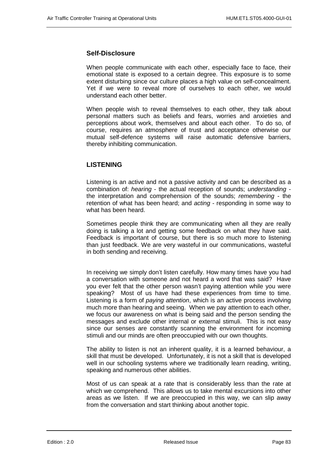## **Self-Disclosure**

When people communicate with each other, especially face to face, their emotional state is exposed to a certain degree. This exposure is to some extent disturbing since our culture places a high value on self-concealment. Yet if we were to reveal more of ourselves to each other, we would understand each other better.

When people wish to reveal themselves to each other, they talk about personal matters such as beliefs and fears, worries and anxieties and perceptions about work, themselves and about each other. To do so, of course, requires an atmosphere of trust and acceptance otherwise our mutual self-defence systems will raise automatic defensive barriers, thereby inhibiting communication.

# **LISTENING**

Listening is an active and not a passive activity and can be described as a combination of: *hearing* - the actual reception of sounds; *understanding* the interpretation and comprehension of the sounds; *remembering* - the retention of what has been heard; and *acting* - responding in some way to what has been heard.

Sometimes people think they are communicating when all they are really doing is talking a lot and getting some feedback on what they have said. Feedback is important of course, but there is so much more to listening than just feedback. We are very wasteful in our communications, wasteful in both sending and receiving.

In receiving we simply don't listen carefully. How many times have you had a conversation with someone and not heard a word that was said? Have you ever felt that the other person wasn't paying attention while you were speaking? Most of us have had these experiences from time to time. Listening is a form of *paying attention*, which is an active process involving much more than hearing and seeing. When we pay attention to each other, we focus our awareness on what is being said and the person sending the messages and exclude other internal or external stimuli. This is not easy since our senses are constantly scanning the environment for incoming stimuli and our minds are often preoccupied with our own thoughts.

The ability to listen is not an inherent quality, it is a learned behaviour, a skill that must be developed. Unfortunately, it is not a skill that is developed well in our schooling systems where we traditionally learn reading, writing, speaking and numerous other abilities.

Most of us can speak at a rate that is considerably less than the rate at which we comprehend. This allows us to take mental excursions into other areas as we listen. If we are preoccupied in this way, we can slip away from the conversation and start thinking about another topic.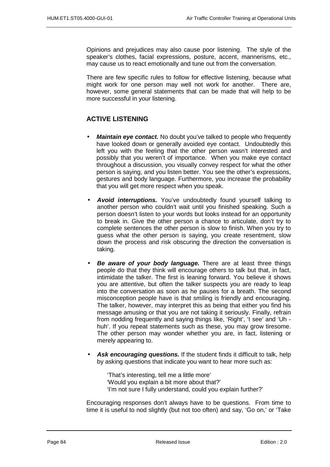Opinions and prejudices may also cause poor listening. The style of the speaker's clothes, facial expressions, posture, accent, mannerisms, etc., may cause us to react emotionally and tune out from the conversation.

There are few specific rules to follow for effective listening, because what might work for one person may well not work for another. There are, however, some general statements that can be made that will help to be more successful in your listening.

# **ACTIVE LISTENING**

- **Maintain eye contact.** No doubt you've talked to people who frequently have looked down or generally avoided eye contact. Undoubtedly this left you with the feeling that the other person wasn't interested and possibly that you weren't of importance. When you make eye contact throughout a discussion, you visually convey respect for what the other person is saying, and you listen better. You see the other's expressions, gestures and body language. Furthermore, you increase the probability that you will get more respect when you speak.
- *Avoid interruptions.* You've undoubtedly found yourself talking to another person who couldn't wait until you finished speaking. Such a person doesn't listen to your words but looks instead for an opportunity to break in. Give the other person a chance to articulate, don't try to complete sentences the other person is slow to finish. When you try to guess what the other person is saying, you create resentment, slow down the process and risk obscuring the direction the conversation is taking.
- *Be aware of your body language.* There are at least three things people do that they think will encourage others to talk but that, in fact, intimidate the talker. The first is leaning forward. You believe it shows you are attentive, but often the talker suspects you are ready to leap into the conversation as soon as he pauses for a breath. The second misconception people have is that smiling is friendly and encouraging. The talker, however, may interpret this as being that either you find his message amusing or that you are not taking it seriously. Finally, refrain from nodding frequently and saying things like, 'Right', 'I see' and 'Uh huh'. If you repeat statements such as these, you may grow tiresome. The other person may wonder whether you are, in fact, listening or merely appearing to.
- *Ask encouraging questions.* If the student finds it difficult to talk, help by asking questions that indicate you want to hear more such as:

'That's interesting, tell me a little more' 'Would you explain a bit more about that?' 'I'm not sure I fully understand, could you explain further?'

Encouraging responses don't always have to be questions. From time to time it is useful to nod slightly (but not too often) and say, 'Go on,' or 'Take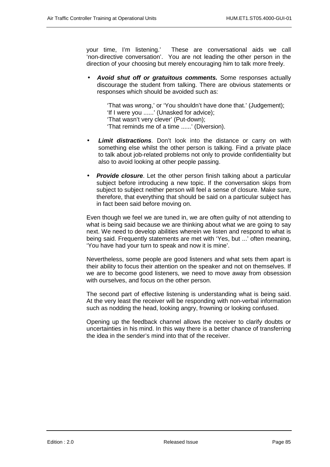your time, I'm listening.' These are conversational aids we call 'non-directive conversation'. You are not leading the other person in the direction of your choosing but merely encouraging him to talk more freely.

• *Avoid shut off or gratuitous comments.* Some responses actually discourage the student from talking. There are obvious statements or responses which should be avoided such as:

'That was wrong,' or 'You shouldn't have done that.' (Judgement); 'If I were you ......' (Unasked for advice); 'That wasn't very clever' (Put-down); 'That reminds me of a time ......' (Diversion).

- **Limit distractions**. Don't look into the distance or carry on with something else whilst the other person is talking. Find a private place to talk about job-related problems not only to provide confidentiality but also to avoid looking at other people passing.
- **Provide closure**. Let the other person finish talking about a particular subject before introducing a new topic. If the conversation skips from subject to subject neither person will feel a sense of closure. Make sure, therefore, that everything that should be said on a particular subject has in fact been said before moving on.

Even though we feel we are tuned in, we are often guilty of not attending to what is being said because we are thinking about what we are going to say next. We need to develop abilities wherein we listen and respond to what is being said. Frequently statements are met with 'Yes, but ...' often meaning, 'You have had your turn to speak and now it is mine'.

Nevertheless, some people are good listeners and what sets them apart is their ability to focus their attention on the speaker and not on themselves. If we are to become good listeners, we need to move away from obsession with ourselves, and focus on the other person.

The second part of effective listening is understanding what is being said. At the very least the receiver will be responding with non-verbal information such as nodding the head, looking angry, frowning or looking confused.

Opening up the feedback channel allows the receiver to clarify doubts or uncertainties in his mind. In this way there is a better chance of transferring the idea in the sender's mind into that of the receiver.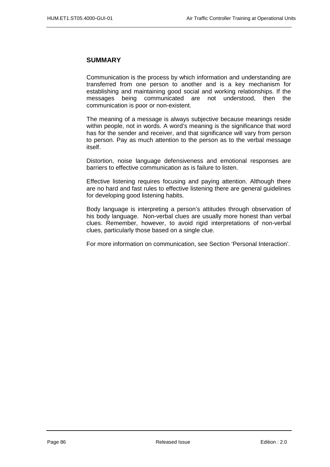#### **SUMMARY**

Communication is the process by which information and understanding are transferred from one person to another and is a key mechanism for establishing and maintaining good social and working relationships. If the messages being communicated are not understood, then the communication is poor or non-existent.

The meaning of a message is always subjective because meanings reside within people, not in words. A word's meaning is the significance that word has for the sender and receiver, and that significance will vary from person to person. Pay as much attention to the person as to the verbal message itself.

Distortion, noise language defensiveness and emotional responses are barriers to effective communication as is failure to listen.

Effective listening requires focusing and paying attention. Although there are no hard and fast rules to effective listening there are general guidelines for developing good listening habits.

Body language is interpreting a person's attitudes through observation of his body language. Non-verbal clues are usually more honest than verbal clues. Remember, however, to avoid rigid interpretations of non-verbal clues, particularly those based on a single clue.

For more information on communication, see Section 'Personal Interaction'.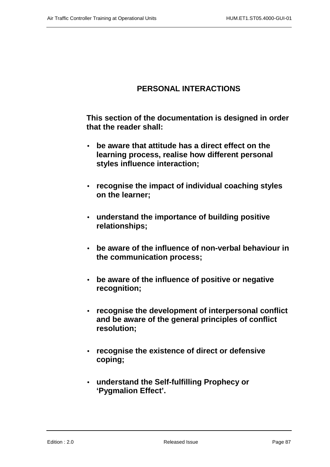# **PERSONAL INTERACTIONS**

**This section of the documentation is designed in order that the reader shall:**

- **be aware that attitude has a direct effect on the learning process, realise how different personal styles influence interaction;**
- **recognise the impact of individual coaching styles on the learner;**
- **understand the importance of building positive relationships;**
- **be aware of the influence of non-verbal behaviour in the communication process;**
- **be aware of the influence of positive or negative recognition;**
- **recognise the development of interpersonal conflict and be aware of the general principles of conflict resolution;**
- **recognise the existence of direct or defensive coping;**
- **understand the Self-fulfilling Prophecy or 'Pygmalion Effect'.**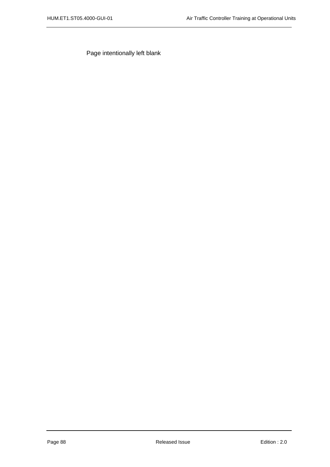Page intentionally left blank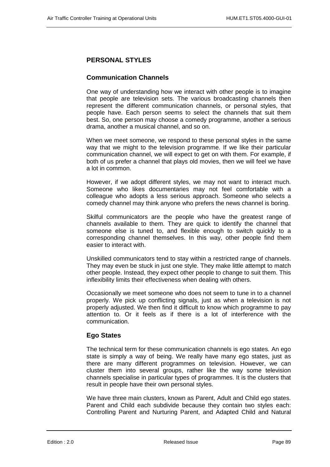# **PERSONAL STYLES**

#### **Communication Channels**

One way of understanding how we interact with other people is to imagine that people are television sets. The various broadcasting channels then represent the different communication channels, or personal styles, that people have. Each person seems to select the channels that suit them best. So, one person may choose a comedy programme, another a serious drama, another a musical channel, and so on.

When we meet someone, we respond to these personal styles in the same way that we might to the television programme. If we like their particular communication channel, we will expect to get on with them. For example, if both of us prefer a channel that plays old movies, then we will feel we have a lot in common.

However, if we adopt different styles, we may not want to interact much. Someone who likes documentaries may not feel comfortable with a colleague who adopts a less serious approach. Someone who selects a comedy channel may think anyone who prefers the news channel is boring.

Skilful communicators are the people who have the greatest range of channels available to them. They are quick to identify the channel that someone else is tuned to, and flexible enough to switch quickly to a corresponding channel themselves. In this way, other people find them easier to interact with.

Unskilled communicators tend to stay within a restricted range of channels. They may even be stuck in just one style. They make little attempt to match other people. Instead, they expect other people to change to suit them. This inflexibility limits their effectiveness when dealing with others.

Occasionally we meet someone who does not seem to tune in to a channel properly. We pick up conflicting signals, just as when a television is not properly adjusted. We then find it difficult to know which programme to pay attention to. Or it feels as if there is a lot of interference with the communication.

## **Ego States**

The technical term for these communication channels is ego states. An ego state is simply a way of being. We really have many ego states, just as there are many different programmes on television. However, we can cluster them into several groups, rather like the way some television channels specialise in particular types of programmes. It is the clusters that result in people have their own personal styles.

We have three main clusters, known as Parent, Adult and Child ego states. Parent and Child each subdivide because they contain two styles each: Controlling Parent and Nurturing Parent, and Adapted Child and Natural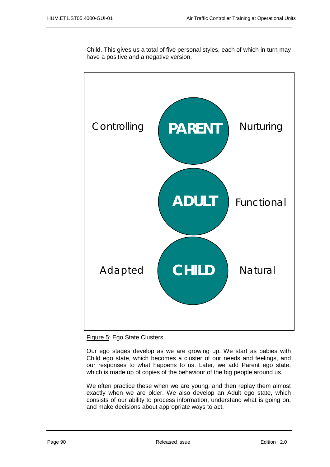

Child. This gives us a total of five personal styles, each of which in turn may have a positive and a negative version.

Figure 5: Ego State Clusters

Our ego stages develop as we are growing up. We start as babies with Child ego state, which becomes a cluster of our needs and feelings, and our responses to what happens to us. Later, we add Parent ego state, which is made up of copies of the behaviour of the big people around us.

We often practice these when we are young, and then replay them almost exactly when we are older. We also develop an Adult ego state, which consists of our ability to process information, understand what is going on, and make decisions about appropriate ways to act.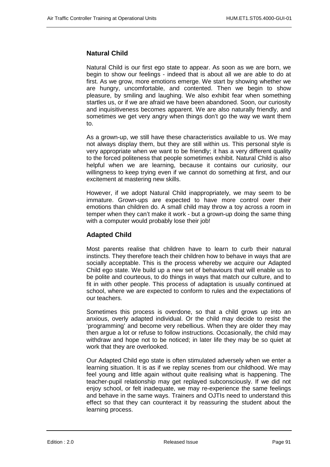# **Natural Child**

Natural Child is our first ego state to appear. As soon as we are born, we begin to show our feelings - indeed that is about all we are able to do at first. As we grow, more emotions emerge. We start by showing whether we are hungry, uncomfortable, and contented. Then we begin to show pleasure, by smiling and laughing. We also exhibit fear when something startles us, or if we are afraid we have been abandoned. Soon, our curiosity and inquisitiveness becomes apparent. We are also naturally friendly, and sometimes we get very angry when things don't go the way we want them to.

As a grown-up, we still have these characteristics available to us. We may not always display them, but they are still within us. This personal style is very appropriate when we want to be friendly; it has a very different quality to the forced politeness that people sometimes exhibit. Natural Child is also helpful when we are learning, because it contains our curiosity, our willingness to keep trying even if we cannot do something at first, and our excitement at mastering new skills.

However, if we adopt Natural Child inappropriately, we may seem to be immature. Grown-ups are expected to have more control over their emotions than children do. A small child may throw a toy across a room in temper when they can't make it work - but a grown-up doing the same thing with a computer would probably lose their job!

# **Adapted Child**

Most parents realise that children have to learn to curb their natural instincts. They therefore teach their children how to behave in ways that are socially acceptable. This is the process whereby we acquire our Adapted Child ego state. We build up a new set of behaviours that will enable us to be polite and courteous, to do things in ways that match our culture, and to fit in with other people. This process of adaptation is usually continued at school, where we are expected to conform to rules and the expectations of our teachers.

Sometimes this process is overdone, so that a child grows up into an anxious, overly adapted individual. Or the child may decide to resist the 'programming' and become very rebellious. When they are older they may then argue a lot or refuse to follow instructions. Occasionally, the child may withdraw and hope not to be noticed; in later life they may be so quiet at work that they are overlooked.

Our Adapted Child ego state is often stimulated adversely when we enter a learning situation. It is as if we replay scenes from our childhood. We may feel young and little again without quite realising what is happening. The teacher-pupil relationship may get replayed subconsciously. If we did not enjoy school, or felt inadequate, we may re-experience the same feelings and behave in the same ways. Trainers and OJTIs need to understand this effect so that they can counteract it by reassuring the student about the learning process.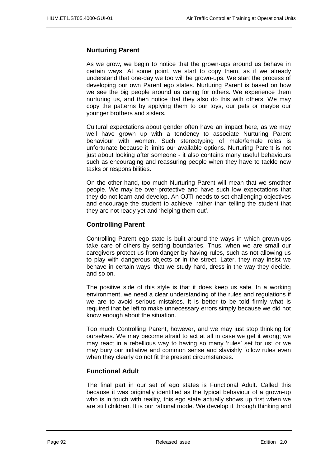# **Nurturing Parent**

As we grow, we begin to notice that the grown-ups around us behave in certain ways. At some point, we start to copy them, as if we already understand that one-day we too will be grown-ups. We start the process of developing our own Parent ego states. Nurturing Parent is based on how we see the big people around us caring for others. We experience them nurturing us, and then notice that they also do this with others. We may copy the patterns by applying them to our toys, our pets or maybe our younger brothers and sisters.

Cultural expectations about gender often have an impact here, as we may well have grown up with a tendency to associate Nurturing Parent behaviour with women. Such stereotyping of male/female roles is unfortunate because it limits our available options. Nurturing Parent is not just about looking after someone - it also contains many useful behaviours such as encouraging and reassuring people when they have to tackle new tasks or responsibilities.

On the other hand, too much Nurturing Parent will mean that we smother people. We may be over-protective and have such low expectations that they do not learn and develop. An OJTI needs to set challenging objectives and encourage the student to achieve, rather than telling the student that they are not ready yet and 'helping them out'.

## **Controlling Parent**

Controlling Parent ego state is built around the ways in which grown-ups take care of others by setting boundaries. Thus, when we are small our caregivers protect us from danger by having rules, such as not allowing us to play with dangerous objects or in the street. Later, they may insist we behave in certain ways, that we study hard, dress in the way they decide, and so on.

The positive side of this style is that it does keep us safe. In a working environment, we need a clear understanding of the rules and regulations if we are to avoid serious mistakes. It is better to be told firmly what is required that be left to make unnecessary errors simply because we did not know enough about the situation.

Too much Controlling Parent, however, and we may just stop thinking for ourselves. We may become afraid to act at all in case we get it wrong; we may react in a rebellious way to having so many 'rules' set for us; or we may bury our initiative and common sense and slavishly follow rules even when they clearly do not fit the present circumstances.

## **Functional Adult**

The final part in our set of ego states is Functional Adult. Called this because it was originally identified as the typical behaviour of a grown-up who is in touch with reality, this ego state actually shows up first when we are still children. It is our rational mode. We develop it through thinking and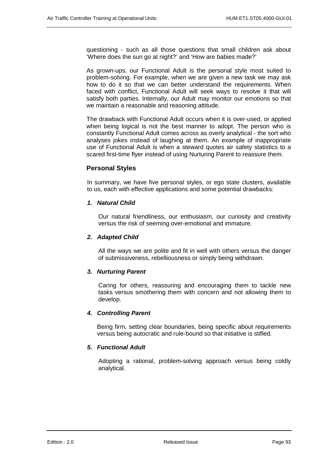questioning - such as all those questions that small children ask about 'Where does the sun go at night?' and 'How are babies made?'

As grown-ups, our Functional Adult is the personal style most suited to problem-solving. For example, when we are given a new task we may ask how to do it so that we can better understand the requirements. When faced with conflict, Functional Adult will seek ways to resolve it that will satisfy both parties. Internally, our Adult may monitor our emotions so that we maintain a reasonable and reasoning attitude.

The drawback with Functional Adult occurs when it is over-used, or applied when being logical is not the best manner to adopt. The person who is constantly Functional Adult comes across as overly analytical - the sort who analyses jokes instead of laughing at them. An example of inappropriate use of Functional Adult is when a steward quotes air safety statistics to a scared first-time flyer instead of using Nurturing Parent to reassure them.

## **Personal Styles**

In summary, we have five personal styles, or ego state clusters, available to us, each with effective applications and some potential drawbacks:

#### *1. Natural Child*

Our natural friendliness, our enthusiasm, our curiosity and creativity versus the risk of seeming over-emotional and immature.

#### *2. Adapted Child*

All the ways we are polite and fit in well with others versus the danger of submissiveness, rebelliousness or simply being withdrawn.

#### *3. Nurturing Parent*

Caring for others, reassuring and encouraging them to tackle new tasks versus smothering them with concern and not allowing them to develop.

#### *4. Controlling Parent*

Being firm, setting clear boundaries, being specific about requirements versus being autocratic and rule-bound so that initiative is stifled.

## *5. Functional Adult*

Adopting a rational, problem-solving approach versus being coldly analytical.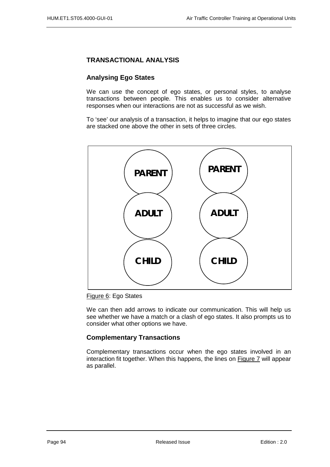# **TRANSACTIONAL ANALYSIS**

# **Analysing Ego States**

We can use the concept of ego states, or personal styles, to analyse transactions between people. This enables us to consider alternative responses when our interactions are not as successful as we wish.

To 'see' our analysis of a transaction, it helps to imagine that our ego states are stacked one above the other in sets of three circles.



Figure 6: Ego States

We can then add arrows to indicate our communication. This will help us see whether we have a match or a clash of ego states. It also prompts us to consider what other options we have.

# **Complementary Transactions**

Complementary transactions occur when the ego states involved in an interaction fit together. When this happens, the lines on **Figure 7** will appear as parallel.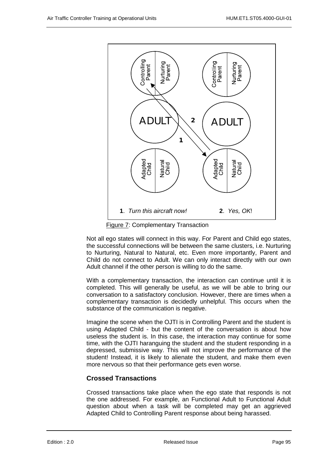

Figure 7: Complementary Transaction

Not all ego states will connect in this way. For Parent and Child ego states, the successful connections will be between the same clusters, i.e. Nurturing to Nurturing, Natural to Natural, etc. Even more importantly, Parent and Child do not connect to Adult. We can only interact directly with our own Adult channel if the other person is willing to do the same.

With a complementary transaction, the interaction can continue until it is completed. This will generally be useful, as we will be able to bring our conversation to a satisfactory conclusion. However, there are times when a complementary transaction is decidedly unhelpful. This occurs when the substance of the communication is negative.

Imagine the scene when the OJTI is in Controlling Parent and the student is using Adapted Child - but the content of the conversation is about how useless the student is. In this case, the interaction may continue for some time, with the OJTI haranguing the student and the student responding in a depressed, submissive way. This will not improve the performance of the student! Instead, it is likely to alienate the student, and make them even more nervous so that their performance gets even worse.

# **Crossed Transactions**

Crossed transactions take place when the ego state that responds is not the one addressed. For example, an Functional Adult to Functional Adult question about when a task will be completed may get an aggrieved Adapted Child to Controlling Parent response about being harassed.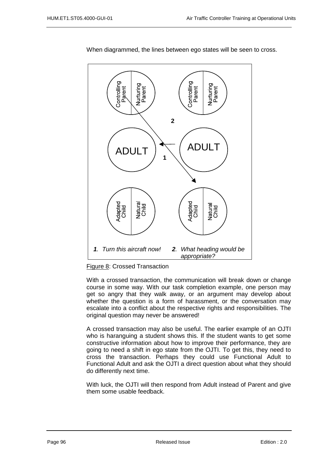

When diagrammed, the lines between ego states will be seen to cross.

Figure 8: Crossed Transaction

With a crossed transaction, the communication will break down or change course in some way. With our task completion example, one person may get so angry that they walk away, or an argument may develop about whether the question is a form of harassment, or the conversation may escalate into a conflict about the respective rights and responsibilities. The original question may never be answered!

A crossed transaction may also be useful. The earlier example of an OJTI who is haranguing a student shows this. If the student wants to get some constructive information about how to improve their performance, they are going to need a shift in ego state from the OJTI. To get this, they need to cross the transaction. Perhaps they could use Functional Adult to Functional Adult and ask the OJTI a direct question about what they should do differently next time.

With luck, the OJTI will then respond from Adult instead of Parent and give them some usable feedback.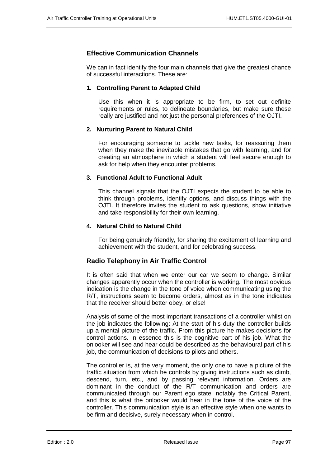# **Effective Communication Channels**

We can in fact identify the four main channels that give the greatest chance of successful interactions. These are:

#### **1. Controlling Parent to Adapted Child**

Use this when it is appropriate to be firm, to set out definite requirements or rules, to delineate boundaries, but make sure these really are justified and not just the personal preferences of the OJTI.

#### **2. Nurturing Parent to Natural Child**

For encouraging someone to tackle new tasks, for reassuring them when they make the inevitable mistakes that go with learning, and for creating an atmosphere in which a student will feel secure enough to ask for help when they encounter problems.

#### **3. Functional Adult to Functional Adult**

This channel signals that the OJTI expects the student to be able to think through problems, identify options, and discuss things with the OJTI. It therefore invites the student to ask questions, show initiative and take responsibility for their own learning.

#### **4. Natural Child to Natural Child**

For being genuinely friendly, for sharing the excitement of learning and achievement with the student, and for celebrating success.

## **Radio Telephony in Air Traffic Control**

It is often said that when we enter our car we seem to change. Similar changes apparently occur when the controller is working. The most obvious indication is the change in the tone of voice when communicating using the R/T, instructions seem to become orders, almost as in the tone indicates that the receiver should better obey, or else!

Analysis of some of the most important transactions of a controller whilst on the job indicates the following: At the start of his duty the controller builds up a mental picture of the traffic. From this picture he makes decisions for control actions. In essence this is the cognitive part of his job. What the onlooker will see and hear could be described as the behavioural part of his job, the communication of decisions to pilots and others.

The controller is, at the very moment, the only one to have a picture of the traffic situation from which he controls by giving instructions such as climb, descend, turn, etc., and by passing relevant information. Orders are dominant in the conduct of the R/T communication and orders are communicated through our Parent ego state, notably the Critical Parent, and this is what the onlooker would hear in the tone of the voice of the controller. This communication style is an effective style when one wants to be firm and decisive, surely necessary when in control.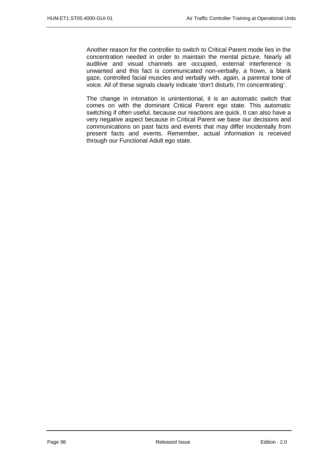Another reason for the controller to switch to Critical Parent mode lies in the concentration needed in order to maintain the mental picture. Nearly all auditive and visual channels are occupied, external interference is unwanted and this fact is communicated non-verbally, a frown, a blank gaze, controlled facial muscles and verbally with, again, a parental tone of voice. All of these signals clearly indicate 'don't disturb, I'm concentrating'.

The change in intonation is unintentional, it is an automatic switch that comes on with the dominant Critical Parent ego state. This automatic switching if often useful, because our reactions are quick. It can also have a very negative aspect because in Critical Parent we base our decisions and communications on past facts and events that may differ incidentally from present facts and events. Remember, actual information is received through our Functional Adult ego state.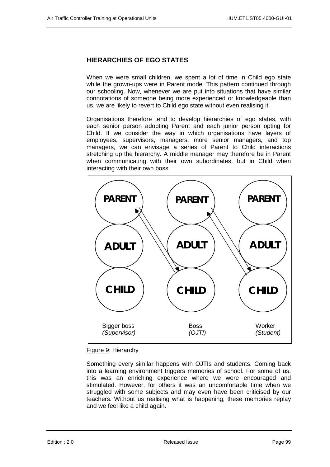# **HIERARCHIES OF EGO STATES**

When we were small children, we spent a lot of time in Child ego state while the grown-ups were in Parent mode. This pattern continued through our schooling. Now, whenever we are put into situations that have similar connotations of someone being more experienced or knowledgeable than us, we are likely to revert to Child ego state without even realising it.

Organisations therefore tend to develop hierarchies of ego states, with each senior person adopting Parent and each junior person opting for Child. If we consider the way in which organisations have layers of employees, supervisors, managers, more senior managers, and top managers, we can envisage a series of Parent to Child interactions stretching up the hierarchy. A middle manager may therefore be in Parent when communicating with their own subordinates, but in Child when interacting with their own boss.



#### Figure 9: Hierarchy

Something every similar happens with OJTIs and students. Coming back into a learning environment triggers memories of school. For some of us, this was an enriching experience where we were encouraged and stimulated. However, for others it was an uncomfortable time when we struggled with some subjects and may even have been criticised by our teachers. Without us realising what is happening, these memories replay and we feel like a child again.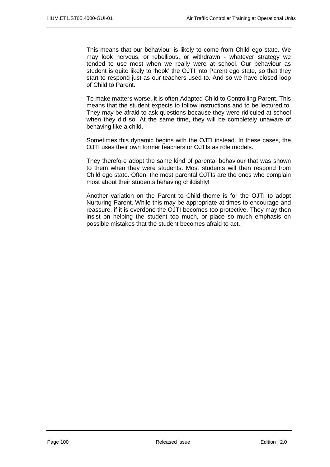This means that our behaviour is likely to come from Child ego state. We may look nervous, or rebellious, or withdrawn - whatever strategy we tended to use most when we really were at school. Our behaviour as student is quite likely to 'hook' the OJTI into Parent ego state, so that they start to respond just as our teachers used to. And so we have closed loop of Child to Parent.

To make matters worse, it is often Adapted Child to Controlling Parent. This means that the student expects to follow instructions and to be lectured to. They may be afraid to ask questions because they were ridiculed at school when they did so. At the same time, they will be completely unaware of behaving like a child.

Sometimes this dynamic begins with the OJTI instead. In these cases, the OJTI uses their own former teachers or OJTIs as role models.

They therefore adopt the same kind of parental behaviour that was shown to them when they were students. Most students will then respond from Child ego state. Often, the most parental OJTIs are the ones who complain most about their students behaving childishly!

Another variation on the Parent to Child theme is for the OJTI to adopt Nurturing Parent. While this may be appropriate at times to encourage and reassure, if it is overdone the OJTI becomes too protective. They may then insist on helping the student too much, or place so much emphasis on possible mistakes that the student becomes afraid to act.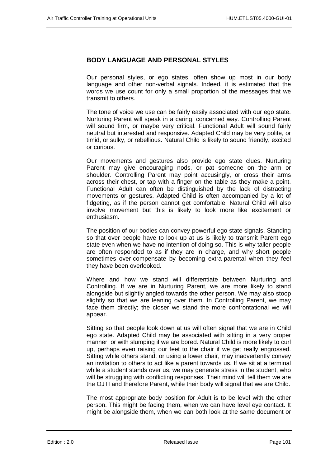## **BODY LANGUAGE AND PERSONAL STYLES**

Our personal styles, or ego states, often show up most in our body language and other non-verbal signals. Indeed, it is estimated that the words we use count for only a small proportion of the messages that we transmit to others.

The tone of voice we use can be fairly easily associated with our ego state. Nurturing Parent will speak in a caring, concerned way. Controlling Parent will sound firm, or maybe very critical. Functional Adult will sound fairly neutral but interested and responsive. Adapted Child may be very polite, or timid, or sulky, or rebellious. Natural Child is likely to sound friendly, excited or curious.

Our movements and gestures also provide ego state clues. Nurturing Parent may give encouraging nods, or pat someone on the arm or shoulder. Controlling Parent may point accusingly, or cross their arms across their chest, or tap with a finger on the table as they make a point. Functional Adult can often be distinguished by the lack of distracting movements or gestures. Adapted Child is often accompanied by a lot of fidgeting, as if the person cannot get comfortable. Natural Child will also involve movement but this is likely to look more like excitement or enthusiasm.

The position of our bodies can convey powerful ego state signals. Standing so that over people have to look up at us is likely to transmit Parent ego state even when we have no intention of doing so. This is why taller people are often responded to as if they are in charge, and why short people sometimes over-compensate by becoming extra-parental when they feel they have been overlooked.

Where and how we stand will differentiate between Nurturing and Controlling. If we are in Nurturing Parent, we are more likely to stand alongside but slightly angled towards the other person. We may also stoop slightly so that we are leaning over them. In Controlling Parent, we may face them directly; the closer we stand the more confrontational we will appear.

Sitting so that people look down at us will often signal that we are in Child ego state. Adapted Child may be associated with sitting in a very proper manner, or with slumping if we are bored. Natural Child is more likely to curl up, perhaps even raising our feet to the chair if we get really engrossed. Sitting while others stand, or using a lower chair, may inadvertently convey an invitation to others to act like a parent towards us. If we sit at a terminal while a student stands over us, we may generate stress in the student, who will be struggling with conflicting responses. Their mind will tell them we are the OJTI and therefore Parent, while their body will signal that we are Child.

The most appropriate body position for Adult is to be level with the other person. This might be facing them, when we can have level eye contact. It might be alongside them, when we can both look at the same document or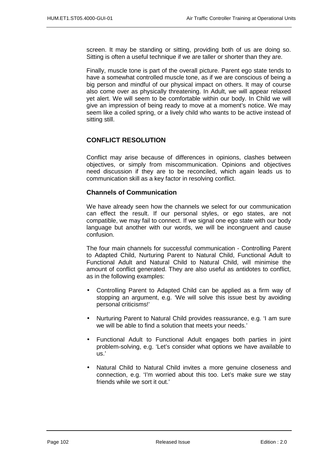screen. It may be standing or sitting, providing both of us are doing so. Sitting is often a useful technique if we are taller or shorter than they are.

Finally, muscle tone is part of the overall picture. Parent ego state tends to have a somewhat controlled muscle tone, as if we are conscious of being a big person and mindful of our physical impact on others. It may of course also come over as physically threatening. In Adult, we will appear relaxed yet alert. We will seem to be comfortable within our body. In Child we will give an impression of being ready to move at a moment's notice. We may seem like a coiled spring, or a lively child who wants to be active instead of sitting still.

# **CONFLICT RESOLUTION**

Conflict may arise because of differences in opinions, clashes between objectives, or simply from miscommunication. Opinions and objectives need discussion if they are to be reconciled, which again leads us to communication skill as a key factor in resolving conflict.

# **Channels of Communication**

We have already seen how the channels we select for our communication can effect the result. If our personal styles, or ego states, are not compatible, we may fail to connect. If we signal one ego state with our body language but another with our words, we will be incongruent and cause confusion.

The four main channels for successful communication - Controlling Parent to Adapted Child, Nurturing Parent to Natural Child, Functional Adult to Functional Adult and Natural Child to Natural Child, will minimise the amount of conflict generated. They are also useful as antidotes to conflict, as in the following examples:

- Controlling Parent to Adapted Child can be applied as a firm way of stopping an argument, e.g. 'We will solve this issue best by avoiding personal criticisms!'
- Nurturing Parent to Natural Child provides reassurance, e.g. 'I am sure we will be able to find a solution that meets your needs.'
- Functional Adult to Functional Adult engages both parties in joint problem-solving, e.g. 'Let's consider what options we have available to us.'
- Natural Child to Natural Child invites a more genuine closeness and connection, e.g. 'I'm worried about this too. Let's make sure we stay friends while we sort it out.'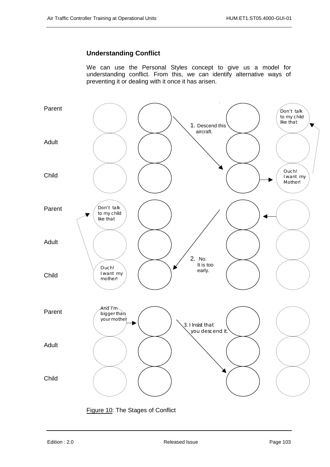# **Understanding Conflict**

We can use the Personal Styles concept to give us a model for understanding conflict. From this, we can identify alternative ways of preventing it or dealing with it once it has arisen.



Figure 10: The Stages of Conflict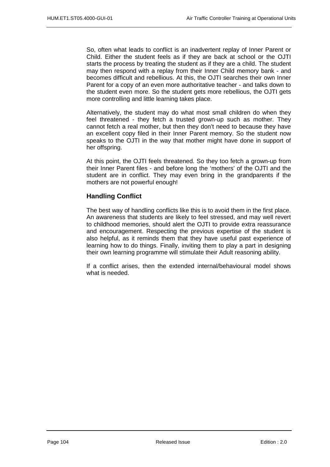So, often what leads to conflict is an inadvertent replay of Inner Parent or Child. Either the student feels as if they are back at school or the OJTI starts the process by treating the student as if they are a child. The student may then respond with a replay from their Inner Child memory bank - and becomes difficult and rebellious. At this, the OJTI searches their own Inner Parent for a copy of an even more authoritative teacher - and talks down to the student even more. So the student gets more rebellious, the OJTI gets more controlling and little learning takes place.

Alternatively, the student may do what most small children do when they feel threatened - they fetch a trusted grown-up such as mother. They cannot fetch a real mother, but then they don't need to because they have an excellent copy filed in their Inner Parent memory. So the student now speaks to the OJTI in the way that mother might have done in support of her offspring.

At this point, the OJTI feels threatened. So they too fetch a grown-up from their Inner Parent files - and before long the 'mothers' of the OJTI and the student are in conflict. They may even bring in the grandparents if the mothers are not powerful enough!

# **Handling Conflict**

The best way of handling conflicts like this is to avoid them in the first place. An awareness that students are likely to feel stressed, and may well revert to childhood memories, should alert the OJTI to provide extra reassurance and encouragement. Respecting the previous expertise of the student is also helpful, as it reminds them that they have useful past experience of learning how to do things. Finally, inviting them to play a part in designing their own learning programme will stimulate their Adult reasoning ability.

If a conflict arises, then the extended internal/behavioural model shows what is needed.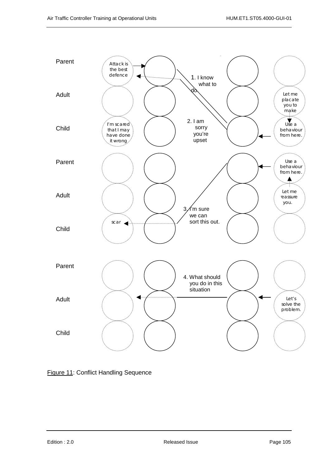

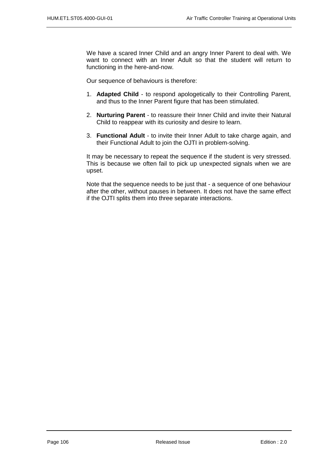We have a scared Inner Child and an angry Inner Parent to deal with. We want to connect with an Inner Adult so that the student will return to functioning in the here-and-now.

Our sequence of behaviours is therefore:

- 1. **Adapted Child** to respond apologetically to their Controlling Parent, and thus to the Inner Parent figure that has been stimulated.
- 2. **Nurturing Parent** to reassure their Inner Child and invite their Natural Child to reappear with its curiosity and desire to learn.
- 3. **Functional Adult** to invite their Inner Adult to take charge again, and their Functional Adult to join the OJTI in problem-solving.

It may be necessary to repeat the sequence if the student is very stressed. This is because we often fail to pick up unexpected signals when we are upset.

Note that the sequence needs to be just that - a sequence of one behaviour after the other, without pauses in between. It does not have the same effect if the OJTI splits them into three separate interactions.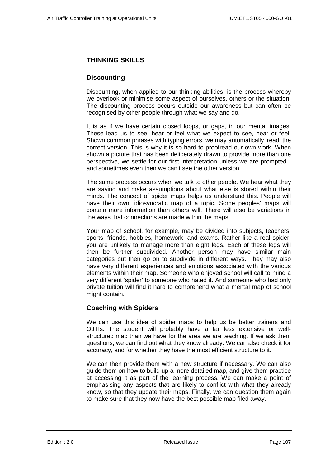### **THINKING SKILLS**

### **Discounting**

Discounting, when applied to our thinking abilities, is the process whereby we overlook or minimise some aspect of ourselves, others or the situation. The discounting process occurs outside our awareness but can often be recognised by other people through what we say and do.

It is as if we have certain closed loops, or gaps, in our mental images. These lead us to see, hear or feel what we expect to see, hear or feel. Shown common phrases with typing errors, we may automatically 'read' the correct version. This is why it is so hard to proofread our own work. When shown a picture that has been deliberately drawn to provide more than one perspective, we settle for our first interpretation unless we are prompted and sometimes even then we can't see the other version.

The same process occurs when we talk to other people. We hear what they are saying and make assumptions about what else is stored within their minds. The concept of spider maps helps us understand this. People will have their own, idiosyncratic map of a topic. Some peoples' maps will contain more information than others will. There will also be variations in the ways that connections are made within the maps.

Your map of school, for example, may be divided into subjects, teachers, sports, friends, hobbies, homework, and exams. Rather like a real spider, you are unlikely to manage more than eight legs. Each of these legs will then be further subdivided. Another person may have similar main categories but then go on to subdivide in different ways. They may also have very different experiences and emotions associated with the various elements within their map. Someone who enjoyed school will call to mind a very different 'spider' to someone who hated it. And someone who had only private tuition will find it hard to comprehend what a mental map of school might contain.

#### **Coaching with Spiders**

We can use this idea of spider maps to help us be better trainers and OJTIs. The student will probably have a far less extensive or wellstructured map than we have for the area we are teaching. If we ask them questions, we can find out what they know already. We can also check it for accuracy, and for whether they have the most efficient structure to it.

We can then provide them with a new structure if necessary. We can also guide them on how to build up a more detailed map, and give them practice at accessing it as part of the learning process. We can make a point of emphasising any aspects that are likely to conflict with what they already know, so that they update their maps. Finally, we can question them again to make sure that they now have the best possible map filed away.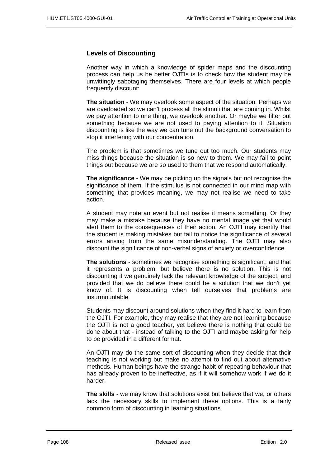## **Levels of Discounting**

Another way in which a knowledge of spider maps and the discounting process can help us be better OJTIs is to check how the student may be unwittingly sabotaging themselves. There are four levels at which people frequently discount:

**The situation** - We may overlook some aspect of the situation. Perhaps we are overloaded so we can't process all the stimuli that are coming in. Whilst we pay attention to one thing, we overlook another. Or maybe we filter out something because we are not used to paying attention to it. Situation discounting is like the way we can tune out the background conversation to stop it interfering with our concentration.

The problem is that sometimes we tune out too much. Our students may miss things because the situation is so new to them. We may fail to point things out because we are so used to them that we respond automatically.

**The significance** - We may be picking up the signals but not recognise the significance of them. If the stimulus is not connected in our mind map with something that provides meaning, we may not realise we need to take action.

A student may note an event but not realise it means something. Or they may make a mistake because they have no mental image yet that would alert them to the consequences of their action. An OJTI may identify that the student is making mistakes but fail to notice the significance of several errors arising from the same misunderstanding. The OJTI may also discount the significance of non-verbal signs of anxiety or overconfidence.

**The solutions** - sometimes we recognise something is significant, and that it represents a problem, but believe there is no solution. This is not discounting if we genuinely lack the relevant knowledge of the subject, and provided that we do believe there could be a solution that we don't yet know of. It is discounting when tell ourselves that problems are insurmountable.

Students may discount around solutions when they find it hard to learn from the OJTI. For example, they may realise that they are not learning because the OJTI is not a good teacher, yet believe there is nothing that could be done about that - instead of talking to the OJTI and maybe asking for help to be provided in a different format.

An OJTI may do the same sort of discounting when they decide that their teaching is not working but make no attempt to find out about alternative methods. Human beings have the strange habit of repeating behaviour that has already proven to be ineffective, as if it will somehow work if we do it harder.

**The skills** - we may know that solutions exist but believe that we, or others lack the necessary skills to implement these options. This is a fairly common form of discounting in learning situations.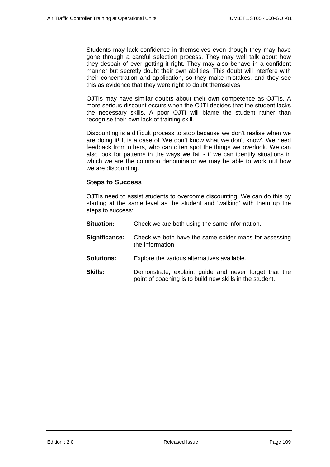Students may lack confidence in themselves even though they may have gone through a careful selection process. They may well talk about how they despair of ever getting it right. They may also behave in a confident manner but secretly doubt their own abilities. This doubt will interfere with their concentration and application, so they make mistakes, and they see this as evidence that they were right to doubt themselves!

OJTIs may have similar doubts about their own competence as OJTIs. A more serious discount occurs when the OJTI decides that the student lacks the necessary skills. A poor OJTI will blame the student rather than recognise their own lack of training skill.

Discounting is a difficult process to stop because we don't realise when we are doing it! It is a case of 'We don't know what we don't know'. We need feedback from others, who can often spot the things we overlook. We can also look for patterns in the ways we fail - if we can identify situations in which we are the common denominator we may be able to work out how we are discounting.

### **Steps to Success**

OJTIs need to assist students to overcome discounting. We can do this by starting at the same level as the student and 'walking' with them up the steps to success:

- **Situation:** Check we are both using the same information.
- **Significance:** Check we both have the same spider maps for assessing the information.
- **Solutions:** Explore the various alternatives available.
- **Skills:** Demonstrate, explain, quide and never forget that the point of coaching is to build new skills in the student.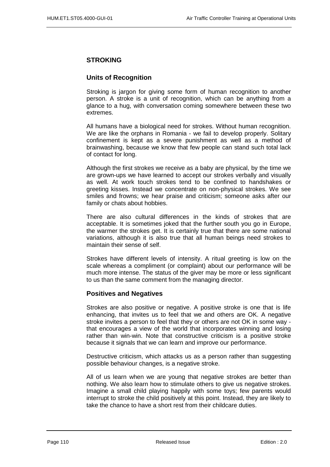# **STROKING**

# **Units of Recognition**

Stroking is jargon for giving some form of human recognition to another person. A stroke is a unit of recognition, which can be anything from a glance to a hug, with conversation coming somewhere between these two extremes.

All humans have a biological need for strokes. Without human recognition. We are like the orphans in Romania - we fail to develop properly. Solitary confinement is kept as a severe punishment as well as a method of brainwashing, because we know that few people can stand such total lack of contact for long.

Although the first strokes we receive as a baby are physical, by the time we are grown-ups we have learned to accept our strokes verbally and visually as well. At work touch strokes tend to be confined to handshakes or greeting kisses. Instead we concentrate on non-physical strokes. We see smiles and frowns; we hear praise and criticism; someone asks after our family or chats about hobbies.

There are also cultural differences in the kinds of strokes that are acceptable. It is sometimes joked that the further south you go in Europe, the warmer the strokes get. It is certainly true that there are some national variations, although it is also true that all human beings need strokes to maintain their sense of self.

Strokes have different levels of intensity. A ritual greeting is low on the scale whereas a compliment (or complaint) about our performance will be much more intense. The status of the giver may be more or less significant to us than the same comment from the managing director.

### **Positives and Negatives**

Strokes are also positive or negative. A positive stroke is one that is life enhancing, that invites us to feel that we and others are OK. A negative stroke invites a person to feel that they or others are not OK in some way that encourages a view of the world that incorporates winning and losing rather than win-win. Note that constructive criticism is a positive stroke because it signals that we can learn and improve our performance.

Destructive criticism, which attacks us as a person rather than suggesting possible behaviour changes, is a negative stroke.

All of us learn when we are young that negative strokes are better than nothing. We also learn how to stimulate others to give us negative strokes. Imagine a small child playing happily with some toys; few parents would interrupt to stroke the child positively at this point. Instead, they are likely to take the chance to have a short rest from their childcare duties.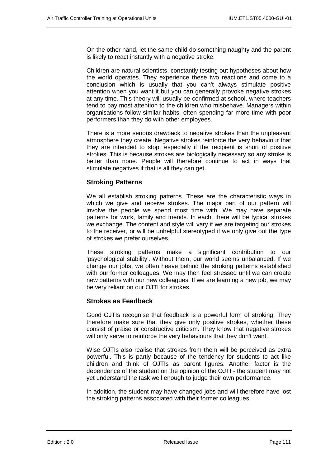On the other hand, let the same child do something naughty and the parent is likely to react instantly with a negative stroke.

Children are natural scientists, constantly testing out hypotheses about how the world operates. They experience these two reactions and come to a conclusion which is usually that you can't always stimulate positive attention when you want it but you can generally provoke negative strokes at any time. This theory will usually be confirmed at school, where teachers tend to pay most attention to the children who misbehave. Managers within organisations follow similar habits, often spending far more time with poor performers than they do with other employees.

There is a more serious drawback to negative strokes than the unpleasant atmosphere they create. Negative strokes reinforce the very behaviour that they are intended to stop, especially if the recipient is short of positive strokes. This is because strokes are biologically necessary so any stroke is better than none. People will therefore continue to act in ways that stimulate negatives if that is all they can get.

### **Stroking Patterns**

We all establish stroking patterns. These are the characteristic ways in which we give and receive strokes. The major part of our pattern will involve the people we spend most time with. We may have separate patterns for work, family and friends. In each, there will be typical strokes we exchange. The content and style will vary if we are targeting our strokes to the receiver, or will be unhelpful stereotyped if we only give out the type of strokes we prefer ourselves.

These stroking patterns make a significant contribution to our 'psychological stability'. Without them, our world seems unbalanced. If we change our jobs, we often heave behind the stroking patterns established with our former colleagues. We may then feel stressed until we can create new patterns with our new colleagues. If we are learning a new job, we may be very reliant on our OJTI for strokes.

### **Strokes as Feedback**

Good OJTIs recognise that feedback is a powerful form of stroking. They therefore make sure that they give only positive strokes, whether these consist of praise or constructive criticism. They know that negative strokes will only serve to reinforce the very behaviours that they don't want.

Wise OJTIs also realise that strokes from them will be perceived as extra powerful. This is partly because of the tendency for students to act like children and think of OJTIs as parent figures. Another factor is the dependence of the student on the opinion of the OJTI - the student may not yet understand the task well enough to judge their own performance.

In addition, the student may have changed jobs and will therefore have lost the stroking patterns associated with their former colleagues.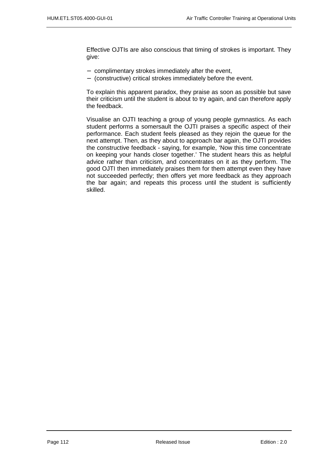Effective OJTIs are also conscious that timing of strokes is important. They give:

- − complimentary strokes immediately after the event,
- − (constructive) critical strokes immediately before the event.

To explain this apparent paradox, they praise as soon as possible but save their criticism until the student is about to try again, and can therefore apply the feedback.

Visualise an OJTI teaching a group of young people gymnastics. As each student performs a somersault the OJTI praises a specific aspect of their performance. Each student feels pleased as they rejoin the queue for the next attempt. Then, as they about to approach bar again, the OJTI provides the constructive feedback - saying, for example, 'Now this time concentrate on keeping your hands closer together.' The student hears this as helpful advice rather than criticism, and concentrates on it as they perform. The good OJTI then immediately praises them for them attempt even they have not succeeded perfectly; then offers yet more feedback as they approach the bar again; and repeats this process until the student is sufficiently skilled.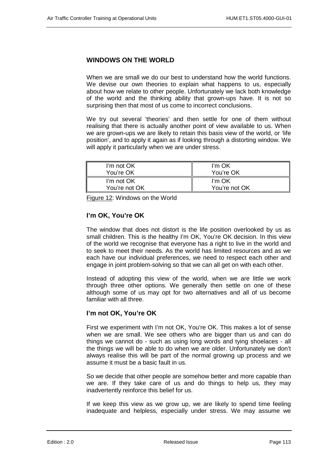# **WINDOWS ON THE WORLD**

When we are small we do our best to understand how the world functions. We devise our own theories to explain what happens to us, especially about how we relate to other people. Unfortunately we lack both knowledge of the world and the thinking ability that grown-ups have. It is not so surprising then that most of us come to incorrect conclusions.

We try out several 'theories' and then settle for one of them without realising that there is actually another point of view available to us. When we are grown-ups we are likely to retain this basis view of the world, or 'life position', and to apply it again as if looking through a distorting window. We will apply it particularly when we are under stress.

| I'm not OK    | I'm OK        |
|---------------|---------------|
| You're OK     | You're OK     |
| I'm not OK    | I'm OK        |
| You're not OK | You're not OK |

Figure 12: Windows on the World

### **I'm OK, You're OK**

The window that does not distort is the life position overlooked by us as small children. This is the healthy I'm OK, You're OK decision. In this view of the world we recognise that everyone has a right to live in the world and to seek to meet their needs. As the world has limited resources and as we each have our individual preferences, we need to respect each other and engage in joint problem-solving so that we can all get on with each other.

Instead of adopting this view of the world, when we are little we work through three other options. We generally then settle on one of these although some of us may opt for two alternatives and all of us become familiar with all three.

### **I'm not OK, You're OK**

First we experiment with I'm not OK, You're OK. This makes a lot of sense when we are small. We see others who are bigger than us and can do things we cannot do - such as using long words and tying shoelaces - all the things we will be able to do when we are older. Unfortunately we don't always realise this will be part of the normal growing up process and we assume it must be a basic fault in us.

So we decide that other people are somehow better and more capable than we are. If they take care of us and do things to help us, they may inadvertently reinforce this belief for us.

If we keep this view as we grow up, we are likely to spend time feeling inadequate and helpless, especially under stress. We may assume we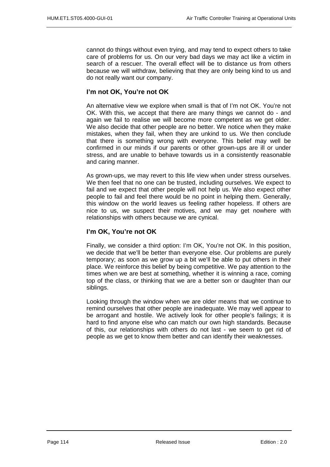cannot do things without even trying, and may tend to expect others to take care of problems for us. On our very bad days we may act like a victim in search of a rescuer. The overall effect will be to distance us from others because we will withdraw, believing that they are only being kind to us and do not really want our company.

# **I'm not OK, You're not OK**

An alternative view we explore when small is that of I'm not OK. You're not OK. With this, we accept that there are many things we cannot do - and again we fail to realise we will become more competent as we get older. We also decide that other people are no better. We notice when they make mistakes, when they fail, when they are unkind to us. We then conclude that there is something wrong with everyone. This belief may well be confirmed in our minds if our parents or other grown-ups are ill or under stress, and are unable to behave towards us in a consistently reasonable and caring manner.

As grown-ups, we may revert to this life view when under stress ourselves. We then feel that no one can be trusted, including ourselves. We expect to fail and we expect that other people will not help us. We also expect other people to fail and feel there would be no point in helping them. Generally, this window on the world leaves us feeling rather hopeless. If others are nice to us, we suspect their motives, and we may get nowhere with relationships with others because we are cynical.

# **I'm OK, You're not OK**

Finally, we consider a third option: I'm OK, You're not OK. In this position, we decide that we'll be better than everyone else. Our problems are purely temporary; as soon as we grow up a bit we'll be able to put others in their place. We reinforce this belief by being competitive. We pay attention to the times when we are best at something, whether it is winning a race, coming top of the class, or thinking that we are a better son or daughter than our siblings.

Looking through the window when we are older means that we continue to remind ourselves that other people are inadequate. We may well appear to be arrogant and hostile. We actively look for other people's failings; it is hard to find anyone else who can match our own high standards. Because of this, our relationships with others do not last - we seem to get rid of people as we get to know them better and can identify their weaknesses.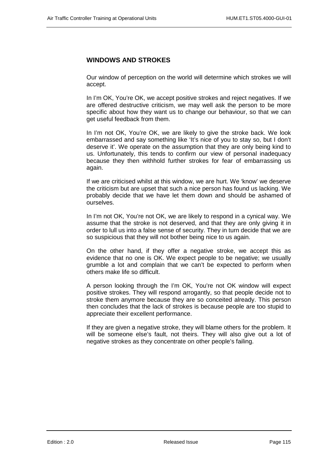### **WINDOWS AND STROKES**

Our window of perception on the world will determine which strokes we will accept.

In I'm OK, You're OK, we accept positive strokes and reject negatives. If we are offered destructive criticism, we may well ask the person to be more specific about how they want us to change our behaviour, so that we can get useful feedback from them.

In I'm not OK, You're OK, we are likely to give the stroke back. We look embarrassed and say something like 'It's nice of you to stay so, but I don't deserve it'. We operate on the assumption that they are only being kind to us. Unfortunately, this tends to confirm our view of personal inadequacy because they then withhold further strokes for fear of embarrassing us again.

If we are criticised whilst at this window, we are hurt. We 'know' we deserve the criticism but are upset that such a nice person has found us lacking. We probably decide that we have let them down and should be ashamed of ourselves.

In I'm not OK, You're not OK, we are likely to respond in a cynical way. We assume that the stroke is not deserved, and that they are only giving it in order to lull us into a false sense of security. They in turn decide that we are so suspicious that they will not bother being nice to us again.

On the other hand, if they offer a negative stroke, we accept this as evidence that no one is OK. We expect people to be negative; we usually grumble a lot and complain that we can't be expected to perform when others make life so difficult.

A person looking through the I'm OK, You're not OK window will expect positive strokes. They will respond arrogantly, so that people decide not to stroke them anymore because they are so conceited already. This person then concludes that the lack of strokes is because people are too stupid to appreciate their excellent performance.

If they are given a negative stroke, they will blame others for the problem. It will be someone else's fault, not theirs. They will also give out a lot of negative strokes as they concentrate on other people's failing.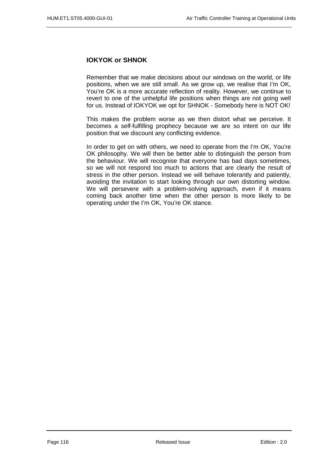# **IOKYOK or SHNOK**

Remember that we make decisions about our windows on the world, or life positions, when we are still small. As we grow up, we realise that I'm OK, You're OK is a more accurate reflection of reality. However, we continue to revert to one of the unhelpful life positions when things are not going well for us. Instead of IOKYOK we opt for SHNOK - Somebody here is NOT OK!

This makes the problem worse as we then distort what we perceive. It becomes a self-fulfilling prophecy because we are so intent on our life position that we discount any conflicting evidence.

In order to get on with others, we need to operate from the I'm OK, You're OK philosophy. We will then be better able to distinguish the person from the behaviour. We will recognise that everyone has bad days sometimes, so we will not respond too much to actions that are clearly the result of stress in the other person. Instead we will behave tolerantly and patiently, avoiding the invitation to start looking through our own distorting window. We will persevere with a problem-solving approach, even if it means coming back another time when the other person is more likely to be operating under the I'm OK, You're OK stance.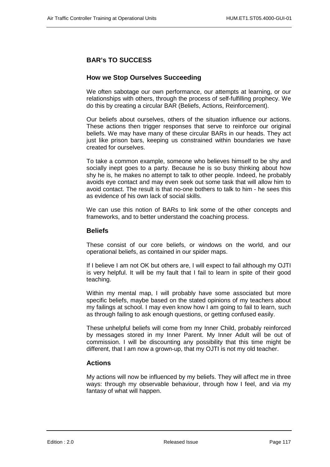# **BAR's TO SUCCESS**

### **How we Stop Ourselves Succeeding**

We often sabotage our own performance, our attempts at learning, or our relationships with others, through the process of self-fulfilling prophecy. We do this by creating a circular BAR (Beliefs, Actions, Reinforcement).

Our beliefs about ourselves, others of the situation influence our actions. These actions then trigger responses that serve to reinforce our original beliefs. We may have many of these circular BARs in our heads. They act just like prison bars, keeping us constrained within boundaries we have created for ourselves.

To take a common example, someone who believes himself to be shy and socially inept goes to a party. Because he is so busy thinking about how shy he is, he makes no attempt to talk to other people. Indeed, he probably avoids eye contact and may even seek out some task that will allow him to avoid contact. The result is that no-one bothers to talk to him - he sees this as evidence of his own lack of social skills.

We can use this notion of BARs to link some of the other concepts and frameworks, and to better understand the coaching process.

#### **Beliefs**

These consist of our core beliefs, or windows on the world, and our operational beliefs, as contained in our spider maps.

If I believe I am not OK but others are, I will expect to fail although my OJTI is very helpful. It will be my fault that I fail to learn in spite of their good teaching.

Within my mental map, I will probably have some associated but more specific beliefs, maybe based on the stated opinions of my teachers about my failings at school. I may even know how I am going to fail to learn, such as through failing to ask enough questions, or getting confused easily.

These unhelpful beliefs will come from my Inner Child, probably reinforced by messages stored in my Inner Parent. My Inner Adult will be out of commission. I will be discounting any possibility that this time might be different, that I am now a grown-up, that my OJTI is not my old teacher.

### **Actions**

My actions will now be influenced by my beliefs. They will affect me in three ways: through my observable behaviour, through how I feel, and via my fantasy of what will happen.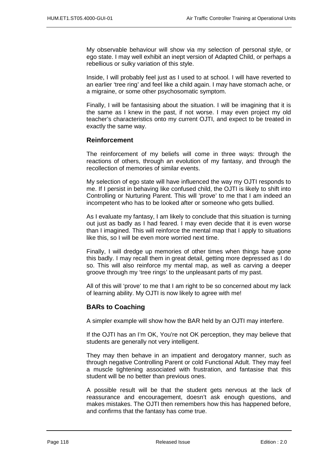My observable behaviour will show via my selection of personal style, or ego state. I may well exhibit an inept version of Adapted Child, or perhaps a rebellious or sulky variation of this style.

Inside, I will probably feel just as I used to at school. I will have reverted to an earlier 'tree ring' and feel like a child again. I may have stomach ache, or a migraine, or some other psychosomatic symptom.

Finally, I will be fantasising about the situation. I will be imagining that it is the same as I knew in the past, if not worse. I may even project my old teacher's characteristics onto my current OJTI, and expect to be treated in exactly the same way.

### **Reinforcement**

The reinforcement of my beliefs will come in three ways: through the reactions of others, through an evolution of my fantasy, and through the recollection of memories of similar events.

My selection of ego state will have influenced the way my OJTI responds to me. If I persist in behaving like confused child, the OJTI is likely to shift into Controlling or Nurturing Parent. This will 'prove' to me that I am indeed an incompetent who has to be looked after or someone who gets bullied.

As I evaluate my fantasy, I am likely to conclude that this situation is turning out just as badly as I had feared. I may even decide that it is even worse than I imagined. This will reinforce the mental map that I apply to situations like this, so I will be even more worried next time.

Finally, I will dredge up memories of other times when things have gone this badly. I may recall them in great detail, getting more depressed as I do so. This will also reinforce my mental map, as well as carving a deeper groove through my 'tree rings' to the unpleasant parts of my past.

All of this will 'prove' to me that I am right to be so concerned about my lack of learning ability. My OJTI is now likely to agree with me!

### **BARs to Coaching**

A simpler example will show how the BAR held by an OJTI may interfere.

If the OJTI has an I'm OK, You're not OK perception, they may believe that students are generally not very intelligent.

They may then behave in an impatient and derogatory manner, such as through negative Controlling Parent or cold Functional Adult. They may feel a muscle tightening associated with frustration, and fantasise that this student will be no better than previous ones.

A possible result will be that the student gets nervous at the lack of reassurance and encouragement, doesn't ask enough questions, and makes mistakes. The OJTI then remembers how this has happened before, and confirms that the fantasy has come true.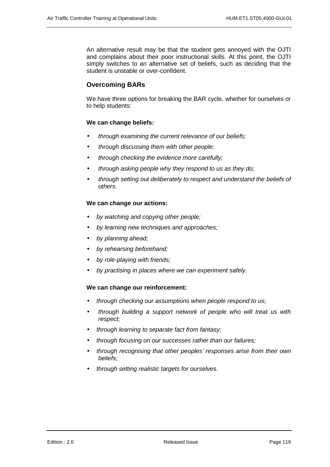An alternative result may be that the student gets annoyed with the OJTI and complains about their poor instructional skills. At this point, the OJTI simply switches to an alternative set of beliefs, such as deciding that the student is unstable or over-confident.

# **Overcoming BARs**

We have three options for breaking the BAR cycle, whether for ourselves or to help students:

#### **We can change beliefs:**

- *through examining the current relevance of our beliefs;*
- *through discussing them with other people;*
- *through checking the evidence more carefully;*
- *through asking people why they respond to us as they do;*
- *through setting out deliberately to respect and understand the beliefs of others.*

#### **We can change our actions:**

- *by watching and copying other people;*
- *by learning new techniques and approaches;*
- *by planning ahead;*
- *by rehearsing beforehand;*
- *by role-playing with friends;*
- *by practising in places where we can experiment safely.*

#### **We can change our reinforcement:**

- *through checking our assumptions when people respond to us;*
- *through building a support network of people who will treat us with respect;*
- *through learning to separate fact from fantasy;*
- *through focusing on our successes rather than our failures;*
- *through recognising that other peoples' responses arise from their own beliefs;*
- *through setting realistic targets for ourselves.*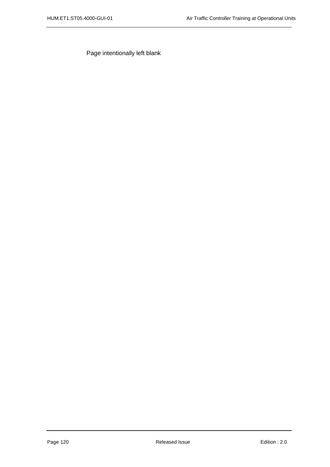Page intentionally left blank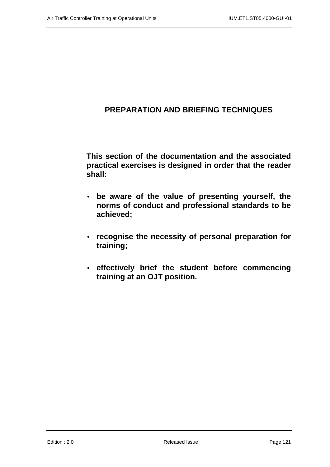# **PREPARATION AND BRIEFING TECHNIQUES**

**This section of the documentation and the associated practical exercises is designed in order that the reader shall:**

- **be aware of the value of presenting yourself, the norms of conduct and professional standards to be achieved;**
- **recognise the necessity of personal preparation for training;**
- **effectively brief the student before commencing training at an OJT position.**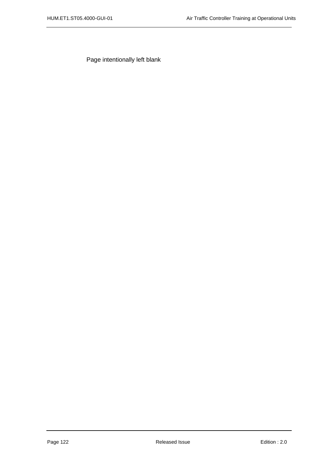Page intentionally left blank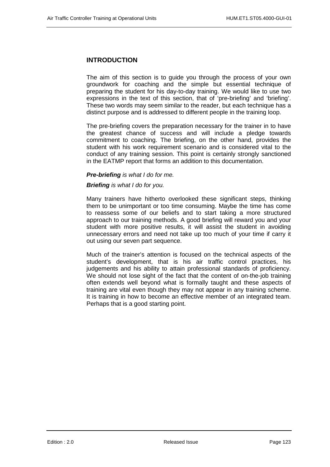#### **INTRODUCTION**

The aim of this section is to guide you through the process of your own groundwork for coaching and the simple but essential technique of preparing the student for his day-to-day training. We would like to use two expressions in the text of this section, that of 'pre-briefing' and 'briefing'. These two words may seem similar to the reader, but each technique has a distinct purpose and is addressed to different people in the training loop.

The pre-briefing covers the preparation necessary for the trainer in to have the greatest chance of success and will include a pledge towards commitment to coaching. The briefing, on the other hand, provides the student with his work requirement scenario and is considered vital to the conduct of any training session. This point is certainly strongly sanctioned in the EATMP report that forms an addition to this documentation.

#### *Pre-briefing is what I do for me.*

#### *Briefing is what I do for you.*

Many trainers have hitherto overlooked these significant steps, thinking them to be unimportant or too time consuming. Maybe the time has come to reassess some of our beliefs and to start taking a more structured approach to our training methods. A good briefing will reward you and your student with more positive results, it will assist the student in avoiding unnecessary errors and need not take up too much of your time if carry it out using our seven part sequence.

Much of the trainer's attention is focused on the technical aspects of the student's development, that is his air traffic control practices, his judgements and his ability to attain professional standards of proficiency. We should not lose sight of the fact that the content of on-the-job training often extends well beyond what is formally taught and these aspects of training are vital even though they may not appear in any training scheme. It is training in how to become an effective member of an integrated team. Perhaps that is a good starting point.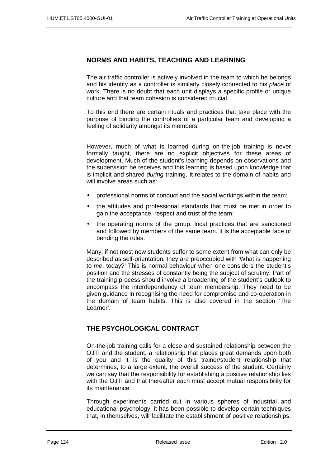### **NORMS AND HABITS, TEACHING AND LEARNING**

The air traffic controller is actively involved in the team to which he belongs and his identity as a controller is similarly closely connected to his *place* of work. There is no doubt that each unit displays a specific profile or unique culture and that team cohesion is considered crucial.

To this end there are certain rituals and practices that take place with the purpose of binding the controllers of a particular team and developing a feeling of solidarity amongst its members.

However, much of what is learned during on-the-job training is never formally taught, there are no explicit objectives for these areas of development. Much of the student's learning depends on observations and the supervision he receives and this learning is based upon knowledge that is implicit and shared *during* training. It relates to the domain of habits and will involve areas such as:

- professional norms of conduct and the social workings within the team;
- the attitudes and professional standards that must be met in order to gain the acceptance, respect and trust of the team;
- the operating norms of the group, local practices that are sanctioned and followed by members of the same team. It is the acceptable face of bending the rules.

Many, if not most new students suffer to some extent from what can only be described as self-orientation, they are preoccupied with 'What is happening to *me*, today?' This is normal behaviour when one considers the student's position and the stresses of constantly being the subject of scrutiny. Part of the training process should involve a broadening of the student's outlook to encompass the interdependency of team membership. They need to be given guidance in recognising the need for compromise and co-operation in the domain of team habits. This is also covered in the section 'The Learner'.

# **THE PSYCHOLOGICAL CONTRACT**

On-the-job training calls for a close and sustained relationship between the OJTI and the student, a relationship that places great demands upon both of you and it is the quality of this trainer/student relationship that determines, to a large extent, the overall success of the student. Certainly we can say that the responsibility for establishing a positive relationship lies with the OJTI and that thereafter each must accept mutual responsibility for its maintenance.

Through experiments carried out in various spheres of industrial and educational psychology, it has been possible to develop certain techniques that, in themselves, will facilitate the establishment of positive relationships.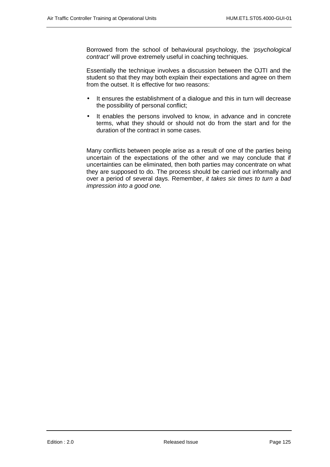Borrowed from the school of behavioural psychology, the *'psychological contract'* will prove extremely useful in coaching techniques.

Essentially the technique involves a discussion between the OJTI and the student so that they may both explain their expectations and agree on them from the outset. It is effective for two reasons:

- It ensures the establishment of a dialogue and this in turn will decrease the possibility of personal conflict;
- It enables the persons involved to know, in advance and in concrete terms, what they should or should not do from the start and for the duration of the contract in some cases.

Many conflicts between people arise as a result of one of the parties being uncertain of the expectations of the other and we may conclude that if uncertainties can be eliminated, then both parties may concentrate on what they are supposed to do. The process should be carried out informally and over a period of several days. Remember, *it takes six times to turn a bad impression into a good one.*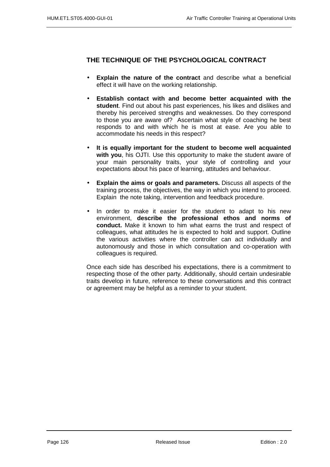# **THE TECHNIQUE OF THE PSYCHOLOGICAL CONTRACT**

- **Explain the nature of the contract** and describe what a beneficial effect it will have on the working relationship.
- **Establish contact with and become better acquainted with the student**. Find out about his past experiences, his likes and dislikes and thereby his perceived strengths and weaknesses. Do they correspond to those you are aware of? Ascertain what style of coaching he best responds to and with which he is most at ease. Are you able to accommodate his needs in this respect?
- **It is equally important for the student to become well acquainted with you**, his OJTI. Use this opportunity to make the student aware of your main personality traits, your style of controlling and your expectations about his pace of learning, attitudes and behaviour.
- **Explain the aims or goals and parameters.** Discuss all aspects of the training process, the objectives, the way in which you intend to proceed. Explain the note taking, intervention and feedback procedure.
- In order to make it easier for the student to adapt to his new environment, **describe the professional ethos and norms of conduct.** Make it known to him what earns the trust and respect of colleagues, what attitudes he is expected to hold and support. Outline the various activities where the controller can act individually and autonomously and those in which consultation and co-operation with colleagues is required.

Once each side has described his expectations, there is a commitment to respecting those of the other party. Additionally, should certain undesirable traits develop in future, reference to these conversations and this contract or agreement may be helpful as a reminder to your student.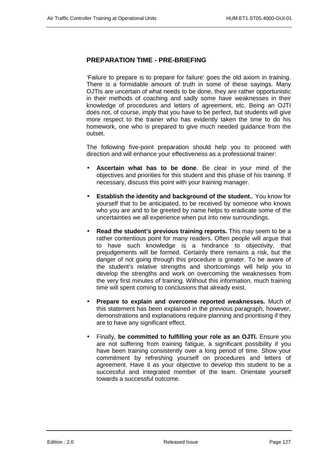# **PREPARATION TIME - PRE-BRIEFING**

'Failure to prepare is to prepare for failure' goes the old axiom in training. There is a formidable amount of truth in some of these sayings. Many OJTIs are uncertain of what needs to be done, they are rather opportunistic in their methods of coaching and sadly some have weaknesses in their knowledge of procedures and letters of agreement, etc. Being an OJTI does not, of course, imply that you have to be perfect, but students will give more respect to the trainer who has evidently taken the time to do his homework, one who is prepared to give much needed guidance from the outset.

The following five-point preparation should help you to proceed with direction and will enhance your effectiveness as a professional trainer:

- **Ascertain what has to be done**. Be clear in your mind of the objectives and priorities for this student and this phase of his training. If necessary, discuss this point with your training manager.
- **Establish the identity and background of the student.**. You know for yourself that to be anticipated, to be received by someone who knows who you are and to be greeted by name helps to eradicate some of the uncertainties we all experience when put into new surroundings.
- **Read the student's previous training reports.** This may seem to be a rather contentious point for many readers. Often people will argue that to have such knowledge is a hindrance to objectivity, that prejudgements will be formed. Certainly there remains a risk, but the danger of not going through this procedure is greater. To be aware of the student's relative strengths and shortcomings will help you to develop the strengths and work on overcoming the weaknesses from the very first minutes of training. Without this information, much training time will spent coming to conclusions that already exist.
- **Prepare to explain and overcome reported weaknesses***.* Much of this statement has been explained in the previous paragraph, however, demonstrations and explanations require planning and prioritising if they are to have any significant effect.
- Finally, **be committed to fulfilling your role as an OJTI.** Ensure you are not suffering from training fatigue, a significant possibility if you have been training consistently over a long period of time. Show your commitment by refreshing yourself on procedures and letters of agreement. Have it as your objective to develop this student to be a successful and integrated member of the team. Orientate yourself towards a successful outcome.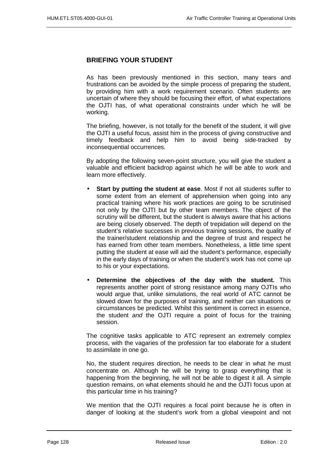### **BRIEFING YOUR STUDENT**

As has been previously mentioned in this section, many tears and frustrations can be avoided by the simple process of preparing the student, by providing him with a work requirement scenario. Often students are uncertain of where they should be focusing their effort, of what expectations the OJTI has, of what operational constraints under which he will be working.

The briefing, however, is not totally for the benefit of the student, it will give the OJTI a useful focus, assist him in the process of giving constructive and timely feedback and help him to avoid being side-tracked by inconsequential occurrences.

By adopting the following seven-point structure, you will give the student a valuable and efficient backdrop against which he will be able to work and learn more effectively.

- **Start by putting the student at ease**. Most if not all students suffer to some extent from an element of apprehension when going into any practical training where his work practices are going to be scrutinised not only by the OJTI but by other team members. The object of the scrutiny will be different, but the student is always aware that his actions are being closely observed. The depth of trepidation will depend on the student's relative successes in previous training sessions, the quality of the trainer/student relationship and the degree of trust and respect he has earned from other team members. Nonetheless, a little time spent putting the student at ease will aid the student's performance, especially in the early days of training or when the student's work has not come up to his or your expectations.
- **Determine the objectives of the day with the student.** This represents another point of strong resistance among many OJTIs who would argue that, unlike simulations, the real world of ATC cannot be slowed down for the purposes of training, and neither can situations or circumstances be predicted. Whilst this sentiment is correct in essence, the student *and* the OJTI require a point of focus for the training session.

The cognitive tasks applicable to ATC represent an extremely complex process, with the vagaries of the profession far too elaborate for a student to assimilate in one go.

No, the student requires direction, he needs to be clear in what he must concentrate on. Although he will be trying to grasp everything that is happening from the beginning, he will not be able to digest it all. A simple question remains, on what elements should he and the OJTI focus upon at this particular time in his training?

We mention that the OJTI requires a focal point because he is often in danger of looking at the student's work from a global viewpoint and not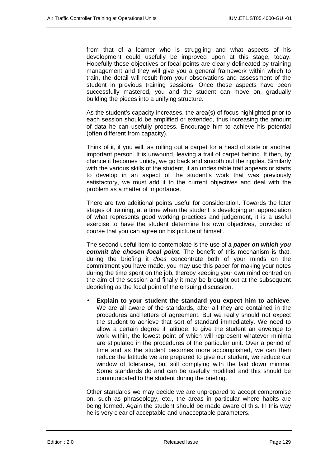from that of a learner who is struggling and what aspects of his development could usefully be improved upon at this stage, today. Hopefully these objectives or focal points are clearly delineated by training management and they will give you a general framework within which to train, the detail will result from your observations and assessment of the student in previous training sessions. Once these aspects have been successfully mastered, you and the student can move on, gradually building the pieces into a unifying structure.

As the student's capacity increases, the area(s) of focus highlighted prior to each session should be amplified or extended, thus increasing the amount of data he can usefully process. Encourage him to achieve his potential (often different from capacity).

Think of it, if you will, as rolling out a carpet for a head of state or another important person. It is unwound, leaving a trail of carpet behind. If then, by chance it becomes untidy, we go back and smooth out the ripples. Similarly with the various skills of the student, if an undesirable trait appears or starts to develop in an aspect of the student's work that was previously satisfactory, we must add it to the current objectives and deal with the problem as a matter of importance.

There are two additional points useful for consideration. Towards the later stages of training, at a time when the student is developing an appreciation of what represents good working practices and judgement, it is a useful exercise to have the student determine his own objectives, provided of course that you can agree on his picture of himself.

The second useful item to contemplate is the use of *a paper on which you commit the chosen focal point*. The benefit of this mechanism is that, during the briefing it *does* concentrate both of your minds on the commitment you have made, you may use this paper for making your notes during the time spent on the job, thereby keeping your own mind centred on the aim of the session and finally it may be brought out at the subsequent debriefing as the focal point of the ensuing discussion.

• **Explain to your student the standard you expect him to achieve**. We are all aware of the standards, after all they are contained in the procedures and letters of agreement. But we really should not expect the student to achieve that sort of standard immediately. We need to allow a certain degree if latitude, to give the student an envelope to work within, the lowest point of which will represent whatever minima are stipulated in the procedures of the particular unit. Over a period of time and as the student becomes more accomplished, we can then reduce the latitude we are prepared to give our student, we reduce our window of tolerance, but still complying with the laid down minima. Some standards do and can be usefully modified and this should be communicated to the student during the briefing.

Other standards we may decide we are unprepared to accept compromise on, such as phraseology, etc., the areas in particular where habits are being formed. Again the student should be made aware of this. In this way he is very clear of acceptable and unacceptable parameters.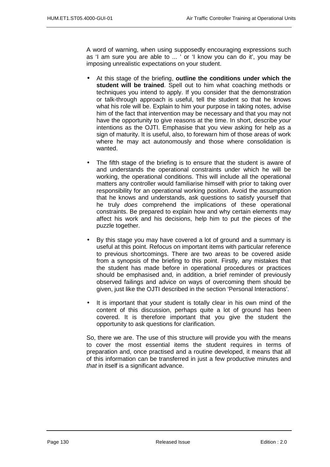A word of warning, when using supposedly encouraging expressions such as 'I am sure you are able to ... ' or 'I know you can do it', you may be imposing unrealistic expectations on your student.

- At this stage of the briefing, **outline the conditions under which the student will be trained**. Spell out to him what coaching methods or techniques you intend to apply. If you consider that the demonstration or talk-through approach is useful, tell the student so that he knows what his role will be. Explain to him your purpose in taking notes, advise him of the fact that intervention may be necessary and that you may not have the opportunity to give reasons at the time. In short, describe *your* intentions as the OJTI. Emphasise that you view asking for help as a sign of maturity. It is useful, also, to forewarn him of those areas of work where he may act autonomously and those where consolidation is wanted.
- The fifth stage of the briefing is to ensure that the student is aware of and understands the operational constraints under which he will be working, the operational conditions. This will include all the operational matters any controller would familiarise himself with prior to taking over responsibility for an operational working position. Avoid the assumption that he knows and understands, ask questions to satisfy yourself that he truly *does* comprehend the implications of these operational constraints. Be prepared to explain how and why certain elements may affect his work and his decisions, help him to put the pieces of the puzzle together.
- By this stage you may have covered a lot of ground and a summary is useful at this point. Refocus on important items with particular reference to previous shortcomings. There are two areas to be covered aside from a synopsis of the briefing to this point. Firstly, any mistakes that the student has made before in operational procedures or practices should be emphasised and, in addition, a brief reminder of previously observed failings and advice on ways of overcoming them should be given, just like the OJTI described in the section 'Personal Interactions'.
- It is important that your student is totally clear in his own mind of the content of this discussion, perhaps quite a lot of ground has been covered. It is therefore important that you give the student the opportunity to ask questions for clarification.

So, there we are. The use of this structure will provide you with the means to cover the most essential items the student requires in terms of preparation and, once practised and a routine developed, it means that all of this information can be transferred in just a few productive minutes and *that* in itself is a significant advance.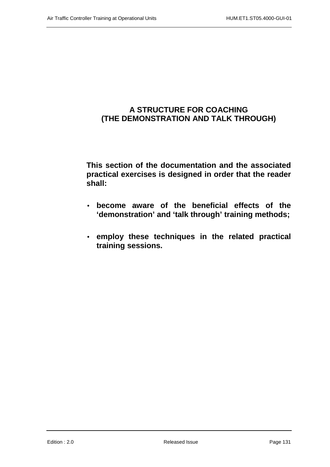# **A STRUCTURE FOR COACHING (THE DEMONSTRATION AND TALK THROUGH)**

**This section of the documentation and the associated practical exercises is designed in order that the reader shall:**

- **become aware of the beneficial effects of the 'demonstration' and 'talk through' training methods;**
- **employ these techniques in the related practical training sessions.**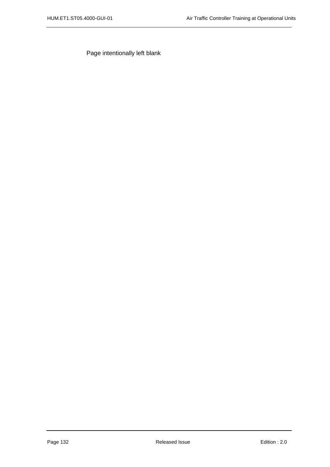Page intentionally left blank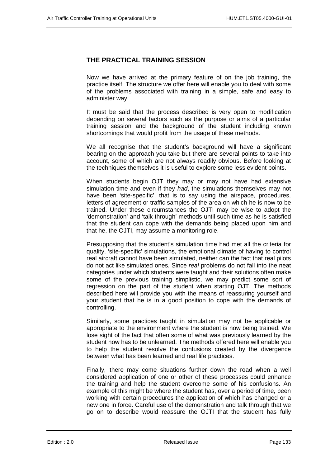# **THE PRACTICAL TRAINING SESSION**

Now we have arrived at the primary feature of on the job training, the practice itself. The structure we offer here will enable you to deal with some of the problems associated with training in a simple, safe and easy to administer way.

It must be said that the process described is very open to modification depending on several factors such as the purpose or aims of a particular training session and the background of the student including known shortcomings that would profit from the usage of these methods.

We all recognise that the student's background will have a significant bearing on the approach you take but there are several points to take into account, some of which are not always readily obvious. Before looking at the techniques themselves it is useful to explore some less evident points.

When students begin OJT they may or may not have had extensive simulation time and even if they *had*, the simulations themselves may not have been 'site-specific', that is to say using the airspace, procedures, letters of agreement or traffic samples of the area on which he is now to be trained. Under these circumstances the OJTI may be wise to adopt the 'demonstration' and 'talk through' methods until such time as he is satisfied that the student can cope with the demands being placed upon him and that he, the OJTI, may assume a monitoring role.

Presupposing that the student's simulation time had met all the criteria for quality, 'site-specific' simulations, the emotional climate of having to control real aircraft cannot have been simulated, neither can the fact that real pilots do not act like simulated ones. Since *real* problems do not fall into the neat categories under which students were taught and their solutions often make some of the previous training simplistic, we may predict some sort of regression on the part of the student when starting OJT. The methods described here will provide you with the means of reassuring yourself and your student that he is in a good position to cope with the demands of controlling.

Similarly, some practices taught in simulation may not be applicable or appropriate to the environment where the student is now being trained. We lose sight of the fact that often some of what was previously learned by the student now has to be unlearned. The methods offered here will enable you to help the student resolve the confusions created by the divergence between what has been learned and real life practices.

Finally, there may come situations further down the road when a well considered application of one or other of these processes could enhance the training and help the student overcome some of his confusions. An example of this might be where the student has, over a period of time, been working with certain procedures the application of which has changed or a new one in force. Careful use of the demonstration and talk through that we go on to describe would reassure the OJTI that the student has fully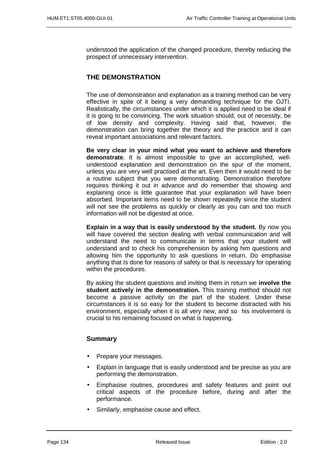understood the application of the changed procedure, thereby reducing the prospect of unnecessary intervention.

# **THE DEMONSTRATION**

The use of demonstration and explanation as a training method can be very effective in spite of it being a very demanding technique for the OJTI. Realistically, the circumstances under which it is applied need to be ideal if it is going to be convincing. The work situation should, out of necessity, be of low density and complexity. Having said that, however, the demonstration can bring together the theory and the practice and it can reveal important associations and relevant factors.

**Be very clear in your mind what you want to achieve and therefore demonstrate**. It is almost impossible to give an accomplished, wellunderstood explanation and demonstration on the spur of the moment, unless you are very well practised at the art. Even then it would need to be a routine subject that you were demonstrating. Demonstration therefore requires thinking it out in advance and *do* remember that showing and explaining once is little guarantee that your explanation will have been absorbed. Important items need to be shown repeatedly since the student will not see the problems as quickly or clearly as you can and too much information will not be digested at once.

**Explain in a way that is easily understood by the student.** By now you will have covered the section dealing with verbal communication and will understand the need to communicate in terms that your student will understand and to check his comprehension by asking him questions and allowing him the opportunity to ask questions in return. Do emphasise anything that Is done for reasons of safety or that is necessary for operating within the procedures.

By asking the student questions and inviting them in return we **involve the student actively in the demonstration.** This training method should not become a passive activity on the part of the student. Under these circumstances it is so easy for the student to become distracted with his environment, especially when it is all very new, and so his involvement is crucial to his remaining focused on what is happening.

### **Summary**

- Prepare your messages.
- Explain in language that is easily understood and be precise as you are performing the demonstration.
- Emphasise routines, procedures and safety features and point out critical aspects of the procedure before, during and after the performance.
- Similarly, emphasise cause and effect.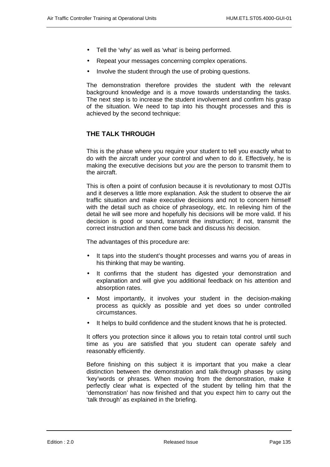- Tell the 'why' as well as 'what' is being performed.
- Repeat your messages concerning complex operations.
- Involve the student through the use of probing questions.

The demonstration therefore provides the student with the relevant background knowledge and is a move towards understanding the tasks. The next step is to increase the student involvement and confirm his grasp of the situation. We need to tap into his thought processes and this is achieved by the second technique:

# **THE TALK THROUGH**

This is the phase where you require your student to tell you exactly what to do with the aircraft under your control and when to do it. Effectively, he is making the executive decisions but *you* are the person to transmit them to the aircraft.

This is often a point of confusion because it is revolutionary to most OJTIs and it deserves a little more explanation. Ask the student to observe the air traffic situation and make executive decisions and not to concern himself with the detail such as choice of phraseology, etc. In relieving him of the detail he will see more and hopefully his decisions will be more valid. If his decision is good or sound, transmit the instruction; if not, transmit the correct instruction and then come back and discuss *his* decision.

The advantages of this procedure are:

- It taps into the student's thought processes and warns you of areas in his thinking that may be wanting.
- It confirms that the student has digested your demonstration and explanation and will give you additional feedback on his attention and absorption rates.
- Most importantly, it involves your student in the decision-making process as quickly as possible and yet does so under controlled circumstances.
- It helps to build confidence and the student knows that he is protected.

It offers you protection since it allows you to retain total control until such time as you are satisfied that you student can operate safely and reasonably efficiently.

Before finishing on this subject it is important that you make a clear distinction between the demonstration and talk-through phases by using 'key'words or phrases. When moving from the demonstration, make it perfectly clear what is expected of the student by telling him that the 'demonstration' has now finished and that you expect him to carry out the 'talk through' as explained in the briefing.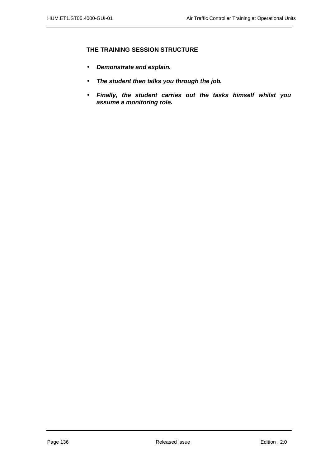### **THE TRAINING SESSION STRUCTURE**

- *Demonstrate and explain.*
- *The student then talks you through the job.*
- *Finally, the student carries out the tasks himself whilst you assume a monitoring role.*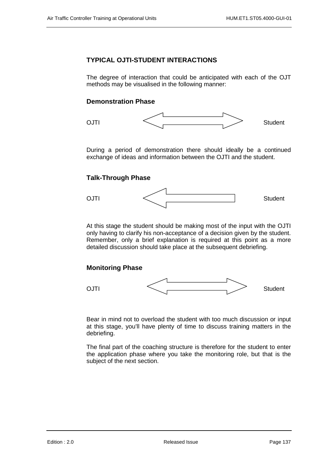# **TYPICAL OJTI-STUDENT INTERACTIONS**

The degree of interaction that could be anticipated with each of the OJT methods may be visualised in the following manner:

### **Demonstration Phase**



During a period of demonstration there should ideally be a continued exchange of ideas and information between the OJTI and the student.

# **Talk-Through Phase**



At this stage the student should be making most of the input with the OJTI only having to clarify his non-acceptance of a decision given by the student. Remember, only a brief explanation is required at this point as a more detailed discussion should take place at the subsequent debriefing.

# **Monitoring Phase**



Bear in mind not to overload the student with too much discussion or input at this stage, you'll have plenty of time to discuss training matters in the debriefing.

The final part of the coaching structure is therefore for the student to enter the application phase where you take the monitoring role, but that is the subject of the next section.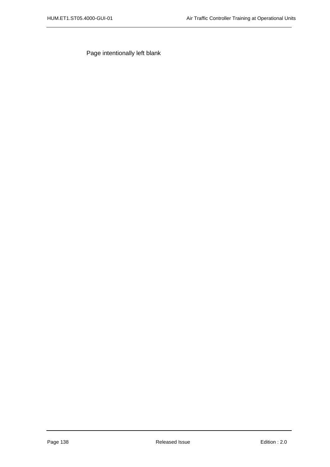Page intentionally left blank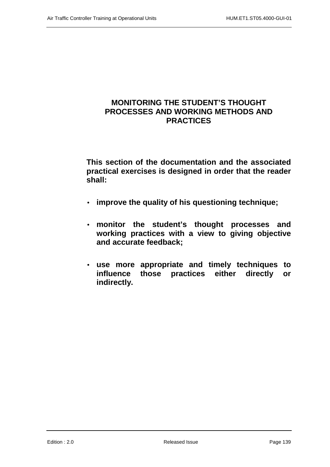# **MONITORING THE STUDENT'S THOUGHT PROCESSES AND WORKING METHODS AND PRACTICES**

**This section of the documentation and the associated practical exercises is designed in order that the reader shall:**

- **improve the quality of his questioning technique;**
- **monitor the student's thought processes and working practices with a view to giving objective and accurate feedback;**
- **use more appropriate and timely techniques to influence those practices either directly or indirectly.**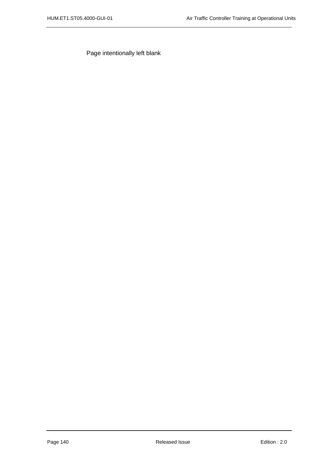Page intentionally left blank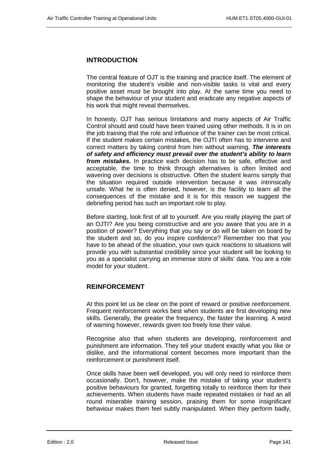# **INTRODUCTION**

The central feature of OJT is the training and practice itself. The element of monitoring the student's visible and non-visible tasks is vital and every positive asset must be brought into play. At the same time you need to shape the behaviour of your student and eradicate any negative aspects of his work that might reveal themselves.

In honesty, OJT has serious limitations and many aspects of Air Traffic Control should and could have been trained using other methods. It is in on the job training that the role and influence of the trainer can be most critical. If the student makes certain mistakes, the OJTI often has to intervene and correct matters by taking control from him without warning. *The interests of safety and efficiency must prevail over the student's ability to learn from mistakes.* In practice each decision has to be safe, effective and acceptable, the time to think through alternatives is often limited and wavering over decisions is obstructive. Often the student learns simply that the situation required outside intervention because it was intrinsically unsafe. What he is often denied, however, is the facility to learn all the consequences of the mistake and it is for this reason we suggest the debriefing period has such an important role to play.

Before starting, look first of all to yourself. Are you really playing the part of an OJTI? Are you being constructive and are you aware that you are in a position of power? Everything that you say or do will be taken on board by the student and so, do you inspire confidence? Remember too that you have to be ahead of the situation, your own quick reactions to situations will provide you with substantial credibility since your student will be looking to you as a specialist carrying an immense store of skills' data. You are a role model for your student.

# **REINFORCEMENT**

At this point let us be clear on the point of reward or positive reinforcement. Frequent reinforcement works best when students are first developing new skills. Generally, the greater the frequency, the faster the learning. A word of warning however, rewards given too freely lose their value.

Recognise also that when students are developing, reinforcement and punishment are information. They tell your student exactly what you like or dislike, and the informational content becomes more important than the reinforcement or punishment itself.

Once skills have been well developed, you will only need to reinforce them occasionally. Don't, however, make the mistake of taking your student's positive behaviours for granted, forgetting totally to reinforce them for their achievements. When students have made repeated mistakes or had an all round miserable training session, praising them for some insignificant behaviour makes them feel subtly manipulated. When they perform badly,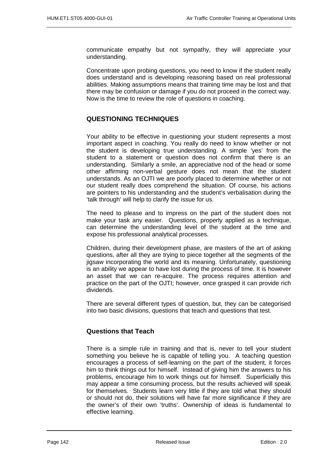communicate empathy but not sympathy, they will appreciate your understanding.

Concentrate upon probing questions, you need to know if the student really does understand and is developing reasoning based on real professional abilities. Making assumptions means that training time may be lost and that there may be confusion or damage if you do not proceed in the correct way. Now is the time to review the role of questions in coaching.

# **QUESTIONING TECHNIQUES**

Your ability to be effective in questioning your student represents a most important aspect in coaching. You really do need to know whether or not the student is developing true understanding. A simple 'yes' from the student to a statement or question does not confirm that there is an understanding. Similarly a smile, an appreciative nod of the head or some other affirming non-verbal gesture does not mean that the student understands. As an OJTI we are poorly placed to determine whether or not our student really does comprehend the situation. Of course, his actions are pointers to his understanding and the student's verbalisation during the 'talk through' will help to clarify the issue for us.

The need to please and to impress on the part of the student does not make your task any easier. Questions, properly applied as a technique, can determine the understanding level of the student at the time and expose his professional analytical processes.

Children, during their development phase, are masters of the art of asking questions, after all they are trying to piece together all the segments of the jigsaw incorporating the world and its meaning. Unfortunately, questioning is an ability we appear to have lost during the process of time. It is however an asset that we can re-acquire. The process requires attention and practice on the part of the OJTI; however, once grasped it can provide rich dividends.

There are several different types of question, but, they can be categorised into two basic divisions, questions that teach and questions that test.

# **Questions that Teach**

There is a simple rule in training and that is, never to tell your student something you believe he is capable of telling you. A teaching question encourages a process of self-learning on the part of the student, it forces him to think things out for himself. Instead of giving him the answers to his problems, encourage him to work things out for himself. Superficially this may appear a time consuming process, but the results achieved will speak for themselves. Students learn very little if they are told what they should or should not do, their solutions will have far more significance if they are the owner's of their own 'truths'. Ownership of ideas is fundamental to effective learning.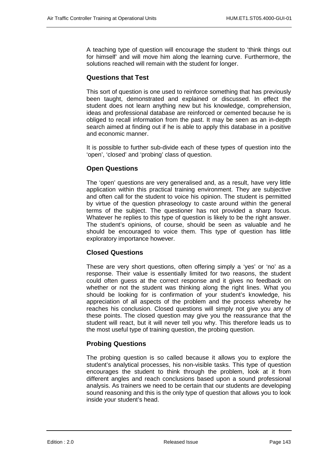A teaching type of question will encourage the student to 'think things out for himself' and will move him along the learning curve. Furthermore, the solutions reached will remain with the student for longer.

# **Questions that Test**

This sort of question is one used to reinforce something that has previously been taught, demonstrated and explained or discussed. In effect the student does not learn anything new but his knowledge, comprehension, ideas and professional database are reinforced or cemented because he is obliged to recall information from the past. It may be seen as an in-depth search aimed at finding out if he is able to apply this database in a positive and economic manner.

It is possible to further sub-divide each of these types of question into the 'open', 'closed' and 'probing' class of question.

# **Open Questions**

The 'open' questions are very generalised and, as a result, have very little application within this practical training environment. They are subjective and often call for the student to voice his opinion. The student is permitted by virtue of the question phraseology to caste around within the general terms of the subject. The questioner has not provided a sharp focus. Whatever he replies to this type of question is likely to be the right answer. The student's opinions, of course, should be seen as valuable and he should be encouraged to voice them. This type of question has little exploratory importance however.

# **Closed Questions**

These are very short questions, often offering simply a 'yes' or 'no' as a response. Their value is essentially limited for two reasons, the student could often guess at the correct response and it gives no feedback on whether or not the student was thinking along the right lines. What you should be looking for is confirmation of your student's knowledge, his appreciation of all aspects of the problem and the process whereby he reaches his conclusion. Closed questions will simply not give you any of these points. The closed question may give you the reassurance that the student will react, but it will never tell you why. This therefore leads us to the most useful type of training question, the probing question.

# **Probing Questions**

The probing question is so called because it allows you to explore the student's analytical processes, his non-visible tasks. This type of question encourages the student to think through the problem, look at it from different angles and reach conclusions based upon a sound professional analysis. As trainers we need to be certain that our students are developing sound reasoning and this is the only type of question that allows you to look inside your student's head.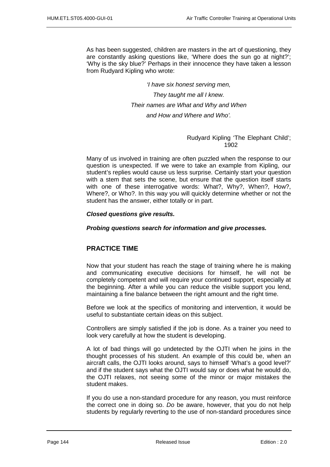As has been suggested, children are masters in the art of questioning, they are constantly asking questions like, 'Where does the sun go at night?'; 'Why is the sky blue?' Perhaps in their innocence they have taken a lesson from Rudyard Kipling who wrote:

*'I have six honest serving men,*

*They taught me all I knew. Their names are What and Why and When and How and Where and Who'.*

> Rudyard Kipling 'The Elephant Child'; 1902

Many of us involved in training are often puzzled when the response to our question is unexpected. If we were to take an example from Kipling, our student's replies would cause us less surprise. Certainly start your question with a stem that sets the scene, but ensure that the question itself starts with one of these interrogative words: What?, Why?, When?, How?, Where?, or Who?. In this way you will quickly determine whether or not the student has the answer, either totally or in part.

#### *Closed questions give results.*

#### *Probing questions search for information and give processes.*

# **PRACTICE TIME**

Now that your student has reach the stage of training where he is making and communicating executive decisions for himself, he will not be completely competent and will require your continued support, especially at the beginning. After a while you can reduce the visible support you lend, maintaining a fine balance between the right amount and the right time.

Before we look at the specifics of monitoring and intervention, it would be useful to substantiate certain ideas on this subject.

Controllers are simply satisfied if the job is done. As a trainer you need to look very carefully at how the student is developing.

A lot of bad things will go undetected by the OJTI when he joins in the thought processes of his student. An example of this could be, when an aircraft calls, the OJTI looks around, says to himself 'What's a good level?' and if the student says what the OJTI would say or does what he would do, the OJTI relaxes, not seeing some of the minor or major mistakes the student makes.

If you do use a non-standard procedure for any reason, you must reinforce the correct one in doing so. *Do* be aware, however, that you do not help students by regularly reverting to the use of non-standard procedures since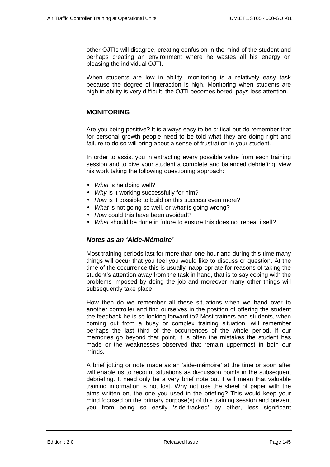other OJTIs will disagree, creating confusion in the mind of the student and perhaps creating an environment where he wastes all his energy on pleasing the individual OJTI.

When students are low in ability, monitoring is a relatively easy task because the degree of interaction is high. Monitoring when students are high in ability is very difficult, the OJTI becomes bored, pays less attention.

# **MONITORING**

Are you being positive? It is always easy to be critical but do remember that for personal growth people need to be told what they are doing right and failure to do so will bring about a sense of frustration in your student.

In order to assist you in extracting every possible value from each training session and to give your student a complete and balanced debriefing, view his work taking the following questioning approach:

- *What* is he doing well?
- *Why* is it working successfully for him?
- *How* is it possible to build on this success even more?
- *What* is not going so well, or *what* is going wrong?
- *How* could this have been avoided?
- *What* should be done in future to ensure this does not repeat itself?

# *Notes as an 'Aide-Mémoire'*

Most training periods last for more than one hour and during this time many things will occur that you feel you would like to discuss or question. At the time of the occurrence this is usually inappropriate for reasons of taking the student's attention away from the task in hand, that is to say coping with the problems imposed by doing the job and moreover many other things will subsequently take place.

How then do we remember all these situations when we hand over to another controller and find ourselves in the position of offering the student the feedback he is so looking forward to? Most trainers and students, when coming out from a busy or complex training situation, will remember perhaps the last third of the occurrences of the whole period. If our memories go beyond that point, it is often the mistakes the student has made or the weaknesses observed that remain uppermost in both our minds.

A brief jotting or note made as an 'aide-mémoire' at the time or soon after will enable us to recount situations as discussion points in the subsequent debriefing. It need only be a very brief note but it will mean that valuable training information is not lost. Why not use the sheet of paper with the aims written on, the one you used in the briefing? This would keep your mind focused on the primary purpose(s) of this training session and prevent you from being so easily 'side-tracked' by other, less significant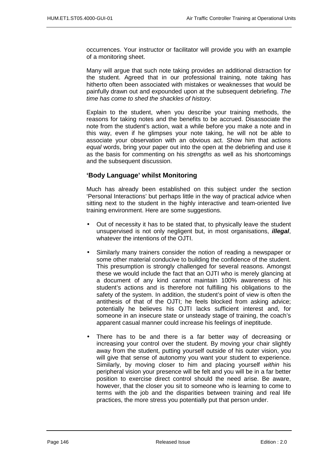occurrences. Your instructor or facilitator will provide you with an example of a monitoring sheet.

Many will argue that such note taking provides an additional distraction for the student. Agreed that in our professional training, note taking has hitherto often been associated with mistakes or weaknesses that would be painfully drawn out and expounded upon at the subsequent debriefing. *The time has come to shed the shackles of history.*

Explain to the student, when you describe your training methods, the reasons for taking notes and the benefits to be accrued. Disassociate the note from the student's action, wait a while before you make a note and in this way, even if he glimpses your note taking, he will not be able to associate your observation with an obvious act. Show him that actions *equal* words, bring your paper out into the open at the debriefing and use it as the basis for commenting on his *strengths* as well as his shortcomings and the subsequent discussion.

# **'Body Language' whilst Monitoring**

Much has already been established on this subject under the section 'Personal Interactions' but perhaps little in the way of practical advice when sitting next to the student in the highly interactive and team-oriented live training environment. Here are some suggestions.

- Out of necessity it has to be stated that, to physically leave the student unsupervised is not only negligent but, in most organisations, *illegal*, whatever the intentions of the OJTI.
- Similarly many trainers consider the notion of reading a newspaper or some other material conducive to building the confidence of the student. This presumption is strongly challenged for several reasons. Amongst these we would include the fact that an OJTI who is merely glancing at a document of any kind cannot maintain 100% awareness of his student's actions and is therefore not fulfilling his obligations to the safety of the system. In addition, the student's point of view is often the antithesis of that of the OJTI; he feels blocked from asking advice; potentially he believes his OJTI lacks sufficient interest and, for someone in an insecure state or unsteady stage of training, the coach's apparent casual manner could increase his feelings of ineptitude.
- There has to be and there is a far better way of decreasing or increasing your control over the student. By moving your chair slightly away from the student, putting yourself outside of his outer vision, you will give that sense of autonomy you want your student to experience. Similarly, by moving closer to him and placing yourself *within* his peripheral vision your presence will be felt and you will be in a far better position to exercise direct control should the need arise. Be aware, however, that the closer you sit to someone who is learning to come to terms with the job and the disparities between training and real life practices, the more stress you potentially put that person under.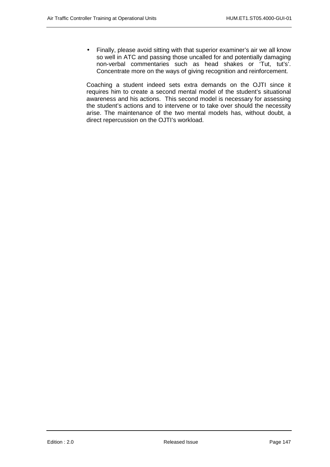• Finally, please avoid sitting with that superior examiner's air we all know so well in ATC and passing those uncalled for and potentially damaging non-verbal commentaries such as head shakes or 'Tut, tut's'. Concentrate more on the ways of giving recognition and reinforcement.

Coaching a student indeed sets extra demands on the OJTI since it requires him to create a second mental model of the student's situational awareness and his actions. This second model is necessary for assessing the student's actions and to intervene or to take over should the necessity arise. The maintenance of the two mental models has, without doubt, a direct repercussion on the OJTI's workload.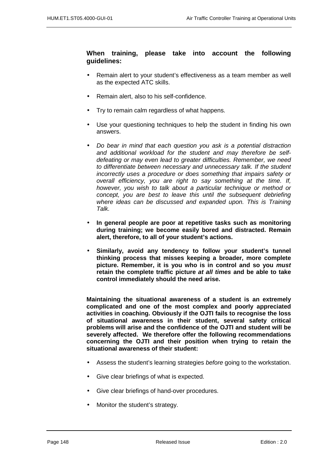# **When training, please take into account the following guidelines:**

- Remain alert to your student's effectiveness as a team member as well as the expected ATC skills.
- Remain alert, also to his self-confidence.
- Try to remain calm regardless of what happens.
- Use your questioning techniques to help the student in finding his own answers.
- *Do bear in mind that each question you ask is a potential distraction and additional workload for the student and may therefore be selfdefeating or may even lead to greater difficulties. Remember, we need to differentiate between necessary and unnecessary talk. If the student incorrectly uses a procedure or does something that impairs safety or overall efficiency, you are right to say something at the time. If, however, you wish to talk about a particular technique or method or concept, you are best to leave this until the subsequent debriefing where ideas can be discussed and expanded upon. This is Training Talk.*
- **In general people are poor at repetitive tasks such as monitoring during training; we become easily bored and distracted. Remain alert, therefore, to all of your student's actions.**
- **Similarly, avoid any tendency to follow your student's tunnel thinking process that misses keeping a broader, more complete picture. Remember, it is you who is in control and so you** *must* **retain the complete traffic picture** *at all times* **and be able to take control immediately should the need arise.**

**Maintaining the situational awareness of a student is an extremely complicated and one of the most complex and poorly appreciated activities in coaching. Obviously if the OJTI fails to recognise the loss of situational awareness in their student, several safety critical problems will arise and the confidence of the OJTI and student will be severely affected. We therefore offer the following recommendations concerning the OJTI and their position when trying to retain the situational awareness of their student:**

- Assess the student's learning strategies *before* going to the workstation.
- Give clear briefings of what is expected.
- Give clear briefings of hand-over procedures.
- Monitor the student's strategy.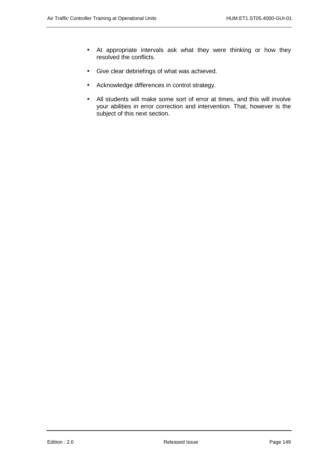- At appropriate intervals ask what they were thinking or how they resolved the conflicts.
- Give clear debriefings of what was achieved.
- Acknowledge differences in control strategy.
- All students will make some sort of error at times, and this will involve your abilities in error correction and intervention. That, however is the subject of this next section.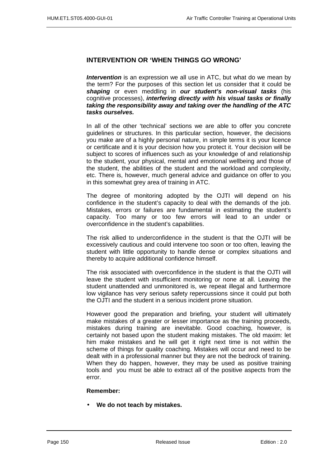# **INTERVENTION OR 'WHEN THINGS GO WRONG'**

*Intervention* is an expression we all use in ATC, but what do we mean by the term? For the purposes of this section let us consider that it could be *shaping* or even meddling in *our student's non-visual tasks* (his cognitive processes), *interfering directly with his visual tasks or finally taking the responsibility away and taking over the handling of the ATC tasks ourselves.*

In all of the other 'technical' sections we are able to offer you concrete guidelines or structures. In this particular section, however, the decisions you make are of a highly personal nature, in simple terms it is your licence or certificate and it is your decision how you protect it. Your decision will be subject to scores of influences such as your knowledge of and relationship to the student, your physical, mental and emotional wellbeing and those of the student, the abilities of the student and the workload and complexity, etc. There is, however, much general advice and guidance on offer to you in this somewhat grey area of training in ATC.

The degree of monitoring adopted by the OJTI will depend on his confidence in the student's capacity to deal with the demands of the job. Mistakes, errors or failures are fundamental in estimating the student's capacity. Too many or too few errors will lead to an under or overconfidence in the student's capabilities.

The risk allied to underconfidence in the student is that the OJTI will be excessively cautious and could intervene too soon or too often, leaving the student with little opportunity to handle dense or complex situations and thereby to acquire additional confidence himself.

The risk associated with overconfidence in the student is that the OJTI will leave the student with insufficient monitoring or none at all. Leaving the student unattended and unmonitored is, we repeat illegal and furthermore low vigilance has very serious safety repercussions since it could put both the OJTI and the student in a serious incident prone situation.

However good the preparation and briefing, your student will ultimately make mistakes of a greater or lesser importance as the training proceeds, mistakes during training are inevitable. Good coaching, however, is certainly not based upon the student making mistakes. The old maxim: let him make mistakes and he will get it right next time is not within the scheme of things for quality coaching. Mistakes will occur and need to be dealt with in a professional manner but they are not the bedrock of training. When they do happen, however, they may be used as positive training tools and you must be able to extract all of the positive aspects from the error.

#### **Remember:**

• **We do not teach by mistakes.**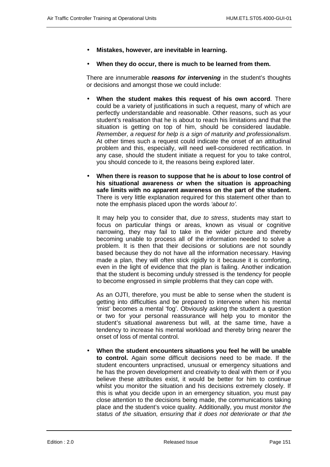- **Mistakes, however, are inevitable in learning.**
- **When they do occur, there is much to be learned from them.**

There are innumerable *reasons for intervening* in the student's thoughts or decisions and amongst those we could include:

- **When the student makes this request of his own accord**. There could be a variety of justifications in such a request, many of which are perfectly understandable and reasonable. Other reasons, such as your student's realisation that he is about to reach his limitations and that the situation is getting on top of him, should be considered laudable. *Remember, a request for help is a sign of maturity and professionalism*. At other times such a request could indicate the onset of an attitudinal problem and this, especially, will need well-considered rectification. In any case, should the student initiate a request for you to take control, you should concede to it, the reasons being explored later.
- **When there is reason to suppose that he is** *about* **to lose control of his situational awareness** *or* **when the situation is approaching safe limits with no apparent awareness on the part of the student.** There is very little explanation required for this statement other than to note the emphasis placed upon the words *'about to'.*

It may help you to consider that, *due to stress*, students may start to focus on particular things or areas, known as visual or cognitive narrowing, they may fail to take in the wider picture and thereby becoming unable to process all of the information needed to solve a problem. It is then that their decisions or solutions are not soundly based because they do not have all the information necessary. Having made a plan, they will often stick rigidly to it because it is comforting. even in the light of evidence that the plan is failing. Another indication that the student is becoming unduly stressed is the tendency for people to become engrossed in simple problems that they can cope with.

As an OJTI, therefore, you must be able to sense when the student is getting into difficulties and be prepared to intervene when his mental 'mist' becomes a mental 'fog'. Obviously asking the student a question or two for your personal reassurance will help you to monitor the student's situational awareness but will, at the same time, have a tendency to increase his mental workload and thereby bring nearer the onset of loss of mental control.

• **When the student encounters situations you feel he will be unable to control.** Again some difficult decisions need to be made. If the student encounters unpractised, unusual or emergency situations and he has the proven development and creativity to deal with them or if you believe these attributes exist, it would be better for him to continue whilst you monitor the situation and his decisions extremely closely. If this is what you decide upon in an emergency situation, you must pay close attention to the decisions being made, the communications taking place and the student's voice quality. Additionally, you must *monitor the status of the situation, ensuring that it does not deteriorate or that the*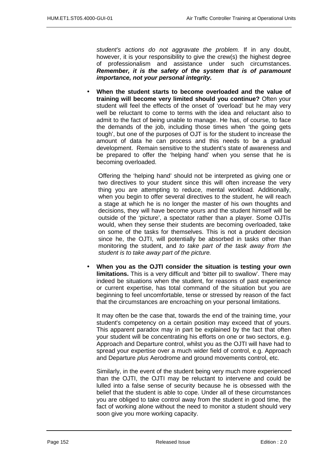*student's actions do not aggravate the problem.* If in any doubt, however, it is your responsibility to give the crew(s) the highest degree of professionalism and assistance under such circumstances. *Remember, it is the safety of the system that is of paramount importance, not your personal integrity.*

• **When the student starts to become overloaded and the value of training will become very limited should you continue?** Often your student will feel the effects of the onset of 'overload' but he may very well be reluctant to come to terms with the idea and reluctant also to admit to the fact of being unable to manage. He has, of course, to face the demands of the job, including those times when 'the going gets tough', but one of the purposes of OJT is for the student to increase the amount of data he can process and this needs to be a gradual development. Remain sensitive to the student's state of awareness and be prepared to offer the 'helping hand' when you sense that he is becoming overloaded.

Offering the 'helping hand' should not be interpreted as giving one or two directives to your student since this will often increase the very thing you are attempting to reduce, mental workload. Additionally, when you begin to offer several directives to the student, he will reach a stage at which he is no longer the master of his own thoughts and decisions, they will have become yours and the student himself will be outside of the 'picture', a spectator rather than a player. Some OJTIs would, when they sense their students are becoming overloaded, take on some of the tasks for themselves. This is not a prudent decision since he, the OJTI, will potentially be absorbed in tasks other than monitoring the student, and *to take part of the task away from the student is to take away part of the picture.*

• **When you as the OJTI consider the situation is testing your own limitations.** This is a very difficult and 'bitter pill to swallow'. There may indeed be situations when the student, for reasons of past experience or current expertise, has total command of the situation but you are beginning to feel uncomfortable, tense or stressed by reason of the fact that the circumstances are encroaching on your personal limitations.

It may often be the case that, towards the end of the training time, your student's competency on a certain position may exceed that of yours. This apparent paradox may in part be explained by the fact that often your student will be concentrating his efforts on one or two sectors, e.g. Approach and Departure control, whilst you as the OJTI will have had to spread your expertise over a much wider field of control, e.g. Approach and Departure *plus* Aerodrome and ground movements control, etc.

Similarly, in the event of the student being very much more experienced than the OJTI, the OJTI may be reluctant to intervene and could be lulled into a false sense of security because he is obsessed with the belief that the student is able to cope. Under all of these circumstances you are obliged to take control away from the student in good time, the fact of working alone without the need to monitor a student should very soon give you more working capacity.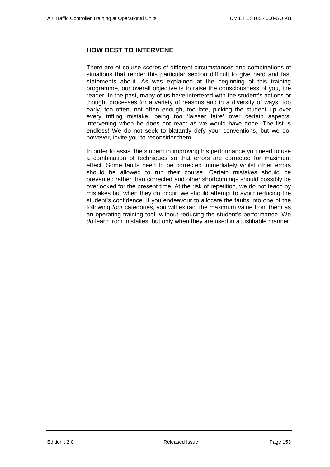# **HOW BEST TO INTERVENE**

There are of course scores of different circumstances and combinations of situations that render this particular section difficult to give hard and fast statements about. As was explained at the beginning of this training programme, our overall objective is to raise the consciousness of you, the reader. In the past, many of us have interfered with the student's actions or thought processes for a variety of reasons and in a diversity of ways: too early, too often, not often enough, too late, picking the student up over every trifling mistake, being too 'laisser faire' over certain aspects, intervening when he does not react as we would have done. The list is endless! We do not seek to blatantly defy your conventions, but we do, however, invite you to reconsider them.

In order to assist the student in improving his performance you need to use a combination of techniques so that errors are corrected for maximum effect. Some faults need to be corrected immediately whilst other errors should be allowed to run their course. Certain mistakes should be prevented rather than corrected and other shortcomings should possibly be overlooked for the present time. At the risk of repetition, we do not teach by mistakes but when they do occur, we should attempt to avoid reducing the student's confidence. If you endeavour to allocate the faults into one of the following *four* categories, you will extract the maximum value from them as an operating training tool, without reducing the student's performance. We *do* learn from mistakes, but only when they are used in a justifiable manner.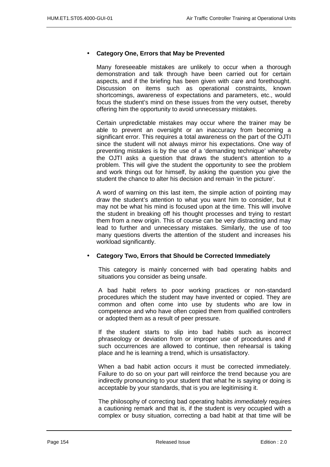# • **Category One, Errors that May be Prevented**

Many foreseeable mistakes are unlikely to occur when a thorough demonstration and talk through have been carried out for certain aspects, and if the briefing has been given with care and forethought. Discussion on items such as operational constraints, known shortcomings, awareness of expectations and parameters, etc., would focus the student's mind on these issues from the very outset, thereby offering him the opportunity to avoid unnecessary mistakes.

Certain unpredictable mistakes may occur where the trainer may be able to prevent an oversight or an inaccuracy from becoming a significant error. This requires a total awareness on the part of the OJTI since the student will not always mirror his expectations. One way of preventing mistakes is by the use of a 'demanding technique' whereby the OJTI asks a question that draws the student's attention to a problem. This will give the student the opportunity to see the problem and work things out for himself, by asking the question you give the student the chance to alter his decision and remain 'in the picture'.

A word of warning on this last item, the simple action of pointing may draw the student's attention to what you want him to consider, but it may not be what his mind is focused upon at the time. This will involve the student in breaking off his thought processes and trying to restart them from a new origin. This of course can be very distracting and may lead to further and unnecessary mistakes. Similarly, the use of too many questions diverts the attention of the student and increases his workload significantly.

# • **Category Two, Errors that Should be Corrected Immediately**

This category is mainly concerned with bad operating habits and situations you consider as being unsafe.

A bad habit refers to poor working practices or non-standard procedures which the student may have invented or copied. They are common and often come into use by students who are low in competence and who have often copied them from qualified controllers or adopted them as a result of peer pressure.

If the student starts to slip into bad habits such as incorrect phraseology or deviation from or improper use of procedures and if such occurrences are allowed to continue, then rehearsal is taking place and he is learning a trend, which is unsatisfactory.

When a bad habit action occurs it must be corrected immediately. Failure to do so on your part will reinforce the trend because you are indirectly pronouncing to your student that what he is saying or doing is acceptable by your standards, that is you are legitimising it.

The philosophy of correcting bad operating habits *immediately* requires a cautioning remark and that is, if the student is very occupied with a complex or busy situation, correcting a bad habit at that time will be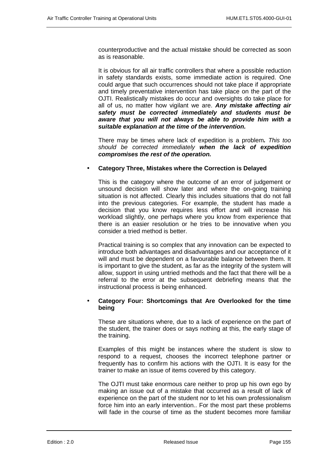counterproductive and the actual mistake should be corrected as soon as is reasonable.

It is obvious for all air traffic controllers that where a possible reduction in safety standards exists, some immediate action is required. One could argue that such occurrences should not take place if appropriate and timely preventative intervention has take place on the part of the OJTI. Realistically mistakes do occur and oversights do take place for all of us, no matter how vigilant we are. *Any mistake affecting air safety must be corrected immediately and students must be aware that you will not always be able to provide him with a suitable explanation at the time of the intervention.*

There may be times where lack of expedition is a problem*. This too should be corrected immediately when the lack of expedition compromises the rest of the operation.*

#### • **Category Three, Mistakes where the Correction is Delayed**

This is the category where the outcome of an error of judgement or unsound decision will show later and where the on-going training situation is not affected. Clearly this includes situations that do not fall into the previous categories. For example, the student has made a decision that you know requires less effort and will increase his workload slightly, one perhaps where you know from experience that there is an easier resolution or he tries to be innovative when you consider a tried method is better.

Practical training is so complex that any innovation can be expected to introduce both advantages and disadvantages and our acceptance of it will and must be dependent on a favourable balance between them. It is important to give the student, as far as the integrity of the system will allow, support in using untried methods and the fact that there will be a referral to the error at the subsequent debriefing means that the instructional process is being enhanced.

### • **Category Four: Shortcomings that Are Overlooked for the time being**

These are situations where, due to a lack of experience on the part of the student, the trainer does or says nothing at this, the early stage of the training.

Examples of this might be instances where the student is slow to respond to a request, chooses the incorrect telephone partner or frequently has to confirm his actions with the OJTI. It is easy for the trainer to make an issue of items covered by this category.

The OJTI must take enormous care neither to prop up his own ego by making an issue out of a mistake that occurred as a result of lack of experience on the part of the student nor to let his own professionalism force him into an early intervention.. For the most part these problems will fade in the course of time as the student becomes more familiar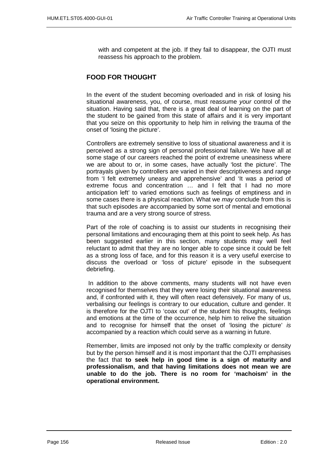with and competent at the job. If they fail to disappear, the OJTI must reassess his approach to the problem.

# **FOOD FOR THOUGHT**

In the event of the student becoming overloaded and in risk of losing his situational awareness, you, of course, must reassume *your* control of the situation. Having said that, there is a great deal of learning on the part of the student to be gained from this state of affairs and it is very important that you seize on this opportunity to help him in reliving the trauma of the onset of 'losing the picture'.

Controllers are extremely sensitive to loss of situational awareness and it is perceived as a strong sign of personal professional failure. We have all at some stage of our careers reached the point of extreme uneasiness where we are about to or, in some cases, have actually 'lost the picture'. The portrayals given by controllers are varied in their descriptiveness and range from 'I felt extremely uneasy and apprehensive' and 'It was a period of extreme focus and concentration … and I felt that I had no more anticipation left' to varied emotions such as feelings of emptiness and in some cases there is a physical reaction. What we *may* conclude from this is that such episodes *are* accompanied by some sort of mental and emotional trauma and are a very strong source of stress.

Part of the role of coaching is to assist our students in recognising their personal limitations and encouraging them at this point to seek help. As has been suggested earlier in this section, many students may well feel reluctant to admit that they are no longer able to cope since it could be felt as a strong loss of face, and for this reason it is a very useful exercise to discuss the overload or 'loss of picture' episode in the subsequent debriefing.

 In addition to the above comments, many students will not have even recognised for themselves that they were losing their situational awareness and, if confronted with it, they will often react defensively. For many of us, verbalising our feelings is contrary to our education, culture and gender. It is therefore for the OJTI to 'coax out' of the student his thoughts, feelings and emotions at the time of the occurrence, help him to relive the situation and to recognise for himself that the onset of 'losing the picture' *is* accompanied by a reaction which could serve as a warning in future.

Remember, limits are imposed not only by the traffic complexity or density but by the person himself and it is most important that the OJTI emphasises the fact that **to seek help in good time is a sign of maturity and professionalism, and that having limitations does not mean we are unable to do the job. There is no room for 'machoism' in the operational environment.**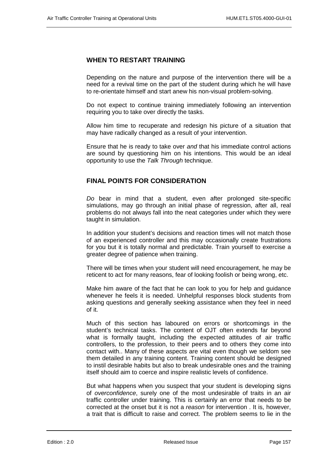# **WHEN TO RESTART TRAINING**

Depending on the nature and purpose of the intervention there will be a need for a revival time on the part of the student during which he will have to re-orientate himself and start anew his non-visual problem-solving.

Do not expect to continue training immediately following an intervention requiring you to take over directly the tasks.

Allow him time to recuperate and redesign his picture of a situation that may have radically changed as a result of your intervention.

Ensure that he is ready to take over *and* that his immediate control actions are sound by questioning him on his intentions. This would be an ideal opportunity to use the *Talk Through* technique.

### **FINAL POINTS FOR CONSIDERATION**

*Do* bear in mind that a student, even after prolonged site-specific simulations, may go through an initial phase of regression, after all, real problems do not always fall into the neat categories under which they were taught in simulation.

In addition your student's decisions and reaction times will not match those of an experienced controller and this may occasionally create frustrations for you but it is totally normal and predictable. Train yourself to exercise a greater degree of patience when training.

There will be times when your student will need encouragement, he may be reticent to act for many reasons, fear of looking foolish or being wrong, etc.

Make him aware of the fact that he can look to you for help and guidance whenever he feels it is needed. Unhelpful responses block students from asking questions and generally seeking assistance when they feel in need of it.

Much of this section has laboured on errors or shortcomings in the student's technical tasks. The content of OJT often extends far beyond what is formally taught, including the expected attitudes of air traffic controllers, to the profession, to their peers and to others they come into contact with.. Many of these aspects are vital even though we seldom see them detailed in any training content. Training content should be designed to instil desirable habits but also to break undesirable ones and the training itself should aim to coerce and inspire realistic levels of confidence.

But what happens when you suspect that your student is developing signs of *overconfidence*, surely one of the most undesirable of traits in an air traffic controller under training. This is certainly an error that needs to be corrected at the onset but it is not a *reason* for intervention . It is, however, a trait that is difficult to raise and correct. The problem seems to lie in the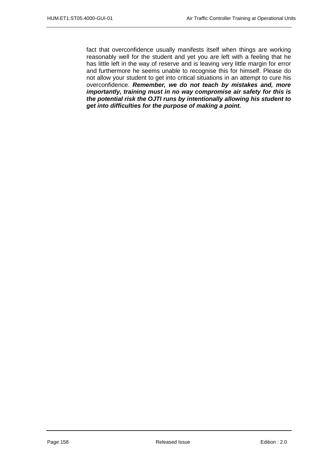fact that overconfidence usually manifests itself when things are working reasonably well for the student and yet you are left with a feeling that he has little left in the way of reserve and is leaving very little margin for error and furthermore he seems unable to recognise this for himself. Please do not allow your student to get into critical situations in an attempt to cure his overconfidence. *Remember, we do not teach by mistakes and, more importantly, training must in no way compromise air safety for this is the potential risk the OJTI runs by intentionally allowing his student to get into difficulties for the purpose of making a point.*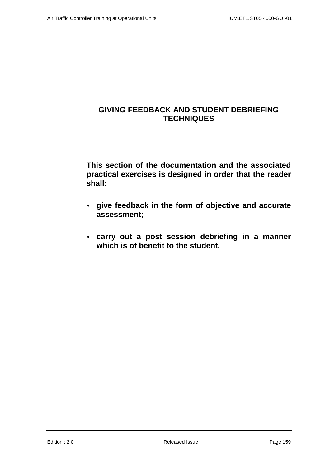# **GIVING FEEDBACK AND STUDENT DEBRIEFING TECHNIQUES**

**This section of the documentation and the associated practical exercises is designed in order that the reader shall:**

- **give feedback in the form of objective and accurate assessment;**
- **carry out a post session debriefing in a manner which is of benefit to the student.**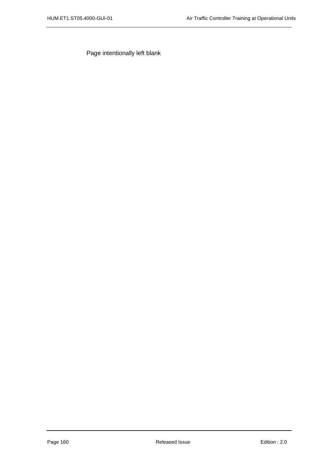Page intentionally left blank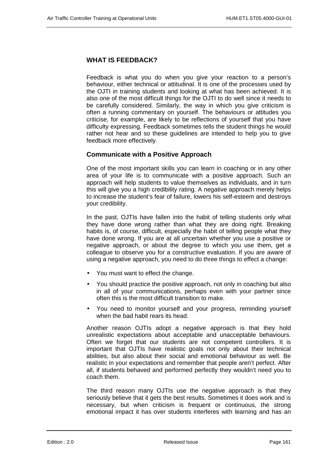# **WHAT IS FEEDBACK?**

Feedback is what you do when you give your reaction to a person's behaviour, either technical or attitudinal. It is one of the processes used by the OJTI in training students and looking at what has been achieved. It is also one of the most difficult things for the OJTI to do well since it needs to be carefully considered. Similarly, the way in which you give criticism is often a running commentary on yourself. The behaviours or attitudes you criticise, for example, are likely to be reflections of yourself that you have difficulty expressing. Feedback sometimes tells the student things he would rather not hear and so these guidelines are intended to help you to give feedback more effectively.

#### **Communicate with a Positive Approach**

One of the most important skills you can learn in coaching or in any other area of your life is to communicate with a positive approach. Such an approach will help students to value themselves as individuals, and in turn this will give you a high credibility rating. A negative approach merely helps to increase the student's fear of failure, lowers his self-esteem and destroys your credibility.

In the past, OJTIs have fallen into the habit of telling students only what they have done wrong rather than what they are doing right. Breaking habits is, of course, difficult, especially the habit of telling people what they have done wrong. If you are at all uncertain whether you use a positive or negative approach, or about the degree to which you use them, get a colleague to observe you for a constructive evaluation. If you are aware of using a negative approach, you need to do three things to effect a change:

- You must want to effect the change.
- You should practice the positive approach, not only in coaching but also in all of your communications, perhaps even with your partner since often this is the most difficult transition to make.
- You need to monitor yourself and your progress, reminding yourself when the bad habit rears its head.

Another reason OJTIs adopt a negative approach is that they hold unrealistic expectations about acceptable and unacceptable behaviours. Often we forget that our students are not competent controllers. It is important that OJTIs have realistic goals not only about their technical abilities, but also about their social and emotional behaviour as well. Be realistic in your expectations and remember that people aren't perfect. After all, if students behaved and performed perfectly they wouldn't need you to coach them.

The third reason many OJTIs use the negative approach is that they seriously believe that it gets the best results. Sometimes it does work and is necessary, but when criticism is frequent or continuous, the strong emotional impact it has over students interferes with learning and has an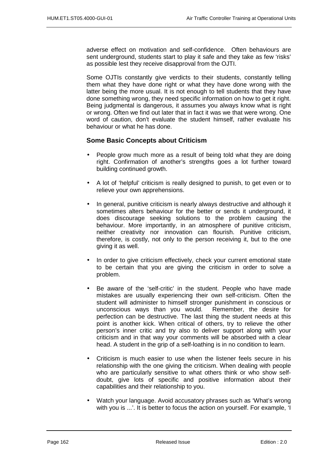adverse effect on motivation and self-confidence. Often behaviours are sent underground, students start to play it safe and they take as few 'risks' as possible lest they receive disapproval from the OJTI.

Some OJTIs constantly give verdicts to their students, constantly telling them what they have done right or what they have done wrong with the latter being the more usual. It is not enough to tell students that they have done something wrong, they need specific information on how to get it right. Being judgmental is dangerous, it assumes you always know what is right or wrong. Often we find out later that in fact it was we that were wrong. One word of caution, don't evaluate the student himself, rather evaluate his behaviour or what he has done.

# **Some Basic Concepts about Criticism**

- People grow much more as a result of being told what they are doing right. Confirmation of another's strengths goes a lot further toward building continued growth.
- A lot of 'helpful' criticism is really designed to punish, to get even or to relieve your own apprehensions.
- In general, punitive criticism is nearly always destructive and although it sometimes alters behaviour for the better or sends it underground, it does discourage seeking solutions to the problem causing the behaviour. More importantly, in an atmosphere of punitive criticism, neither creativity nor innovation can flourish. Punitive criticism, therefore, is costly, not only to the person receiving it, but to the one giving it as well.
- In order to give criticism effectively, check your current emotional state to be certain that you are giving the criticism in order to solve a problem.
- Be aware of the 'self-critic' in the student. People who have made mistakes are usually experiencing their own self-criticism. Often the student will administer to himself stronger punishment in conscious or unconscious ways than you would. Remember, the desire for perfection can be destructive. The last thing the student needs at this point is another kick. When critical of others, try to relieve the other person's inner critic and try also to deliver support along with your criticism and in that way your comments will be absorbed with a clear head. A student in the grip of a self-loathing is in no condition to learn.
- Criticism is much easier to use when the listener feels secure in his relationship with the one giving the criticism. When dealing with people who are particularly sensitive to what others think or who show selfdoubt, give lots of specific and positive information about their capabilities and their relationship to you.
- Watch your language. Avoid accusatory phrases such as 'What's wrong with you is ...'. It is better to focus the action on yourself. For example, 'I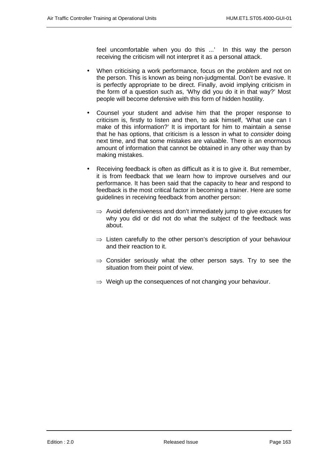feel uncomfortable when you do this ...' In this way the person receiving the criticism will not interpret it as a personal attack.

- When criticising a work performance, focus on the *problem* and not on the person. This is known as being non-judgmental. Don't be evasive. It is perfectly appropriate to be direct. Finally, avoid implying criticism in the form of a question such as, 'Why did you do it in that way?' Most people will become defensive with this form of hidden hostility.
- Counsel your student and advise him that the proper response to criticism is, firstly to listen and then, to ask himself, 'What use can I make of this information?' It is important for him to maintain a sense that he has options, that criticism is a lesson in what to *consider* doing next time, and that some mistakes are valuable. There is an enormous amount of information that cannot be obtained in any other way than by making mistakes.
- Receiving feedback is often as difficult as it is to give it. But remember, it is from feedback that we learn how to improve ourselves and our performance. It has been said that the capacity to hear and respond to feedback is the most critical factor in becoming a trainer. Here are some guidelines in receiving feedback from another person:
	- $\Rightarrow$  Avoid defensiveness and don't immediately jump to give excuses for why you did or did not do what the subject of the feedback was about.
	- $\Rightarrow$  Listen carefully to the other person's description of your behaviour and their reaction to it.
	- $\Rightarrow$  Consider seriously what the other person says. Try to see the situation from their point of view.
	- $\Rightarrow$  Weigh up the consequences of not changing your behaviour.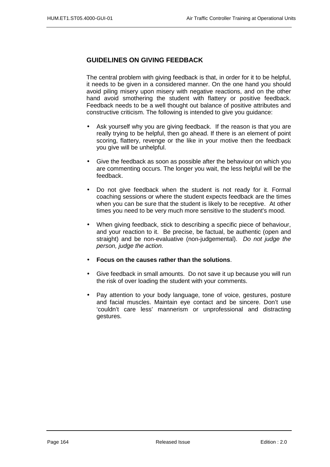# **GUIDELINES ON GIVING FEEDBACK**

The central problem with giving feedback is that, in order for it to be helpful, it needs to be given in a considered manner. On the one hand you should avoid piling misery upon misery with negative reactions, and on the other hand avoid smothering the student with flattery or positive feedback. Feedback needs to be a well thought out balance of positive attributes and constructive criticism. The following is intended to give you guidance:

- Ask yourself why you are giving feedback. If the reason is that you are really trying to be helpful, then go ahead. If there is an element of point scoring, flattery, revenge or the like in your motive then the feedback you give will be unhelpful.
- Give the feedback as soon as possible after the behaviour on which you are commenting occurs. The longer you wait, the less helpful will be the feedback.
- Do not give feedback when the student is not ready for it. Formal coaching sessions or where the student expects feedback are the times when you can be sure that the student is likely to be receptive. At other times you need to be very much more sensitive to the student's mood.
- When giving feedback, stick to describing a specific piece of behaviour, and your reaction to it. Be precise, be factual, be authentic (open and straight) and be non-evaluative (non-judgemental). *Do not judge the person, judge the action.*
- **Focus on the causes rather than the solutions**.
- Give feedback in small amounts. Do not save it up because you will run the risk of over loading the student with your comments.
- Pay attention to your body language, tone of voice, gestures, posture and facial muscles. Maintain eye contact and be sincere. Don't use 'couldn't care less' mannerism or unprofessional and distracting gestures.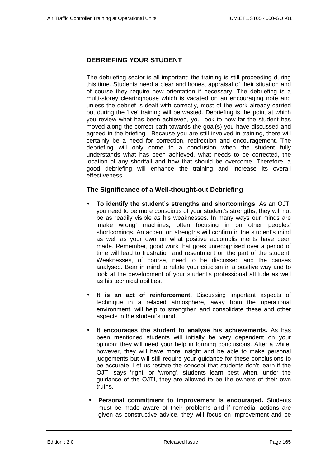# **DEBRIEFING YOUR STUDENT**

The debriefing sector is all-important; the training is still proceeding during this time. Students need a clear and honest appraisal of their situation and of course they require new orientation if necessary. The debriefing is a multi-storey clearinghouse which is vacated on an encouraging note and unless the debrief is dealt with correctly, most of the work already carried out during the 'live' training will be wasted. Debriefing is the point at which you review what has been achieved, you look to how far the student has moved along the correct path towards the goal(s) you have discussed and agreed in the briefing. Because you are still involved in training, there will certainly be a need for correction, redirection and encouragement. The debriefing will only come to a conclusion when the student fully understands what has been achieved, what needs to be corrected, the location of any shortfall and how that should be overcome. Therefore, a good debriefing will enhance the training and increase its overall effectiveness.

# **The Significance of a Well-thought-out Debriefing**

- **To identify the student's strengths and shortcomings**. As an OJTI you need to be more conscious of your student's strengths, they will not be as readily visible as his weaknesses. In many ways our minds are 'make wrong' machines, often focusing in on other peoples' shortcomings. An accent on strengths will confirm in the student's mind as well as your own on what positive accomplishments have been made. Remember, good work that goes unrecognised over a period of time will lead to frustration and resentment on the part of the student. Weaknesses, of course, need to be discussed and the causes analysed. Bear in mind to relate your criticism in a positive way and to look at the development of your student's professional attitude as well as his technical abilities.
- **It is an act of reinforcement.** Discussing important aspects of technique in a relaxed atmosphere, away from the operational environment, will help to strengthen and consolidate these and other aspects in the student's mind.
- **It encourages the student to analyse his achievements.** As has been mentioned students will initially be very dependent on your opinion; they will need your help in forming conclusions. After a while, however, they will have more insight and be able to make personal judgements but will still require your guidance for these conclusions to be accurate. Let us restate the concept that students don't learn if the OJTI says 'right' or 'wrong', students learn best when, under the guidance of the OJTI, they are allowed to be the owners of their own truths.
- **Personal commitment to improvement is encouraged.** Students must be made aware of their problems and if remedial actions are given as constructive advice, they will focus on improvement and be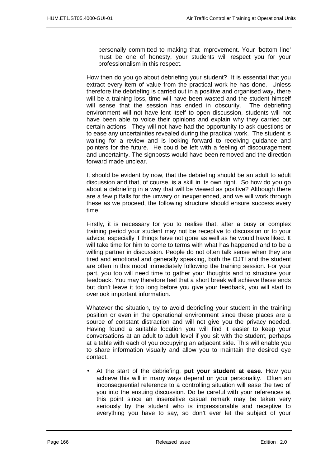personally committed to making that improvement. Your 'bottom line' must be one of honesty, your students will respect you for your professionalism in this respect.

How then do you go about debriefing your student? It is essential that you extract every item of value from the practical work he has done. Unless therefore the debriefing is carried out in a positive and organised way, there will be a training loss, time will have been wasted and the student himself will sense that the session has ended in obscurity. The debriefing environment will not have lent itself to open discussion, students will not have been able to voice their opinions and explain why they carried out certain actions. They will not have had the opportunity to ask questions or to ease any uncertainties revealed during the practical work. The student is waiting for a review and is looking forward to receiving guidance and pointers for the future. He could be left with a feeling of discouragement and uncertainty. The signposts would have been removed and the direction forward made unclear.

It should be evident by now, that the debriefing should be an adult to adult discussion and that, of course, is a skill in its own right. So how do you go about a debriefing in a way that will be viewed as positive? Although there are a few pitfalls for the unwary or inexperienced, and we will work through these as we proceed, the following structure should ensure success every time.

Firstly, it is necessary for you to realise that, after a busy or complex training period your student may not be receptive to discussion or to your advice, especially if things have not gone as well as he would have liked. It will take time for him to come to terms with what has happened and to be a willing partner in discussion. People do not often talk sense when they are tired and emotional and generally speaking, both the OJTI and the student are often in this mood immediately following the training session. For your part, you too will need time to gather your thoughts and to structure your feedback. You may therefore feel that a short break will achieve these ends but don't leave it too long before you give your feedback, you will start to overlook important information.

Whatever the situation, try to avoid debriefing your student in the training position or even in the operational environment since these places are a source of constant distraction and will not give you the privacy needed. Having found a suitable location you will find it easier to keep your conversations at an adult to adult level if you sit with the student, perhaps at a table with each of you occupying an adjacent side. This will enable you to share information visually and allow you to maintain the desired eye contact.

• At the start of the debriefing, **put your student at ease**. How you achieve this will in many ways depend on your personality. Often an inconsequential reference to a controlling situation will ease the two of you into the ensuing discussion. Do be careful with your references at this point since an insensitive casual remark may be taken very seriously by the student who is impressionable and receptive to everything you have to say, so don't ever let the subject of your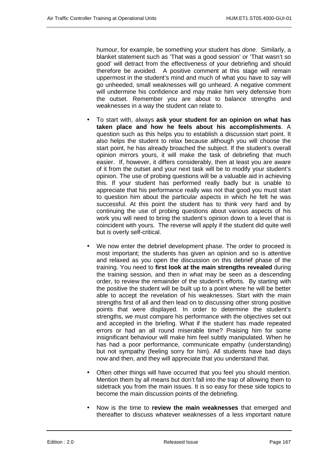humour, for example, be something your student has *done*. Similarly, a blanket statement such as 'That was a good session' or 'That wasn't so good' will detract from the effectiveness of your debriefing and should therefore be avoided. A positive comment at this stage will remain uppermost in the student's mind and much of what you have to say will go unheeded, small weaknesses will go unheard. A negative comment will undermine his confidence and may make him very defensive from the outset. Remember you are about to balance strengths and weaknesses in a way the student can relate to.

- To start with, always **ask your student for an opinion on what has taken place and how he feels about his accomplishments**. A question such as this helps you to establish a discussion start point. It also helps the student to relax because although you will choose the start point, he has already broached the subject. If the student's overall opinion mirrors yours, it will make the task of debriefing that much easier. If, however, it differs considerably, then at least you are aware of it from the outset and your next task will be to modify your student's opinion. The use of probing questions will be a valuable aid in achieving this. If your student has performed really badly but is unable to appreciate that his performance really was not that good you must start to question him about the particular aspects in which he felt he was successful. At this point the student has to think very hard and by continuing the use of probing questions about various aspects of his work you will need to bring the student's opinion down to a level that is coincident with yours. The reverse will apply if the student did quite well but is overly self-critical.
- We now enter the debrief development phase. The order to proceed is most important; the students has given an opinion and so is attentive and relaxed as you open the discussion on this debrief phase of the training. You need to **first look at the main strengths revealed** during the training session, and then in what may be seen as a descending order, to review the remainder of the student's efforts. By starting with the positive the student will be built up to a point where he will be better able to accept the revelation of his weaknesses. Start with the main strengths first of all and then lead on to discussing other strong positive points that were displayed. In order to determine the student's strengths, we must compare his performance with the objectives set out and accepted in the briefing. What if the student has made repeated errors or had an all round miserable time? Praising him for some insignificant behaviour will make him feel subtly manipulated. When he has had a poor performance, communicate empathy (understanding) but not sympathy (feeling sorry for him). All students have bad days now and then, and they will appreciate that you understand that.
- Often other things will have occurred that you feel you should mention. Mention them by all means but don't fall into the trap of allowing them to sidetrack you from the main issues. It is so easy for these side topics to become the main discussion points of the debriefing.
- Now is the time to **review the main weaknesses** that emerged and thereafter to discuss whatever weaknesses of a less important nature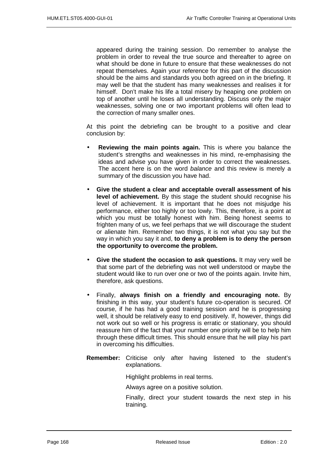appeared during the training session. Do remember to analyse the problem in order to reveal the true source and thereafter to agree on what should be done in future to ensure that these weaknesses do not repeat themselves. Again your reference for this part of the discussion should be the aims and standards you both agreed on in the briefing. It may well be that the student has many weaknesses and realises it for himself. Don't make his life a total misery by heaping one problem on top of another until he loses all understanding. Discuss only the major weaknesses, solving one or two important problems will often lead to the correction of many smaller ones.

At this point the debriefing can be brought to a positive and clear conclusion by:

- **Reviewing the main points again.** This is where you balance the student's strengths and weaknesses in his mind, re-emphasising the ideas and advise you have given in order to correct the weaknesses. The accent here is on the word *balance* and this review is merely a summary of the discussion you have had.
- **Give the student a clear and acceptable overall assessment of his level of achievement.** By this stage the student should recognise his level of achievement. It is important that he does not misjudge his performance, either too highly or too lowly. This, therefore, is a point at which you must be totally honest with him. Being honest seems to frighten many of us, we feel perhaps that we will discourage the student or alienate him. Remember two things, it is not what you say but the way in which you say it and, **to deny a problem is to deny the person the opportunity to overcome the problem.**
- **Give the student the occasion to ask questions.** It may very well be that some part of the debriefing was not well understood or maybe the student would like to run over one or two of the points again. Invite him, therefore, ask questions.
- Finally, **always finish on a friendly and encouraging note.** By finishing in this way, your student's future co-operation is secured. Of course, if he has had a good training session and he is progressing well, it should be relatively easy to end positively. If, however, things did not work out so well or his progress is erratic or stationary, you should reassure him of the fact that your number one priority will be to help him through these difficult times. This should ensure that he will play his part in overcoming his difficulties.
- **Remember:** Criticise only after having listened to the student's explanations.

Highlight problems in real terms.

Always agree on a positive solution.

Finally, direct your student towards the next step in his training.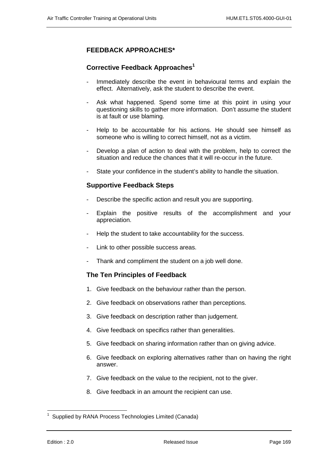# **FEEDBACK APPROACHES\***

# **Corrective Feedback Approaches1**

- Immediately describe the event in behavioural terms and explain the effect. Alternatively, ask the student to describe the event.
- Ask what happened. Spend some time at this point in using your questioning skills to gather more information. Don't assume the student is at fault or use blaming.
- Help to be accountable for his actions. He should see himself as someone who is willing to correct himself, not as a victim.
- Develop a plan of action to deal with the problem, help to correct the situation and reduce the chances that it will re-occur in the future.
- State your confidence in the student's ability to handle the situation.

# **Supportive Feedback Steps**

- Describe the specific action and result you are supporting.
- Explain the positive results of the accomplishment and your appreciation.
- Help the student to take accountability for the success.
- Link to other possible success areas.
- Thank and compliment the student on a job well done.

# **The Ten Principles of Feedback**

- 1. Give feedback on the behaviour rather than the person.
- 2. Give feedback on observations rather than perceptions.
- 3. Give feedback on description rather than judgement.
- 4. Give feedback on specifics rather than generalities.
- 5. Give feedback on sharing information rather than on giving advice.
- 6. Give feedback on exploring alternatives rather than on having the right answer.
- 7. Give feedback on the value to the recipient, not to the giver.
- 8. Give feedback in an amount the recipient can use.

 $\overline{\phantom{a}}$ 1 Supplied by RANA Process Technologies Limited (Canada)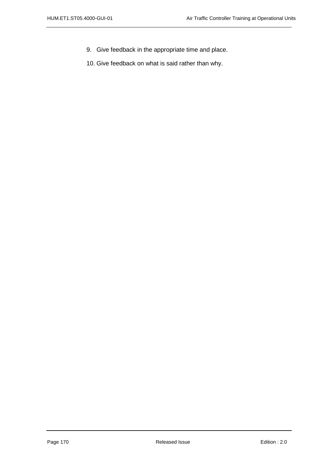- 9. Give feedback in the appropriate time and place.
- 10. Give feedback on what is said rather than why.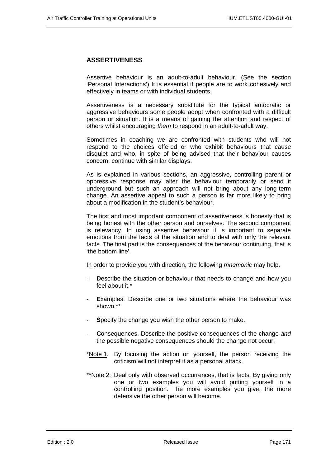### **ASSERTIVENESS**

Assertive behaviour is an adult-to-adult behaviour. (See the section 'Personal Interactions') It is essential if people are to work cohesively and effectively in teams or with individual students.

Assertiveness is a necessary substitute for the typical autocratic or aggressive behaviours some people adopt when confronted with a difficult person or situation. It is a means of gaining the attention and respect of others whilst encouraging *them* to respond in an adult-to-adult way.

Sometimes in coaching we are confronted with students who will not respond to the choices offered or who exhibit behaviours that cause disquiet and who, in spite of being advised that their behaviour causes concern, continue with similar displays.

As is explained in various sections, an aggressive, controlling parent or oppressive response may alter the behaviour temporarily or send it underground but such an approach will not bring about any long-term change. An assertive appeal to such a person is far more likely to bring about a modification in the student's behaviour.

The first and most important component of assertiveness is honesty that is being honest with the other person and ourselves. The second component is relevancy. In using assertive behaviour it is important to separate emotions from the facts of the situation and to deal with only the relevant facts. The final part is the consequences of the behaviour continuing, that is 'the bottom line'.

In order to provide you with direction, the following *mnemonic* may help.

- **Describe the situation or behaviour that needs to change and how you** feel about it.\*
- **Examples.** Describe one or two situations where the behaviour was shown.\*\*
- **Specify the change you wish the other person to make.**
- **C**onsequences. Describe the positive consequences of the change *and* the possible negative consequences should the change not occur.
- \*Note 1*:* By focusing the action on yourself, the person receiving the criticism will not interpret it as a personal attack.
- \*\*Note 2: Deal only with observed occurrences, that is facts. By giving only one or two examples you will avoid putting yourself in a controlling position. The more examples you give, the more defensive the other person will become.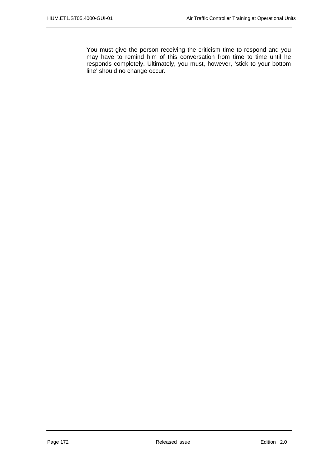You must give the person receiving the criticism time to respond and you may have to remind him of this conversation from time to time until he responds completely. Ultimately, you must, however, 'stick to your bottom line' should no change occur.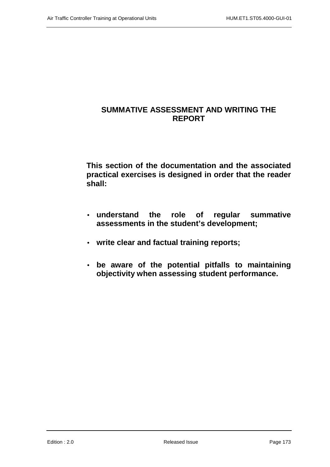# **SUMMATIVE ASSESSMENT AND WRITING THE REPORT**

**This section of the documentation and the associated practical exercises is designed in order that the reader shall:**

- **understand the role of regular summative assessments in the student's development;**
- **write clear and factual training reports;**
- **be aware of the potential pitfalls to maintaining objectivity when assessing student performance.**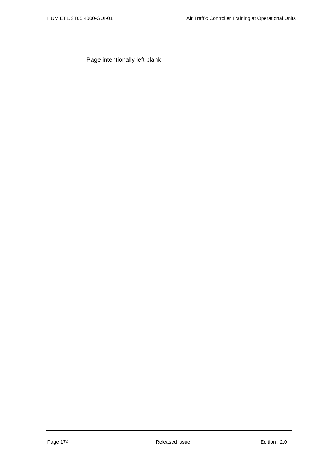Page intentionally left blank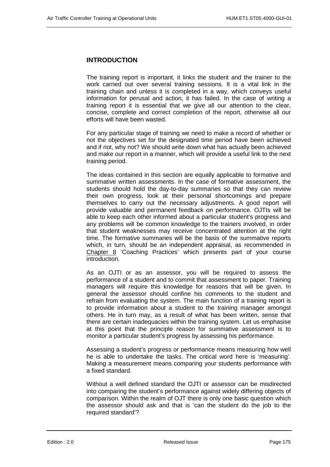#### **INTRODUCTION**

The training report is important, it links the student and the trainer to the work carried out over several training sessions. It is a vital link in the training chain and unless it is completed in a way, which conveys useful information for perusal and action, it has failed. In the case of writing a training report it is essential that we give all our attention to the clear, concise, complete and correct completion of the report, otherwise all our efforts will have been wasted.

For any particular stage of training we need to make a record of whether or not the objectives set for the designated time period have been achieved and if not, why not? We should write down what has actually been achieved and make our report in a manner, which will provide a useful link to the next training period.

The ideas contained in this section are equally applicable to formative and summative written assessments. In the case of formative assessment, the students should hold the day-to-day summaries so that they can review their own progress, look at their personal shortcomings and prepare themselves to carry out the necessary adjustments. A good report will provide valuable and permanent feedback on performance. OJTIs will be able to keep each other informed about a particular student's progress and any problems will be common knowledge to the trainers involved, in order that student weaknesses may receive concentrated attention at the right time. The formative summaries will be the basis of the summative reports which, in turn, should be an independent appraisal, as recommended in Chapter 8 'Coaching Practices' which presents part of your course introduction.

As an OJTI or as an assessor, you will be required to assess the performance of a student and to commit that assessment to paper. Training managers will require this knowledge for reasons that will be given. In general the assessor should confine his comments to the student and refrain from evaluating the system. The main function of a training report is to provide information about a student to the training manager amongst others. He in turn may, as a result of what has been written, sense that there are certain inadequacies within the training system. Let us emphasise at this point that the principle reason for summative assessment is to monitor a particular student's progress by assessing his performance.

Assessing a student's progress or performance means measuring how well he is able to undertake the tasks. The critical word here is 'measuring'. Making a measurement means comparing your students performance with a fixed standard.

Without a well defined standard the OJTI or assessor can be misdirected into comparing the student's performance against widely differing objects of comparison. Within the realm of OJT there is only one basic question which the assessor should ask and that is 'can the student do the job to the required standard'?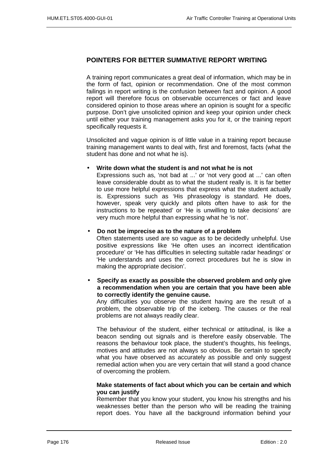# **POINTERS FOR BETTER SUMMATIVE REPORT WRITING**

A training report communicates a great deal of information, which may be in the form of fact, opinion or recommendation. One of the most common failings in report writing is the confusion between fact and opinion. A good report will therefore focus on observable occurrences or fact and leave considered opinion to those areas where an opinion is sought for a specific purpose. Don't give unsolicited opinion and keep your opinion under check until either your training management asks you for it, or the training report specifically requests it.

Unsolicited and vague opinion is of little value in a training report because training management wants to deal with, first and foremost, facts (what the student has done and not what he is).

#### • **Write down what the student is and not what he is not**

Expressions such as, 'not bad at ...' or 'not very good at ...' can often leave considerable doubt as to what the student really is. It is far better to use more helpful expressions that express what the student actually is. Expressions such as 'His phraseology is standard. He does, however, speak very quickly and pilots often have to ask for the instructions to be repeated' or 'He is unwilling to take decisions' are very much more helpful than expressing what he 'is not'.

#### • **Do not be imprecise as to the nature of a problem**

Often statements used are so vague as to be decidedly unhelpful. Use positive expressions like 'He often uses an incorrect identification procedure' or 'He has difficulties in selecting suitable radar headings' or 'He understands and uses the correct procedures but he is slow in making the appropriate decision'.

#### • **Specify as exactly as possible the observed problem and only give a recommendation when you are certain that you have been able to correctly identify the genuine cause.**

Any difficulties you observe the student having are the result of a problem, the observable trip of the iceberg. The causes or the real problems are not always readily clear.

The behaviour of the student, either technical or attitudinal, is like a beacon sending out signals and is therefore easily observable. The reasons the behaviour took place, the student's thoughts, his feelings, motives and attitudes are not always so obvious. Be certain to specify what you have observed as accurately as possible and only suggest remedial action when you are very certain that will stand a good chance of overcoming the problem.

#### **Make statements of fact about which you can be certain and which you can justify**

Remember that you know your student, you know his strengths and his weaknesses better than the person who will be reading the training report does. You have all the background information behind your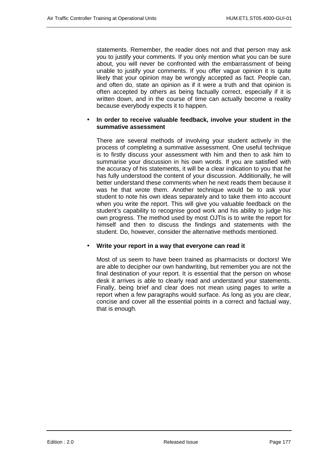statements. Remember, the reader does not and that person may ask you to justify your comments. If you only mention what you can be sure about, you will never be confronted with the embarrassment of being unable to justify your comments. If you offer vague opinion it is quite likely that your opinion may be wrongly accepted as fact. People can, and often do, state an opinion as if it were a truth and that opinion is often accepted by others as being factually correct, especially if it is written down, and in the course of time can actually become a reality because everybody expects it to happen.

#### • **In order to receive valuable feedback, involve your student in the summative assessment**

There are several methods of involving your student actively in the process of completing a summative assessment. One useful technique is to firstly discuss your assessment with him and then to ask him to summarise your discussion in his own words. If you are satisfied with the accuracy of his statements, it will be a clear indication to you that he has fully understood the content of your discussion. Additionally, he will better understand these comments when he next reads them because it was he that wrote them. Another technique would be to ask your student to note his own ideas separately and to take them into account when you write the report. This will give you valuable feedback on the student's capability to recognise good work and his ability to judge his own progress. The method used by most OJTIs is to write the report for himself and then to discuss the findings and statements with the student. Do, however, consider the alternative methods mentioned.

#### • **Write your report in a way that everyone can read it**

Most of us seem to have been trained as pharmacists or doctors! We are able to decipher our own handwriting, but remember you are not the final destination of your report. It is essential that the person on whose desk it arrives is able to clearly read and understand your statements. Finally, being brief and clear does not mean using pages to write a report when a few paragraphs would surface. As long as you are clear, concise and cover all the essential points in a correct and factual way, that is enough.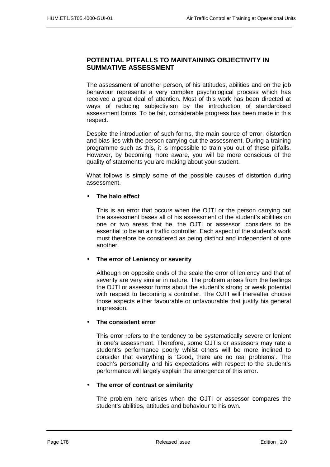# **POTENTIAL PITFALLS TO MAINTAINING OBJECTIVITY IN SUMMATIVE ASSESSMENT**

The assessment of another person, of his attitudes, abilities and on the job behaviour represents a very complex psychological process which has received a great deal of attention. Most of this work has been directed at ways of reducing subjectivism by the introduction of standardised assessment forms. To be fair, considerable progress has been made in this respect.

Despite the introduction of such forms, the main source of error, distortion and bias lies with the person carrying out the assessment. During a training programme such as this, it is impossible to train you out of these pitfalls. However, by becoming more aware, you will be more conscious of the quality of statements you are making about your student.

What follows is simply some of the possible causes of distortion during assessment.

#### • **The halo effect**

This is an error that occurs when the OJTI or the person carrying out the assessment bases all of his assessment of the student's abilities on one or two areas that he, the OJTI or assessor, considers to be essential to be an air traffic controller. Each aspect of the student's work must therefore be considered as being distinct and independent of one another.

#### • **The error of Leniency or severity**

Although on opposite ends of the scale the error of leniency and that of severity are very similar in nature. The problem arises from the feelings the OJTI or assessor forms about the student's strong or weak potential with respect to becoming a controller. The OJTI will thereafter choose those aspects either favourable or unfavourable that justify his general impression.

#### • **The consistent error**

This error refers to the tendency to be systematically severe or lenient in one's assessment. Therefore, some OJTIs or assessors may rate a student's performance poorly whilst others will be more inclined to consider that everything is 'Good, there are no real problems'. The coach's personality and his expectations with respect to the student's performance will largely explain the emergence of this error.

#### • **The error of contrast or similarity**

The problem here arises when the OJTI or assessor compares the student's abilities, attitudes and behaviour to his own.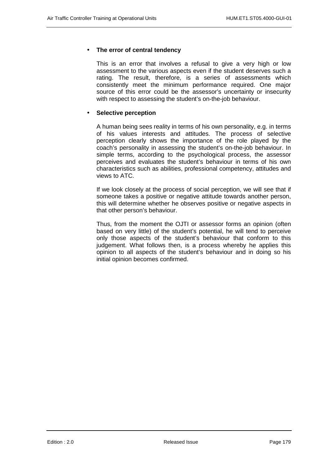#### • **The error of central tendency**

This is an error that involves a refusal to give a very high or low assessment to the various aspects even if the student deserves such a rating. The result, therefore, is a series of assessments which consistently meet the minimum performance required. One major source of this error could be the assessor's uncertainty or insecurity with respect to assessing the student's on-the-job behaviour.

### • **Selective perception**

A human being sees reality in terms of his own personality, e.g. in terms of his values interests and attitudes. The process of selective perception clearly shows the importance of the role played by the coach's personality in assessing the student's on-the-job behaviour. In simple terms, according to the psychological process, the assessor perceives and evaluates the student's behaviour in terms of his own characteristics such as abilities, professional competency, attitudes and views to ATC.

If we look closely at the process of social perception, we will see that if someone takes a positive or negative attitude towards another person, this will determine whether he observes positive or negative aspects in that other person's behaviour.

Thus, from the moment the OJTI or assessor forms an opinion (often based on very little) of the student's potential, he will tend to perceive only those aspects of the student's behaviour that conform to this judgement. What follows then, is a process whereby he applies this opinion to all aspects of the student's behaviour and in doing so his initial opinion becomes confirmed.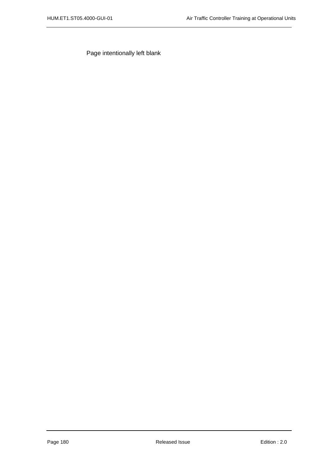Page intentionally left blank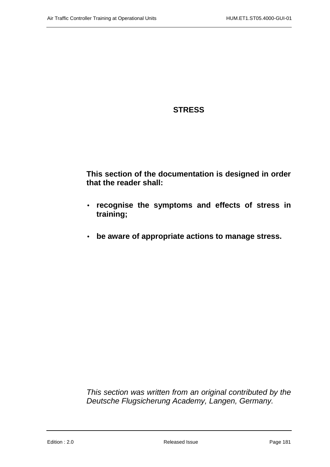# **STRESS**

**This section of the documentation is designed in order that the reader shall:**

- **recognise the symptoms and effects of stress in training;**
- **be aware of appropriate actions to manage stress.**

*This section was written from an original contributed by the Deutsche Flugsicherung Academy, Langen, Germany.*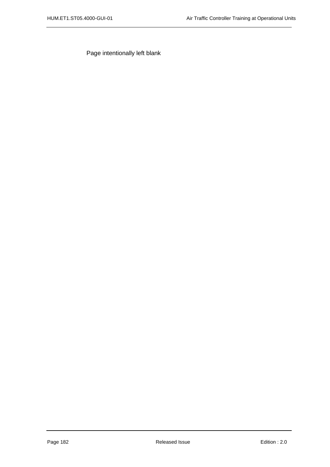Page intentionally left blank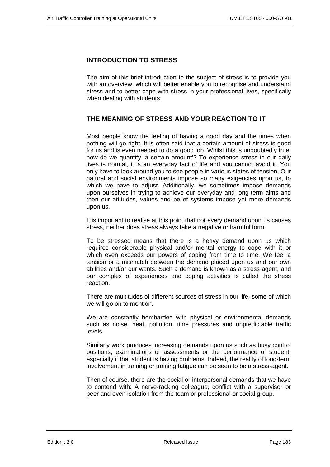#### **INTRODUCTION TO STRESS**

The aim of this brief introduction to the subject of stress is to provide you with an overview, which will better enable you to recognise and understand stress and to better cope with stress in your professional lives, specifically when dealing with students.

# **THE MEANING OF STRESS AND YOUR REACTION TO IT**

Most people know the feeling of having a good day and the times when nothing will go right. It is often said that a certain amount of stress is good for us and is even needed to do a good job. Whilst this is undoubtedly true, how do we quantify 'a certain amount'? To experience stress in our daily lives is normal, it is an everyday fact of life and you cannot avoid it. You only have to look around you to see people in various states of tension. Our natural and social environments impose so many exigencies upon us, to which we have to adjust. Additionally, we sometimes impose demands upon ourselves in trying to achieve our everyday and long-term aims and then our attitudes, values and belief systems impose yet more demands upon us.

It is important to realise at this point that not every demand upon us causes stress, neither does stress always take a negative or harmful form.

To be stressed means that there is a heavy demand upon us which requires considerable physical and/or mental energy to cope with it or which even exceeds our powers of coping from time to time. We feel a tension or a mismatch between the demand placed upon us and our own abilities and/or our wants. Such a demand is known as a stress agent, and our complex of experiences and coping activities is called the stress reaction.

There are multitudes of different sources of stress in our life, some of which we will go on to mention.

We are constantly bombarded with physical or environmental demands such as noise, heat, pollution, time pressures and unpredictable traffic levels.

Similarly work produces increasing demands upon us such as busy control positions, examinations or assessments or the performance of student, especially if that student is having problems. Indeed, the reality of long-term involvement in training or training fatigue can be seen to be a stress-agent.

Then of course, there are the social or interpersonal demands that we have to contend with: A nerve-racking colleague, conflict with a supervisor or peer and even isolation from the team or professional or social group.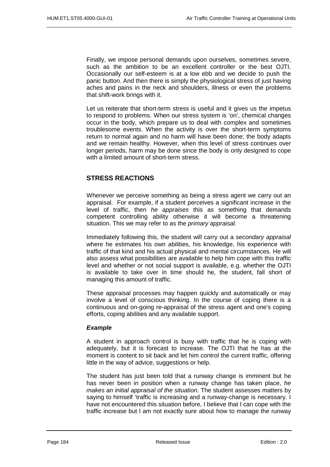Finally, we impose personal demands upon ourselves, sometimes severe, such as the ambition to be an excellent controller or the best OJTI. Occasionally our self-esteem is at a low ebb and we decide to push the panic button. And then there is simply the physiological stress of just having aches and pains in the neck and shoulders, illness or even the problems that shift-work brings with it.

Let us reiterate that short-term stress is useful and it gives us the impetus to respond to problems. When our stress system is 'on', chemical changes occur in the body, which prepare us to deal with complex and sometimes troublesome events. When the activity is over the short-term symptoms return to normal again and no harm will have been done; the body adapts and we remain healthy. However, when this level of stress continues over longer periods, harm may be done since the body is only designed to cope with a limited amount of short-term stress.

# **STRESS REACTIONS**

Whenever we perceive something as being a stress agent we carry out an appraisal. For example, if a student perceives a significant increase in the level of traffic, then *he appraises* this as something that demands competent controlling ability otherwise it will become a threatening situation. This we may refer to as the *primary appraisal.*

Immediately following this, the student will carry out a *secondary appraisal* where he estimates his own abilities, his knowledge, his experience with traffic of that kind and his actual physical and mental circumstances. He will also assess what possibilities are available to help him cope with this traffic level and whether or not social support is available, e.g. whether the OJTI is available to take over in time should he, the student, fall short of managing this amount of traffic.

These appraisal processes may happen quickly and automatically or may involve a level of conscious thinking. In the course of coping there is a continuous and on-going re-appraisal of the stress agent and one's coping efforts, coping abilities and any available support.

#### *Example*

A student in approach control is busy with traffic that he is coping with adequately, but it is forecast to increase. The OJTI that he has at the moment is content to sit back and let him control the current traffic, offering little in the way of advice, suggestions or help.

The student has just been told that a runway change is imminent but he has never been in position when a runway change has taken place, *he makes an initial appraisal of the situation.* The student assesses matters by saying to himself 'traffic is increasing and a runway-change is necessary. I have not encountered this situation before, I believe that I can cope with the traffic increase but l am not exactly sure about how to manage the runway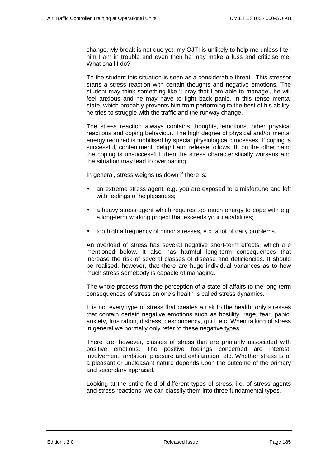change. My break is not due yet, my OJTI is unlikely to help me unless I tell him I am in trouble and even then he may make a fuss and criticise me. What shall I do?'

To the student this situation is seen as a considerable threat. This stressor starts a stress reaction with certain thoughts and negative emotions. The student may think something like 'I pray that I am able to manage', he will feel anxious and he may have to fight back panic. In this tense mental state, which probably prevents him from performing to the best of his ability, he tries to struggle with the traffic and the runway change.

The stress reaction always contains thoughts, emotions, other physical reactions and coping behaviour. The high degree of physical and/or mental energy required is mobilised by special physiological processes. If coping is successful, contentment, delight and release follows. If, on the other hand the coping is unsuccessful, then the stress characteristically worsens and the situation may lead to overloading.

In general, stress weighs us down if there is:

- an extreme stress agent, e.g. you are exposed to a misfortune and left with feelings of helplessness:
- a heavy stress agent which requires too much energy to cope with e.g. a long-term working project that exceeds your capabilities;
- too high a frequency of minor stresses, e.g. a lot of daily problems.

An overload of stress has several negative short-term effects, which are mentioned below. It also has harmful long-term consequences that increase the risk of several classes of disease and deficiencies. It should be realised, however, that there are huge individual variances as to how much stress somebody is capable of managing.

The whole process from the perception of a state of affairs to the long-term consequences of stress on one's health is called stress dynamics.

It is not every type of stress that creates a risk to the health, only stresses that contain certain negative emotions such as hostility, rage, fear, panic, anxiety, frustration, distress, despondency, guilt, etc. When talking of stress in general we normally only refer to these negative types.

There are, however, classes of stress that are primarily associated with positive emotions. The positive feelings concerned are interest, involvement, ambition, pleasure and exhilaration, etc. Whether stress is of a pleasant or unpleasant nature depends upon the outcome of the primary and secondary appraisal.

Looking at the entire field of different types of stress, i.e. of stress agents and stress reactions, we can classify them into three fundamental types.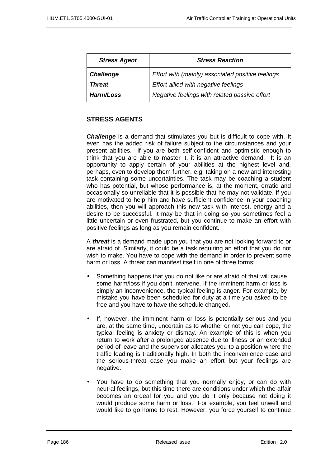| <b>Stress Agent</b> | <b>Stress Reaction</b>                            |
|---------------------|---------------------------------------------------|
| <b>Challenge</b>    | Effort with (mainly) associated positive feelings |
| <b>Threat</b>       | Effort allied with negative feelings              |
| Harm/Loss           | Negative feelings with related passive effort     |

# **STRESS AGENTS**

*Challenge* is a demand that stimulates you but is difficult to cope with. It even has the added risk of failure subject to the circumstances and your present abilities. If you are both self-confident and optimistic enough to think that you are able to master it, it is an attractive demand. It is an opportunity to apply certain of your abilities at the highest level and, perhaps, even to develop them further, e.g. taking on a new and interesting task containing some uncertainties. The task may be coaching a student who has potential, but whose performance is, at the moment, erratic and occasionally so unreliable that it is possible that he may not validate. If you are motivated to help him and have sufficient confidence in your coaching abilities, then you will approach this new task with interest, energy and a desire to be successful. It may be that in doing so you sometimes feel a little uncertain or even frustrated, but you continue to make an effort with positive feelings as long as you remain confident.

A *threat* is a demand made upon you that you are not looking forward to or are afraid of. Similarly, it could be a task requiring an effort that you do not wish to make. You have to cope with the demand in order to prevent some harm or loss. A threat can manifest itself in one of three forms:

- Something happens that you do not like or are afraid of that will cause some harm/loss if you don't intervene. If the imminent harm or loss is simply an inconvenience, the typical feeling is anger. For example, by mistake you have been scheduled for duty at a time you asked to be free and you have to have the schedule changed.
- If, however, the imminent harm or loss is potentially serious and you are, at the same time, uncertain as to whether or not you can cope, the typical feeling is anxiety or dismay. An example of this is when you return to work after a prolonged absence due to illness or an extended period of leave and the supervisor allocates you to a position where the traffic loading is traditionally high. In both the inconvenience case and the serious-threat case you make an effort but your feelings are negative.
- You have to do something that you normally enjoy, or can do with neutral feelings, but this time there are conditions under which the affair becomes an ordeal for you and you do it only because not doing it would produce some harm or loss. For example, you feel unwell and would like to go home to rest. However, you force yourself to continue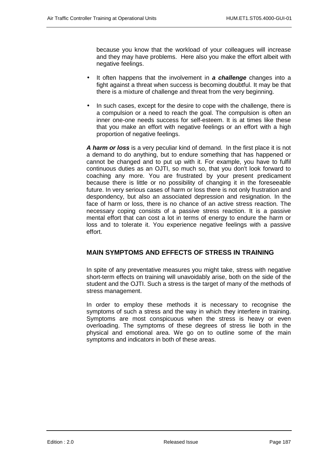because you know that the workload of your colleagues will increase and they may have problems. Here also you make the effort albeit with negative feelings.

- It often happens that the involvement in *a challenge* changes into a fight against a threat when success is becoming doubtful. It may be that there is a mixture of challenge and threat from the very beginning.
- In such cases, except for the desire to cope with the challenge, there is a compulsion or a need to reach the goal. The compulsion is often an inner one-one needs success for self-esteem. It is at times like these that you make an effort with negative feelings or an effort with a high proportion of negative feelings.

*A harm or loss* is a very peculiar kind of demand. In the first place it is not a demand to do anything, but to endure something that has happened or cannot be changed and to put up with it. For example, you have to fulfil continuous duties as an OJTI, so much so, that you don't look forward to coaching any more. You are frustrated by your present predicament because there is little or no possibility of changing it in the foreseeable future. In very serious cases of harm or loss there is not only frustration and despondency, but also an associated depression and resignation. In the face of harm or loss, there is no chance of an active stress reaction. The necessary coping consists of a passive stress reaction. It is a passive mental effort that can cost a lot in terms of energy to endure the harm or loss and to tolerate it. You experience negative feelings with a passive effort.

#### **MAIN SYMPTOMS AND EFFECTS OF STRESS IN TRAINING**

In spite of any preventative measures you might take, stress with negative short-term effects on training will unavoidably arise, both on the side of the student and the OJTI. Such a stress is the target of many of the methods of stress management.

In order to employ these methods it is necessary to recognise the symptoms of such a stress and the way in which they interfere in training. Symptoms are most conspicuous when the stress is heavy or even overloading. The symptoms of these degrees of stress lie both in the physical and emotional area. We go on to outline some of the main symptoms and indicators in both of these areas.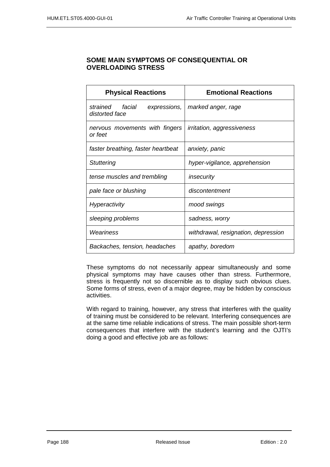### **SOME MAIN SYMPTOMS OF CONSEQUENTIAL OR OVERLOADING STRESS**

| <b>Physical Reactions</b>                         | <b>Emotional Reactions</b>          |
|---------------------------------------------------|-------------------------------------|
| strained facial<br>expressions,<br>distorted face | marked anger, rage                  |
| nervous movements with fingers<br>or feet         | <i>irritation, aggressiveness</i>   |
| faster breathing, faster heartbeat                | anxiety, panic                      |
| Stuttering                                        | hyper-vigilance, apprehension       |
| tense muscles and trembling                       | insecurity                          |
| pale face or blushing                             | discontentment                      |
| Hyperactivity                                     | mood swings                         |
| sleeping problems                                 | sadness, worry                      |
| Weariness                                         | withdrawal, resignation, depression |
| Backaches, tension, headaches                     | apathy, boredom                     |

These symptoms do not necessarily appear simultaneously and some physical symptoms may have causes other than stress. Furthermore, stress is frequently not so discernible as to display such obvious clues. Some forms of stress, even of a major degree, may be hidden by conscious activities.

With regard to training, however, any stress that interferes with the quality of training must be considered to be relevant. Interfering consequences are at the same time reliable indications of stress. The main possible short-term consequences that interfere with the student's learning and the OJTI's doing a good and effective job are as follows: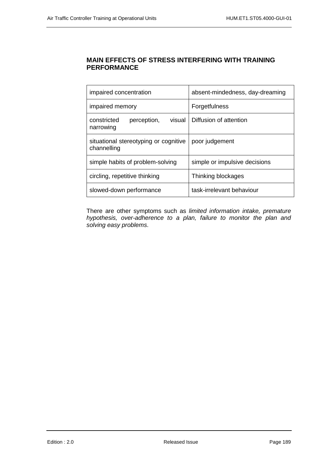# **MAIN EFFECTS OF STRESS INTERFERING WITH TRAINING PERFORMANCE**

| impaired concentration                               | absent-mindedness, day-dreaming |
|------------------------------------------------------|---------------------------------|
| impaired memory                                      | Forgetfulness                   |
| constricted<br>perception,<br>visual<br>narrowing    | Diffusion of attention          |
| situational stereotyping or cognitive<br>channelling | poor judgement                  |
| simple habits of problem-solving                     | simple or impulsive decisions   |
| circling, repetitive thinking                        | Thinking blockages              |
| slowed-down performance                              | task-irrelevant behaviour       |

There are other symptoms such as *limited information intake, premature hypothesis, over-adherence to a plan, failure to monitor the plan and solving easy problems*.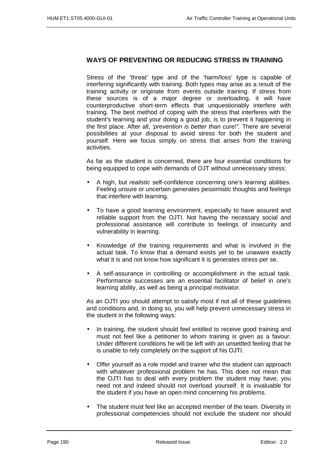# **WAYS OF PREVENTING OR REDUCING STRESS IN TRAINING**

Stress of the 'threat' type and of the 'harm/loss' type is capable of interfering significantly with training. Both types may arise as a result of the training activity or originate from events outside training. If stress from these sources is of a major degree or overloading, it will have counterproductive short-term effects that unquestionably interfere with training. The best method of coping with the stress that interferes with the student's learning and your doing a good job, is to prevent it happening in the first place. After all, *'prevention is better than cure!".* There are several possibilities at your disposal to avoid stress for both the student and yourself. Here we focus simply on stress that arises from the training activities.

As far as the student is concerned, there are four essential conditions for being equipped to cope with demands of OJT without unnecessary stress:

- A high, but *realistic* self-confidence concerning one's learning abilities. Feeling unsure or uncertain generates pessimistic thoughts and feelings that interfere with learning.
- To have a good learning environment, especially to have assured and reliable support from the OJTI. Not having the necessary social and professional assistance will contribute to feelings of insecurity and vulnerability in learning.
- Knowledge of the training requirements and what is involved in the actual task. To know that a demand exists yet to be unaware exactly what it is and not know how significant it is generates stress per se.
- A self-assurance in controlling or accomplishment in the actual task. Performance successes are an essential facilitator of belief in one's learning ability, as well as being a principal motivator.

As an OJTI you should attempt to satisfy most if not all of these guidelines and conditions and, in doing so, you will help prevent unnecessary stress in the student in the following ways:

- In training, the student should feel entitled to receive good training and must not feel like a petitioner to whom training is given as a favour. Under different conditions he will be left with an unsettled feeling that he is unable to rely completely on the support of his OJTI.
- Offer yourself as a role model and trainer who the student can approach with whatever professional problem he has. This does not mean that the OJTI has to deal with every problem the student may have, you need not and indeed should not overload yourself. It is invaluable for the student if you have an open mind concerning his problems.
- The student must feel like an accepted member of the team. Diversity in professional competencies should not exclude the student nor should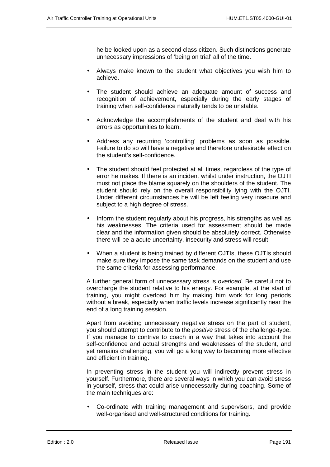he be looked upon as a second class citizen. Such distinctions generate unnecessary impressions of 'being on trial' all of the time.

- Always make known to the student what objectives you wish him to achieve.
- The student should achieve an adequate amount of success and recognition of achievement, especially during the early stages of training when self-confidence naturally tends to be unstable.
- Acknowledge the accomplishments of the student and deal with his errors as opportunities to learn.
- Address any recurring 'controlling' problems as soon as possible. Failure to do so will have a negative and therefore undesirable effect on the student's self-confidence.
- The student should feel protected at all times, regardless of the type of error he makes. If there is an incident whilst under instruction, the OJTI must not place the blame squarely on the shoulders of the student. The student should rely on the overall responsibility lying with the OJTI. Under different circumstances he will be left feeling very insecure and subject to a high degree of stress.
- Inform the student regularly about his progress, his strengths as well as his weaknesses. The criteria used for assessment should be made clear and the information given should be absolutely correct. Otherwise there will be a acute uncertainty, insecurity and stress will result.
- When a student is being trained by different OJTIs, these OJTIs should make sure they impose the same task demands on the student and use the same criteria for assessing performance.

A further general form of unnecessary stress is *overload*. Be careful not to overcharge the student relative to his energy. For example, at the start of training, you might overload him by making him work for long periods without a break, especially when traffic levels increase significantly near the end of a long training session.

Apart from avoiding unnecessary negative stress on the part of student, you should attempt to contribute to the *positive* stress of the challenge-type. If you manage to contrive to coach in a way that takes into account the self-confidence and actual strengths and weaknesses of the student, and yet remains challenging, you will go a long way to becoming more effective and efficient in training.

In preventing stress in the student you will indirectly prevent stress in yourself. Furthermore, there are several ways in which you can avoid stress in yourself, stress that could arise unnecessarily during coaching. Some of the main techniques are:

• Co-ordinate with training management and supervisors, and provide well-organised and well-structured conditions for training.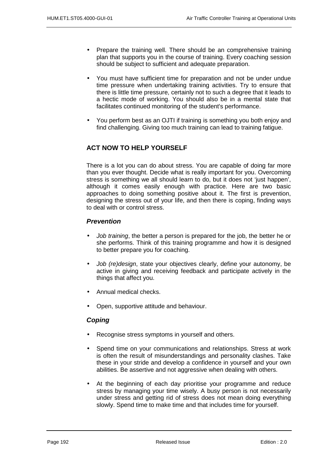- Prepare the training well. There should be an comprehensive training plan that supports you in the course of training. Every coaching session should be subject to sufficient and adequate preparation.
- You must have sufficient time for preparation and not be under undue time pressure when undertaking training activities. Try to ensure that there is little time pressure, certainly not to such a degree that it leads to a hectic mode of working. You should also be in a mental state that facilitates continued monitoring of the student's performance.
- You perform best as an OJTI if training is something you both enjoy and find challenging. Giving too much training can lead to training fatigue.

# **ACT NOW TO HELP YOURSELF**

There is a lot you can do about stress. You are capable of doing far more than you ever thought. Decide what is really important for you. Overcoming stress is something we all should learn to do, but it does not 'just happen', although it comes easily enough with practice. Here are two basic approaches to doing something positive about it. The first is prevention, designing the stress out of your life, and then there is coping, finding ways to deal with or control stress.

#### *Prevention*

- *Job training*, the better a person is prepared for the job, the better he or she performs. Think of this training programme and how it is designed to better prepare you for coaching.
- *Job (re)design*, state your objectives clearly, define your autonomy, be active in giving and receiving feedback and participate actively in the things that affect you.
- Annual medical checks.
- Open, supportive attitude and behaviour.

# *Coping*

- Recognise stress symptoms in yourself and others.
- Spend time on your communications and relationships. Stress at work is often the result of misunderstandings and personality clashes. Take these in your stride and develop a confidence in yourself and your own abilities. Be assertive and not aggressive when dealing with others.
- At the beginning of each day prioritise your programme and reduce stress by managing your time wisely. A busy person is not necessarily under stress and getting rid of stress does not mean doing everything slowly. Spend time to make time and that includes time for yourself.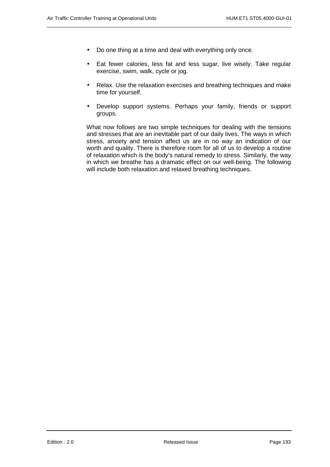- Do one thing at a time and deal with everything only once.
- Eat fewer calories, less fat and less sugar, live wisely. Take regular exercise, swim, walk, cycle or jog.
- Relax. Use the relaxation exercises and breathing techniques and make time for yourself.
- Develop support systems. Perhaps your family, friends or support groups.

What now follows are two simple techniques for dealing with the tensions and stresses that are an inevitable part of our daily lives. The ways in which stress, anxiety and tension affect us are in no way an indication of our worth and quality. There is therefore room for all of us to develop a routine of relaxation which is the body's natural remedy to stress. Similarly, the way in which we breathe has a dramatic effect on our well-being. The following will include both relaxation and relaxed breathing techniques.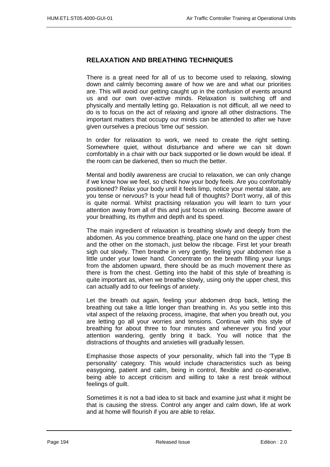## **RELAXATION AND BREATHING TECHNIQUES**

There is a great need for all of us to become used to relaxing, slowing down and calmly becoming aware of how we are and what our priorities are. This will avoid our getting caught up in the confusion of events around us and our own over-active minds. Relaxation is switching off and physically and mentally letting go. Relaxation is not difficult, all we need to do is to focus on the act of relaxing and ignore all other distractions. The important matters that occupy our minds can be attended to after we have given ourselves a precious 'time out' session.

In order for relaxation to work, we need to create the right setting. Somewhere quiet, without disturbance and where we can sit down comfortably in a chair with our back supported or lie down would be ideal. If the room can be darkened, then so much the better.

Mental and bodily awareness are crucial to relaxation, we can only change if we know how we feel, so check how your body feels. Are you comfortably positioned? Relax your body until it feels limp, notice your mental state, are you tense or nervous? Is your head full of thoughts? Don't worry, all of this is quite normal. Whilst practising relaxation you will learn to turn your attention away from all of this and just focus on relaxing. Become aware of your breathing, its rhythm and depth and its speed.

The main ingredient of relaxation is breathing slowly and deeply from the abdomen. As you commence breathing, place one hand on the upper chest and the other on the stomach, just below the ribcage. First let your breath sigh out slowly. Then breathe in very gently, feeling your abdomen rise a little under your lower hand. Concentrate on the breath filling your lungs from the abdomen upward, there should be as much movement there as there is from the chest. Getting into the habit of this style of breathing is quite important as, when we breathe slowly, using only the upper chest, this can actually add to our feelings of anxiety.

Let the breath out again, feeling your abdomen drop back, letting the breathing out take a little longer than breathing in. As you settle into this vital aspect of the relaxing process, imagine, that when you breath out, you are letting go all your worries and tensions. Continue with this style of breathing for about three to four minutes and whenever you find your attention wandering, gently bring it back. You will notice that the distractions of thoughts and anxieties will gradually lessen.

Emphasise those aspects of your personality, which fall into the 'Type B personality' category. This would include characteristics such as being easygoing, patient and calm, being in control, flexible and co-operative, being able to accept criticism and willing to take a rest break without feelings of guilt.

Sometimes it is not a bad idea to sit back and examine just what it might be that is causing the stress. Control any anger and calm down, life at work and at home will flourish if you are able to relax.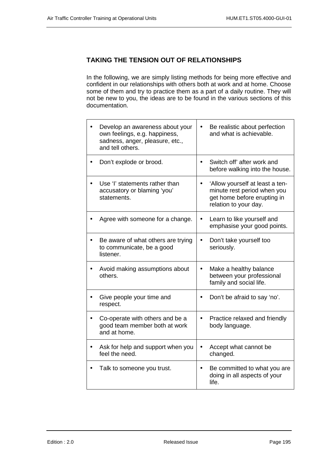# **TAKING THE TENSION OUT OF RELATIONSHIPS**

In the following, we are simply listing methods for being more effective and confident in our relationships with others both at work and at home. Choose some of them and try to practice them as a part of a daily routine. They will not be new to you, the ideas are to be found in the various sections of this documentation.

| Develop an awareness about your<br>own feelings, e.g. happiness,<br>sadness, anger, pleasure, etc.,<br>and tell others. | Be realistic about perfection<br>and what is achievable.                                                               |
|-------------------------------------------------------------------------------------------------------------------------|------------------------------------------------------------------------------------------------------------------------|
| Don't explode or brood.                                                                                                 | Switch off' after work and<br>before walking into the house.                                                           |
| Use 'I' statements rather than<br>accusatory or blaming 'you'<br>statements.                                            | 'Allow yourself at least a ten-<br>minute rest period when you<br>get home before erupting in<br>relation to your day. |
| Agree with someone for a change.                                                                                        | Learn to like yourself and<br>emphasise your good points.                                                              |
| Be aware of what others are trying<br>to communicate, be a good<br>listener.                                            | Don't take yourself too<br>seriously.                                                                                  |
| Avoid making assumptions about<br>others.                                                                               | Make a healthy balance<br>$\bullet$<br>between your professional<br>family and social life.                            |
| Give people your time and<br>respect.                                                                                   | Don't be afraid to say 'no'.                                                                                           |
| Co-operate with others and be a<br>good team member both at work<br>and at home.                                        | Practice relaxed and friendly<br>body language.                                                                        |
| Ask for help and support when you<br>feel the need.                                                                     | Accept what cannot be<br>changed.                                                                                      |
| Talk to someone you trust.                                                                                              | Be committed to what you are<br>doing in all aspects of your<br>life.                                                  |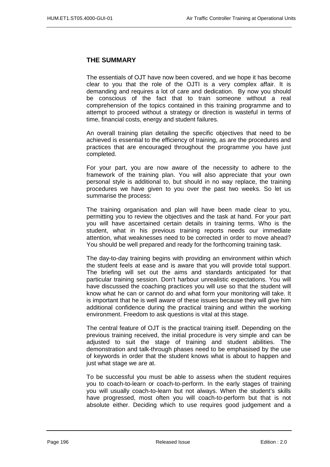#### **THE SUMMARY**

The essentials of OJT have now been covered, and we hope it has become clear to you that the role of the OJTI is a very complex affair. It is demanding and requires a lot of care and dedication. By now you should be conscious of the fact that to train someone without a real comprehension of the topics contained in this training programme and to attempt to proceed without a strategy or direction is wasteful in terms of time, financial costs, energy and student failures.

An overall training plan detailing the specific objectives that need to be achieved is essential to the efficiency of training, as are the procedures and practices that are encouraged throughout the programme you have just completed.

For your part, you are now aware of the necessity to adhere to the framework of the training plan. You will also appreciate that your own personal style is additional to, but should in no way replace, the training procedures we have given to you over the past two weeks. So let us summarise the process:

The training organisation and plan will have been made clear to you, permitting you to review the objectives and the task at hand. For your part you will have ascertained certain details in training terms. Who is the student, what in his previous training reports needs our immediate attention, what weaknesses need to be corrected in order to move ahead? You should be well prepared and ready for the forthcoming training task.

The day-to-day training begins with providing an environment within which the student feels at ease and is aware that you will provide total support. The briefing will set out the aims and standards anticipated for that particular training session. Don't harbour unrealistic expectations. You will have discussed the coaching practices you will use so that the student will know what he can or cannot do and what form your monitoring will take. It is important that he is well aware of these issues because they will give him additional confidence during the practical training and within the working environment. Freedom to ask questions is vital at this stage.

The central feature of OJT is the practical training itself. Depending on the previous training received, the initial procedure is very simple and can be adjusted to suit the stage of training and student abilities. The demonstration and talk-through phases need to be emphasised by the use of keywords in order that the student knows what is about to happen and just what stage we are at.

To be successful you must be able to assess when the student requires you to coach-to-learn or coach-to-perform. In the early stages of training you will usually coach-to-learn but not always. When the student's skills have progressed, most often you will coach-to-perform but that is not absolute either. Deciding which to use requires good judgement and a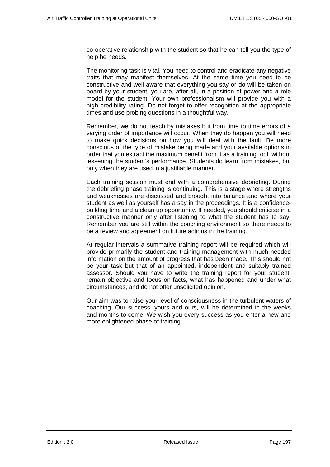co-operative relationship with the student so that he can tell you the type of help he needs.

The monitoring task is vital. You need to control and eradicate any negative traits that may manifest themselves. At the same time you need to be constructive and well aware that everything you say or do will be taken on board by your student, you are, after all, in a position of power and a role model for the student. Your own professionalism will provide you with a high credibility rating. Do not forget to offer recognition at the appropriate times and use probing questions in a thoughtful way.

Remember, we do not teach by mistakes but from time to time errors of a varying order of importance will occur. When they do happen you will need to make quick decisions on how you will deal with the fault. Be more conscious of the type of mistake being made and your available options in order that you extract the maximum benefit from it as a training tool, without lessening the student's performance. Students do learn from mistakes, but only when they are used in a justifiable manner.

Each training session must end with a comprehensive debriefing. During the debriefing phase training is continuing. This is a stage where strengths and weaknesses are discussed and brought into balance and where your student as well as yourself has a say in the proceedings. It is a confidencebuilding time and a clean up opportunity. If needed, you should criticise in a constructive manner only after listening to what the student has to say. Remember you are still within the coaching environment so there needs to be a review and agreement on future actions in the training.

At regular intervals a summative training report will be required which will provide primarily the student and training management with much needed information on the amount of progress that has been made. This should not be your task but that of an appointed, independent and suitably trained assessor. Should you have to write the training report for your student, remain objective and focus on facts, what has happened and under what circumstances, and do not offer unsolicited opinion.

Our aim was to raise your level of consciousness in the turbulent waters of coaching. Our success, yours and ours, will be determined in the weeks and months to come. We wish you every success as you enter a new and more enlightened phase of training.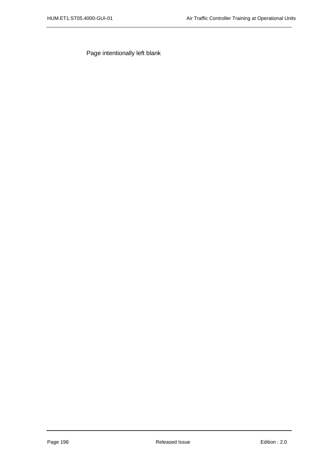Page intentionally left blank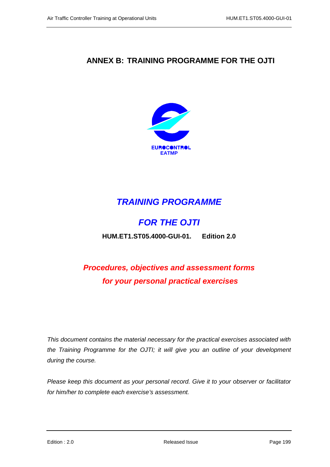# **ANNEX B: TRAINING PROGRAMME FOR THE OJTI**



# *TRAINING PROGRAMME*

# *FOR THE OJTI*

**HUM.ET1.ST05.4000-GUI-01. Edition 2.0**

# *Procedures, objectives and assessment forms for your personal practical exercises*

*This document contains the material necessary for the practical exercises associated with the Training Programme for the OJTI; it will give you an outline of your development during the course.*

*Please keep this document as your personal record. Give it to your observer or facilitator for him/her to complete each exercise's assessment.*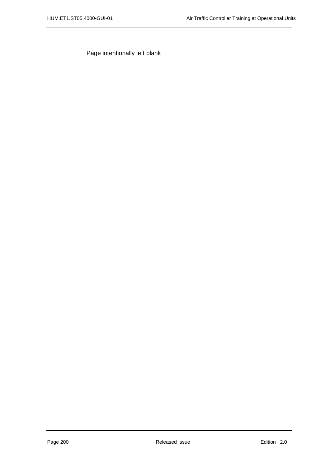Page intentionally left blank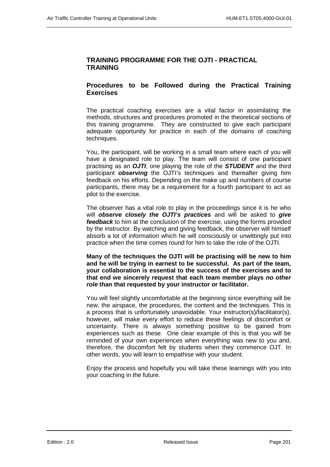# **TRAINING PROGRAMME FOR THE OJTI - PRACTICAL TRAINING**

# **Procedures to be Followed during the Practical Training Exercises**

The practical coaching exercises are a vital factor in assimilating the methods, structures and procedures promoted in the theoretical sections of this training programme. They are constructed to give each participant adequate opportunity for practice in each of the domains of coaching techniques.

You, the participant, will be working in a small team where each of you will have a designated role to play. The team will consist of one participant practising as an *OJTI*, one playing the role of the *STUDENT* and the third participant *observing* the OJTI's techniques and thereafter giving him feedback on his efforts. Depending on the make up and numbers of course participants, there may be a requirement for a fourth participant to act as pilot to the exercise.

The observer has a vital role to play in the proceedings since it is he who will *observe closely the OJTI's practices* and will be asked to *give feedback* to him at the conclusion of the exercise, using the forms provided by the instructor. By watching and giving feedback, the observer will himself absorb a lot of information which he will consciously or unwittingly put into practice when the time comes round for him to take the role of the OJTI.

**Many of the techniques the OJTI will be practising will be new to him and he will be trying in earnest to be successful. As part of the team, your collaboration is essential to the success of the exercises and to that end we sincerely request that each team member plays** *no other role* **than that requested by your instructor or facilitator.**

You will feel slightly uncomfortable at the beginning since everything will be new, the airspace, the procedures, the content and the techniques. This is a process that is unfortunately unavoidable. Your instructor(s)/facilitator(s), however, will make every effort to reduce these feelings of discomfort or uncertainty. There is always something positive to be gained from experiences such as these. One clear example of this is that you will be reminded of your own experiences when everything was new to you and, therefore, the discomfort felt by students when they commence OJT. In other words, you will learn to empathise with your student.

Enjoy the process and hopefully you will take these learnings with you into your coaching in the future.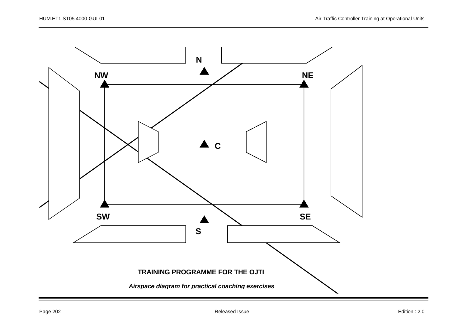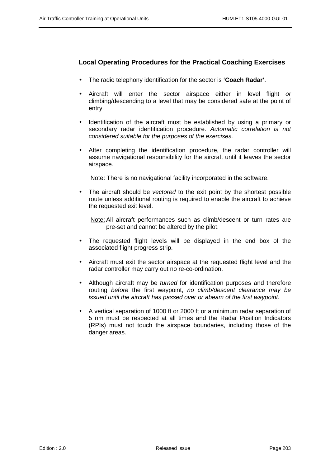# **Local Operating Procedures for the Practical Coaching Exercises**

- The radio telephony identification for the sector is **'Coach Radar'**.
- Aircraft will enter the sector airspace either in level flight *or* climbing/descending to a level that may be considered safe at the point of entry.
- Identification of the aircraft must be established by using a primary or secondary radar identification procedure. *Automatic correlation is not considered suitable for the purposes of the exercises.*
- After completing the identification procedure, the radar controller will assume navigational responsibility for the aircraft until it leaves the sector airspace.

Note: There is no navigational facility incorporated in the software.

• The aircraft should be *vectored* to the exit point by the shortest possible route unless additional routing is required to enable the aircraft to achieve the requested exit level.

Note: All aircraft performances such as climb/descent or turn rates are pre-set and cannot be altered by the pilot.

- The requested flight levels will be displayed in the end box of the associated flight progress strip.
- Aircraft must exit the sector airspace at the requested flight level and the radar controller may carry out no re-co-ordination.
- Although aircraft may be *turned* for identification purposes and therefore routing *before* the first waypoint, *no climb/descent clearance may be issued until the aircraft has passed over or abeam of the first waypoint.*
- A vertical separation of 1000 ft or 2000 ft or a minimum radar separation of 5 nm must be respected at all times and the Radar Position Indicators (RPIs) must not touch the airspace boundaries, including those of the danger areas.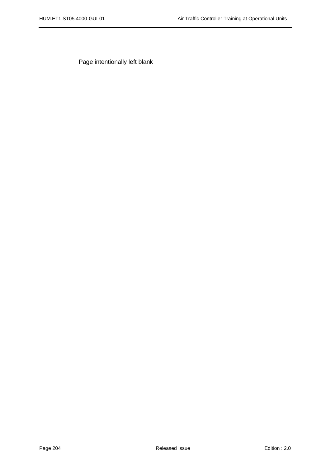Page intentionally left blank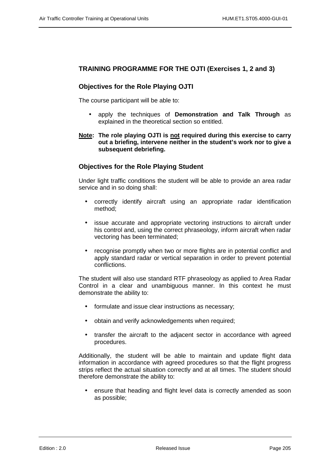# **TRAINING PROGRAMME FOR THE OJTI (Exercises 1, 2 and 3)**

## **Objectives for the Role Playing OJTI**

The course participant will be able to:

- apply the techniques of **Demonstration and Talk Through** as explained in the theoretical section so entitled.
- **Note: The role playing OJTI is not required during this exercise to carry out a briefing, intervene neither in the student's work nor to give a subsequent debriefing.**

## **Objectives for the Role Playing Student**

Under light traffic conditions the student will be able to provide an area radar service and in so doing shall:

- correctly identify aircraft using an appropriate radar identification method;
- issue accurate and appropriate vectoring instructions to aircraft under his control and, using the correct phraseology, inform aircraft when radar vectoring has been terminated;
- recognise promptly when two or more flights are in potential conflict and apply standard radar or vertical separation in order to prevent potential conflictions.

The student will also use standard RTF phraseology as applied to Area Radar Control in a clear and unambiguous manner. In this context he must demonstrate the ability to:

- formulate and issue clear instructions as necessary;
- obtain and verify acknowledgements when required;
- transfer the aircraft to the adjacent sector in accordance with agreed procedures.

Additionally, the student will be able to maintain and update flight data information in accordance with agreed procedures so that the flight progress strips reflect the actual situation correctly and at all times. The student should therefore demonstrate the ability to:

• ensure that heading and flight level data is correctly amended as soon as possible;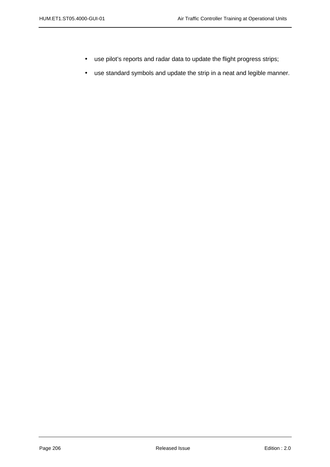- use pilot's reports and radar data to update the flight progress strips;
- use standard symbols and update the strip in a neat and legible manner.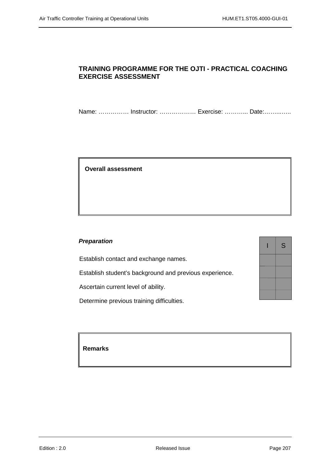# **TRAINING PROGRAMME FOR THE OJTI - PRACTICAL COACHING EXERCISE ASSESSMENT**

Name: …………… Instructor: ……………… Exercise: ………... Date:……...…..

## **Overall assessment**

#### *Preparation*

Establish contact and exchange names.

Establish student's background and previous experience.

Ascertain current level of ability.

Determine previous training difficulties.

| S |
|---|
|   |
|   |
|   |
|   |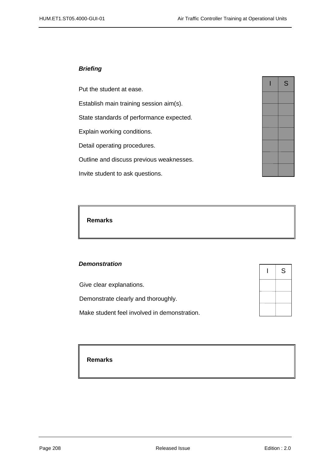#### *Briefing*

Put the student at ease.

Establish main training session aim(s).

State standards of performance expected.

Explain working conditions.

Detail operating procedures.

Outline and discuss previous weaknesses.

Invite student to ask questions.

| S |
|---|
|   |
|   |
|   |
|   |
|   |
|   |
|   |

#### **Remarks**

#### *Demonstration*

Give clear explanations.

Demonstrate clearly and thoroughly.

Make student feel involved in demonstration.

| S |
|---|
|   |
|   |
|   |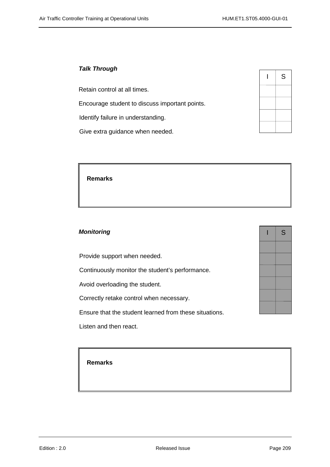#### *Talk Through*

Retain control at all times.

Encourage student to discuss important points.

Identify failure in understanding.

Give extra guidance when needed.

| S |
|---|
|   |
|   |
|   |
|   |

**Remarks**

#### *Monitoring*

Provide support when needed.

Continuously monitor the student's performance.

Avoid overloading the student.

Correctly retake control when necessary.

Ensure that the student learned from these situations.

Listen and then react.

| S |
|---|
|   |
|   |
|   |
|   |
|   |
|   |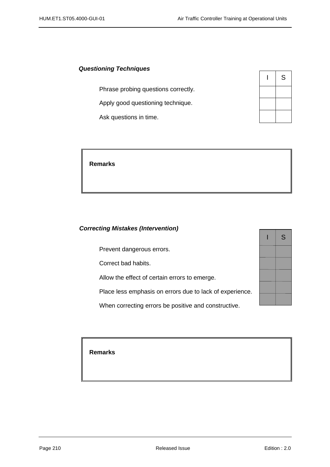#### *Questioning Techniques*

Phrase probing questions correctly. Apply good questioning technique.

Ask questions in time.

| S |
|---|
|   |
|   |
|   |

 $I \mid S$ 

#### **Remarks**

#### *Correcting Mistakes (Intervention)*

Prevent dangerous errors.

Correct bad habits.

Allow the effect of certain errors to emerge.

Place less emphasis on errors due to lack of experience.

When correcting errors be positive and constructive.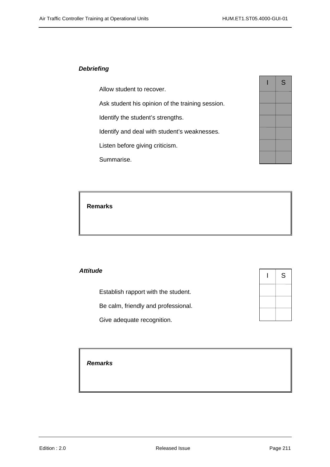### *Debriefing*

Allow student to recover.

Ask student his opinion of the training session.

Identify the student's strengths.

Identify and deal with student's weaknesses.

Listen before giving criticism.

Summarise.

| S |
|---|
|   |
|   |
|   |
|   |
|   |
|   |

### **Remarks**

### *Attitude*

Establish rapport with the student.

Be calm, friendly and professional.

Give adequate recognition.

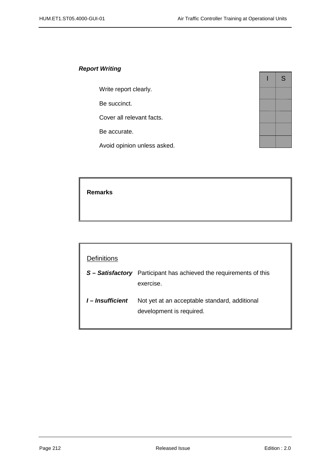### *Report Writing*

Write report clearly.

Be succinct.

Cover all relevant facts.

Be accurate.

Avoid opinion unless asked.

| S |
|---|
|   |
|   |
|   |
|   |
|   |

| Definitions      |                                                                                        |
|------------------|----------------------------------------------------------------------------------------|
|                  | <b>S</b> – Satisfactory Participant has achieved the requirements of this<br>exercise. |
| l – Insufficient | Not yet at an acceptable standard, additional<br>development is required.              |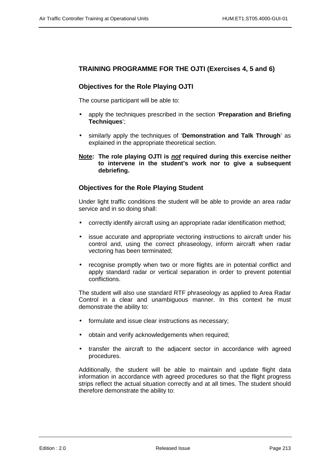### **TRAINING PROGRAMME FOR THE OJTI (Exercises 4, 5 and 6)**

### **Objectives for the Role Playing OJTI**

The course participant will be able to:

- apply the techniques prescribed in the section '**Preparation and Briefing Techniques**';
- similarly apply the techniques of '**Demonstration and Talk Through**' as explained in the appropriate theoretical section.
- **Note: The role playing OJTI is** *not* **required during this exercise neither to intervene in the student's work nor to give a subsequent debriefing.**

### **Objectives for the Role Playing Student**

Under light traffic conditions the student will be able to provide an area radar service and in so doing shall:

- correctly identify aircraft using an appropriate radar identification method;
- issue accurate and appropriate vectoring instructions to aircraft under his control and, using the correct phraseology, inform aircraft when radar vectoring has been terminated;
- recognise promptly when two or more flights are in potential conflict and apply standard radar or vertical separation in order to prevent potential conflictions.

The student will also use standard RTF phraseology as applied to Area Radar Control in a clear and unambiguous manner. In this context he must demonstrate the ability to:

- formulate and issue clear instructions as necessary;
- obtain and verify acknowledgements when required;
- transfer the aircraft to the adjacent sector in accordance with agreed procedures.

Additionally, the student will be able to maintain and update flight data information in accordance with agreed procedures so that the flight progress strips reflect the actual situation correctly and at all times. The student should therefore demonstrate the ability to: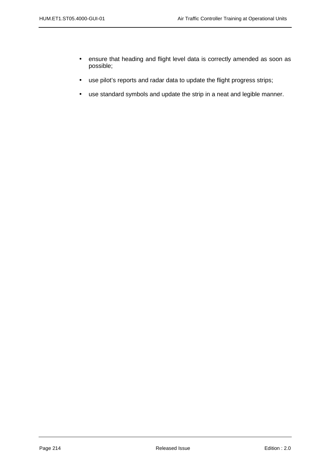- ensure that heading and flight level data is correctly amended as soon as possible;
- use pilot's reports and radar data to update the flight progress strips;
- use standard symbols and update the strip in a neat and legible manner.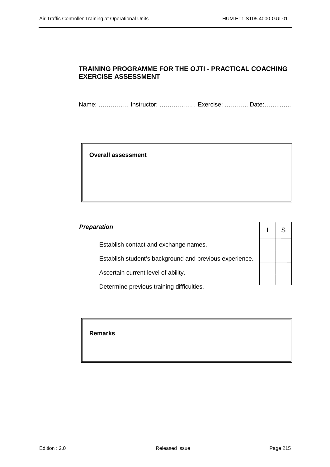### **TRAINING PROGRAMME FOR THE OJTI - PRACTICAL COACHING EXERCISE ASSESSMENT**

Name: …………… Instructor: ……………… Exercise: ………... Date:……...…..

### **Overall assessment**

### *Preparation*

Establish contact and exchange names.

Establish student's background and previous experience.

Ascertain current level of ability.

Determine previous training difficulties.

### **Remarks**

 $I \mid S$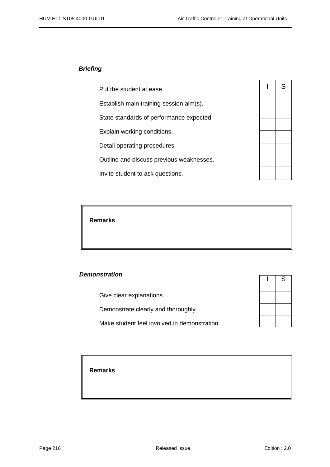### *Briefing*

Put the student at ease. Establish main training session aim(s). State standards of performance expected. Explain working conditions. Detail operating procedures. Outline and discuss previous weaknesses. Invite student to ask questions.

| I | S |
|---|---|
|   |   |
|   |   |
|   |   |
|   |   |
|   |   |
|   |   |
|   |   |

### **Remarks**

### *Demonstration*

Give clear explanations.

Demonstrate clearly and thoroughly.

Make student feel involved in demonstration.

| S |
|---|
|   |
|   |
|   |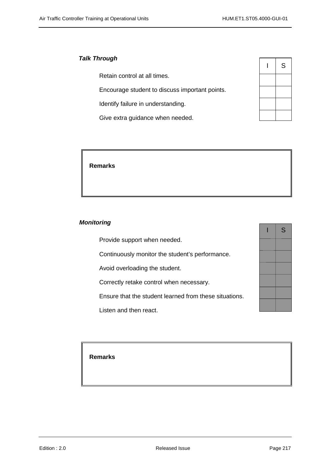# *Talk Through*

Retain control at all times.

Encourage student to discuss important points.

Identify failure in understanding.

Give extra guidance when needed.

| S |
|---|
|   |
|   |
|   |
|   |

**Remarks**

### *Monitoring*

Provide support when needed. Continuously monitor the student's performance. Avoid overloading the student. Correctly retake control when necessary. Ensure that the student learned from these situations. Listen and then react.

| S |
|---|
|   |
|   |
|   |
|   |
|   |
|   |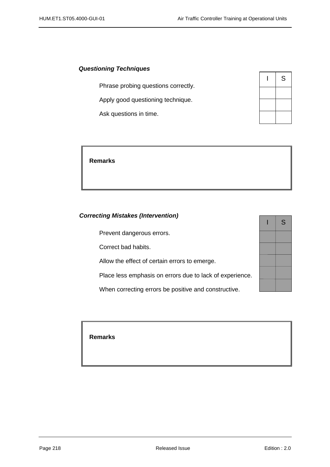### *Questioning Techniques*

Phrase probing questions correctly. Apply good questioning technique. Ask questions in time.

| S |
|---|
|   |
|   |
|   |

### **Remarks**

### *Correcting Mistakes (Intervention)*

Prevent dangerous errors.

Correct bad habits.

Allow the effect of certain errors to emerge.

Place less emphasis on errors due to lack of experience.

When correcting errors be positive and constructive.

| S |
|---|
|   |
|   |
|   |
|   |
|   |

المنازل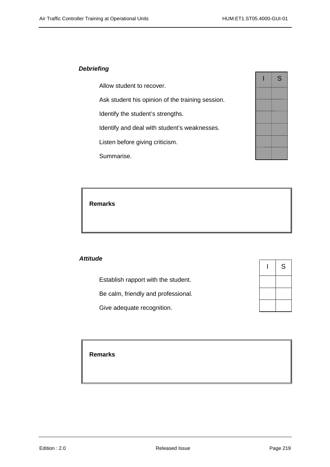### *Debriefing*

Allow student to recover.

Ask student his opinion of the training session.

Identify the student's strengths.

Identify and deal with student's weaknesses.

Listen before giving criticism.

Summarise.

| ۱ | S |
|---|---|
|   |   |
|   |   |
|   |   |
|   |   |
|   |   |
|   |   |

### **Remarks**

### *Attitude*

Establish rapport with the student.

Be calm, friendly and professional.

Give adequate recognition.

| S |
|---|
|   |
|   |
|   |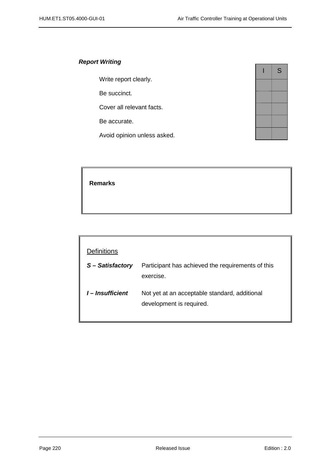# *Report Writing*

Write report clearly.

Be succinct.

Cover all relevant facts.

Be accurate.

Avoid opinion unless asked.

| S |
|---|
|   |
|   |
|   |
|   |
|   |

| <b>Definitions</b> |                                                                           |
|--------------------|---------------------------------------------------------------------------|
| S-Satisfactory     | Participant has achieved the requirements of this<br>exercise.            |
| I – Insufficient   | Not yet at an acceptable standard, additional<br>development is required. |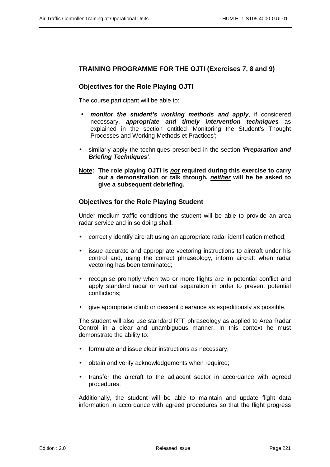### **TRAINING PROGRAMME FOR THE OJTI (Exercises 7, 8 and 9)**

### **Objectives for the Role Playing OJTI**

The course participant will be able to:

- *monitor the student's working methods and apply*, if considered necessary, *appropriate and timely intervention techniques* as explained in the section entitled 'Monitoring the Student's Thought Processes and Working Methods et Practices';
- similarly apply the techniques prescribed in the section *'Preparation and Briefing Techniques'.*
- **Note: The role playing OJTI is** *not* **required during this exercise to carry out a demonstration or talk through,** *neither* **will he be asked to give a subsequent debriefing.**

### **Objectives for the Role Playing Student**

Under medium traffic conditions the student will be able to provide an area radar service and in so doing shall:

- correctly identify aircraft using an appropriate radar identification method;
- issue accurate and appropriate vectoring instructions to aircraft under his control and, using the correct phraseology, inform aircraft when radar vectoring has been terminated;
- recognise promptly when two or more flights are in potential conflict and apply standard radar or vertical separation in order to prevent potential conflictions;
- give appropriate climb or descent clearance as expeditiously as possible.

The student will also use standard RTF phraseology as applied to Area Radar Control in a clear and unambiguous manner. In this context he must demonstrate the ability to:

- formulate and issue clear instructions as necessary;
- obtain and verify acknowledgements when required;
- transfer the aircraft to the adjacent sector in accordance with agreed procedures.

Additionally, the student will be able to maintain and update flight data information in accordance with agreed procedures so that the flight progress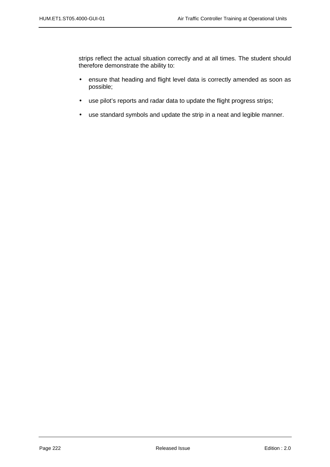strips reflect the actual situation correctly and at all times. The student should therefore demonstrate the ability to:

- ensure that heading and flight level data is correctly amended as soon as possible;
- use pilot's reports and radar data to update the flight progress strips;
- use standard symbols and update the strip in a neat and legible manner.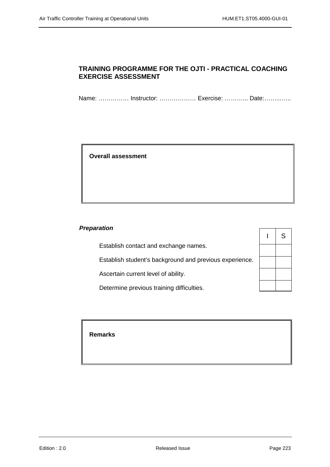### **TRAINING PROGRAMME FOR THE OJTI - PRACTICAL COACHING EXERCISE ASSESSMENT**

Name: …………… Instructor: ……………… Exercise: ………... Date:……...…..

### **Overall assessment**

# *Preparation*

Establish contact and exchange names.

Establish student's background and previous experience.

Ascertain current level of ability.

Determine previous training difficulties.

### **Remarks**

 $I \mid S$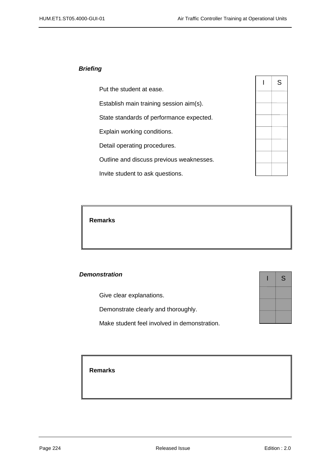### *Briefing*

Put the student at ease. Establish main training session aim(s). State standards of performance expected. Explain working conditions. Detail operating procedures. Outline and discuss previous weaknesses. Invite student to ask questions.

| S |
|---|
|   |
|   |
|   |
|   |
|   |
|   |
|   |

### **Remarks**

### *Demonstration*

Give clear explanations.

Demonstrate clearly and thoroughly.

Make student feel involved in demonstration.

| S |
|---|
|   |
|   |
|   |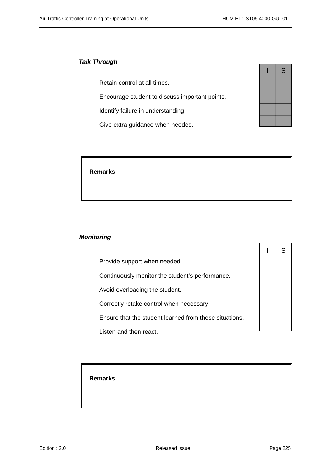### *Talk Through*

Retain control at all times.

Encourage student to discuss important points.

Identify failure in understanding.

Give extra guidance when needed.

 $I \mid S$ 

### **Remarks**

### *Monitoring*

Provide support when needed.

Continuously monitor the student's performance.

Avoid overloading the student.

Correctly retake control when necessary.

Ensure that the student learned from these situations.

Listen and then react.

# $I \mid S$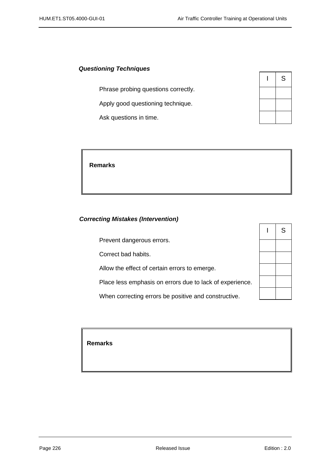### *Questioning Techniques*

Phrase probing questions correctly. Apply good questioning technique.

Ask questions in time.

| S |
|---|
|   |
|   |
|   |

 $I \mid S$ 

### **Remarks**

### *Correcting Mistakes (Intervention)*

Prevent dangerous errors.

Correct bad habits.

Allow the effect of certain errors to emerge.

Place less emphasis on errors due to lack of experience.

When correcting errors be positive and constructive.

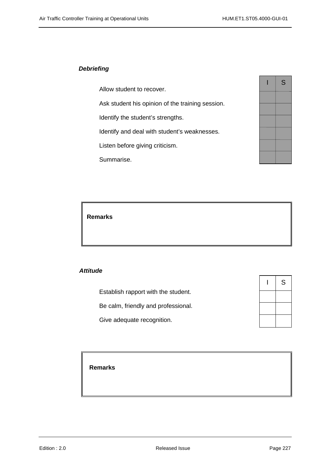### *Debriefing*

Allow student to recover.

Ask student his opinion of the training session.

Identify the student's strengths.

Identify and deal with student's weaknesses.

Listen before giving criticism.

Summarise.

| S |
|---|
|   |
|   |
|   |
|   |
|   |
|   |

### **Remarks**

### *Attitude*

| Establish rapport with the student. |
|-------------------------------------|
| Be calm, friendly and professional. |
| Give adequate recognition.          |

| S |
|---|
|   |
|   |
|   |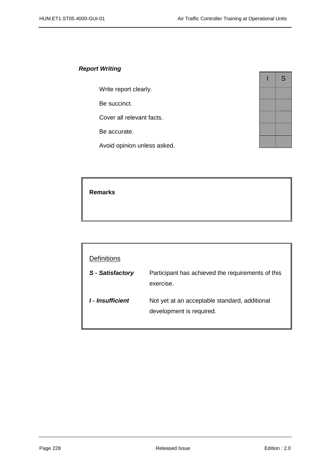### *Report Writing*

Write report clearly.

Be succinct.

Cover all relevant facts.

Be accurate.

Avoid opinion unless asked.

| S |
|---|
|   |
|   |
|   |
|   |
|   |

| <b>Definitions</b>      |                                                                           |
|-------------------------|---------------------------------------------------------------------------|
| S - Satisfactory        | Participant has achieved the requirements of this<br>exercise.            |
| <i>I - Insufficient</i> | Not yet at an acceptable standard, additional<br>development is required. |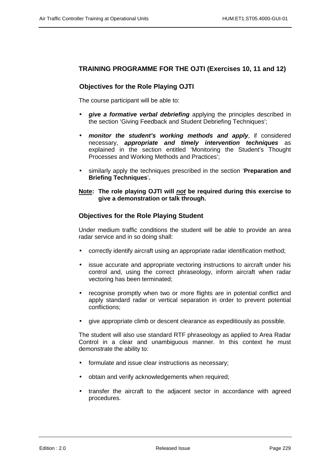### **TRAINING PROGRAMME FOR THE OJTI (Exercises 10, 11 and 12)**

### **Objectives for the Role Playing OJTI**

The course participant will be able to:

- *give a formative verbal debriefing* applying the principles described in the section 'Giving Feedback and Student Debriefing Techniques';
- *monitor the student's working methods and apply*, if considered necessary, *appropriate and timely intervention techniques* as explained in the section entitled 'Monitoring the Student's Thought Processes and Working Methods and Practices';
- similarly apply the techniques prescribed in the section '**Preparation and Briefing Techniques**'*.*

### **Note: The role playing OJTI will** *not* **be required during this exercise to give a demonstration or talk through.**

### **Objectives for the Role Playing Student**

Under medium traffic conditions the student will be able to provide an area radar service and in so doing shall:

- correctly identify aircraft using an appropriate radar identification method;
- issue accurate and appropriate vectoring instructions to aircraft under his control and, using the correct phraseology, inform aircraft when radar vectoring has been terminated;
- recognise promptly when two or more flights are in potential conflict and apply standard radar or vertical separation in order to prevent potential conflictions;
- give appropriate climb or descent clearance as expeditiously as possible.

The student will also use standard RTF phraseology as applied to Area Radar Control in a clear and unambiguous manner. In this context he must demonstrate the ability to:

- formulate and issue clear instructions as necessary;
- obtain and verify acknowledgements when required;
- transfer the aircraft to the adjacent sector in accordance with agreed procedures.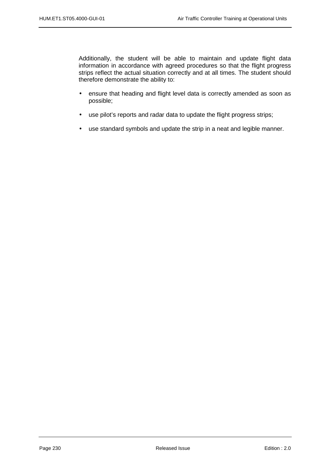Additionally, the student will be able to maintain and update flight data information in accordance with agreed procedures so that the flight progress strips reflect the actual situation correctly and at all times. The student should therefore demonstrate the ability to:

- ensure that heading and flight level data is correctly amended as soon as possible;
- use pilot's reports and radar data to update the flight progress strips;
- use standard symbols and update the strip in a neat and legible manner.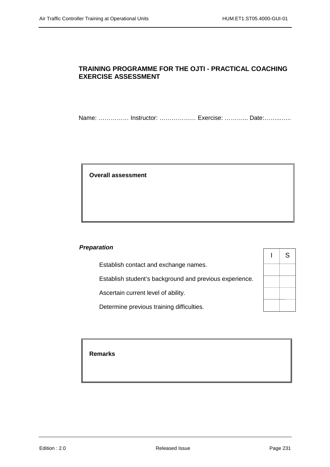### **TRAINING PROGRAMME FOR THE OJTI - PRACTICAL COACHING EXERCISE ASSESSMENT**

Name: …………… Instructor: ……………… Exercise: ………... Date:……...…..

### **Overall assessment**

### *Preparation*

Establish contact and exchange names.

Establish student's background and previous experience.

Ascertain current level of ability.

Determine previous training difficulties.

| S |
|---|
|   |
|   |
|   |
|   |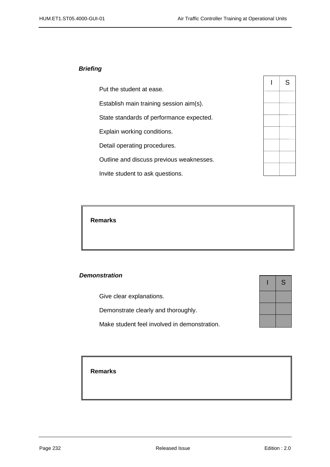### *Briefing*

Put the student at ease. Establish main training session aim(s). State standards of performance expected. Explain working conditions. Detail operating procedures. Outline and discuss previous weaknesses. Invite student to ask questions.

| S |
|---|
|   |
|   |
|   |
|   |
|   |
|   |
|   |

### **Remarks**

### *Demonstration*

Give clear explanations.

Demonstrate clearly and thoroughly.

Make student feel involved in demonstration.

| S |
|---|
|   |
|   |
|   |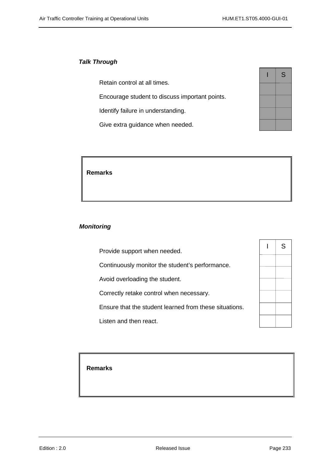### *Talk Through*

Retain control at all times.

Encourage student to discuss important points.

Identify failure in understanding.

Give extra guidance when needed.

| S |
|---|
|   |
|   |
|   |
|   |

### **Remarks**

### *Monitoring*

Provide support when needed.

Continuously monitor the student's performance.

Avoid overloading the student.

Correctly retake control when necessary.

Ensure that the student learned from these situations.

Listen and then react.

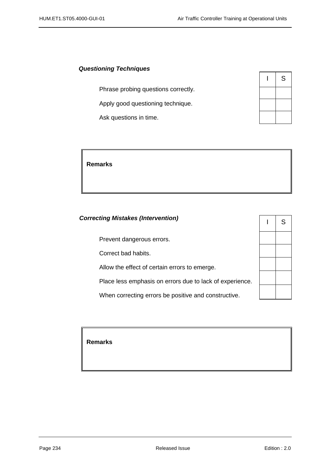### *Questioning Techniques*

Phrase probing questions correctly. Apply good questioning technique.

Ask questions in time.

| S |
|---|
|   |
|   |
|   |

### **Remarks**

# *Correcting Mistakes (Intervention)* Prevent dangerous errors. Correct bad habits. Allow the effect of certain errors to emerge. Place less emphasis on errors due to lack of experience. When correcting errors be positive and constructive.  $I \mid S$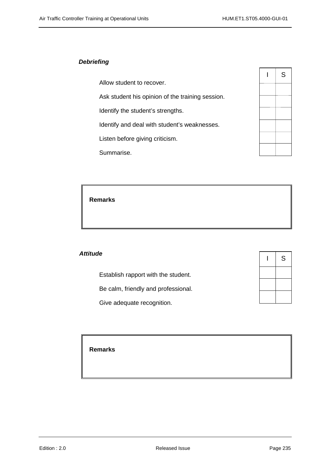### *Debriefing*

Allow student to recover. Ask student his opinion of the training session. Identify the student's strengths. Identify and deal with student's weaknesses. Listen before giving criticism. Summarise.

| I | S |
|---|---|
|   |   |
|   |   |
|   |   |
|   |   |
|   |   |
|   |   |

**Remarks**

### *Attitude*

Establish rapport with the student.

Be calm, friendly and professional.

Give adequate recognition.

| S |
|---|
|   |
|   |
|   |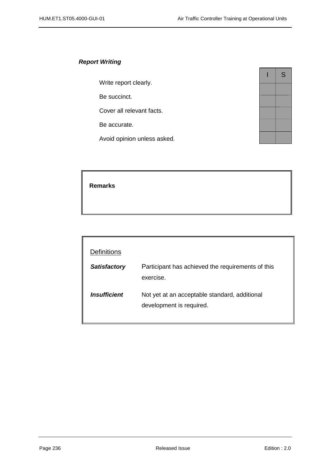# *Report Writing*

Write report clearly.

Be succinct.

Cover all relevant facts.

Be accurate.

Avoid opinion unless asked.

| S |
|---|
|   |
|   |
|   |
|   |
|   |

| <b>Definitions</b>         |                                                                           |
|----------------------------|---------------------------------------------------------------------------|
| <b>Satisfactory</b>        | Participant has achieved the requirements of this<br>exercise.            |
| <i><b>Insufficient</b></i> | Not yet at an acceptable standard, additional<br>development is required. |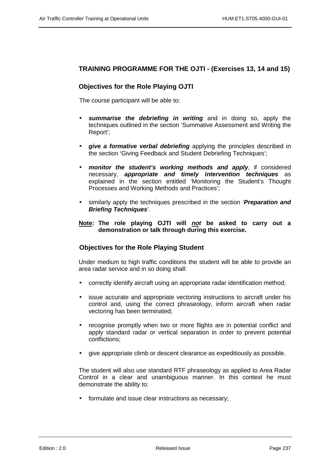### **TRAINING PROGRAMME FOR THE OJTI - (Exercises 13, 14 and 15)**

### **Objectives for the Role Playing OJTI**

The course participant will be able to:

- *summarise the debriefing in writing* and in doing so, apply the techniques outlined in the section 'Summative Assessment and Writing the Report';
- *give a formative verbal debriefing* applying the principles described in the section 'Giving Feedback and Student Debriefing Techniques';
- *monitor the student's working methods and apply*, if considered necessary, *appropriate and timely intervention techniques* as explained in the section entitled 'Monitoring the Student's Thought Processes and Working Methods and Practices';
- similarly apply the techniques prescribed in the section '*Preparation and Briefing Techniques*'*.*

### **Note: The role playing OJTI will** *not* **be asked to carry out a demonstration or talk through during this exercise.**

### **Objectives for the Role Playing Student**

Under medium to high traffic conditions the student will be able to provide an area radar service and in so doing shall:

- correctly identify aircraft using an appropriate radar identification method;
- issue accurate and appropriate vectoring instructions to aircraft under his control and, using the correct phraseology, inform aircraft when radar vectoring has been terminated;
- recognise promptly when two or more flights are in potential conflict and apply standard radar or vertical separation in order to prevent potential conflictions;
- give appropriate climb or descent clearance as expeditiously as possible.

The student will also use standard RTF phraseology as applied to Area Radar Control in a clear and unambiguous manner. In this context he must demonstrate the ability to:

• formulate and issue clear instructions as necessary;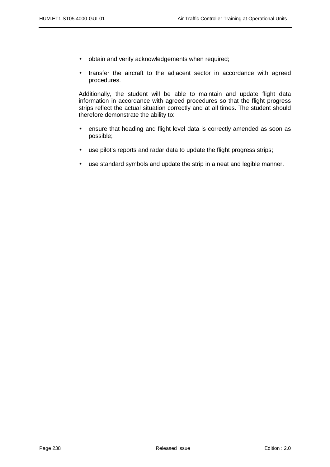- obtain and verify acknowledgements when required;
- transfer the aircraft to the adjacent sector in accordance with agreed procedures.

Additionally, the student will be able to maintain and update flight data information in accordance with agreed procedures so that the flight progress strips reflect the actual situation correctly and at all times. The student should therefore demonstrate the ability to:

- ensure that heading and flight level data is correctly amended as soon as possible;
- use pilot's reports and radar data to update the flight progress strips;
- use standard symbols and update the strip in a neat and legible manner.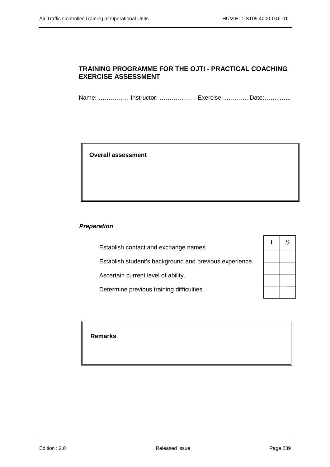### **TRAINING PROGRAMME FOR THE OJTI - PRACTICAL COACHING EXERCISE ASSESSMENT**

Name: …………… Instructor: ……………… Exercise: ………... Date:……...…..

### **Overall assessment**

### *Preparation*

Establish contact and exchange names.

Establish student's background and previous experience.

Ascertain current level of ability.

Determine previous training difficulties.

| <b>Remarks</b> |  |
|----------------|--|

 $I \mid S$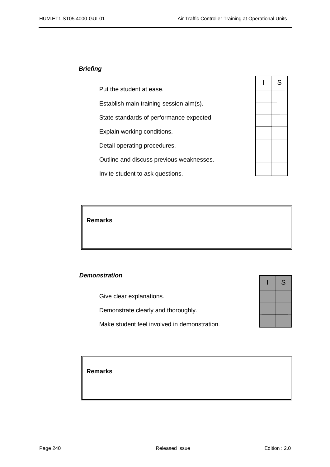### *Briefing*

Put the student at ease. Establish main training session aim(s). State standards of performance expected. Explain working conditions. Detail operating procedures. Outline and discuss previous weaknesses. Invite student to ask questions.

| S |
|---|
|   |
|   |
|   |
|   |
|   |
|   |
|   |

### **Remarks**

### *Demonstration*

Give clear explanations.

Demonstrate clearly and thoroughly.

Make student feel involved in demonstration.

| S |
|---|
|   |
|   |
|   |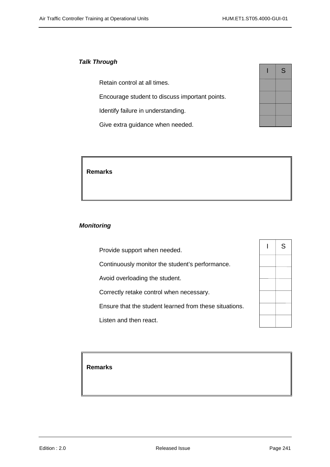### *Talk Through*

Retain control at all times.

Encourage student to discuss important points.

Identify failure in understanding.

Give extra guidance when needed.



### **Remarks**

### *Monitoring*

Provide support when needed. Continuously monitor the student's performance.

Avoid overloading the student.

Correctly retake control when necessary.

Ensure that the student learned from these situations.

Listen and then react.

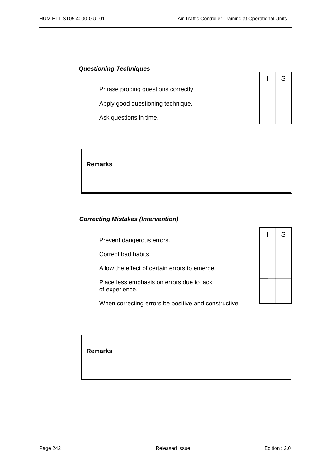### *Questioning Techniques*

Phrase probing questions correctly.

Apply good questioning technique.

Ask questions in time.

| S |
|---|
|   |
|   |
|   |

### **Remarks**

# *Correcting Mistakes (Intervention)*

| Prevent dangerous errors.                                   |  |
|-------------------------------------------------------------|--|
| Correct bad habits.                                         |  |
| Allow the effect of certain errors to emerge.               |  |
| Place less emphasis on errors due to lack<br>of experience. |  |
| When correcting errors be positive and constructive.        |  |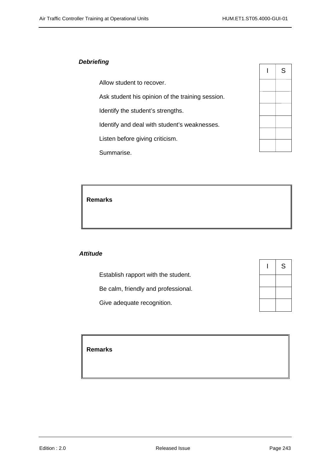### *Debriefing*

Allow student to recover. Ask student his opinion of the training session. Identify the student's strengths. Identify and deal with student's weaknesses. Listen before giving criticism.

| I | S |
|---|---|
|   |   |
|   |   |
|   |   |
|   |   |
|   |   |
|   |   |

**Remarks**

Summarise.

### *Attitude*

Establish rapport with the student. Be calm, friendly and professional. Give adequate recognition.

| S |
|---|
|   |
|   |
|   |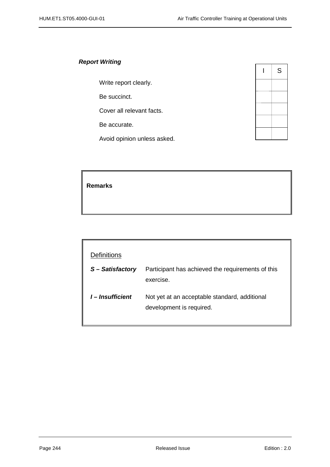# *Report Writing*

Write report clearly.

Be succinct.

Cover all relevant facts.

Be accurate.

Avoid opinion unless asked.

| S |
|---|
|   |
|   |
|   |
|   |
|   |

| <b>Definitions</b>      |                                                                           |
|-------------------------|---------------------------------------------------------------------------|
| S-Satisfactory          | Participant has achieved the requirements of this<br>exercise.            |
| <i>I – Insufficient</i> | Not yet at an acceptable standard, additional<br>development is required. |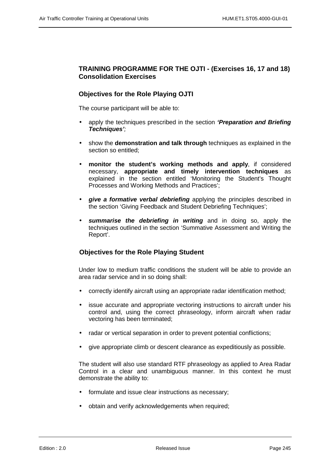### **TRAINING PROGRAMME FOR THE OJTI - (Exercises 16, 17 and 18) Consolidation Exercises**

### **Objectives for the Role Playing OJTI**

The course participant will be able to:

- apply the techniques prescribed in the section *'Preparation and Briefing Techniques';*
- show the **demonstration and talk through** techniques as explained in the section so entitled;
- **monitor the student's working methods and apply**, if considered necessary, **appropriate and timely intervention techniques** as explained in the section entitled 'Monitoring the Student's Thought Processes and Working Methods and Practices';
- *give a formative verbal debriefing* applying the principles described in the section 'Giving Feedback and Student Debriefing Techniques';
- *summarise the debriefing in writing* and in doing so, apply the techniques outlined in the section 'Summative Assessment and Writing the Report'.

### **Objectives for the Role Playing Student**

Under low to medium traffic conditions the student will be able to provide an area radar service and in so doing shall:

- correctly identify aircraft using an appropriate radar identification method;
- issue accurate and appropriate vectoring instructions to aircraft under his control and, using the correct phraseology, inform aircraft when radar vectoring has been terminated;
- radar or vertical separation in order to prevent potential conflictions;
- give appropriate climb or descent clearance as expeditiously as possible.

The student will also use standard RTF phraseology as applied to Area Radar Control in a clear and unambiguous manner. In this context he must demonstrate the ability to:

- formulate and issue clear instructions as necessary;
- obtain and verify acknowledgements when required;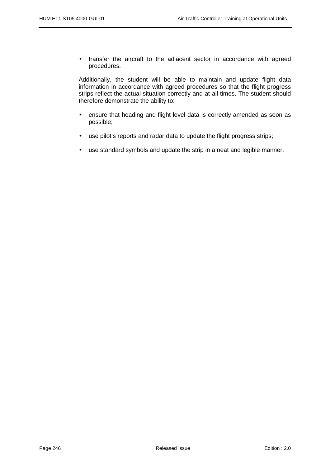• transfer the aircraft to the adjacent sector in accordance with agreed procedures.

Additionally, the student will be able to maintain and update flight data information in accordance with agreed procedures so that the flight progress strips reflect the actual situation correctly and at all times. The student should therefore demonstrate the ability to:

- ensure that heading and flight level data is correctly amended as soon as possible;
- use pilot's reports and radar data to update the flight progress strips;
- use standard symbols and update the strip in a neat and legible manner.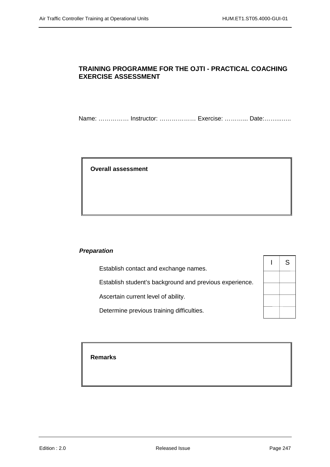## **TRAINING PROGRAMME FOR THE OJTI - PRACTICAL COACHING EXERCISE ASSESSMENT**

Name: …………… Instructor: ……………… Exercise: ………... Date:……...…..

**Overall assessment**

#### *Preparation*

Establish contact and exchange names.

Establish student's background and previous experience.

Ascertain current level of ability.

Determine previous training difficulties.

# **Remarks**

 $I \mid S$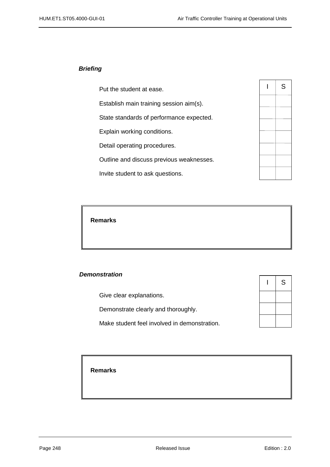#### *Briefing*

Put the student at ease. Establish main training session aim(s). State standards of performance expected. Explain working conditions. Detail operating procedures. Outline and discuss previous weaknesses. Invite student to ask questions.

| I | S |
|---|---|
|   |   |
|   |   |
|   |   |
|   |   |
|   |   |
|   |   |
|   |   |

## **Remarks**

#### *Demonstration*

| Give clear explanations. |  |
|--------------------------|--|
|                          |  |

Demonstrate clearly and thoroughly.

Make student feel involved in demonstration.

| S |
|---|
|   |
|   |
|   |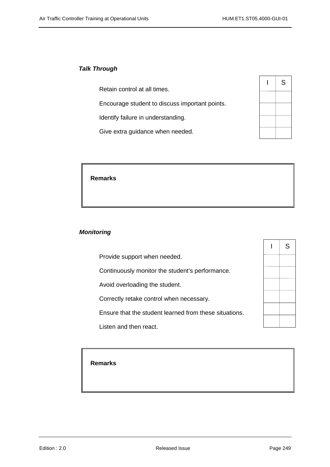### *Talk Through*

Retain control at all times.

Encourage student to discuss important points.

Identify failure in understanding.

Give extra guidance when needed.

| S |
|---|
|   |
|   |
|   |
|   |

 $|$   $|$  S

#### **Remarks**

#### *Monitoring*

Provide support when needed.

Continuously monitor the student's performance.

Avoid overloading the student.

Correctly retake control when necessary.

Ensure that the student learned from these situations.

Listen and then react.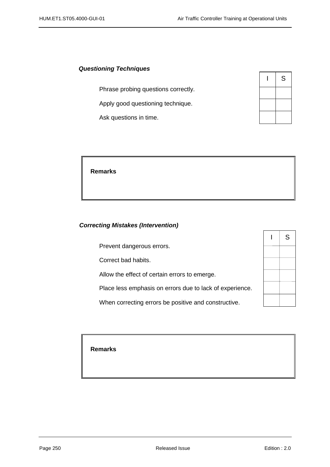#### *Questioning Techniques*

Phrase probing questions correctly.

Apply good questioning technique.

Ask questions in time.

| S |
|---|
|   |
|   |
|   |

#### **Remarks**

#### *Correcting Mistakes (Intervention)*

Prevent dangerous errors.

Correct bad habits.

Allow the effect of certain errors to emerge.

Place less emphasis on errors due to lack of experience.

When correcting errors be positive and constructive.

| S |
|---|
|   |
|   |
|   |
|   |
|   |

Г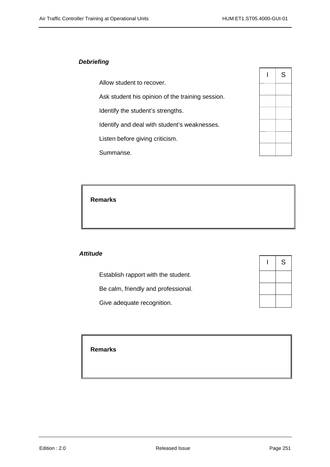### *Debriefing*

Allow student to recover. Ask student his opinion of the training session. Identify the student's strengths. Identify and deal with student's weaknesses. Listen before giving criticism. Summarise.

| ı | S |
|---|---|
|   |   |
|   |   |
|   |   |
|   |   |
|   |   |
|   |   |

**Remarks**

# *Attitude*

Establish rapport with the student.

Be calm, friendly and professional.

Give adequate recognition.

| S |
|---|
|   |
|   |
|   |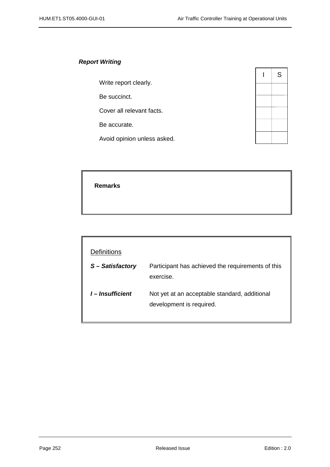# *Report Writing*

Write report clearly.

Be succinct.

Cover all relevant facts.

Be accurate.

Avoid opinion unless asked.

| S |
|---|
|   |
|   |
|   |
|   |
|   |

| Definitions      |                                                                           |
|------------------|---------------------------------------------------------------------------|
| S-Satisfactory   | Participant has achieved the requirements of this<br>exercise.            |
| I – Insufficient | Not yet at an acceptable standard, additional<br>development is required. |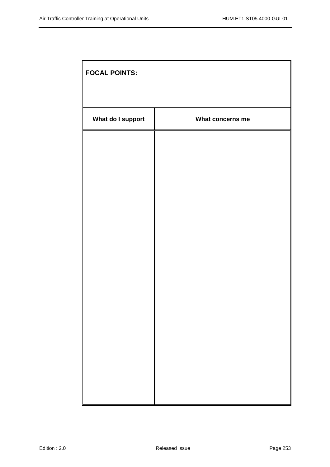| <b>FOCAL POINTS:</b> |                  |
|----------------------|------------------|
|                      |                  |
| What do I support    | What concerns me |
|                      |                  |
|                      |                  |
|                      |                  |
|                      |                  |
|                      |                  |
|                      |                  |
|                      |                  |
|                      |                  |
|                      |                  |
|                      |                  |
|                      |                  |
|                      |                  |
|                      |                  |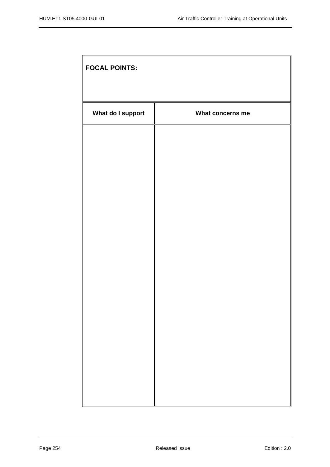| <b>FOCAL POINTS:</b> |                  |
|----------------------|------------------|
|                      |                  |
| What do I support    | What concerns me |
|                      |                  |
|                      |                  |
|                      |                  |
|                      |                  |
|                      |                  |
|                      |                  |
|                      |                  |
|                      |                  |
|                      |                  |
|                      |                  |
|                      |                  |
|                      |                  |
|                      |                  |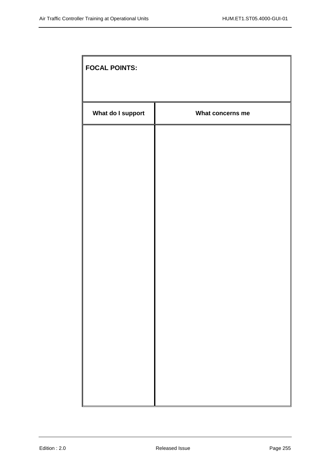| <b>FOCAL POINTS:</b> |                  |
|----------------------|------------------|
|                      |                  |
| What do I support    | What concerns me |
|                      |                  |
|                      |                  |
|                      |                  |
|                      |                  |
|                      |                  |
|                      |                  |
|                      |                  |
|                      |                  |
|                      |                  |
|                      |                  |
|                      |                  |
|                      |                  |
|                      |                  |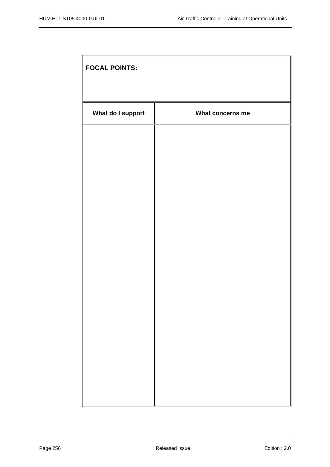| <b>FOCAL POINTS:</b> |                  |
|----------------------|------------------|
|                      |                  |
| What do I support    | What concerns me |
|                      |                  |
|                      |                  |
|                      |                  |
|                      |                  |
|                      |                  |
|                      |                  |
|                      |                  |
|                      |                  |
|                      |                  |
|                      |                  |
|                      |                  |
|                      |                  |
|                      |                  |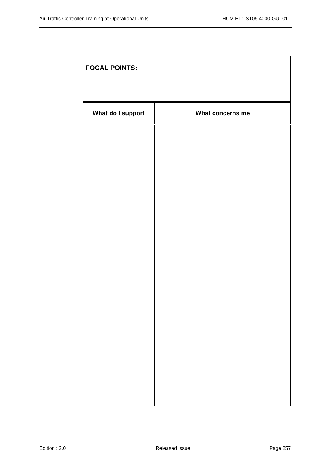| <b>FOCAL POINTS:</b> |                  |
|----------------------|------------------|
|                      |                  |
| What do I support    | What concerns me |
|                      |                  |
|                      |                  |
|                      |                  |
|                      |                  |
|                      |                  |
|                      |                  |
|                      |                  |
|                      |                  |
|                      |                  |
|                      |                  |
|                      |                  |
|                      |                  |
|                      |                  |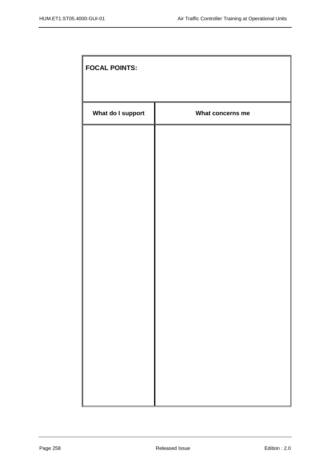| <b>FOCAL POINTS:</b> |                  |
|----------------------|------------------|
|                      |                  |
| What do I support    | What concerns me |
|                      |                  |
|                      |                  |
|                      |                  |
|                      |                  |
|                      |                  |
|                      |                  |
|                      |                  |
|                      |                  |
|                      |                  |
|                      |                  |
|                      |                  |
|                      |                  |
|                      |                  |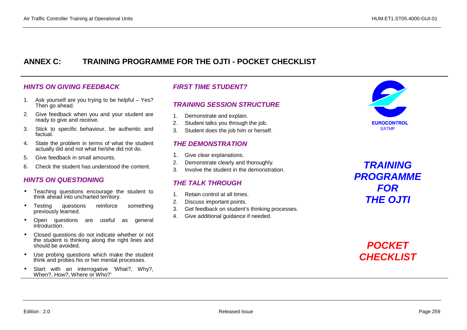# **ANNEX C: TRAINING PROGRAMME FOR THE OJTI - POCKET CHECKLIST**

# *HINTS ON GIVING FEEDBACK*

- 1. Ask yourself are you trying to be helpful Yes? Then go ahead.
- 2. Give feedback when you and your student are ready to give and receive.
- 3. Stick to specific behaviour, be authentic and factual.
- 4. State the problem in terms of what the student actually did and not what he/she did not do.
- 5. Give feedback in small amounts.
- 6. Check the student has understood the content.

# *HINTS ON QUESTIONING*

- • Teaching questions encourage the student to think ahead into uncharted territory.
- • Testing questions reinforce something previously learned.
- • Open questions are useful as general introduction.
- • Closed questions do not indicate whether or not the student is thinking along the right lines and should be avoided.
- • Use probing questions which make the student think and probes his or her mental processes.
- • Start with an interrogative 'What?, Why?, When?, How?, Where or Who?'

### *FIRST TIME STUDENT?*

#### *TRAINING SESSION STRUCTURE*

- 1. Demonstrate and explain.
- 2. Student talks you through the job.
- 3. Student does the job him or herself.

### *THE DEMONSTRATION*

- 1. Give clear explanations.
- 2. Demonstrate clearly and thoroughly.
- 3. Involve the student in the demonstration.

### *THE TALK THROUGH*

- 1. Retain control at all times.
- 2. Discuss important points.
- 3. Get feedback on student's thinking processes.
- 4. Give additional guidance if needed.



# *TRAININGPROGRAMMEFORTHE OJTI*

# *POCKETCHECKLIST*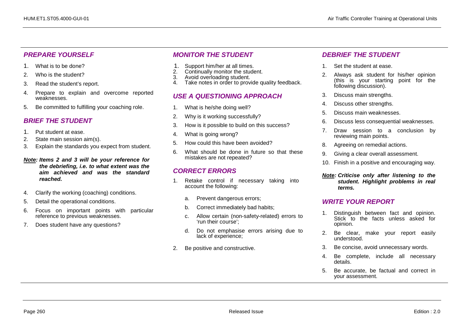#### *PREPARE YOURSELF*

- 1. What is to be done?
- 2. Who is the student?
- 3. Read the student's report.
- 4. Prepare to explain and overcome reported weaknesses.
- 5. Be committed to fulfilling your coaching role.

### *BRIEF THE STUDENT*

- 1.Put student at ease.
- 2. State main session aim(s).
- 3. Explain the standards you expect from student.
- *Note: Items 2 and 3 will be your reference for the debriefing, i.e. to what extent was the aim achieved and was the standardreached.*
- 4. Clarify the working (coaching) conditions.
- 5. Detail the operational conditions.
- 6. Focus on important points with particular reference to previous weaknesses.
- 7. Does student have any questions?

#### *MONITOR THE STUDENT*

- 1. Support him/her at all times.
- 2. Continually monitor the student.<br>3. Avoid overloading student
- Avoid overloading student.
- 4. Take notes in order to provide quality feedback.

#### *USE A QUESTIONING APPROACH*

- 1. What is he/she doing well?
- 2. Why is it working successfully?
- 3. How is it possible to build on this success?
- 4. What is going wrong?
- 5. How could this have been avoided?
- 6. What should be done in future so that thesemistakes are not repeated?

#### *CORRECT ERRORS*

- 1. Retake control if necessary taking into account the following:
	- a. Prevent dangerous errors;
	- b. Correct immediately bad habits;
	- c. Allow certain (non-safety-related) errors to 'run their course';
	- d. Do not emphasise errors arising due to lack of experience;
- 2. Be positive and constructive.

#### *DEBRIEF THE STUDENT*

- 1. Set the student at ease.
- 2. Always ask student for his/her opinion (this is your starting point for the following discussion).
- 3. Discuss main strengths.
- 4. Discuss other strengths.
- 5. Discuss main weaknesses.
- 6. Discuss less consequential weaknesses.
- 7. Draw session to a conclusion by reviewing main points.
- 8. Agreeing on remedial actions.
- 9. Giving a clear overall assessment.
- 10. Finish in a positive and encouraging way.
- *Note: Criticise only after listening to the student. Highlight problems in real terms.*

### *WRITE YOUR REPORT*

- 1. Distinguish between fact and opinion. Stick to the facts unless asked for opinion.
- 2. Be clear, make your report easily understood.
- 3. Be concise, avoid unnecessary words.
- 4. Be complete, include all necessary details.
- 5. Be accurate, be factual and correct in your assessment.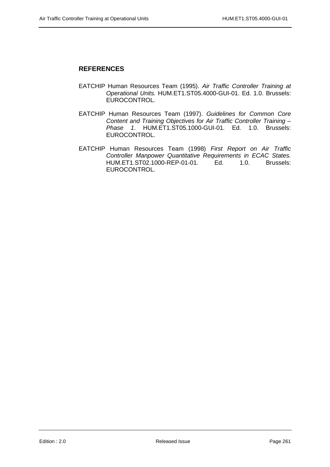# **REFERENCES**

- EATCHIP Human Resources Team (1995). *Air Traffic Controller Training at Operational Units.* HUM.ET1.ST05.4000-GUI-01. Ed. 1.0. Brussels: EUROCONTROL.
- EATCHIP Human Resources Team (1997). *Guidelines for Common Core Content and Training Objectives for Air Traffic Controller Training – Phase 1*. HUM.ET1.ST05.1000-GUI-01. Ed. 1.0. Brussels: EUROCONTROL.
- EATCHIP Human Resources Team (1998) *First Report on Air Traffic Controller Manpower Quantitative Requirements in ECAC States.* HUM.ET1.ST02.1000-REP-01-01. EUROCONTROL.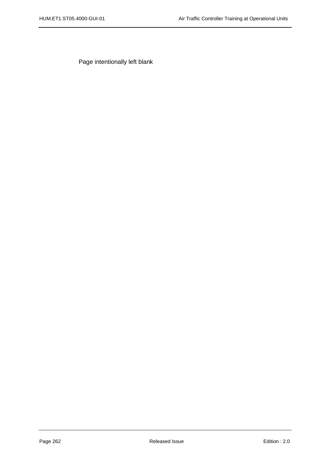Page intentionally left blank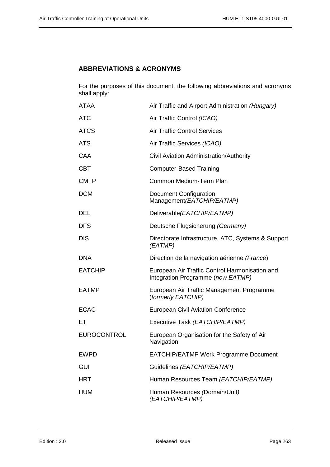# **ABBREVIATIONS & ACRONYMS**

For the purposes of this document, the following abbreviations and acronyms shall apply:

| <b>ATAA</b>        | Air Traffic and Airport Administration (Hungary)                                    |
|--------------------|-------------------------------------------------------------------------------------|
| ATC                | Air Traffic Control (ICAO)                                                          |
| <b>ATCS</b>        | <b>Air Traffic Control Services</b>                                                 |
| ATS                | Air Traffic Services (ICAO)                                                         |
| CAA                | Civil Aviation Administration/Authority                                             |
| <b>CBT</b>         | <b>Computer-Based Training</b>                                                      |
| <b>CMTP</b>        | Common Medium-Term Plan                                                             |
| <b>DCM</b>         | Document Configuration<br>Management (EATCHIP/EATMP)                                |
| DEL                | Deliverable (EATCHIP/EATMP)                                                         |
| <b>DFS</b>         | Deutsche Flugsicherung (Germany)                                                    |
| DIS                | Directorate Infrastructure, ATC, Systems & Support<br>(EATMP)                       |
| DNA                | Direction de la navigation aérienne (France)                                        |
| <b>EATCHIP</b>     | European Air Traffic Control Harmonisation and<br>Integration Programme (now EATMP) |
| <b>EATMP</b>       | European Air Traffic Management Programme<br>(formerly EATCHIP)                     |
| <b>ECAC</b>        | <b>European Civil Aviation Conference</b>                                           |
| EТ                 | Executive Task (EATCHIP/EATMP)                                                      |
| <b>EUROCONTROL</b> | European Organisation for the Safety of Air<br>Navigation                           |
| <b>EWPD</b>        | EATCHIP/EATMP Work Programme Document                                               |
| <b>GUI</b>         | Guidelines (EATCHIP/EATMP)                                                          |
| HRT                | Human Resources Team (EATCHIP/EATMP)                                                |
| <b>HUM</b>         | Human Resources (Domain/Unit)<br>(EATCHIP/EATMP)                                    |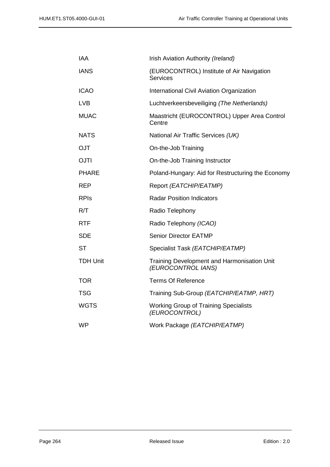| <b>IAA</b>      | Irish Aviation Authority (Ireland)                                |
|-----------------|-------------------------------------------------------------------|
| <b>IANS</b>     | (EUROCONTROL) Institute of Air Navigation<br><b>Services</b>      |
| <b>ICAO</b>     | International Civil Aviation Organization                         |
| <b>LVB</b>      | Luchtverkeersbeveiliging (The Netherlands)                        |
| <b>MUAC</b>     | Maastricht (EUROCONTROL) Upper Area Control<br>Centre             |
| <b>NATS</b>     | National Air Traffic Services (UK)                                |
| <b>OJT</b>      | On-the-Job Training                                               |
| <b>OJTI</b>     | On-the-Job Training Instructor                                    |
| <b>PHARE</b>    | Poland-Hungary: Aid for Restructuring the Economy                 |
| <b>REP</b>      | Report (EATCHIP/EATMP)                                            |
| <b>RPIs</b>     | <b>Radar Position Indicators</b>                                  |
| R/T             | Radio Telephony                                                   |
| <b>RTF</b>      | Radio Telephony (ICAO)                                            |
| <b>SDE</b>      | <b>Senior Director EATMP</b>                                      |
| <b>ST</b>       | Specialist Task (EATCHIP/EATMP)                                   |
| <b>TDH Unit</b> | Training Development and Harmonisation Unit<br>(EUROCONTROL IANS) |
| <b>TOR</b>      | <b>Terms Of Reference</b>                                         |
| <b>TSG</b>      | Training Sub-Group (EATCHIP/EATMP, HRT)                           |
| <b>WGTS</b>     | <b>Working Group of Training Specialists</b><br>(EUROCONTROL)     |
| <b>WP</b>       | Work Package (EATCHIP/EATMP)                                      |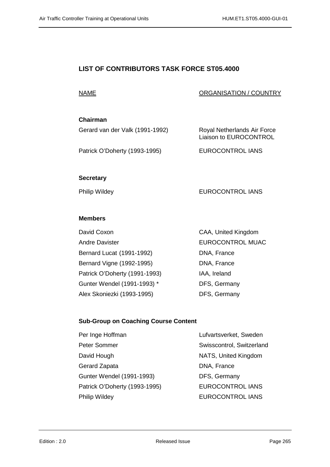# **LIST OF CONTRIBUTORS TASK FORCE ST05.4000**

#### NAME NAME ORGANISATION / COUNTRY

## **Chairman**

Gerard van der Valk (1991-1992)

Patrick O'Doherty (1993-1995) EUROCONTROL IANS

Royal Netherlands Air Force<br>Liaison to EUROCONTROL

#### **Secretary**

Philip Wildey **EUROCONTROL IANS** 

#### **Members**

| David Coxon                   | CAA, United Kingdom |
|-------------------------------|---------------------|
| <b>Andre Davister</b>         | EUROCONTROL MUAC    |
| Bernard Lucat (1991-1992)     | DNA, France         |
| Bernard Vigne (1992-1995)     | DNA, France         |
| Patrick O'Doherty (1991-1993) | IAA, Ireland        |
| Gunter Wendel (1991-1993) *   | DFS, Germany        |
| Alex Skoniezki (1993-1995)    | DFS, Germany        |

#### **Sub-Group on Coaching Course Content**

| Per Inge Hoffman              | Lufva       |
|-------------------------------|-------------|
| Peter Sommer                  | Swiss       |
| David Hough                   | <b>NATS</b> |
| <b>Gerard Zapata</b>          | DNA.        |
| Gunter Wendel (1991-1993)     | DFS.        |
| Patrick O'Doherty (1993-1995) | <b>EUR</b>  |
| <b>Philip Wildey</b>          | EUR(        |

artsverket, Sweden scontrol, Switzerland S, United Kingdom France Germany **OCONTROL IANS OCONTROL IANS**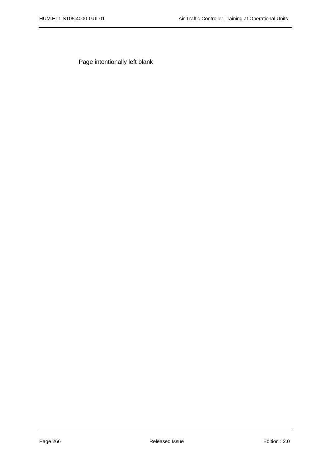Page intentionally left blank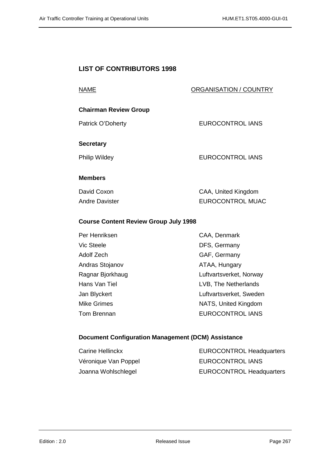# **LIST OF CONTRIBUTORS 1998**

NAME ORGANISATION / COUNTRY

#### **Chairman Review Group**

Patrick O'Doherty **EUROCONTROL IANS** 

#### **Secretary**

Philip Wildey **EUROCONTROL IANS** 

#### **Members**

David Coxon CAA, United Kingdom Andre Davister **EUROCONTROL MUAC** 

#### **Course Content Review Group July 1998**

| Per Henriksen      |
|--------------------|
| Vic Steele         |
| Adolf Zech         |
| Andras Stojanov    |
| Ragnar Bjorkhaug   |
| Hans Van Tiel      |
| Jan Blyckert       |
| <b>Mike Grimes</b> |
| Tom Brennan        |

CAA, Denmark DFS, Germany GAF, Germany ATAA, Hungary Luftvartsverket, Norway LVB, The Netherlands Luftvartsverket, Sweden NATS, United Kingdom **EUROCONTROL IANS** 

### **Document Configuration Management (DCM) Assistance**

| Carine Hellinckx     | <b>EUROCONTROL Headquarters</b> |
|----------------------|---------------------------------|
| Véronique Van Poppel | EUROCONTROL IANS                |
| Joanna Wohlschlegel  | <b>EUROCONTROL Headquarters</b> |